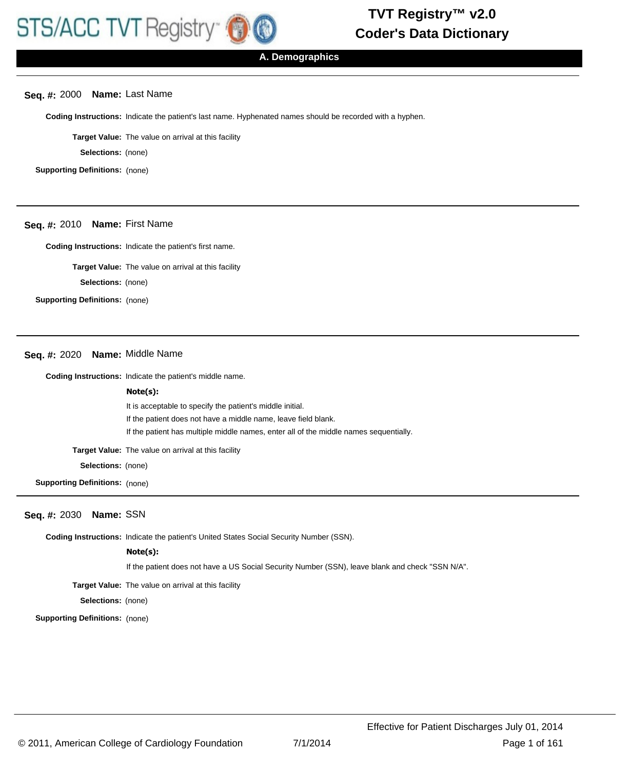## **Seq. #:** 2000 **Name:** Last Name

**Coding Instructions:** Indicate the patient's last name. Hyphenated names should be recorded with a hyphen.

**Target Value:** The value on arrival at this facility

**Selections:** (none)

**Supporting Definitions:** (none)

# **Seq. #:** 2010 **Name:** First Name

**Coding Instructions:** Indicate the patient's first name.

**Target Value:** The value on arrival at this facility

**Selections:** (none)

**Supporting Definitions:** (none)

# **Seq. #:** 2020 **Name:** Middle Name

**Coding Instructions:** Indicate the patient's middle name.

#### **Note(s):**

It is acceptable to specify the patient's middle initial. If the patient does not have a middle name, leave field blank. If the patient has multiple middle names, enter all of the middle names sequentially.

**Target Value:** The value on arrival at this facility

**Selections:** (none)

**Supporting Definitions:** (none)

# **Seq. #:** 2030 **Name:** SSN

**Coding Instructions:** Indicate the patient's United States Social Security Number (SSN).

#### **Note(s):**

If the patient does not have a US Social Security Number (SSN), leave blank and check "SSN N/A".

**Target Value:** The value on arrival at this facility

**Selections:** (none)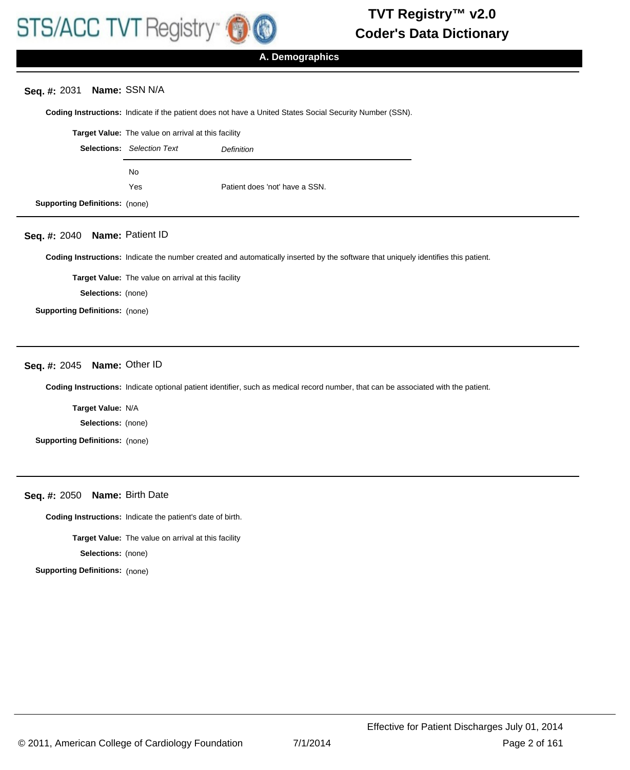

# **Seq. #:** 2031 **Name:** SSN N/A

**Coding Instructions:** Indicate if the patient does not have a United States Social Security Number (SSN).

|                                       | <b>Target Value:</b> The value on arrival at this facility |                                |  |
|---------------------------------------|------------------------------------------------------------|--------------------------------|--|
|                                       | <b>Selections:</b> Selection Text                          | Definition                     |  |
|                                       | No.                                                        |                                |  |
|                                       | Yes                                                        | Patient does 'not' have a SSN. |  |
| <b>Supporting Definitions: (none)</b> |                                                            |                                |  |

# **Seq. #:** 2040 **Name:** Patient ID

**Coding Instructions:** Indicate the number created and automatically inserted by the software that uniquely identifies this patient.

**Target Value:** The value on arrival at this facility

**Selections:** (none)

**Supporting Definitions:** (none)

# **Seq. #:** 2045 **Name:** Other ID

**Coding Instructions:** Indicate optional patient identifier, such as medical record number, that can be associated with the patient.

**Target Value:** N/A

**Selections:** (none)

**Supporting Definitions:** (none)

**Seq. #:** 2050 **Name:** Birth Date

**Coding Instructions:** Indicate the patient's date of birth.

**Target Value:** The value on arrival at this facility

**Selections:** (none)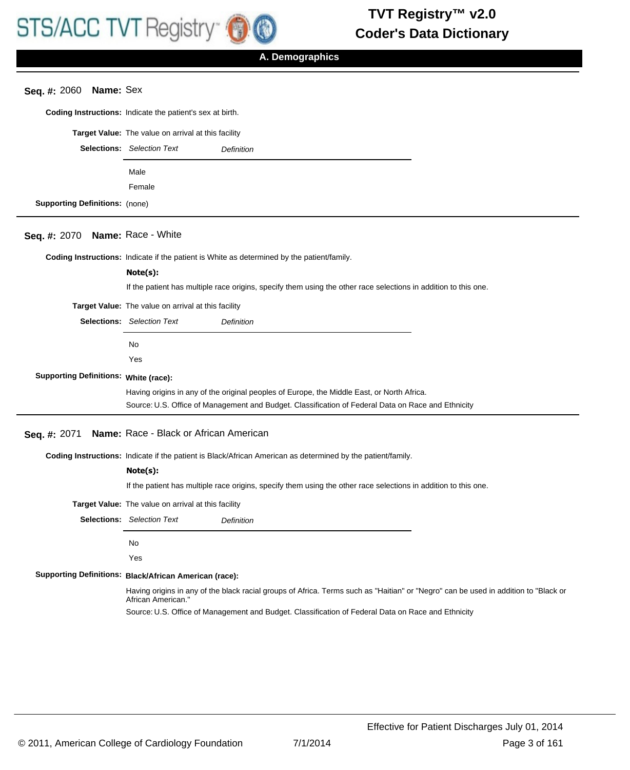

# **Seq. #:** 2060 **Name:** Sex

**Coding Instructions:** Indicate the patient's sex at birth.

|                                       | <b>Target Value:</b> The value on arrival at this facility |                   |
|---------------------------------------|------------------------------------------------------------|-------------------|
|                                       | <b>Selections:</b> Selection Text                          | <b>Definition</b> |
|                                       | Male<br>Female                                             |                   |
| <b>Supporting Definitions: (none)</b> |                                                            |                   |

# **Seq. #:** 2070 **Name:** Race - White

**Coding Instructions:** Indicate if the patient is White as determined by the patient/family.

# If the patient has multiple race origins, specify them using the other race selections in addition to this one. **Note(s): Target Value:** The value on arrival at this facility Selections: Selection Text **Definition** No Yes **Supporting Definitions: White (race):** Having origins in any of the original peoples of Europe, the Middle East, or North Africa. Source: U.S. Office of Management and Budget. Classification of Federal Data on Race and Ethnicity

## **Seq. #:** 2071 **Name:** Race - Black or African American

**Coding Instructions:** Indicate if the patient is Black/African American as determined by the patient/family.

#### **Note(s):**

If the patient has multiple race origins, specify them using the other race selections in addition to this one.

**Target Value:** The value on arrival at this facility

Selections: Selection Text **Definition** 

No

Yes

#### **Black/African American (race): Supporting Definitions:**

Having origins in any of the black racial groups of Africa. Terms such as "Haitian" or "Negro" can be used in addition to "Black or African American."

Source: U.S. Office of Management and Budget. Classification of Federal Data on Race and Ethnicity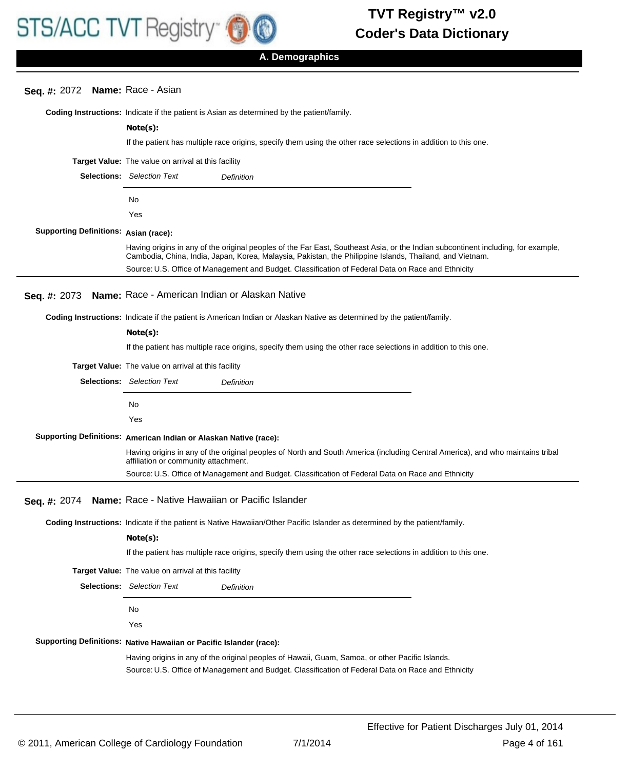# **Seq. #:** 2072 **Name:** Race - Asian

|                                              | <b>Coding Instructions:</b> Indicate if the patient is Asian as determined by the patient/family.                                                                                                                                                                                                                                                   |
|----------------------------------------------|-----------------------------------------------------------------------------------------------------------------------------------------------------------------------------------------------------------------------------------------------------------------------------------------------------------------------------------------------------|
|                                              | Note(s):                                                                                                                                                                                                                                                                                                                                            |
|                                              | If the patient has multiple race origins, specify them using the other race selections in addition to this one.                                                                                                                                                                                                                                     |
|                                              | Target Value: The value on arrival at this facility                                                                                                                                                                                                                                                                                                 |
|                                              | <b>Selections:</b> Selection Text<br>Definition                                                                                                                                                                                                                                                                                                     |
|                                              | No                                                                                                                                                                                                                                                                                                                                                  |
|                                              | Yes                                                                                                                                                                                                                                                                                                                                                 |
| <b>Supporting Definitions: Asian (race):</b> |                                                                                                                                                                                                                                                                                                                                                     |
|                                              | Having origins in any of the original peoples of the Far East, Southeast Asia, or the Indian subcontinent including, for example,<br>Cambodia, China, India, Japan, Korea, Malaysia, Pakistan, the Philippine Islands, Thailand, and Vietnam.<br>Source: U.S. Office of Management and Budget. Classification of Federal Data on Race and Ethnicity |
| Seq. #: 2073                                 | Name: Race - American Indian or Alaskan Native                                                                                                                                                                                                                                                                                                      |
|                                              | Coding Instructions: Indicate if the patient is American Indian or Alaskan Native as determined by the patient/family.                                                                                                                                                                                                                              |
|                                              | Note(s):                                                                                                                                                                                                                                                                                                                                            |
|                                              | If the patient has multiple race origins, specify them using the other race selections in addition to this one.                                                                                                                                                                                                                                     |
|                                              | Target Value: The value on arrival at this facility                                                                                                                                                                                                                                                                                                 |
|                                              | <b>Selections:</b> Selection Text<br>Definition                                                                                                                                                                                                                                                                                                     |
|                                              | No                                                                                                                                                                                                                                                                                                                                                  |
|                                              | Yes                                                                                                                                                                                                                                                                                                                                                 |
|                                              | Supporting Definitions: American Indian or Alaskan Native (race):                                                                                                                                                                                                                                                                                   |
|                                              | Having origins in any of the original peoples of North and South America (including Central America), and who maintains tribal                                                                                                                                                                                                                      |
|                                              | affiliation or community attachment.<br>Source: U.S. Office of Management and Budget. Classification of Federal Data on Race and Ethnicity                                                                                                                                                                                                          |
|                                              |                                                                                                                                                                                                                                                                                                                                                     |
| Seq. #: 2074                                 | Name: Race - Native Hawaiian or Pacific Islander                                                                                                                                                                                                                                                                                                    |
|                                              | Coding Instructions: Indicate if the patient is Native Hawaiian/Other Pacific Islander as determined by the patient/family.                                                                                                                                                                                                                         |
|                                              | Note(s):                                                                                                                                                                                                                                                                                                                                            |
|                                              | If the patient has multiple race origins, specify them using the other race selections in addition to this one.                                                                                                                                                                                                                                     |
|                                              | Target Value: The value on arrival at this facility                                                                                                                                                                                                                                                                                                 |
|                                              | <b>Selections:</b> Selection Text<br>Definition                                                                                                                                                                                                                                                                                                     |
|                                              | No.                                                                                                                                                                                                                                                                                                                                                 |
|                                              | Yes                                                                                                                                                                                                                                                                                                                                                 |
|                                              | Supporting Definitions: Native Hawaiian or Pacific Islander (race):                                                                                                                                                                                                                                                                                 |
|                                              | Having origins in any of the original peoples of Hawaii, Guam, Samoa, or other Pacific Islands.                                                                                                                                                                                                                                                     |
|                                              | Source: U.S. Office of Management and Budget. Classification of Federal Data on Race and Ethnicity                                                                                                                                                                                                                                                  |
|                                              |                                                                                                                                                                                                                                                                                                                                                     |
|                                              |                                                                                                                                                                                                                                                                                                                                                     |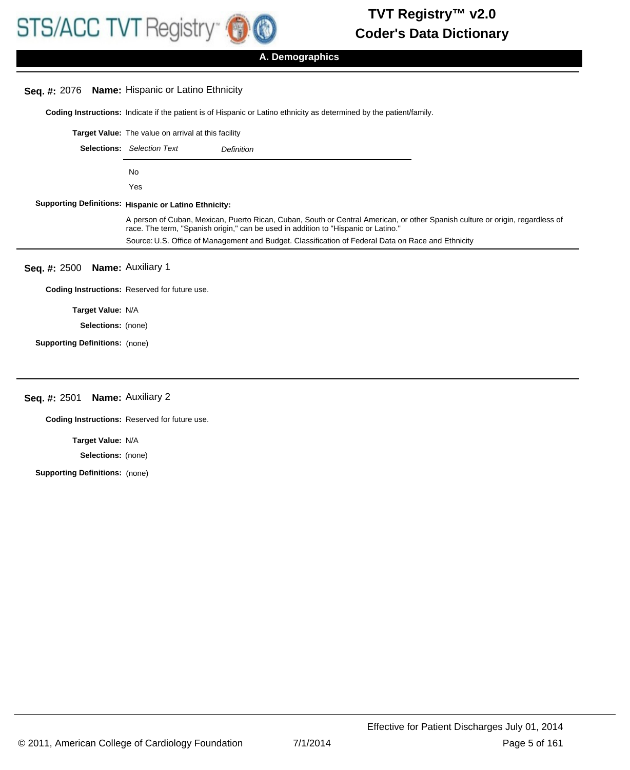

**A. Demographics**

# **Seq. #:** 2076 **Name:** Hispanic or Latino Ethnicity

**Coding Instructions:** Indicate if the patient is of Hispanic or Latino ethnicity as determined by the patient/family.

|                                       | <b>Target Value:</b> The value on arrival at this facility |                                                                                                                                                                                                                     |  |
|---------------------------------------|------------------------------------------------------------|---------------------------------------------------------------------------------------------------------------------------------------------------------------------------------------------------------------------|--|
|                                       | <b>Selections:</b> Selection Text                          | Definition                                                                                                                                                                                                          |  |
|                                       | No.                                                        |                                                                                                                                                                                                                     |  |
|                                       | Yes                                                        |                                                                                                                                                                                                                     |  |
|                                       | Supporting Definitions: Hispanic or Latino Ethnicity:      |                                                                                                                                                                                                                     |  |
|                                       |                                                            | A person of Cuban, Mexican, Puerto Rican, Cuban, South or Central American, or other Spanish culture or origin, regardless of<br>race. The term, "Spanish origin," can be used in addition to "Hispanic or Latino." |  |
|                                       |                                                            | Source: U.S. Office of Management and Budget. Classification of Federal Data on Race and Ethnicity                                                                                                                  |  |
| Seq. #: 2500 Name: Auxiliary 1        |                                                            |                                                                                                                                                                                                                     |  |
|                                       | <b>Coding Instructions: Reserved for future use.</b>       |                                                                                                                                                                                                                     |  |
| Target Value: N/A                     |                                                            |                                                                                                                                                                                                                     |  |
| <b>Selections:</b> (none)             |                                                            |                                                                                                                                                                                                                     |  |
| <b>Supporting Definitions: (none)</b> |                                                            |                                                                                                                                                                                                                     |  |

# **Seq. #:** 2501 **Name:** Auxiliary 2

**Coding Instructions:** Reserved for future use.

**Target Value:** N/A

**Selections:** (none)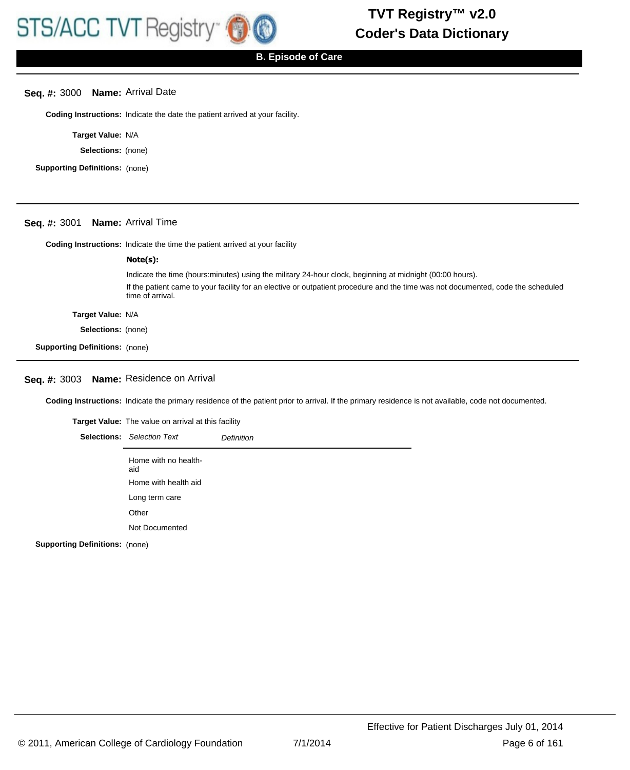## **Seq. #:** 3000 **Name:** Arrival Date

**Coding Instructions:** Indicate the date the patient arrived at your facility.

**Target Value:** N/A

**Selections:** (none)

**Supporting Definitions:** (none)

## **Seq. #:** 3001 **Name:** Arrival Time

**Coding Instructions:** Indicate the time the patient arrived at your facility

|                                       | Note(s):                                                                                                                                             |
|---------------------------------------|------------------------------------------------------------------------------------------------------------------------------------------------------|
|                                       | Indicate the time (hours: minutes) using the military 24-hour clock, beginning at midnight (00:00 hours).                                            |
|                                       | If the patient came to your facility for an elective or outpatient procedure and the time was not documented, code the scheduled<br>time of arrival. |
| Target Value: N/A                     |                                                                                                                                                      |
| <b>Selections:</b> (none)             |                                                                                                                                                      |
| <b>Supporting Definitions:</b> (none) |                                                                                                                                                      |

# **Seq. #:** 3003 **Name:** Residence on Arrival

**Coding Instructions:** Indicate the primary residence of the patient prior to arrival. If the primary residence is not available, code not documented.

| <b>Target Value:</b> The value on arrival at this facility |                   |
|------------------------------------------------------------|-------------------|
| <b>Selections:</b> Selection Text                          | <b>Definition</b> |
| Home with no health-<br>aid                                |                   |
| Home with health aid                                       |                   |
| Long term care                                             |                   |
| Other                                                      |                   |
| Not Documented                                             |                   |
|                                                            |                   |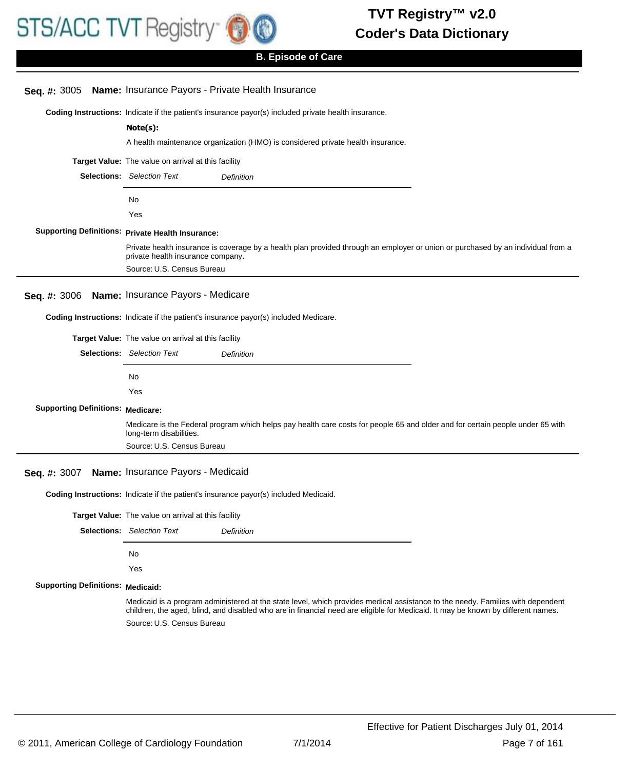

# **B. Episode of Care**

|                                          | Seq. #: 3005 Name: Insurance Payors - Private Health Insurance                                                                                                                                                                                                     |  |  |
|------------------------------------------|--------------------------------------------------------------------------------------------------------------------------------------------------------------------------------------------------------------------------------------------------------------------|--|--|
|                                          | Coding Instructions: Indicate if the patient's insurance payor(s) included private health insurance.                                                                                                                                                               |  |  |
|                                          | Note(s):                                                                                                                                                                                                                                                           |  |  |
|                                          | A health maintenance organization (HMO) is considered private health insurance.                                                                                                                                                                                    |  |  |
|                                          | Target Value: The value on arrival at this facility                                                                                                                                                                                                                |  |  |
|                                          | <b>Selections:</b> Selection Text<br>Definition                                                                                                                                                                                                                    |  |  |
|                                          | No                                                                                                                                                                                                                                                                 |  |  |
|                                          | Yes                                                                                                                                                                                                                                                                |  |  |
|                                          | <b>Supporting Definitions: Private Health Insurance:</b>                                                                                                                                                                                                           |  |  |
|                                          | Private health insurance is coverage by a health plan provided through an employer or union or purchased by an individual from a<br>private health insurance company.                                                                                              |  |  |
|                                          | Source: U.S. Census Bureau                                                                                                                                                                                                                                         |  |  |
| Seq. #: 3006                             | Name: Insurance Payors - Medicare                                                                                                                                                                                                                                  |  |  |
|                                          | Coding Instructions: Indicate if the patient's insurance payor(s) included Medicare.                                                                                                                                                                               |  |  |
|                                          | <b>Target Value:</b> The value on arrival at this facility                                                                                                                                                                                                         |  |  |
|                                          | <b>Selections:</b> Selection Text<br>Definition                                                                                                                                                                                                                    |  |  |
|                                          |                                                                                                                                                                                                                                                                    |  |  |
|                                          |                                                                                                                                                                                                                                                                    |  |  |
|                                          | No                                                                                                                                                                                                                                                                 |  |  |
|                                          | Yes                                                                                                                                                                                                                                                                |  |  |
| <b>Supporting Definitions: Medicare:</b> |                                                                                                                                                                                                                                                                    |  |  |
|                                          | Medicare is the Federal program which helps pay health care costs for people 65 and older and for certain people under 65 with<br>long-term disabilities.                                                                                                          |  |  |
|                                          | Source: U.S. Census Bureau                                                                                                                                                                                                                                         |  |  |
| Seq. #: 3007                             | Name: Insurance Payors - Medicaid                                                                                                                                                                                                                                  |  |  |
|                                          | Coding Instructions: Indicate if the patient's insurance payor(s) included Medicaid.                                                                                                                                                                               |  |  |
|                                          | Target Value: The value on arrival at this facility                                                                                                                                                                                                                |  |  |
|                                          | <b>Selections:</b> Selection Text<br>Definition                                                                                                                                                                                                                    |  |  |
|                                          | No                                                                                                                                                                                                                                                                 |  |  |
|                                          | Yes                                                                                                                                                                                                                                                                |  |  |
| <b>Supporting Definitions: Medicaid:</b> |                                                                                                                                                                                                                                                                    |  |  |
|                                          | Medicaid is a program administered at the state level, which provides medical assistance to the needy. Families with dependent<br>children, the aged, blind, and disabled who are in financial need are eligible for Medicaid. It may be known by different names. |  |  |
|                                          | Source: U.S. Census Bureau                                                                                                                                                                                                                                         |  |  |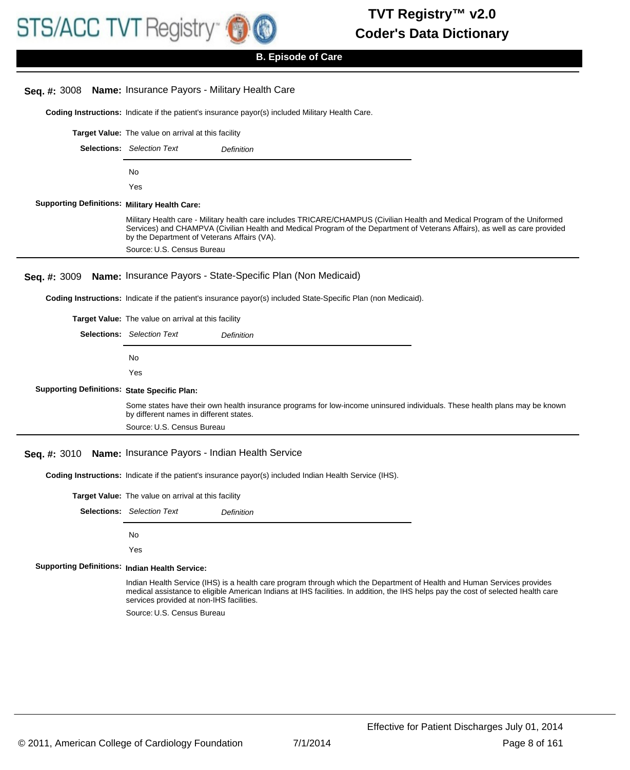

| Seq. #: 3008                                          | Name: Insurance Payors - Military Health Care                                                                                                                                                                                                                                                             |
|-------------------------------------------------------|-----------------------------------------------------------------------------------------------------------------------------------------------------------------------------------------------------------------------------------------------------------------------------------------------------------|
|                                                       | Coding Instructions: Indicate if the patient's insurance payor(s) included Military Health Care.                                                                                                                                                                                                          |
|                                                       | Target Value: The value on arrival at this facility                                                                                                                                                                                                                                                       |
|                                                       | <b>Selections:</b> Selection Text<br>Definition                                                                                                                                                                                                                                                           |
|                                                       | No                                                                                                                                                                                                                                                                                                        |
|                                                       | Yes                                                                                                                                                                                                                                                                                                       |
| <b>Supporting Definitions: Military Health Care:</b>  |                                                                                                                                                                                                                                                                                                           |
|                                                       | Military Health care - Military health care includes TRICARE/CHAMPUS (Civilian Health and Medical Program of the Uniformed<br>Services) and CHAMPVA (Civilian Health and Medical Program of the Department of Veterans Affairs), as well as care provided<br>by the Department of Veterans Affairs (VA).  |
|                                                       | Source: U.S. Census Bureau                                                                                                                                                                                                                                                                                |
| Seq. #: 3009                                          | Name: Insurance Payors - State-Specific Plan (Non Medicaid)                                                                                                                                                                                                                                               |
|                                                       | Coding Instructions: Indicate if the patient's insurance payor(s) included State-Specific Plan (non Medicaid).                                                                                                                                                                                            |
|                                                       | Target Value: The value on arrival at this facility                                                                                                                                                                                                                                                       |
|                                                       | <b>Selections:</b> Selection Text<br>Definition                                                                                                                                                                                                                                                           |
|                                                       | No                                                                                                                                                                                                                                                                                                        |
|                                                       | Yes                                                                                                                                                                                                                                                                                                       |
| <b>Supporting Definitions: State Specific Plan:</b>   |                                                                                                                                                                                                                                                                                                           |
|                                                       | Some states have their own health insurance programs for low-income uninsured individuals. These health plans may be known<br>by different names in different states.                                                                                                                                     |
|                                                       | Source: U.S. Census Bureau                                                                                                                                                                                                                                                                                |
| Seq. #: 3010                                          | Name: Insurance Payors - Indian Health Service                                                                                                                                                                                                                                                            |
|                                                       | Coding Instructions: Indicate if the patient's insurance payor(s) included Indian Health Service (IHS).                                                                                                                                                                                                   |
|                                                       | Target Value: The value on arrival at this facility                                                                                                                                                                                                                                                       |
|                                                       | <b>Selections:</b> Selection Text<br>Definition                                                                                                                                                                                                                                                           |
|                                                       | No                                                                                                                                                                                                                                                                                                        |
|                                                       | Yes                                                                                                                                                                                                                                                                                                       |
| <b>Supporting Definitions: Indian Health Service:</b> |                                                                                                                                                                                                                                                                                                           |
|                                                       | Indian Health Service (IHS) is a health care program through which the Department of Health and Human Services provides<br>medical assistance to eligible American Indians at IHS facilities. In addition, the IHS helps pay the cost of selected health care<br>services provided at non-IHS facilities. |
|                                                       | Source: U.S. Census Bureau                                                                                                                                                                                                                                                                                |
|                                                       |                                                                                                                                                                                                                                                                                                           |
|                                                       |                                                                                                                                                                                                                                                                                                           |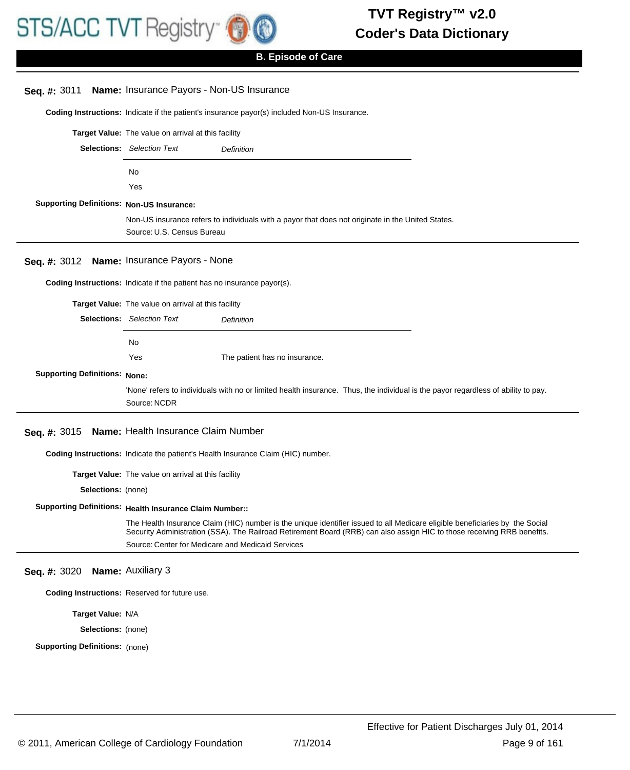

| Seq. #: 3011                                     | Name: Insurance Payors - Non-US Insurance                                                                                                                                    |  |  |
|--------------------------------------------------|------------------------------------------------------------------------------------------------------------------------------------------------------------------------------|--|--|
|                                                  | Coding Instructions: Indicate if the patient's insurance payor(s) included Non-US Insurance.                                                                                 |  |  |
|                                                  | Target Value: The value on arrival at this facility                                                                                                                          |  |  |
|                                                  | <b>Selections:</b> Selection Text<br>Definition                                                                                                                              |  |  |
|                                                  | No                                                                                                                                                                           |  |  |
|                                                  | Yes                                                                                                                                                                          |  |  |
| <b>Supporting Definitions: Non-US Insurance:</b> |                                                                                                                                                                              |  |  |
|                                                  | Non-US insurance refers to individuals with a payor that does not originate in the United States.                                                                            |  |  |
|                                                  | Source: U.S. Census Bureau                                                                                                                                                   |  |  |
| Seq. #: 3012                                     | Name: Insurance Payors - None                                                                                                                                                |  |  |
|                                                  | Coding Instructions: Indicate if the patient has no insurance payor(s).                                                                                                      |  |  |
|                                                  | Target Value: The value on arrival at this facility                                                                                                                          |  |  |
|                                                  | <b>Selections:</b> Selection Text<br>Definition                                                                                                                              |  |  |
|                                                  | No                                                                                                                                                                           |  |  |
|                                                  | Yes<br>The patient has no insurance.                                                                                                                                         |  |  |
| <b>Supporting Definitions: None:</b>             |                                                                                                                                                                              |  |  |
|                                                  |                                                                                                                                                                              |  |  |
|                                                  | 'None' refers to individuals with no or limited health insurance. Thus, the individual is the payor regardless of ability to pay.                                            |  |  |
|                                                  | Source: NCDR                                                                                                                                                                 |  |  |
| Seq. #: 3015                                     | Name: Health Insurance Claim Number                                                                                                                                          |  |  |
|                                                  | Coding Instructions: Indicate the patient's Health Insurance Claim (HIC) number.                                                                                             |  |  |
|                                                  | Target Value: The value on arrival at this facility                                                                                                                          |  |  |
| Selections: (none)                               |                                                                                                                                                                              |  |  |
|                                                  | Supporting Definitions: Health Insurance Claim Number::                                                                                                                      |  |  |
|                                                  | The Health Insurance Claim (HIC) number is the unique identifier issued to all Medicare eligible beneficiaries by the Social                                                 |  |  |
|                                                  | Security Administration (SSA). The Railroad Retirement Board (RRB) can also assign HIC to those receiving RRB benefits.<br>Source: Center for Medicare and Medicaid Services |  |  |
| Seq. #: 3020                                     | <b>Name: Auxiliary 3</b>                                                                                                                                                     |  |  |
|                                                  | Coding Instructions: Reserved for future use.                                                                                                                                |  |  |
| Target Value: N/A                                |                                                                                                                                                                              |  |  |
| Selections: (none)                               |                                                                                                                                                                              |  |  |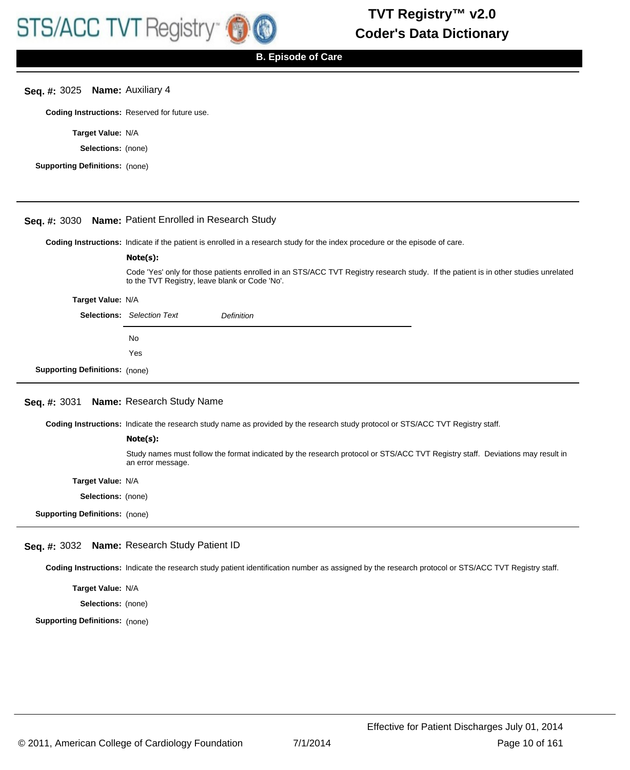## **Seq. #:** 3025 **Name:** Auxiliary 4

**Coding Instructions:** Reserved for future use.

**Target Value:** N/A

**Selections:** (none)

**Supporting Definitions:** (none)

# **Seq. #:** 3030 **Name:** Patient Enrolled in Research Study

**Coding Instructions:** Indicate if the patient is enrolled in a research study for the index procedure or the episode of care.

#### **Note(s):**

Code 'Yes' only for those patients enrolled in an STS/ACC TVT Registry research study. If the patient is in other studies unrelated to the TVT Registry, leave blank or Code 'No'.

#### **Target Value:** N/A

|                                       | <b>Selections:</b> Selection Text | <b>Definition</b> |
|---------------------------------------|-----------------------------------|-------------------|
|                                       | No.                               |                   |
|                                       | Yes                               |                   |
| <b>Supporting Definitions:</b> (none) |                                   |                   |

# **Seq. #:** 3031 **Name:** Research Study Name

**Coding Instructions:** Indicate the research study name as provided by the research study protocol or STS/ACC TVT Registry staff.

#### **Note(s):**

Study names must follow the format indicated by the research protocol or STS/ACC TVT Registry staff. Deviations may result in an error message.

**Target Value:** N/A

**Selections:** (none)

**Supporting Definitions:** (none)

# **Seq. #:** 3032 **Name:** Research Study Patient ID

**Coding Instructions:** Indicate the research study patient identification number as assigned by the research protocol or STS/ACC TVT Registry staff.

**Target Value:** N/A

**Selections:** (none)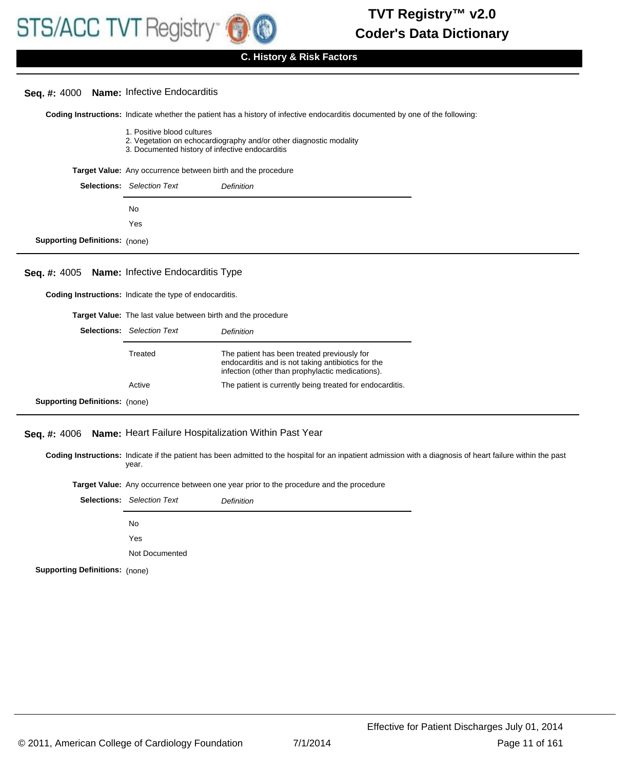

# **C. History & Risk Factors**

#### **Seq. #:** 4000 **Name:** Infective Endocarditis

Coding Instructions: Indicate whether the patient has a history of infective endocarditis documented by one of the following:

- 1. Positive blood cultures
- 2. Vegetation on echocardiography and/or other diagnostic modality
- 3. Documented history of infective endocarditis

**Target Value:** Any occurrence between birth and the procedure

|                                       | <b>Selections:</b> Selection Text | <b>Definition</b> |
|---------------------------------------|-----------------------------------|-------------------|
|                                       | No.                               |                   |
|                                       | Yes                               |                   |
| <b>Supporting Definitions:</b> (none) |                                   |                   |

## **Seq. #:** 4005 **Name:** Infective Endocarditis Type

**Coding Instructions:** Indicate the type of endocarditis.

| Selections:                           | <b>Target Value:</b> The last value between birth and the procedure<br><b>Selection Text</b><br>Definition |                                                                                                                                                       |  |
|---------------------------------------|------------------------------------------------------------------------------------------------------------|-------------------------------------------------------------------------------------------------------------------------------------------------------|--|
|                                       | Treated                                                                                                    | The patient has been treated previously for<br>endocarditis and is not taking antibiotics for the<br>infection (other than prophylactic medications). |  |
|                                       | Active                                                                                                     | The patient is currently being treated for endocarditis.                                                                                              |  |
| <b>Supporting Definitions:</b> (none) |                                                                                                            |                                                                                                                                                       |  |

## **Seq. #:** 4006 **Name:** Heart Failure Hospitalization Within Past Year

Coding Instructions: Indicate if the patient has been admitted to the hospital for an inpatient admission with a diagnosis of heart failure within the past year.

| <b>Target Value:</b> Any occurrence between one year prior to the procedure and the procedure |  |  |  |
|-----------------------------------------------------------------------------------------------|--|--|--|
|-----------------------------------------------------------------------------------------------|--|--|--|

|                                       | <b>Selections:</b> Selection Text | <b>Definition</b> |
|---------------------------------------|-----------------------------------|-------------------|
|                                       | No.                               |                   |
|                                       | Yes                               |                   |
|                                       | Not Documented                    |                   |
| <b>Supporting Definitions: (none)</b> |                                   |                   |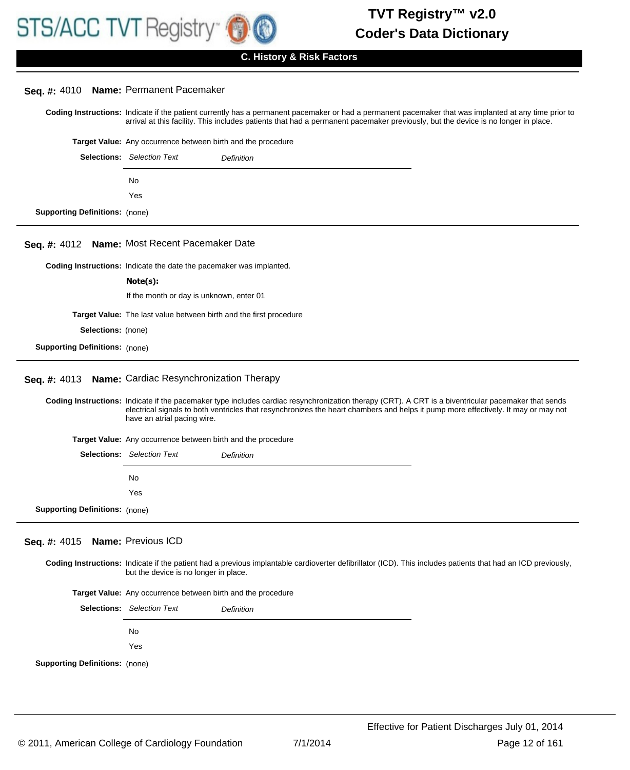

|                                       | Seq. #: 4010 Name: Permanent Pacemaker                                                                                                                                                                                                                                                                                   |  |  |
|---------------------------------------|--------------------------------------------------------------------------------------------------------------------------------------------------------------------------------------------------------------------------------------------------------------------------------------------------------------------------|--|--|
|                                       | Coding Instructions: Indicate if the patient currently has a permanent pacemaker or had a permanent pacemaker that was implanted at any time prior to<br>arrival at this facility. This includes patients that had a permanent pacemaker previously, but the device is no longer in place.                               |  |  |
|                                       | Target Value: Any occurrence between birth and the procedure                                                                                                                                                                                                                                                             |  |  |
|                                       | <b>Selections:</b> Selection Text<br>Definition                                                                                                                                                                                                                                                                          |  |  |
|                                       | No                                                                                                                                                                                                                                                                                                                       |  |  |
|                                       | Yes                                                                                                                                                                                                                                                                                                                      |  |  |
| <b>Supporting Definitions: (none)</b> |                                                                                                                                                                                                                                                                                                                          |  |  |
|                                       | Seq. #: 4012 Name: Most Recent Pacemaker Date                                                                                                                                                                                                                                                                            |  |  |
|                                       |                                                                                                                                                                                                                                                                                                                          |  |  |
|                                       | Coding Instructions: Indicate the date the pacemaker was implanted.<br>Note(s):                                                                                                                                                                                                                                          |  |  |
|                                       | If the month or day is unknown, enter 01                                                                                                                                                                                                                                                                                 |  |  |
|                                       | Target Value: The last value between birth and the first procedure                                                                                                                                                                                                                                                       |  |  |
| <b>Selections:</b> (none)             |                                                                                                                                                                                                                                                                                                                          |  |  |
| <b>Supporting Definitions: (none)</b> |                                                                                                                                                                                                                                                                                                                          |  |  |
|                                       |                                                                                                                                                                                                                                                                                                                          |  |  |
| Seq. #: 4013                          | Name: Cardiac Resynchronization Therapy                                                                                                                                                                                                                                                                                  |  |  |
|                                       | Coding Instructions: Indicate if the pacemaker type includes cardiac resynchronization therapy (CRT). A CRT is a biventricular pacemaker that sends<br>electrical signals to both ventricles that resynchronizes the heart chambers and helps it pump more effectively. It may or may not<br>have an atrial pacing wire. |  |  |
|                                       | Target Value: Any occurrence between birth and the procedure                                                                                                                                                                                                                                                             |  |  |
|                                       | <b>Selections:</b> Selection Text<br>Definition                                                                                                                                                                                                                                                                          |  |  |
|                                       | No                                                                                                                                                                                                                                                                                                                       |  |  |
|                                       | Yes                                                                                                                                                                                                                                                                                                                      |  |  |
| <b>Supporting Definitions: (none)</b> |                                                                                                                                                                                                                                                                                                                          |  |  |
|                                       |                                                                                                                                                                                                                                                                                                                          |  |  |
| Seq. #: 4015 Name: Previous ICD       |                                                                                                                                                                                                                                                                                                                          |  |  |
|                                       | Coding Instructions: Indicate if the patient had a previous implantable cardioverter defibrillator (ICD). This includes patients that had an ICD previously,<br>but the device is no longer in place.                                                                                                                    |  |  |
|                                       | Target Value: Any occurrence between birth and the procedure                                                                                                                                                                                                                                                             |  |  |
|                                       | <b>Selections:</b> Selection Text<br>Definition                                                                                                                                                                                                                                                                          |  |  |
|                                       | No                                                                                                                                                                                                                                                                                                                       |  |  |
|                                       | Yes                                                                                                                                                                                                                                                                                                                      |  |  |
| <b>Supporting Definitions: (none)</b> |                                                                                                                                                                                                                                                                                                                          |  |  |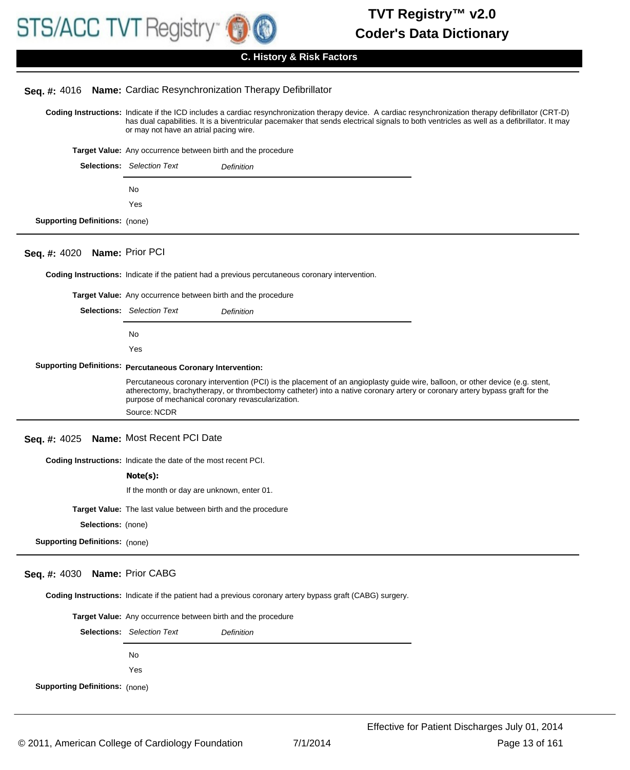

## **Seq. #:** 4016 **Name:** Cardiac Resynchronization Therapy Defibrillator

Coding Instructions: Indicate if the ICD includes a cardiac resynchronization therapy device. A cardiac resynchronization therapy defibrillator (CRT-D) has dual capabilities. It is a biventricular pacemaker that sends electrical signals to both ventricles as well as a defibrillator. It may or may not have an atrial pacing wire.

| <b>Target Value:</b> Any occurrence between birth and the procedure |  |  |  |
|---------------------------------------------------------------------|--|--|--|
|                                                                     |  |  |  |

|                                       | <b>Selections:</b> Selection Text | <b>Definition</b> |
|---------------------------------------|-----------------------------------|-------------------|
|                                       | No.                               |                   |
|                                       | Yes                               |                   |
| <b>Supporting Definitions:</b> (none) |                                   |                   |

# **Seq. #:** 4020 **Name:** Prior PCI

**Coding Instructions:** Indicate if the patient had a previous percutaneous coronary intervention.

|                                         | Target Value: Any occurrence between birth and the procedure       |                                                                                                                                                                                                                                                              |
|-----------------------------------------|--------------------------------------------------------------------|--------------------------------------------------------------------------------------------------------------------------------------------------------------------------------------------------------------------------------------------------------------|
|                                         | <b>Selections:</b> Selection Text                                  | <b>Definition</b>                                                                                                                                                                                                                                            |
|                                         | <b>No</b>                                                          |                                                                                                                                                                                                                                                              |
|                                         | Yes                                                                |                                                                                                                                                                                                                                                              |
|                                         | <b>Supporting Definitions: Percutaneous Coronary Intervention:</b> |                                                                                                                                                                                                                                                              |
|                                         | purpose of mechanical coronary revascularization.                  | Percutaneous coronary intervention (PCI) is the placement of an angioplasty guide wire, balloon, or other device (e.g. stent,<br>atherectomy, brachytherapy, or thrombectomy catheter) into a native coronary artery or coronary artery bypass graft for the |
|                                         | Source: NCDR                                                       |                                                                                                                                                                                                                                                              |
| Seq. #: 4025 Name: Most Recent PCI Date |                                                                    |                                                                                                                                                                                                                                                              |

**Coding Instructions:** Indicate the date of the most recent PCI.

#### **Note(s):**

|  | If the month or day are unknown, enter 01. |
|--|--------------------------------------------|
|--|--------------------------------------------|

**Target Value:** The last value between birth and the procedure

**Selections:** (none)

**Supporting Definitions:** (none)

# **Seq. #:** 4030 **Name:** Prior CABG

**Coding Instructions:** Indicate if the patient had a previous coronary artery bypass graft (CABG) surgery.

| <b>Target Value:</b> Any occurrence between birth and the procedure |                                   |                   |
|---------------------------------------------------------------------|-----------------------------------|-------------------|
|                                                                     | <b>Selections:</b> Selection Text | <b>Definition</b> |
|                                                                     | No.                               |                   |
|                                                                     | Yes                               |                   |
| <b>Supporting Definitions:</b> (none)                               |                                   |                   |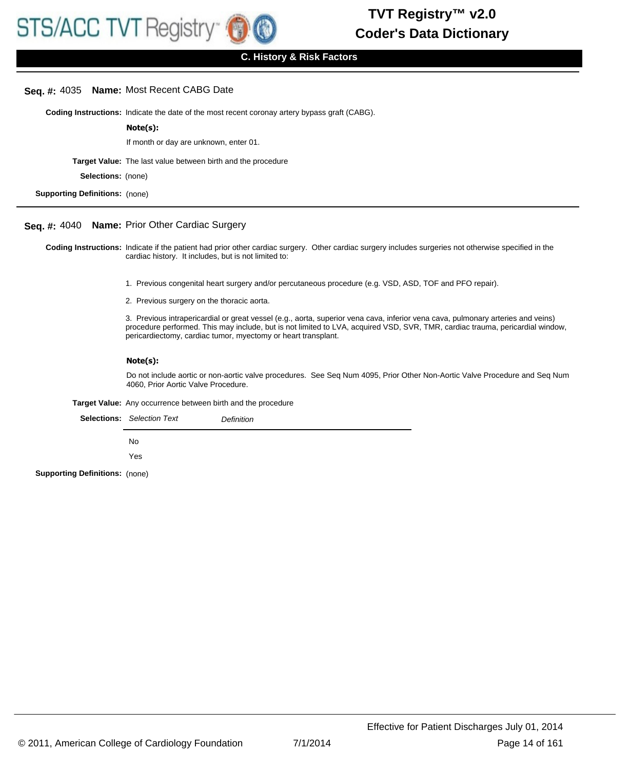## **Seq. #:** 4035 **Name:** Most Recent CABG Date

**Coding Instructions:** Indicate the date of the most recent coronay artery bypass graft (CABG).

**Note(s):**

If month or day are unknown, enter 01.

**Target Value:** The last value between birth and the procedure

**Selections:** (none)

**Supporting Definitions:** (none)

#### **Seq. #:** 4040 **Name:** Prior Other Cardiac Surgery

Coding Instructions: Indicate if the patient had prior other cardiac surgery. Other cardiac surgery includes surgeries not otherwise specified in the cardiac history. It includes, but is not limited to:

- 1. Previous congenital heart surgery and/or percutaneous procedure (e.g. VSD, ASD, TOF and PFO repair).
- 2. Previous surgery on the thoracic aorta.

3. Previous intrapericardial or great vessel (e.g., aorta, superior vena cava, inferior vena cava, pulmonary arteries and veins) procedure performed. This may include, but is not limited to LVA, acquired VSD, SVR, TMR, cardiac trauma, pericardial window, pericardiectomy, cardiac tumor, myectomy or heart transplant.

#### **Note(s):**

Do not include aortic or non-aortic valve procedures. See Seq Num 4095, Prior Other Non-Aortic Valve Procedure and Seq Num 4060, Prior Aortic Valve Procedure.

**Target Value:** Any occurrence between birth and the procedure

|                                       | <b>Selections:</b> Selection Text | Definition |
|---------------------------------------|-----------------------------------|------------|
|                                       | No.                               |            |
|                                       | Yes                               |            |
| <b>Supporting Definitions: (none)</b> |                                   |            |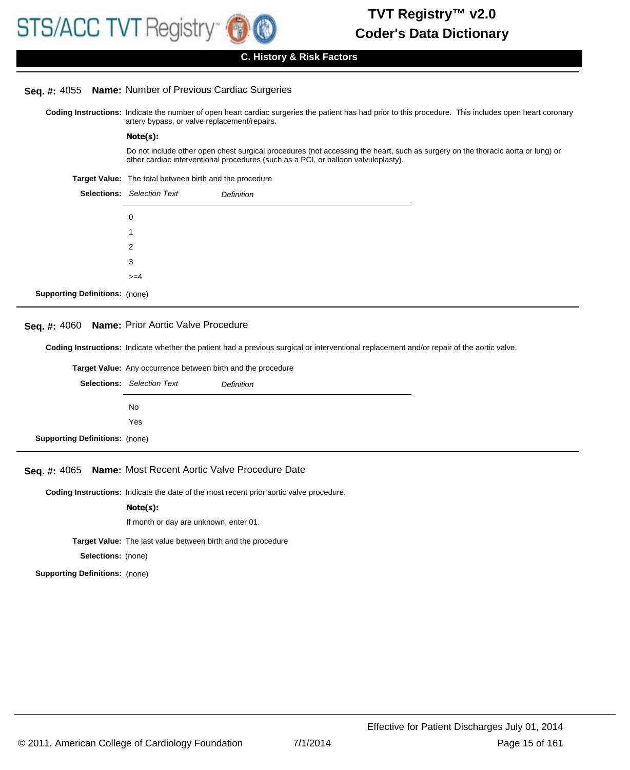# **Seq. #:** 4055 **Name:** Number of Previous Cardiac Surgeries

Coding Instructions: Indicate the number of open heart cardiac surgeries the patient has had prior to this procedure. This includes open heart coronary artery bypass, or valve replacement/repairs.

#### **Note(s):**

Do not include other open chest surgical procedures (not accessing the heart, such as surgery on the thoracic aorta or lung) or other cardiac interventional procedures (such as a PCI, or balloon valvuloplasty).

**Target Value:** The total between birth and the procedure

|                                       | <b>Selections:</b> Selection Text | Definition |
|---------------------------------------|-----------------------------------|------------|
|                                       | 0                                 |            |
|                                       | 1                                 |            |
|                                       | 2                                 |            |
|                                       | 3                                 |            |
|                                       | $>=$ 4                            |            |
| <b>Supporting Definitions: (none)</b> |                                   |            |

#### **Seq. #:** 4060 **Name:** Prior Aortic Valve Procedure

**Coding Instructions:** Indicate whether the patient had a previous surgical or interventional replacement and/or repair of the aortic valve.

|                                       | <b>Target Value:</b> Any occurrence between birth and the procedure |            |  |
|---------------------------------------|---------------------------------------------------------------------|------------|--|
|                                       | <b>Selections:</b> Selection Text                                   | Definition |  |
|                                       | No                                                                  |            |  |
|                                       | Yes                                                                 |            |  |
| <b>Supporting Definitions: (none)</b> |                                                                     |            |  |

#### **Seq. #:** 4065 **Name:** Most Recent Aortic Valve Procedure Date

**Coding Instructions:** Indicate the date of the most recent prior aortic valve procedure.

#### **Note(s):**

If month or day are unknown, enter 01.

**Target Value:** The last value between birth and the procedure

**Selections:** (none)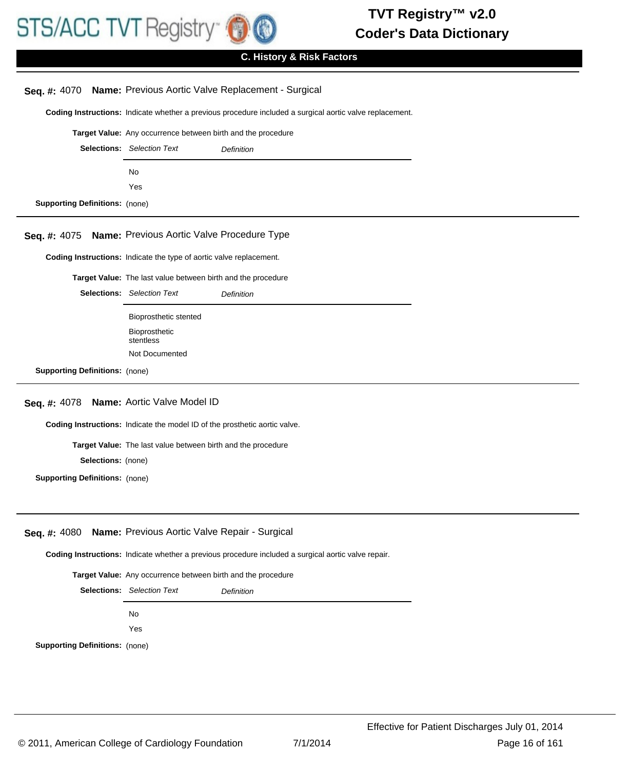

# **C. History & Risk Factors**

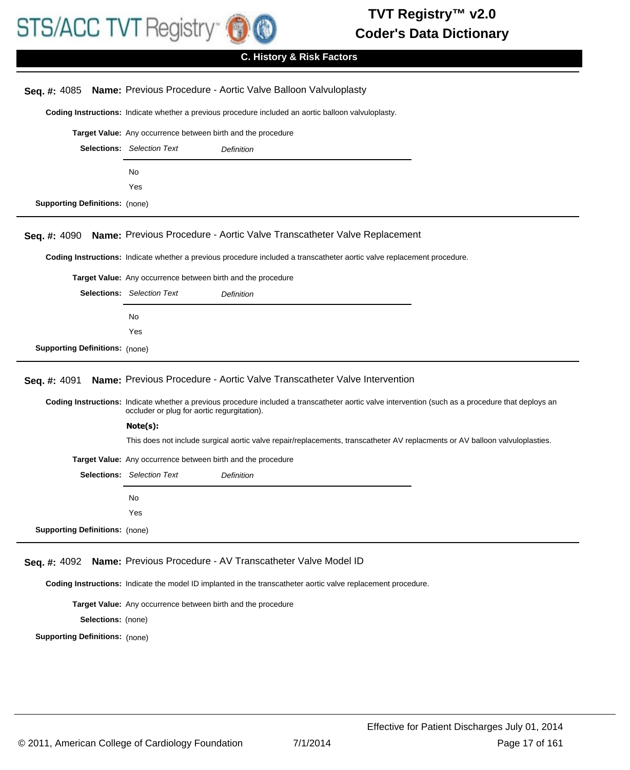

| Seq. #: 4085                          |                                                              | Name: Previous Procedure - Aortic Valve Balloon Valvuloplasty                                                                                      |
|---------------------------------------|--------------------------------------------------------------|----------------------------------------------------------------------------------------------------------------------------------------------------|
|                                       |                                                              | Coding Instructions: Indicate whether a previous procedure included an aortic balloon valvuloplasty.                                               |
|                                       | Target Value: Any occurrence between birth and the procedure |                                                                                                                                                    |
|                                       | <b>Selections:</b> Selection Text                            | Definition                                                                                                                                         |
|                                       | No                                                           |                                                                                                                                                    |
|                                       | Yes                                                          |                                                                                                                                                    |
| <b>Supporting Definitions: (none)</b> |                                                              |                                                                                                                                                    |
| Seq. #: 4090                          |                                                              | Name: Previous Procedure - Aortic Valve Transcatheter Valve Replacement                                                                            |
|                                       |                                                              | Coding Instructions: Indicate whether a previous procedure included a transcatheter aortic valve replacement procedure.                            |
|                                       | Target Value: Any occurrence between birth and the procedure |                                                                                                                                                    |
|                                       | <b>Selections:</b> Selection Text                            | Definition                                                                                                                                         |
|                                       | No                                                           |                                                                                                                                                    |
|                                       | Yes                                                          |                                                                                                                                                    |
| <b>Supporting Definitions: (none)</b> |                                                              |                                                                                                                                                    |
| Seq. #: 4091                          |                                                              | Name: Previous Procedure - Aortic Valve Transcatheter Valve Intervention                                                                           |
|                                       | occluder or plug for aortic regurgitation).                  | Coding Instructions: Indicate whether a previous procedure included a transcatheter aortic valve intervention (such as a procedure that deploys an |
|                                       | Note(s):                                                     |                                                                                                                                                    |
|                                       |                                                              | This does not include surgical aortic valve repair/replacements, transcatheter AV replacments or AV balloon valvuloplasties.                       |
|                                       | Target Value: Any occurrence between birth and the procedure |                                                                                                                                                    |
|                                       | <b>Selections:</b> Selection Text                            | Definition                                                                                                                                         |
|                                       | No                                                           |                                                                                                                                                    |
|                                       | Yes                                                          |                                                                                                                                                    |
| <b>Supporting Definitions:</b> (none) |                                                              |                                                                                                                                                    |
| Seq. #: 4092                          |                                                              | Name: Previous Procedure - AV Transcatheter Valve Model ID                                                                                         |
|                                       |                                                              | Coding Instructions: Indicate the model ID implanted in the transcatheter aortic valve replacement procedure.                                      |
|                                       | Target Value: Any occurrence between birth and the procedure |                                                                                                                                                    |

**Selections:** (none)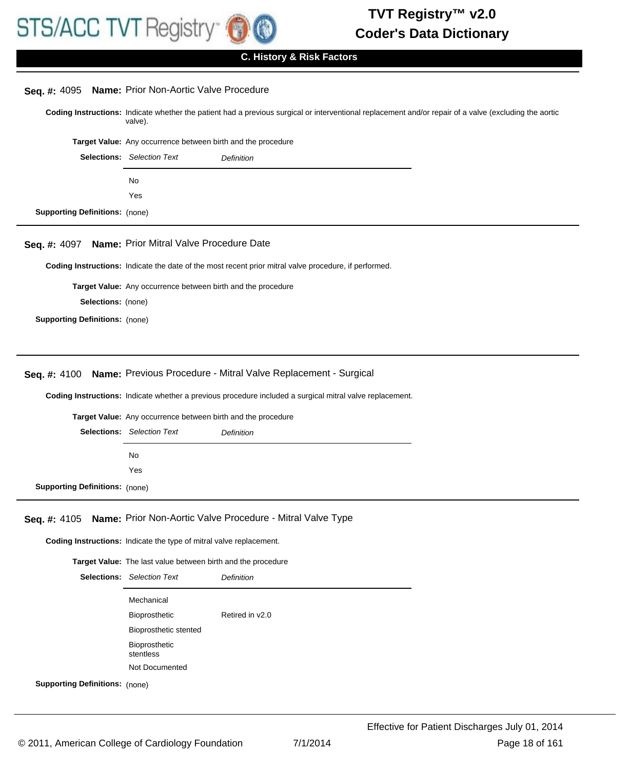

# **C. History & Risk Factors**

| Seq. #: 4095                          | Name: Prior Non-Aortic Valve Procedure                                                                                                                            |
|---------------------------------------|-------------------------------------------------------------------------------------------------------------------------------------------------------------------|
|                                       | Coding Instructions: Indicate whether the patient had a previous surgical or interventional replacement and/or repair of a valve (excluding the aortic<br>valve). |
|                                       | Target Value: Any occurrence between birth and the procedure                                                                                                      |
|                                       | <b>Selections:</b> Selection Text<br>Definition                                                                                                                   |
|                                       | No                                                                                                                                                                |
|                                       | Yes                                                                                                                                                               |
| <b>Supporting Definitions: (none)</b> |                                                                                                                                                                   |
|                                       |                                                                                                                                                                   |
| Seq. #: 4097                          | Name: Prior Mitral Valve Procedure Date                                                                                                                           |
|                                       | Coding Instructions: Indicate the date of the most recent prior mitral valve procedure, if performed.                                                             |
|                                       | Target Value: Any occurrence between birth and the procedure                                                                                                      |
| Selections: (none)                    |                                                                                                                                                                   |
| <b>Supporting Definitions: (none)</b> |                                                                                                                                                                   |
|                                       |                                                                                                                                                                   |
|                                       |                                                                                                                                                                   |
| Seq. #: 4100                          | Name: Previous Procedure - Mitral Valve Replacement - Surgical                                                                                                    |
|                                       | Coding Instructions: Indicate whether a previous procedure included a surgical mitral valve replacement.                                                          |
|                                       | Target Value: Any occurrence between birth and the procedure                                                                                                      |
|                                       | <b>Selections:</b> Selection Text<br>Definition                                                                                                                   |
|                                       |                                                                                                                                                                   |
|                                       | No<br>Yes                                                                                                                                                         |
|                                       |                                                                                                                                                                   |
| <b>Supporting Definitions: (none)</b> |                                                                                                                                                                   |
| Seq. #: 4105                          | Name: Prior Non-Aortic Valve Procedure - Mitral Valve Type                                                                                                        |
|                                       | Coding Instructions: Indicate the type of mitral valve replacement.                                                                                               |
|                                       | Target Value: The last value between birth and the procedure                                                                                                      |
|                                       | <b>Selections:</b> Selection Text<br>Definition                                                                                                                   |
|                                       | Mechanical                                                                                                                                                        |
|                                       | Retired in v2.0<br>Bioprosthetic                                                                                                                                  |
|                                       | Bioprosthetic stented                                                                                                                                             |
|                                       | Bioprosthetic                                                                                                                                                     |
|                                       | stentless<br>Not Documented                                                                                                                                       |
| <b>Supporting Definitions: (none)</b> |                                                                                                                                                                   |
|                                       |                                                                                                                                                                   |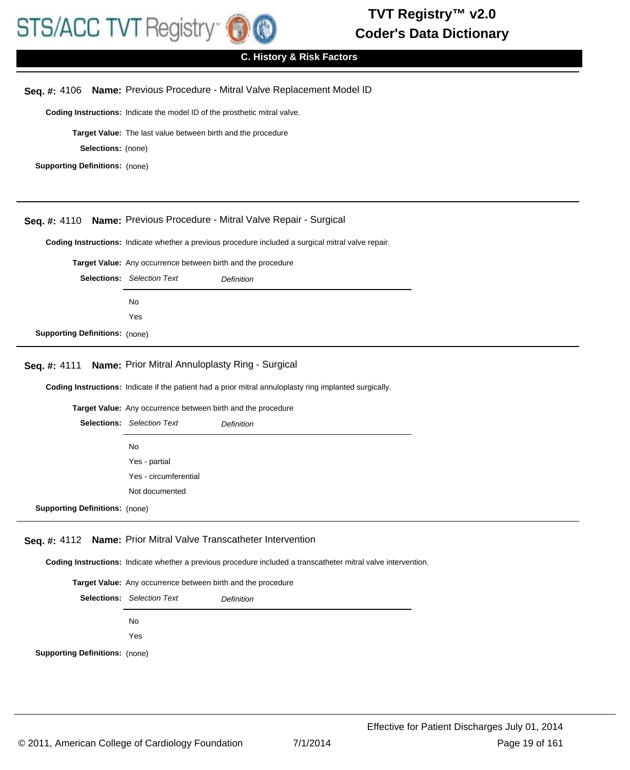

# **C. History & Risk Factors**

# **Seq. #:** 4106 **Name:** Previous Procedure - Mitral Valve Replacement Model ID

**Coding Instructions:** Indicate the model ID of the prosthetic mitral valve.

**Target Value:** The last value between birth and the procedure

**Selections:** (none)

**Supporting Definitions:** (none)

# **Seq. #:** 4110 **Name:** Previous Procedure - Mitral Valve Repair - Surgical

**Coding Instructions:** Indicate whether a previous procedure included a surgical mitral valve repair.

**Target Value:** Any occurrence between birth and the procedure

|                                       | <b>Selections:</b> Selection Text | <b>Definition</b> |
|---------------------------------------|-----------------------------------|-------------------|
|                                       | No.                               |                   |
|                                       | Yes                               |                   |
| <b>Supporting Definitions: (none)</b> |                                   |                   |

## **Seq. #:** 4111 **Name:** Prior Mitral Annuloplasty Ring - Surgical

**Coding Instructions:** Indicate if the patient had a prior mitral annuloplasty ring implanted surgically.

**Target Value:** Any occurrence between birth and the procedure

|                                       | <b>Selections:</b> Selection Text | <b>Definition</b> |
|---------------------------------------|-----------------------------------|-------------------|
|                                       | No                                |                   |
|                                       | Yes - partial                     |                   |
|                                       | Yes - circumferential             |                   |
|                                       | Not documented                    |                   |
| <b>Supporting Definitions:</b> (none) |                                   |                   |

#### **Seq. #:** 4112 **Name:** Prior Mitral Valve Transcatheter Intervention

**Coding Instructions:** Indicate whether a previous procedure included a transcatheter mitral valve intervention.

**Target Value:** Any occurrence between birth and the procedure

|                                       | <b>Selections:</b> Selection Text | Definition |
|---------------------------------------|-----------------------------------|------------|
|                                       | No                                |            |
|                                       | Yes                               |            |
| <b>Supporting Definitions:</b> (none) |                                   |            |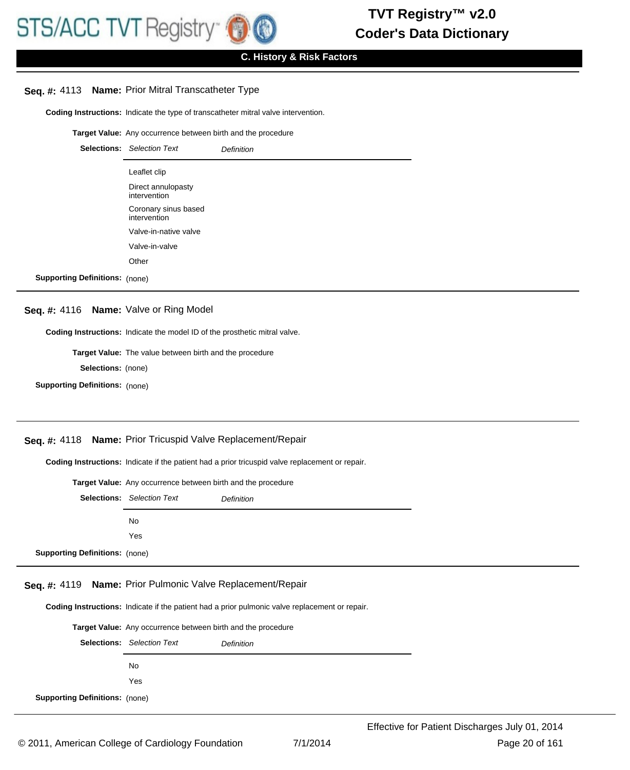# **Seq. #:** 4113 **Name:** Prior Mitral Transcatheter Type

**Coding Instructions:** Indicate the type of transcatheter mitral valve intervention.

**Target Value:** Any occurrence between birth and the procedure

|                                       | <b>Selections:</b> Selection Text    | <b>Definition</b> |
|---------------------------------------|--------------------------------------|-------------------|
|                                       | Leaflet clip                         |                   |
|                                       | Direct annulopasty<br>intervention   |                   |
|                                       | Coronary sinus based<br>intervention |                   |
|                                       | Valve-in-native valve                |                   |
|                                       | Valve-in-valve                       |                   |
|                                       | Other                                |                   |
| <b>Supporting Definitions: (none)</b> |                                      |                   |

# **Seq. #:** 4116 **Name:** Valve or Ring Model

**Coding Instructions:** Indicate the model ID of the prosthetic mitral valve.

**Target Value:** The value between birth and the procedure

**Selections:** (none)

**Supporting Definitions:** (none)

# **Seq. #:** 4118 **Name:** Prior Tricuspid Valve Replacement/Repair

**Coding Instructions:** Indicate if the patient had a prior tricuspid valve replacement or repair.

|                                       | Target Value: Any occurrence between birth and the procedure |  |
|---------------------------------------|--------------------------------------------------------------|--|
|                                       | <b>Selections:</b> Selection Text<br><b>Definition</b>       |  |
|                                       | No.                                                          |  |
|                                       | Yes                                                          |  |
| <b>Supporting Definitions: (none)</b> |                                                              |  |

#### **Seq. #:** 4119 **Name:** Prior Pulmonic Valve Replacement/Repair

**Coding Instructions:** Indicate if the patient had a prior pulmonic valve replacement or repair.

| <b>Target Value:</b> Any occurrence between birth and the procedure |                                   |            |
|---------------------------------------------------------------------|-----------------------------------|------------|
|                                                                     | <b>Selections:</b> Selection Text | Definition |
|                                                                     | No.                               |            |
|                                                                     | Yes                               |            |
| <b>Supporting Definitions: (none)</b>                               |                                   |            |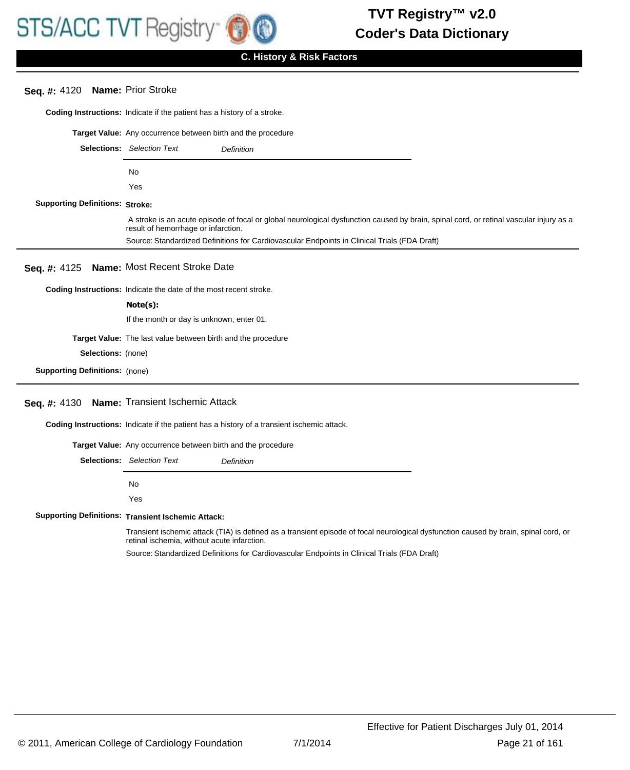# **Seq. #:** 4120 **Name:** Prior Stroke

**Coding Instructions:** Indicate if the patient has a history of a stroke.

|                                        | Target Value: Any occurrence between birth and the procedure                                                                                                                                                                    |
|----------------------------------------|---------------------------------------------------------------------------------------------------------------------------------------------------------------------------------------------------------------------------------|
|                                        | <b>Selections:</b> Selection Text<br><b>Definition</b>                                                                                                                                                                          |
|                                        | No                                                                                                                                                                                                                              |
|                                        | Yes                                                                                                                                                                                                                             |
| <b>Supporting Definitions: Stroke:</b> |                                                                                                                                                                                                                                 |
|                                        | A stroke is an acute episode of focal or global neurological dysfunction caused by brain, spinal cord, or retinal vascular injury as a<br>result of hemorrhage or infarction.                                                   |
|                                        | Source: Standardized Definitions for Cardiovascular Endpoints in Clinical Trials (FDA Draft)                                                                                                                                    |
|                                        | Seq. #: 4125 Name: Most Recent Stroke Date                                                                                                                                                                                      |
|                                        | Coding Instructions: Indicate the date of the most recent stroke.                                                                                                                                                               |
|                                        | Note(s):                                                                                                                                                                                                                        |
|                                        | If the month or day is unknown, enter 01.                                                                                                                                                                                       |
|                                        | Target Value: The last value between birth and the procedure                                                                                                                                                                    |
| Selections: (none)                     |                                                                                                                                                                                                                                 |
| <b>Supporting Definitions:</b> (none)  |                                                                                                                                                                                                                                 |
|                                        | Seq. #: 4130 Name: Transient Ischemic Attack                                                                                                                                                                                    |
|                                        | <b>Coding Instructions:</b> Indicate if the patient has a history of a transient ischemic attack.                                                                                                                               |
|                                        | $\sim$ . The contract of the contract of the contract of the contract of the contract of the contract of the contract of the contract of the contract of the contract of the contract of the contract of the contract of the co |

**Target Value:** Any occurrence between birth and the procedure

Selections: Selection Text **Definition** 

No Yes

**Supporting Definitions: Transient Ischemic Attack:** 

Transient ischemic attack (TIA) is defined as a transient episode of focal neurological dysfunction caused by brain, spinal cord, or retinal ischemia, without acute infarction.

Source: Standardized Definitions for Cardiovascular Endpoints in Clinical Trials (FDA Draft)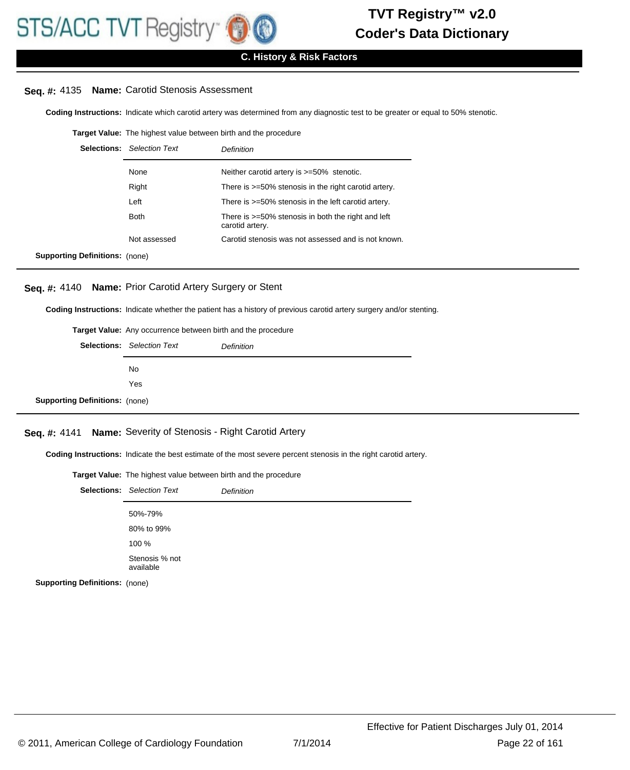# **C. History & Risk Factors**

# **Seq. #:** 4135 **Name:** Carotid Stenosis Assessment

**Coding Instructions:** Indicate which carotid artery was determined from any diagnostic test to be greater or equal to 50% stenotic.

#### **Target Value:** The highest value between birth and the procedure

|                                       | <b>Selections:</b> Selection Text | Definition                                                               |
|---------------------------------------|-----------------------------------|--------------------------------------------------------------------------|
|                                       | None                              | Neither carotid artery is $>=50\%$ stenotic.                             |
|                                       | Right                             | There is >=50% stenosis in the right carotid artery.                     |
|                                       | Left                              | There is >=50% stenosis in the left carotid artery.                      |
|                                       | <b>Both</b>                       | There is $>=50\%$ stenosis in both the right and left<br>carotid artery. |
|                                       | Not assessed                      | Carotid stenosis was not assessed and is not known.                      |
| <b>Supporting Definitions:</b> (none) |                                   |                                                                          |

# **Seq. #:** 4140 **Name:** Prior Carotid Artery Surgery or Stent

**Coding Instructions:** Indicate whether the patient has a history of previous carotid artery surgery and/or stenting.

| Target Value: Any occurrence between birth and the procedure |                                   |            |
|--------------------------------------------------------------|-----------------------------------|------------|
|                                                              | <b>Selections:</b> Selection Text | Definition |
|                                                              | No.                               |            |
|                                                              | Yes                               |            |
| <b>Supporting Definitions: (none)</b>                        |                                   |            |

# **Seq. #:** 4141 **Name:** Severity of Stenosis - Right Carotid Artery

**Coding Instructions:** Indicate the best estimate of the most severe percent stenosis in the right carotid artery.

| <b>Target Value:</b> The highest value between birth and the procedure |                                   |                   |
|------------------------------------------------------------------------|-----------------------------------|-------------------|
|                                                                        | <b>Selections:</b> Selection Text | <b>Definition</b> |
|                                                                        | 50%-79%                           |                   |
|                                                                        | 80% to 99%                        |                   |
|                                                                        | 100 %                             |                   |
|                                                                        | Stenosis % not<br>available       |                   |
| <b>Supporting Definitions:</b> (none)                                  |                                   |                   |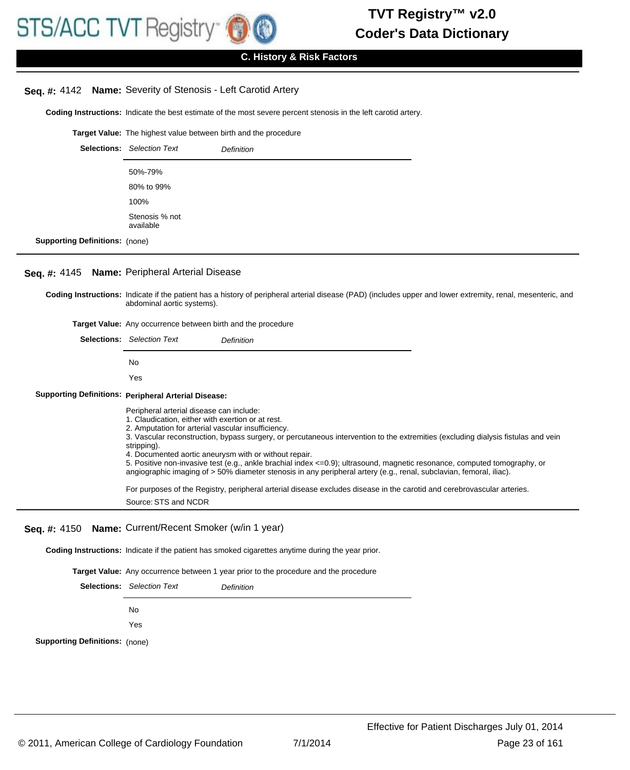# **C. History & Risk Factors**

## **Seq. #:** 4142 **Name:** Severity of Stenosis - Left Carotid Artery

**Coding Instructions:** Indicate the best estimate of the most severe percent stenosis in the left carotid artery.

**Target Value:** The highest value between birth and the procedure

|                                       | <b>Selections:</b> Selection Text | <b>Definition</b> |
|---------------------------------------|-----------------------------------|-------------------|
|                                       | 50%-79%                           |                   |
|                                       | 80% to 99%                        |                   |
|                                       | 100%                              |                   |
|                                       | Stenosis % not<br>available       |                   |
| <b>Supporting Definitions: (none)</b> |                                   |                   |

#### **Seq. #:** 4145 **Name:** Peripheral Arterial Disease

Coding Instructions: Indicate if the patient has a history of peripheral arterial disease (PAD) (includes upper and lower extremity, renal, mesenteric, and abdominal aortic systems).

**Target Value:** Any occurrence between birth and the procedure

| <b>Selections:</b> Selection Text<br>Definition                                                                                                                                                                                                                                                                                                                                                                                                                                                                                                                                                                       |
|-----------------------------------------------------------------------------------------------------------------------------------------------------------------------------------------------------------------------------------------------------------------------------------------------------------------------------------------------------------------------------------------------------------------------------------------------------------------------------------------------------------------------------------------------------------------------------------------------------------------------|
| No                                                                                                                                                                                                                                                                                                                                                                                                                                                                                                                                                                                                                    |
| Yes                                                                                                                                                                                                                                                                                                                                                                                                                                                                                                                                                                                                                   |
| <b>Supporting Definitions: Peripheral Arterial Disease:</b>                                                                                                                                                                                                                                                                                                                                                                                                                                                                                                                                                           |
| Peripheral arterial disease can include:<br>1. Claudication, either with exertion or at rest.<br>2. Amputation for arterial vascular insufficiency.<br>3. Vascular reconstruction, bypass surgery, or percutaneous intervention to the extremities (excluding dialysis fistulas and vein<br>stripping).<br>4. Documented aortic aneurysm with or without repair.<br>5. Positive non-invasive test (e.g., ankle brachial index <= 0.9); ultrasound, magnetic resonance, computed tomography, or<br>angiographic imaging of > 50% diameter stenosis in any peripheral artery (e.g., renal, subclavian, femoral, iliac). |
| For purposes of the Registry, peripheral arterial disease excludes disease in the carotid and cerebrovascular arteries.<br>Source: STS and NCDR                                                                                                                                                                                                                                                                                                                                                                                                                                                                       |

# **Seq. #:** 4150 **Name:** Current/Recent Smoker (w/in 1 year)

**Coding Instructions:** Indicate if the patient has smoked cigarettes anytime during the year prior.

**Target Value:** Any occurrence between 1 year prior to the procedure and the procedure

|                                       | <b>Selections:</b> Selection Text | <b>Definition</b> |
|---------------------------------------|-----------------------------------|-------------------|
|                                       | No.                               |                   |
|                                       | Yes                               |                   |
| <b>Supporting Definitions: (none)</b> |                                   |                   |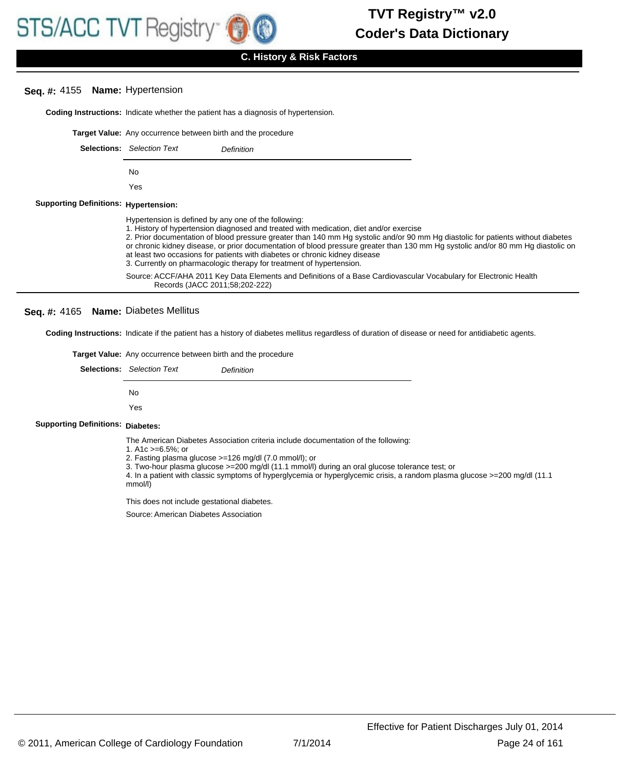# **Seq. #:** 4155 **Name:** Hypertension

**Coding Instructions:** Indicate whether the patient has a diagnosis of hypertension.

|                                              | <b>Target Value:</b> Any occurrence between birth and the procedure                                                                                                                                                                                                                                                                                                                                                                                                                                                                                                           |                                                                                                                   |  |
|----------------------------------------------|-------------------------------------------------------------------------------------------------------------------------------------------------------------------------------------------------------------------------------------------------------------------------------------------------------------------------------------------------------------------------------------------------------------------------------------------------------------------------------------------------------------------------------------------------------------------------------|-------------------------------------------------------------------------------------------------------------------|--|
|                                              | <b>Selections:</b> Selection Text                                                                                                                                                                                                                                                                                                                                                                                                                                                                                                                                             | Definition                                                                                                        |  |
|                                              | No.                                                                                                                                                                                                                                                                                                                                                                                                                                                                                                                                                                           |                                                                                                                   |  |
|                                              | Yes                                                                                                                                                                                                                                                                                                                                                                                                                                                                                                                                                                           |                                                                                                                   |  |
| <b>Supporting Definitions: Hypertension:</b> |                                                                                                                                                                                                                                                                                                                                                                                                                                                                                                                                                                               |                                                                                                                   |  |
|                                              | Hypertension is defined by any one of the following:<br>1. History of hypertension diagnosed and treated with medication, diet and/or exercise<br>2. Prior documentation of blood pressure greater than 140 mm Hg systolic and/or 90 mm Hg diastolic for patients without diabetes<br>or chronic kidney disease, or prior documentation of blood pressure greater than 130 mm Hg systolic and/or 80 mm Hg diastolic on<br>at least two occasions for patients with diabetes or chronic kidney disease<br>3. Currently on pharmacologic therapy for treatment of hypertension. |                                                                                                                   |  |
|                                              | Records (JACC 2011;58;202-222)                                                                                                                                                                                                                                                                                                                                                                                                                                                                                                                                                | Source: ACCF/AHA 2011 Key Data Elements and Definitions of a Base Cardiovascular Vocabulary for Electronic Health |  |

## **Seq. #:** 4165 **Name:** Diabetes Mellitus

**Coding Instructions:** Indicate if the patient has a history of diabetes mellitus regardless of duration of disease or need for antidiabetic agents.

|                                          | <b>Target Value:</b> Any occurrence between birth and the procedure                                                                                                        |  |  |
|------------------------------------------|----------------------------------------------------------------------------------------------------------------------------------------------------------------------------|--|--|
|                                          | <b>Selections:</b> Selection Text<br>Definition                                                                                                                            |  |  |
|                                          | No.                                                                                                                                                                        |  |  |
|                                          |                                                                                                                                                                            |  |  |
| <b>Supporting Definitions: Diabetes:</b> |                                                                                                                                                                            |  |  |
|                                          | The American Diabetes Association criteria include documentation of the following:<br>1. A1c $>= 6.5\%$ ; or<br>2. Fasting plasma glucose $>=126$ mg/dl $(7.0$ mmol/l); or |  |  |

3. Two-hour plasma glucose >=200 mg/dl (11.1 mmol/l) during an oral glucose tolerance test; or

4. In a patient with classic symptoms of hyperglycemia or hyperglycemic crisis, a random plasma glucose >=200 mg/dl (11.1 mmol/l)

This does not include gestational diabetes.

Source: American Diabetes Association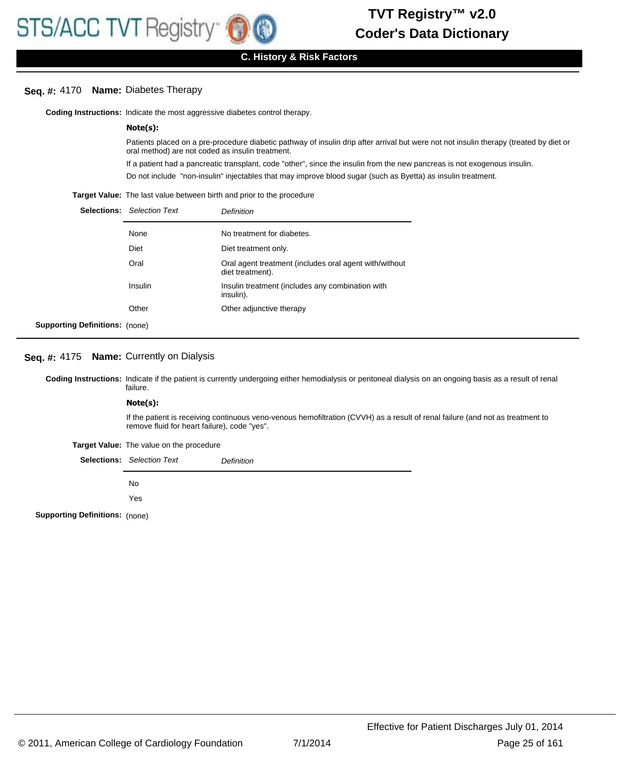# **Seq. #:** 4170 **Name:** Diabetes Therapy

**Coding Instructions:** Indicate the most aggressive diabetes control therapy.

# **Note(s):**

Patients placed on a pre-procedure diabetic pathway of insulin drip after arrival but were not not insulin therapy (treated by diet or oral method) are not coded as insulin treatment.

If a patient had a pancreatic transplant, code "other", since the insulin from the new pancreas is not exogenous insulin.

Do not include "non-insulin" injectables that may improve blood sugar (such as Byetta) as insulin treatment.

**Target Value:** The last value between birth and prior to the procedure

|                                       | <b>Selections:</b> Selection Text | Definition                                                                 |
|---------------------------------------|-----------------------------------|----------------------------------------------------------------------------|
|                                       | None                              | No treatment for diabetes.                                                 |
|                                       | <b>Diet</b>                       | Diet treatment only.                                                       |
|                                       | Oral                              | Oral agent treatment (includes oral agent with/without<br>diet treatment). |
|                                       | Insulin                           | Insulin treatment (includes any combination with<br>insulin).              |
|                                       | Other                             | Other adjunctive therapy                                                   |
| <b>Supporting Definitions:</b> (none) |                                   |                                                                            |

#### **Seq. #:** 4175 **Name:** Currently on Dialysis

Coding Instructions: Indicate if the patient is currently undergoing either hemodialysis or peritoneal dialysis on an ongoing basis as a result of renal failure.

#### **Note(s):**

If the patient is receiving continuous veno-venous hemofiltration (CVVH) as a result of renal failure (and not as treatment to remove fluid for heart failure), code "yes".

**Target Value:** The value on the procedure

Selections: Selection Text **Definition** 

No

Yes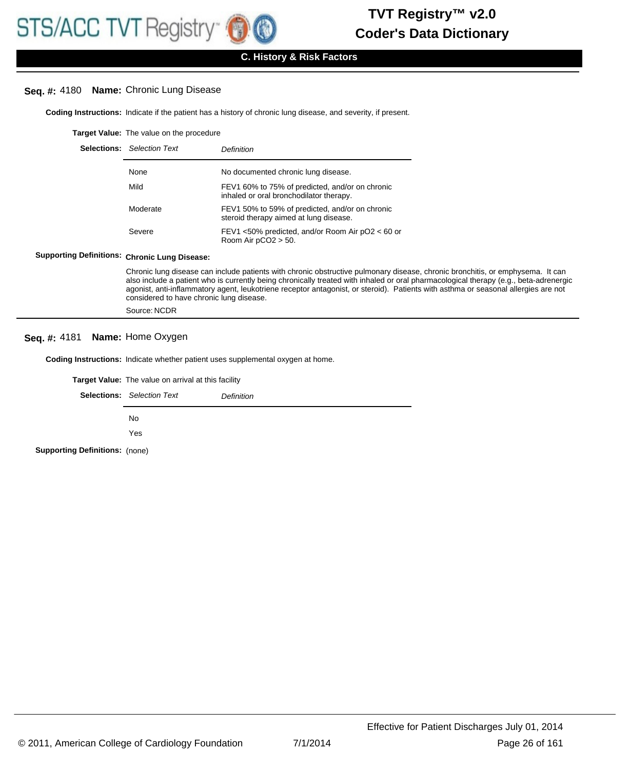# **Seq. #:** 4180 **Name:** Chronic Lung Disease

**Coding Instructions:** Indicate if the patient has a history of chronic lung disease, and severity, if present.

**Target Value:** The value on the procedure

| <b>Selections:</b> Selection Text | Definition                                                                                 |
|-----------------------------------|--------------------------------------------------------------------------------------------|
| None                              | No documented chronic lung disease.                                                        |
| Mild                              | FEV1 60% to 75% of predicted, and/or on chronic<br>inhaled or oral bronchodilator therapy. |
| Moderate                          | FEV1 50% to 59% of predicted, and/or on chronic<br>steroid therapy aimed at lung disease.  |
| Severe                            | FEV1 <50% predicted, and/or Room Air pO2 < 60 or<br>Room Air $pCO2 > 50$ .                 |

#### **Supporting Definitions: Chronic Lung Disease:**

Chronic lung disease can include patients with chronic obstructive pulmonary disease, chronic bronchitis, or emphysema. It can also include a patient who is currently being chronically treated with inhaled or oral pharmacological therapy (e.g., beta-adrenergic agonist, anti-inflammatory agent, leukotriene receptor antagonist, or steroid). Patients with asthma or seasonal allergies are not considered to have chronic lung disease.

Source: NCDR

# **Seq. #:** 4181 **Name:** Home Oxygen

**Coding Instructions:** Indicate whether patient uses supplemental oxygen at home.

**Target Value:** The value on arrival at this facility

|                                       | <b>Selections:</b> Selection Text | Definition |
|---------------------------------------|-----------------------------------|------------|
|                                       | No.                               |            |
|                                       | Yes                               |            |
| <b>Supporting Definitions: (none)</b> |                                   |            |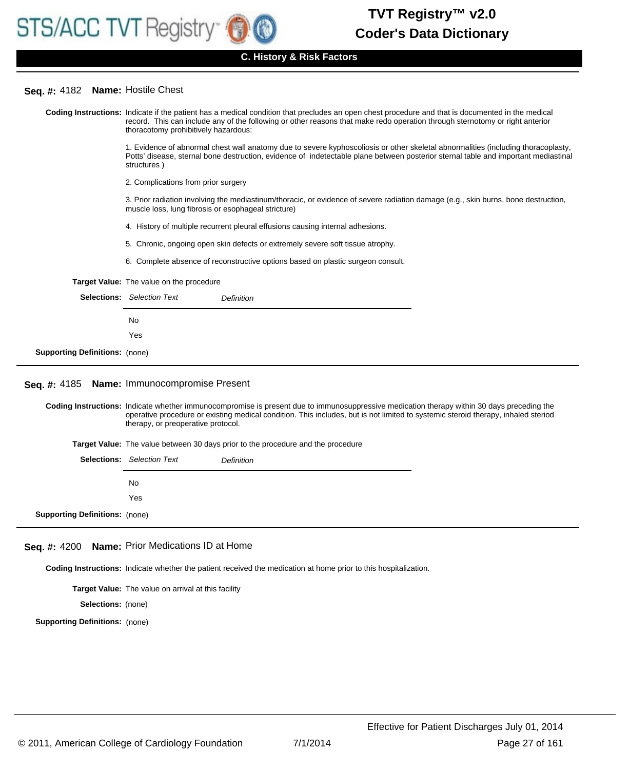## **Seq. #:** 4182 **Name:** Hostile Chest

Coding Instructions: Indicate if the patient has a medical condition that precludes an open chest procedure and that is documented in the medical record. This can include any of the following or other reasons that make redo operation through sternotomy or right anterior thoracotomy prohibitively hazardous: 1. Evidence of abnormal chest wall anatomy due to severe kyphoscoliosis or other skeletal abnormalities (including thoracoplasty, Potts' disease, sternal bone destruction, evidence of indetectable plane between posterior sternal table and important mediastinal structures ) 2. Complications from prior surgery 3. Prior radiation involving the mediastinum/thoracic, or evidence of severe radiation damage (e.g., skin burns, bone destruction, muscle loss, lung fibrosis or esophageal stricture) 4. History of multiple recurrent pleural effusions causing internal adhesions. 5. Chronic, ongoing open skin defects or extremely severe soft tissue atrophy. 6. Complete absence of reconstructive options based on plastic surgeon consult. **Target Value:** The value on the procedure Selections: Selection Text **Definition** No Yes **Supporting Definitions:** (none) Coding Instructions: Indicate whether immunocompromise is present due to immunosuppressive medication therapy within 30 days preceding the operative procedure or existing medical condition. This includes, but is not limited to systemic steroid therapy, inhaled steriod therapy, or preoperative protocol. **Seq. #:** 4185 **Name:** Immunocompromise Present **Target Value:** The value between 30 days prior to the procedure and the procedure Selections: Selection Text **Definition** No Yes **Supporting Definitions:** (none) **Coding Instructions:** Indicate whether the patient received the medication at home prior to this hospitalization. **Seq. #:** 4200 **Name:** Prior Medications ID at Home **Target Value:** The value on arrival at this facility **Selections:** (none)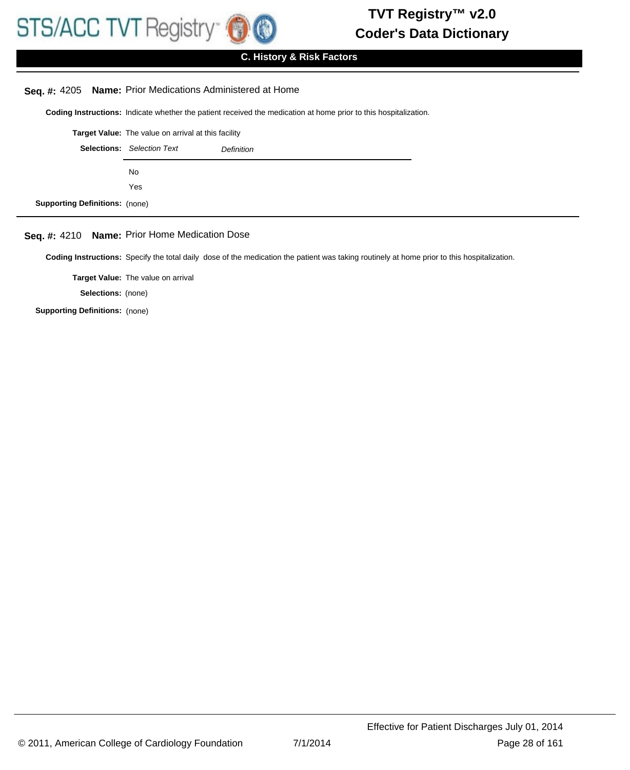

# **C. History & Risk Factors**

## **Seq. #:** 4205 **Name:** Prior Medications Administered at Home

**Coding Instructions:** Indicate whether the patient received the medication at home prior to this hospitalization.

|                                                 | <b>Target Value:</b> The value on arrival at this facility |  |
|-------------------------------------------------|------------------------------------------------------------|--|
| <b>Selections:</b> Selection Text<br>Definition |                                                            |  |
|                                                 | No.                                                        |  |
|                                                 | Yes                                                        |  |
| <b>Supporting Definitions: (none)</b>           |                                                            |  |

# **Seq. #:** 4210 **Name:** Prior Home Medication Dose

**Coding Instructions:** Specify the total daily dose of the medication the patient was taking routinely at home prior to this hospitalization.

**Target Value:** The value on arrival

**Selections:** (none)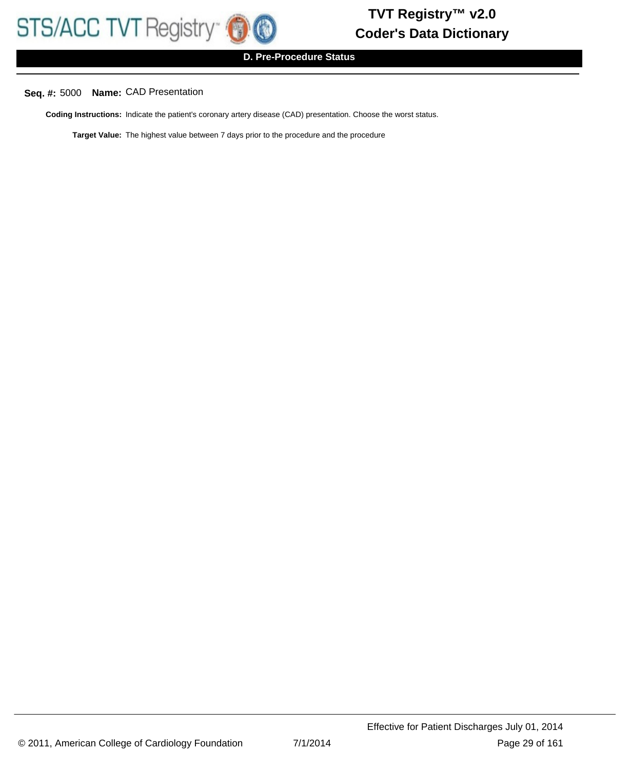**D. Pre-Procedure Status**

# **Seq. #:** 5000 **Name:** CAD Presentation

**Coding Instructions:** Indicate the patient's coronary artery disease (CAD) presentation. Choose the worst status.

**Target Value:** The highest value between 7 days prior to the procedure and the procedure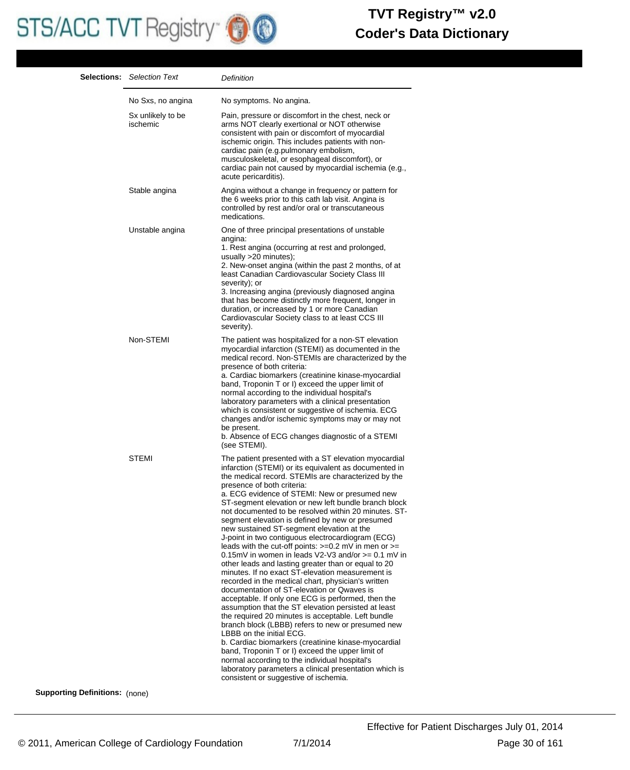# STS/ACC TVT Registry **OO**

# **Coder's Data Dictionary TVT Registry™ v2.0**

|                          | <b>Selections:</b> Selection Text | Definition                                                                                                                                                                                                                                                                                                                                                                                                                                                                                                                                                                                                                                                                                                                                                                                                                                                                                                                                                                                                                                                                                                                                                                                                                                                                                                                                                                       |
|--------------------------|-----------------------------------|----------------------------------------------------------------------------------------------------------------------------------------------------------------------------------------------------------------------------------------------------------------------------------------------------------------------------------------------------------------------------------------------------------------------------------------------------------------------------------------------------------------------------------------------------------------------------------------------------------------------------------------------------------------------------------------------------------------------------------------------------------------------------------------------------------------------------------------------------------------------------------------------------------------------------------------------------------------------------------------------------------------------------------------------------------------------------------------------------------------------------------------------------------------------------------------------------------------------------------------------------------------------------------------------------------------------------------------------------------------------------------|
|                          | No Sxs, no angina                 | No symptoms. No angina.                                                                                                                                                                                                                                                                                                                                                                                                                                                                                                                                                                                                                                                                                                                                                                                                                                                                                                                                                                                                                                                                                                                                                                                                                                                                                                                                                          |
|                          | Sx unlikely to be<br>ischemic     | Pain, pressure or discomfort in the chest, neck or<br>arms NOT clearly exertional or NOT otherwise<br>consistent with pain or discomfort of myocardial<br>ischemic origin. This includes patients with non-<br>cardiac pain (e.g.pulmonary embolism,<br>musculoskeletal, or esophageal discomfort), or<br>cardiac pain not caused by myocardial ischemia (e.g.,<br>acute pericarditis).                                                                                                                                                                                                                                                                                                                                                                                                                                                                                                                                                                                                                                                                                                                                                                                                                                                                                                                                                                                          |
|                          | Stable angina                     | Angina without a change in frequency or pattern for<br>the 6 weeks prior to this cath lab visit. Angina is<br>controlled by rest and/or oral or transcutaneous<br>medications.                                                                                                                                                                                                                                                                                                                                                                                                                                                                                                                                                                                                                                                                                                                                                                                                                                                                                                                                                                                                                                                                                                                                                                                                   |
|                          | Unstable angina                   | One of three principal presentations of unstable<br>angina:<br>1. Rest angina (occurring at rest and prolonged,<br>usually $>20$ minutes);<br>2. New-onset angina (within the past 2 months, of at<br>least Canadian Cardiovascular Society Class III<br>severity); or<br>3. Increasing angina (previously diagnosed angina<br>that has become distinctly more frequent, longer in<br>duration, or increased by 1 or more Canadian<br>Cardiovascular Society class to at least CCS III<br>severity).                                                                                                                                                                                                                                                                                                                                                                                                                                                                                                                                                                                                                                                                                                                                                                                                                                                                             |
|                          | Non-STEMI                         | The patient was hospitalized for a non-ST elevation<br>myocardial infarction (STEMI) as documented in the<br>medical record. Non-STEMIs are characterized by the<br>presence of both criteria:<br>a. Cardiac biomarkers (creatinine kinase-myocardial<br>band, Troponin T or I) exceed the upper limit of<br>normal according to the individual hospital's<br>laboratory parameters with a clinical presentation<br>which is consistent or suggestive of ischemia. ECG<br>changes and/or ischemic symptoms may or may not<br>be present.<br>b. Absence of ECG changes diagnostic of a STEMI<br>(see STEMI).                                                                                                                                                                                                                                                                                                                                                                                                                                                                                                                                                                                                                                                                                                                                                                      |
|                          | STEMI                             | The patient presented with a ST elevation myocardial<br>infarction (STEMI) or its equivalent as documented in<br>the medical record. STEMIs are characterized by the<br>presence of both criteria:<br>a. ECG evidence of STEMI: New or presumed new<br>ST-segment elevation or new left bundle branch block<br>not documented to be resolved within 20 minutes. ST-<br>segment elevation is defined by new or presumed<br>new sustained ST-segment elevation at the<br>J-point in two contiguous electrocardiogram (ECG)<br>leads with the cut-off points: $>=0.2$ mV in men or $>=$<br>0.15mV in women in leads $V2-V3$ and/or $>= 0.1$ mV in<br>other leads and lasting greater than or equal to 20<br>minutes. If no exact ST-elevation measurement is<br>recorded in the medical chart, physician's written<br>documentation of ST-elevation or Qwaves is<br>acceptable. If only one ECG is performed, then the<br>assumption that the ST elevation persisted at least<br>the required 20 minutes is acceptable. Left bundle<br>branch block (LBBB) refers to new or presumed new<br>LBBB on the initial ECG.<br>b. Cardiac biomarkers (creatinine kinase-myocardial<br>band, Troponin T or I) exceed the upper limit of<br>normal according to the individual hospital's<br>laboratory parameters a clinical presentation which is<br>consistent or suggestive of ischemia. |
| $Dofinitiance: \sqrt{2}$ |                                   |                                                                                                                                                                                                                                                                                                                                                                                                                                                                                                                                                                                                                                                                                                                                                                                                                                                                                                                                                                                                                                                                                                                                                                                                                                                                                                                                                                                  |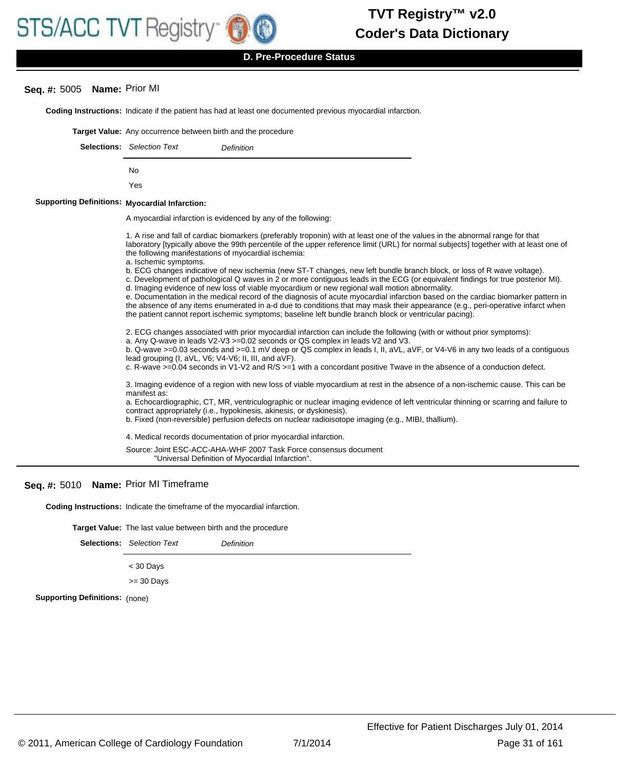

**D. Pre-Procedure Status**

# **Seq. #:** 5005 **Name:** Prior MI

**Coding Instructions:** Indicate if the patient has had at least one documented previous myocardial infarction. **Target Value:** Any occurrence between birth and the procedure Selections: Selection Text **Definition** No Yes **Myocardial Infarction: Supporting Definitions:** A myocardial infarction is evidenced by any of the following: 1. A rise and fall of cardiac biomarkers (preferably troponin) with at least one of the values in the abnormal range for that laboratory [typically above the 99th percentile of the upper reference limit (URL) for normal subjects] together with at least one of the following manifestations of myocardial ischemia: a. Ischemic symptoms. b. ECG changes indicative of new ischemia (new ST-T changes, new left bundle branch block, or loss of R wave voltage). c. Development of pathological Q waves in 2 or more contiguous leads in the ECG (or equivalent findings for true posterior MI). d. Imaging evidence of new loss of viable myocardium or new regional wall motion abnormality. e. Documentation in the medical record of the diagnosis of acute myocardial infarction based on the cardiac biomarker pattern in the absence of any items enumerated in a-d due to conditions that may mask their appearance (e.g., peri-operative infarct when the patient cannot report ischemic symptoms; baseline left bundle branch block or ventricular pacing). 2. ECG changes associated with prior myocardial infarction can include the following (with or without prior symptoms): a. Any Q-wave in leads V2-V3 >=0.02 seconds or QS complex in leads V2 and V3. b. Q-wave >=0.03 seconds and >=0.1 mV deep or QS complex in leads I, II, aVL, aVF, or V4-V6 in any two leads of a contiguous lead grouping (I, aVL, V6; V4-V6; II, III, and aVF). c. R-wave >=0.04 seconds in V1-V2 and R/S >=1 with a concordant positive Twave in the absence of a conduction defect. 3. Imaging evidence of a region with new loss of viable myocardium at rest in the absence of a non-ischemic cause. This can be manifest as: a. Echocardiographic, CT, MR, ventriculographic or nuclear imaging evidence of left ventricular thinning or scarring and failure to contract appropriately (i.e., hypokinesis, akinesis, or dyskinesis). b. Fixed (non-reversible) perfusion defects on nuclear radioisotope imaging (e.g., MIBI, thallium). 4. Medical records documentation of prior myocardial infarction. Source: Joint ESC-ACC-AHA-WHF 2007 Task Force consensus document "Universal Definition of Myocardial Infarction".

# **Seq. #:** 5010 **Name:** Prior MI Timeframe

**Coding Instructions:** Indicate the timeframe of the myocardial infarction.

**Target Value:** The last value between birth and the procedure

Selections: Selection Text **Definition** < 30 Days >= 30 Days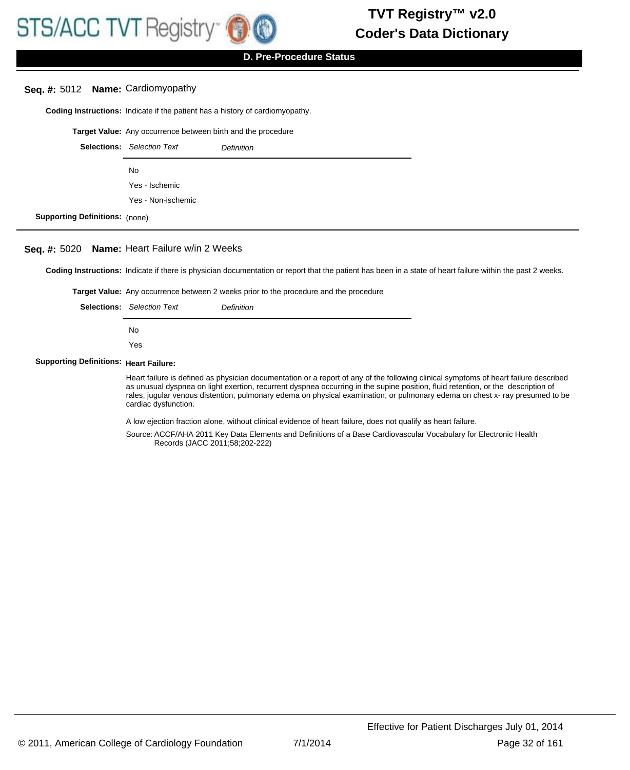# **D. Pre-Procedure Status**

## **Seq. #:** 5012 **Name:** Cardiomyopathy

**Coding Instructions:** Indicate if the patient has a history of cardiomyopathy.

**Target Value:** Any occurrence between birth and the procedure

|                                       | <b>Selections:</b> Selection Text | Definition |
|---------------------------------------|-----------------------------------|------------|
|                                       | No.                               |            |
|                                       | Yes - Ischemic                    |            |
|                                       | Yes - Non-ischemic                |            |
| <b>Supporting Definitions: (none)</b> |                                   |            |

#### **Seq. #:** 5020 **Name:** Heart Failure w/in 2 Weeks

**Coding Instructions:** Indicate if there is physician documentation or report that the patient has been in a state of heart failure within the past 2 weeks.

**Target Value:** Any occurrence between 2 weeks prior to the procedure and the procedure

| <b>Selections:</b> Selection Text | Definition |
|-----------------------------------|------------|
| No.                               |            |
| Yes                               |            |

#### **Supporting Definitions: Heart Failure:**

Heart failure is defined as physician documentation or a report of any of the following clinical symptoms of heart failure described as unusual dyspnea on light exertion, recurrent dyspnea occurring in the supine position, fluid retention, or the description of rales, jugular venous distention, pulmonary edema on physical examination, or pulmonary edema on chest x- ray presumed to be cardiac dysfunction.

A low ejection fraction alone, without clinical evidence of heart failure, does not qualify as heart failure.

Source: ACCF/AHA 2011 Key Data Elements and Definitions of a Base Cardiovascular Vocabulary for Electronic Health Records (JACC 2011;58;202-222)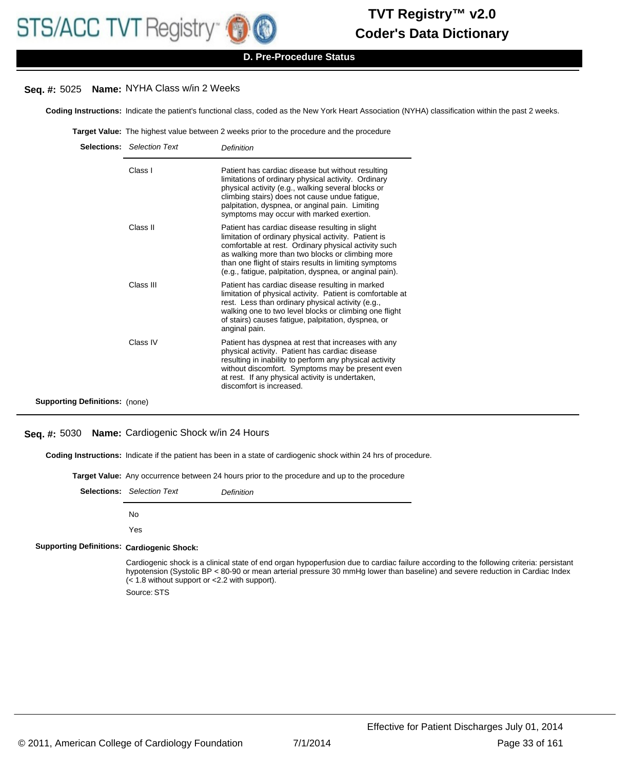## **D. Pre-Procedure Status**

# **Seq. #:** 5025 **Name:** NYHA Class w/in 2 Weeks

**Coding Instructions:** Indicate the patient's functional class, coded as the New York Heart Association (NYHA) classification within the past 2 weeks.

**Target Value:** The highest value between 2 weeks prior to the procedure and the procedure

|                                       | <b>Selections:</b> Selection Text | Definition                                                                                                                                                                                                                                                                                                                               |
|---------------------------------------|-----------------------------------|------------------------------------------------------------------------------------------------------------------------------------------------------------------------------------------------------------------------------------------------------------------------------------------------------------------------------------------|
|                                       | Class I                           | Patient has cardiac disease but without resulting<br>limitations of ordinary physical activity. Ordinary<br>physical activity (e.g., walking several blocks or<br>climbing stairs) does not cause undue fatigue,<br>palpitation, dyspnea, or anginal pain. Limiting<br>symptoms may occur with marked exertion.                          |
|                                       | Class II                          | Patient has cardiac disease resulting in slight<br>limitation of ordinary physical activity. Patient is<br>comfortable at rest. Ordinary physical activity such<br>as walking more than two blocks or climbing more<br>than one flight of stairs results in limiting symptoms<br>(e.g., fatigue, palpitation, dyspnea, or anginal pain). |
|                                       | Class III                         | Patient has cardiac disease resulting in marked<br>limitation of physical activity. Patient is comfortable at<br>rest. Less than ordinary physical activity (e.g.,<br>walking one to two level blocks or climbing one flight<br>of stairs) causes fatigue, palpitation, dyspnea, or<br>anginal pain.                                     |
|                                       | Class IV                          | Patient has dyspnea at rest that increases with any<br>physical activity. Patient has cardiac disease<br>resulting in inability to perform any physical activity<br>without discomfort. Symptoms may be present even<br>at rest. If any physical activity is undertaken,<br>discomfort is increased.                                     |
| <b>Supporting Definitions:</b> (none) |                                   |                                                                                                                                                                                                                                                                                                                                          |

# **Seq. #:** 5030 **Name:** Cardiogenic Shock w/in 24 Hours

**Coding Instructions:** Indicate if the patient has been in a state of cardiogenic shock within 24 hrs of procedure.

|  | <b>Target Value:</b> Any occurrence between 24 hours prior to the procedure and up to the procedure |  |
|--|-----------------------------------------------------------------------------------------------------|--|
|  |                                                                                                     |  |

| Selections:                                       | <b>Selection Text</b>                                         | Definition                                                                                                                                                                                                                                                               |  |
|---------------------------------------------------|---------------------------------------------------------------|--------------------------------------------------------------------------------------------------------------------------------------------------------------------------------------------------------------------------------------------------------------------------|--|
|                                                   | No                                                            |                                                                                                                                                                                                                                                                          |  |
|                                                   | Yes                                                           |                                                                                                                                                                                                                                                                          |  |
| <b>Supporting Definitions: Cardiogenic Shock:</b> |                                                               |                                                                                                                                                                                                                                                                          |  |
|                                                   | $\approx$ 1.8 without support or $\approx$ 2.2 with support). | Cardiogenic shock is a clinical state of end organ hypoperfusion due to cardiac failure according to the following criteria: persistant<br>hypotension (Systolic BP < 80-90 or mean arterial pressure 30 mmHg lower than baseline) and severe reduction in Cardiac Index |  |

Source: STS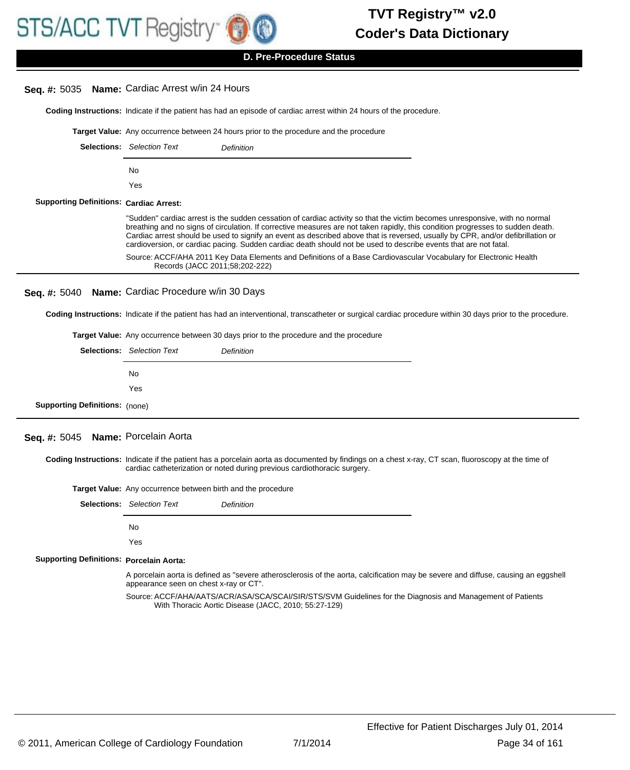

## **D. Pre-Procedure Status**

# **Coding Instructions:** Indicate if the patient has had an episode of cardiac arrest within 24 hours of the procedure. **Seq. #:** 5035 **Name:** Cardiac Arrest w/in 24 Hours **Target Value:** Any occurrence between 24 hours prior to the procedure and the procedure Selections: Selection Text **Definition** No Yes **Cardiac Arrest: Supporting Definitions:** "Sudden" cardiac arrest is the sudden cessation of cardiac activity so that the victim becomes unresponsive, with no normal breathing and no signs of circulation. If corrective measures are not taken rapidly, this condition progresses to sudden death. Cardiac arrest should be used to signify an event as described above that is reversed, usually by CPR, and/or defibrillation or cardioversion, or cardiac pacing. Sudden cardiac death should not be used to describe events that are not fatal. Source: ACCF/AHA 2011 Key Data Elements and Definitions of a Base Cardiovascular Vocabulary for Electronic Health Records (JACC 2011;58;202-222) **Coding Instructions:** Indicate if the patient has had an interventional, transcatheter or surgical cardiac procedure within 30 days prior to the procedure. **Seq. #:** 5040 **Name:** Cardiac Procedure w/in 30 Days **Target Value:** Any occurrence between 30 days prior to the procedure and the procedure Selections: Selection Text **Definition**

|                                       | No. |  |
|---------------------------------------|-----|--|
|                                       | Yes |  |
| <b>Supporting Definitions:</b> (none) |     |  |

# **Seq. #:** 5045 **Name:** Porcelain Aorta

Coding Instructions: Indicate if the patient has a porcelain aorta as documented by findings on a chest x-ray, CT scan, fluoroscopy at the time of cardiac catheterization or noted during previous cardiothoracic surgery.

|                                                 | <b>Target Value:</b> Any occurrence between birth and the procedure                                                                                                          |                                                                                                                                                                    |  |
|-------------------------------------------------|------------------------------------------------------------------------------------------------------------------------------------------------------------------------------|--------------------------------------------------------------------------------------------------------------------------------------------------------------------|--|
|                                                 | <b>Selections:</b> Selection Text                                                                                                                                            | <b>Definition</b>                                                                                                                                                  |  |
|                                                 | No                                                                                                                                                                           |                                                                                                                                                                    |  |
|                                                 | Yes                                                                                                                                                                          |                                                                                                                                                                    |  |
| <b>Supporting Definitions: Porcelain Aorta:</b> |                                                                                                                                                                              |                                                                                                                                                                    |  |
|                                                 | A porcelain aorta is defined as "severe atherosclerosis of the aorta, calcification may be severe and diffuse, causing an eggshell<br>appearance seen on chest x-ray or CT". |                                                                                                                                                                    |  |
|                                                 |                                                                                                                                                                              | Source: ACCF/AHA/AATS/ACR/ASA/SCA/SCAI/SIR/STS/SVM Guidelines for the Diagnosis and Management of Patients<br>With Thoracic Aortic Disease (JACC, 2010; 55:27-129) |  |
|                                                 |                                                                                                                                                                              |                                                                                                                                                                    |  |
|                                                 |                                                                                                                                                                              |                                                                                                                                                                    |  |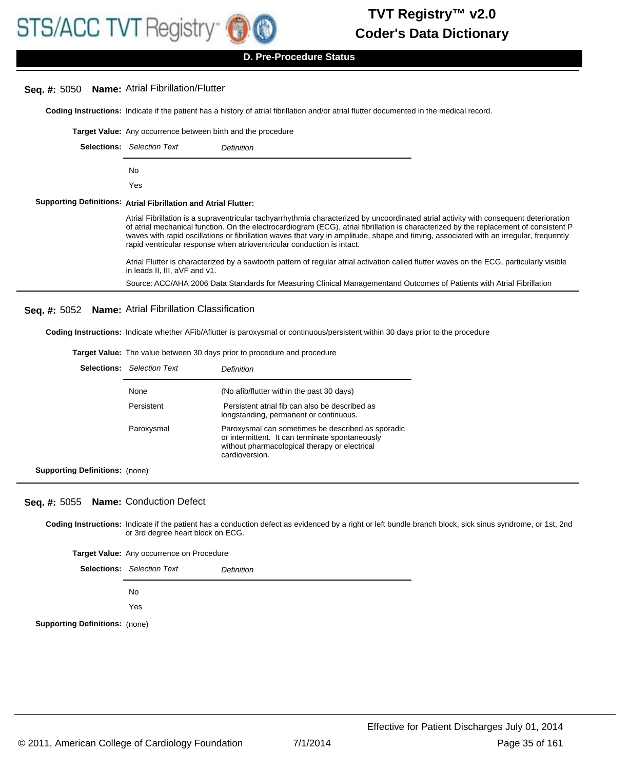

**D. Pre-Procedure Status**

# **Seq. #:** 5050 **Name:** Atrial Fibrillation/Flutter

**Coding Instructions:** Indicate if the patient has a history of atrial fibrillation and/or atrial flutter documented in the medical record.

| <b>Selections:</b> Selection Text<br>Definition<br>No<br>Yes<br>Supporting Definitions: Atrial Fibrillation and Atrial Flutter:<br>Atrial Fibrillation is a supraventricular tachyarrhythmia characterized by uncoordinated atrial activity with consequent deterioration<br>of atrial mechanical function. On the electrocardiogram (ECG), atrial fibrillation is characterized by the replacement of consistent P<br>waves with rapid oscillations or fibrillation waves that vary in amplitude, shape and timing, associated with an irregular, frequently<br>rapid ventricular response when atrioventricular conduction is intact.<br>Atrial Flutter is characterized by a sawtooth pattern of regular atrial activation called flutter waves on the ECG, particularly visible<br>in leads II, III, aVF and v1.<br>Source: ACC/AHA 2006 Data Standards for Measuring Clinical Managementand Outcomes of Patients with Atrial Fibrillation<br>Seq. #: 5052 Name: Atrial Fibrillation Classification<br><b>Coding Instructions:</b> Indicate whether AFib/Aflutter is paroxysmal or continuous/persistent within 30 days prior to the procedure<br><b>Target Value:</b> The value between 30 days prior to procedure and procedure<br><b>Selections:</b> Selection Text<br>Definition | Target Value: Any occurrence between birth and the procedure |  |
|------------------------------------------------------------------------------------------------------------------------------------------------------------------------------------------------------------------------------------------------------------------------------------------------------------------------------------------------------------------------------------------------------------------------------------------------------------------------------------------------------------------------------------------------------------------------------------------------------------------------------------------------------------------------------------------------------------------------------------------------------------------------------------------------------------------------------------------------------------------------------------------------------------------------------------------------------------------------------------------------------------------------------------------------------------------------------------------------------------------------------------------------------------------------------------------------------------------------------------------------------------------------------------------|--------------------------------------------------------------|--|
|                                                                                                                                                                                                                                                                                                                                                                                                                                                                                                                                                                                                                                                                                                                                                                                                                                                                                                                                                                                                                                                                                                                                                                                                                                                                                          |                                                              |  |
|                                                                                                                                                                                                                                                                                                                                                                                                                                                                                                                                                                                                                                                                                                                                                                                                                                                                                                                                                                                                                                                                                                                                                                                                                                                                                          |                                                              |  |
|                                                                                                                                                                                                                                                                                                                                                                                                                                                                                                                                                                                                                                                                                                                                                                                                                                                                                                                                                                                                                                                                                                                                                                                                                                                                                          |                                                              |  |
|                                                                                                                                                                                                                                                                                                                                                                                                                                                                                                                                                                                                                                                                                                                                                                                                                                                                                                                                                                                                                                                                                                                                                                                                                                                                                          |                                                              |  |
|                                                                                                                                                                                                                                                                                                                                                                                                                                                                                                                                                                                                                                                                                                                                                                                                                                                                                                                                                                                                                                                                                                                                                                                                                                                                                          |                                                              |  |
|                                                                                                                                                                                                                                                                                                                                                                                                                                                                                                                                                                                                                                                                                                                                                                                                                                                                                                                                                                                                                                                                                                                                                                                                                                                                                          |                                                              |  |
|                                                                                                                                                                                                                                                                                                                                                                                                                                                                                                                                                                                                                                                                                                                                                                                                                                                                                                                                                                                                                                                                                                                                                                                                                                                                                          |                                                              |  |
|                                                                                                                                                                                                                                                                                                                                                                                                                                                                                                                                                                                                                                                                                                                                                                                                                                                                                                                                                                                                                                                                                                                                                                                                                                                                                          |                                                              |  |
|                                                                                                                                                                                                                                                                                                                                                                                                                                                                                                                                                                                                                                                                                                                                                                                                                                                                                                                                                                                                                                                                                                                                                                                                                                                                                          |                                                              |  |
|                                                                                                                                                                                                                                                                                                                                                                                                                                                                                                                                                                                                                                                                                                                                                                                                                                                                                                                                                                                                                                                                                                                                                                                                                                                                                          |                                                              |  |
|                                                                                                                                                                                                                                                                                                                                                                                                                                                                                                                                                                                                                                                                                                                                                                                                                                                                                                                                                                                                                                                                                                                                                                                                                                                                                          |                                                              |  |

| None       | (No afib/flutter within the past 30 days)                                                                                                                               |
|------------|-------------------------------------------------------------------------------------------------------------------------------------------------------------------------|
| Persistent | Persistent atrial fib can also be described as<br>longstanding, permanent or continuous.                                                                                |
| Paroxysmal | Paroxysmal can sometimes be described as sporadic<br>or intermittent. It can terminate spontaneously<br>without pharmacological therapy or electrical<br>cardioversion. |

**Supporting Definitions:** (none)

# **Seq. #:** 5055 **Name:** Conduction Defect

Coding Instructions: Indicate if the patient has a conduction defect as evidenced by a right or left bundle branch block, sick sinus syndrome, or 1st, 2nd or 3rd degree heart block on ECG.

| Target Value: Any occurrence on Procedure |                                   |            |
|-------------------------------------------|-----------------------------------|------------|
|                                           | <b>Selections:</b> Selection Text | Definition |
|                                           | No.                               |            |
|                                           | Yes                               |            |
| <b>Supporting Definitions: (none)</b>     |                                   |            |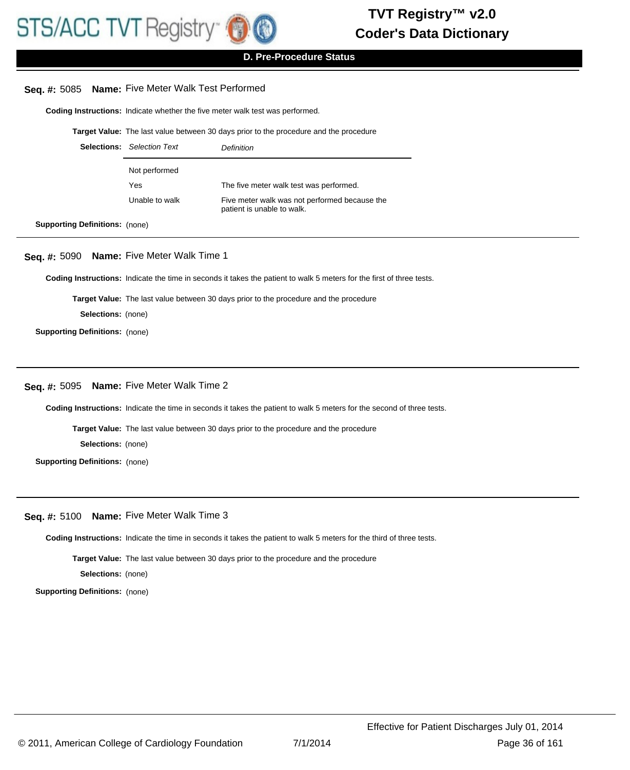

**D. Pre-Procedure Status**

## **Seq. #:** 5085 **Name:** Five Meter Walk Test Performed

**Coding Instructions:** Indicate whether the five meter walk test was performed.

**Target Value:** The last value between 30 days prior to the procedure and the procedure

| <b>Selections:</b> Selection Text | Definition                                                                  |
|-----------------------------------|-----------------------------------------------------------------------------|
| Not performed                     |                                                                             |
| Yes                               | The five meter walk test was performed.                                     |
| Unable to walk                    | Five meter walk was not performed because the<br>patient is unable to walk. |

**Supporting Definitions:** (none)

#### **Seq. #:** 5090 **Name:** Five Meter Walk Time 1

**Coding Instructions:** Indicate the time in seconds it takes the patient to walk 5 meters for the first of three tests.

**Target Value:** The last value between 30 days prior to the procedure and the procedure

**Selections:** (none)

**Supporting Definitions:** (none)

# **Seq. #:** 5095 **Name:** Five Meter Walk Time 2

**Coding Instructions:** Indicate the time in seconds it takes the patient to walk 5 meters for the second of three tests.

**Target Value:** The last value between 30 days prior to the procedure and the procedure

**Selections:** (none)

**Supporting Definitions:** (none)

# **Seq. #:** 5100 **Name:** Five Meter Walk Time 3

**Coding Instructions:** Indicate the time in seconds it takes the patient to walk 5 meters for the third of three tests.

**Target Value:** The last value between 30 days prior to the procedure and the procedure

**Selections:** (none)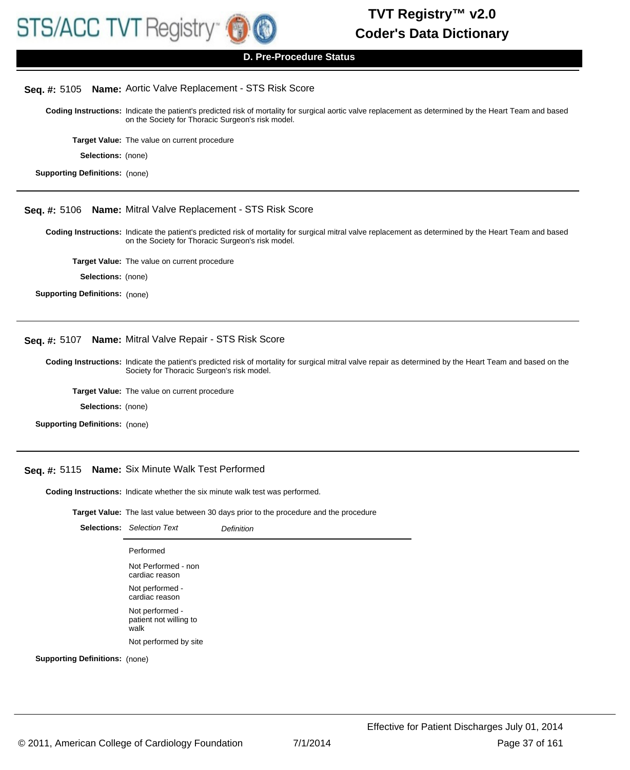

### **D. Pre-Procedure Status**

#### **Seq. #:** 5105 **Name:** Aortic Valve Replacement - STS Risk Score

Coding Instructions: Indicate the patient's predicted risk of mortality for surgical aortic valve replacement as determined by the Heart Team and based on the Society for Thoracic Surgeon's risk model.

**Target Value:** The value on current procedure

**Selections:** (none)

**Supporting Definitions:** (none)

# **Seq. #:** 5106 **Name:** Mitral Valve Replacement - STS Risk Score

Coding Instructions: Indicate the patient's predicted risk of mortality for surgical mitral valve replacement as determined by the Heart Team and based on the Society for Thoracic Surgeon's risk model.

**Target Value:** The value on current procedure

**Selections:** (none)

**Supporting Definitions:** (none)

#### **Seq. #:** 5107 **Name:** Mitral Valve Repair - STS Risk Score

Coding Instructions: Indicate the patient's predicted risk of mortality for surgical mitral valve repair as determined by the Heart Team and based on the Society for Thoracic Surgeon's risk model.

**Target Value:** The value on current procedure

**Selections:** (none)

**Supporting Definitions:** (none)

# **Seq. #:** 5115 **Name:** Six Minute Walk Test Performed

**Coding Instructions:** Indicate whether the six minute walk test was performed.

**Target Value:** The last value between 30 days prior to the procedure and the procedure

| <b>Selections:</b> Selection Text                 | Definition |
|---------------------------------------------------|------------|
| Performed                                         |            |
| Not Performed - non<br>cardiac reason             |            |
| Not performed -<br>cardiac reason                 |            |
| Not performed -<br>patient not willing to<br>walk |            |
| Not performed by site                             |            |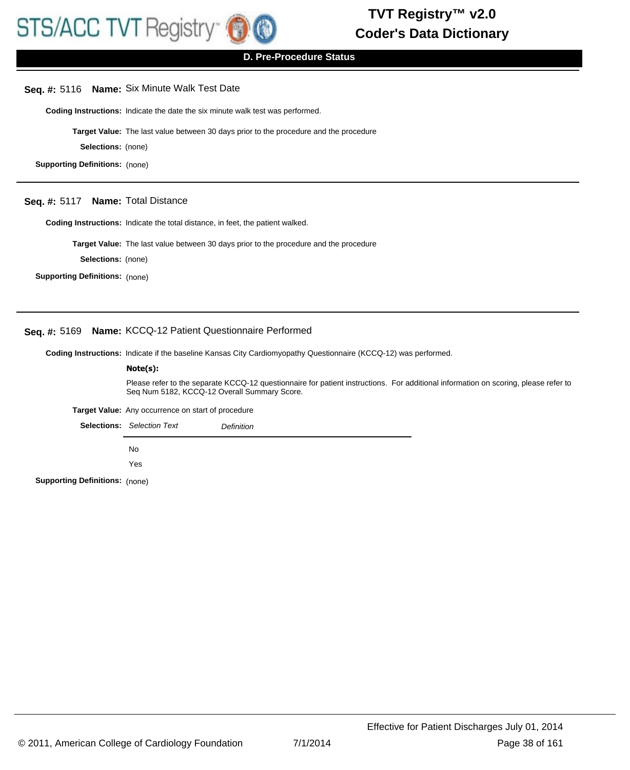

#### **Seq. #:** 5116 **Name:** Six Minute Walk Test Date

**Coding Instructions:** Indicate the date the six minute walk test was performed.

**Target Value:** The last value between 30 days prior to the procedure and the procedure

**Selections:** (none)

**Supporting Definitions:** (none)

#### **Seq. #:** 5117 **Name:** Total Distance

**Coding Instructions:** Indicate the total distance, in feet, the patient walked.

**Target Value:** The last value between 30 days prior to the procedure and the procedure

**Selections:** (none)

**Supporting Definitions:** (none)

# **Seq. #:** 5169 **Name:** KCCQ-12 Patient Questionnaire Performed

**Coding Instructions:** Indicate if the baseline Kansas City Cardiomyopathy Questionnaire (KCCQ-12) was performed.

#### **Note(s):**

Please refer to the separate KCCQ-12 questionnaire for patient instructions. For additional information on scoring, please refer to Seq Num 5182, KCCQ-12 Overall Summary Score.

**Target Value:** Any occurrence on start of procedure

Selections: Selection Text **Definition** 

No

Yes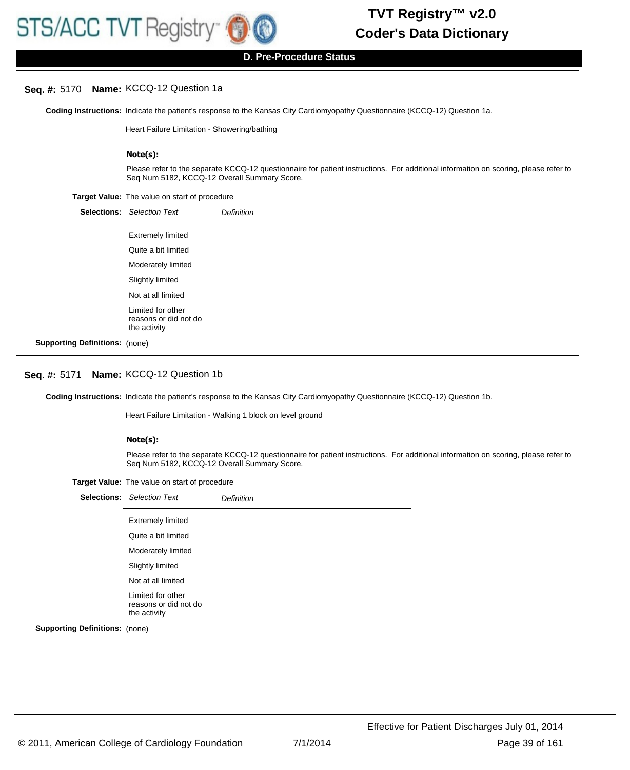#### **Seq. #:** 5170 **Name:** KCCQ-12 Question 1a

Coding Instructions: Indicate the patient's response to the Kansas City Cardiomyopathy Questionnaire (KCCQ-12) Question 1a.

Heart Failure Limitation - Showering/bathing

#### **Note(s):**

Please refer to the separate KCCQ-12 questionnaire for patient instructions. For additional information on scoring, please refer to Seq Num 5182, KCCQ-12 Overall Summary Score.

#### **Target Value:** The value on start of procedure

|                                       | <b>Selections:</b> Selection Text                          | <b>Definition</b> |
|---------------------------------------|------------------------------------------------------------|-------------------|
|                                       | <b>Extremely limited</b>                                   |                   |
|                                       | Quite a bit limited                                        |                   |
|                                       | Moderately limited                                         |                   |
|                                       | Slightly limited                                           |                   |
|                                       | Not at all limited                                         |                   |
|                                       | Limited for other<br>reasons or did not do<br>the activity |                   |
| <b>Supporting Definitions: (none)</b> |                                                            |                   |

#### **Seq. #:** 5171 **Name:** KCCQ-12 Question 1b

Coding Instructions: Indicate the patient's response to the Kansas City Cardiomyopathy Questionnaire (KCCQ-12) Question 1b.

Heart Failure Limitation - Walking 1 block on level ground

#### **Note(s):**

Please refer to the separate KCCQ-12 questionnaire for patient instructions. For additional information on scoring, please refer to Seq Num 5182, KCCQ-12 Overall Summary Score.

|                                       | <b>Selections:</b> Selection Text                          | <b>Definition</b> |
|---------------------------------------|------------------------------------------------------------|-------------------|
|                                       | <b>Extremely limited</b>                                   |                   |
|                                       | Quite a bit limited                                        |                   |
|                                       | Moderately limited                                         |                   |
|                                       | Slightly limited                                           |                   |
|                                       | Not at all limited                                         |                   |
|                                       | Limited for other<br>reasons or did not do<br>the activity |                   |
| <b>Supporting Definitions:</b> (none) |                                                            |                   |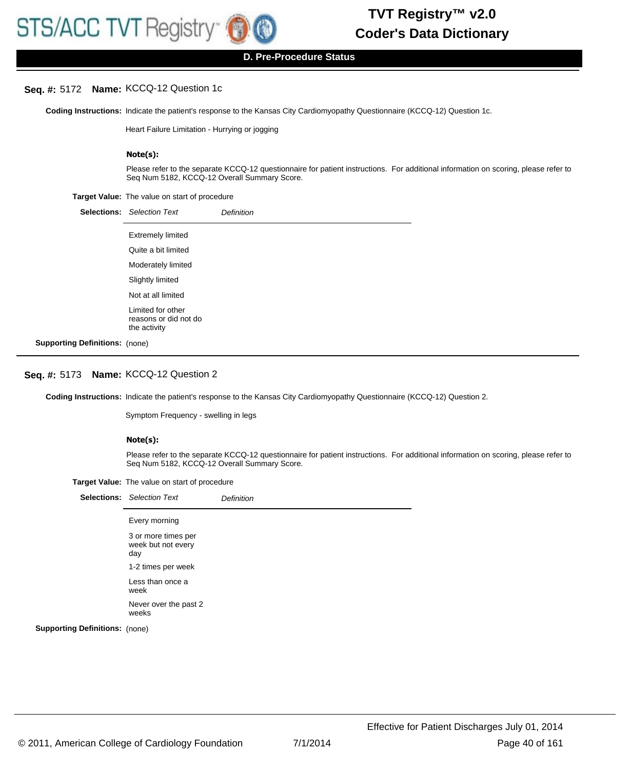#### **Seq. #:** 5172 **Name:** KCCQ-12 Question 1c

Coding Instructions: Indicate the patient's response to the Kansas City Cardiomyopathy Questionnaire (KCCQ-12) Question 1c.

Heart Failure Limitation - Hurrying or jogging

#### **Note(s):**

Please refer to the separate KCCQ-12 questionnaire for patient instructions. For additional information on scoring, please refer to Seq Num 5182, KCCQ-12 Overall Summary Score.

#### **Target Value:** The value on start of procedure

|                                       | <b>Selections:</b> Selection Text                          | <b>Definition</b> |
|---------------------------------------|------------------------------------------------------------|-------------------|
|                                       | <b>Extremely limited</b>                                   |                   |
|                                       | Quite a bit limited                                        |                   |
|                                       | Moderately limited                                         |                   |
|                                       | Slightly limited                                           |                   |
|                                       | Not at all limited                                         |                   |
|                                       | Limited for other<br>reasons or did not do<br>the activity |                   |
| <b>Supporting Definitions: (none)</b> |                                                            |                   |

#### **Seq. #:** 5173 **Name:** KCCQ-12 Question 2

Coding Instructions: Indicate the patient's response to the Kansas City Cardiomyopathy Questionnaire (KCCQ-12) Question 2.

Symptom Frequency - swelling in legs

#### **Note(s):**

Please refer to the separate KCCQ-12 questionnaire for patient instructions. For additional information on scoring, please refer to Seq Num 5182, KCCQ-12 Overall Summary Score.

| Target Value: The value on start of procedure |
|-----------------------------------------------|
|-----------------------------------------------|

|                           | <b>Selections:</b> Selection Text                | <b>Definition</b> |
|---------------------------|--------------------------------------------------|-------------------|
|                           | Every morning                                    |                   |
|                           | 3 or more times per<br>week but not every<br>day |                   |
|                           | 1-2 times per week                               |                   |
|                           | Less than once a<br>week                         |                   |
|                           | Never over the past 2<br>weeks                   |                   |
| rtina Definitions: (none) |                                                  |                   |

**Suppo**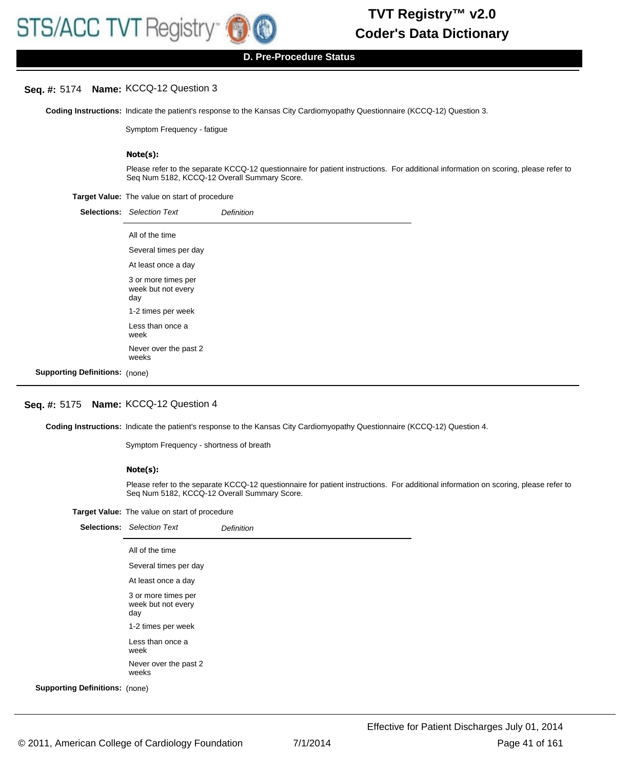#### **Seq. #:** 5174 **Name:** KCCQ-12 Question 3

Coding Instructions: Indicate the patient's response to the Kansas City Cardiomyopathy Questionnaire (KCCQ-12) Question 3.

Symptom Frequency - fatigue

#### **Note(s):**

Please refer to the separate KCCQ-12 questionnaire for patient instructions. For additional information on scoring, please refer to Seq Num 5182, KCCQ-12 Overall Summary Score.

**Target Value:** The value on start of procedure

|                                       | <b>Selections:</b> Selection Text                | <b>Definition</b> |
|---------------------------------------|--------------------------------------------------|-------------------|
|                                       | All of the time                                  |                   |
|                                       | Several times per day                            |                   |
|                                       | At least once a day                              |                   |
|                                       | 3 or more times per<br>week but not every<br>day |                   |
|                                       | 1-2 times per week                               |                   |
|                                       | Less than once a<br>week                         |                   |
|                                       | Never over the past 2<br>weeks                   |                   |
| <b>Supporting Definitions: (none)</b> |                                                  |                   |

# **Seq. #:** 5175 **Name:** KCCQ-12 Question 4

Coding Instructions: Indicate the patient's response to the Kansas City Cardiomyopathy Questionnaire (KCCQ-12) Question 4.

Symptom Frequency - shortness of breath

#### **Note(s):**

Please refer to the separate KCCQ-12 questionnaire for patient instructions. For additional information on scoring, please refer to Seq Num 5182, KCCQ-12 Overall Summary Score.

|                                       | <b>Selections:</b> Selection Text                | <b>Definition</b> |
|---------------------------------------|--------------------------------------------------|-------------------|
|                                       | All of the time                                  |                   |
|                                       | Several times per day                            |                   |
|                                       | At least once a day                              |                   |
|                                       | 3 or more times per<br>week but not every<br>day |                   |
|                                       | 1-2 times per week                               |                   |
|                                       | Less than once a<br>week                         |                   |
|                                       | Never over the past 2<br>weeks                   |                   |
| <b>Supporting Definitions: (none)</b> |                                                  |                   |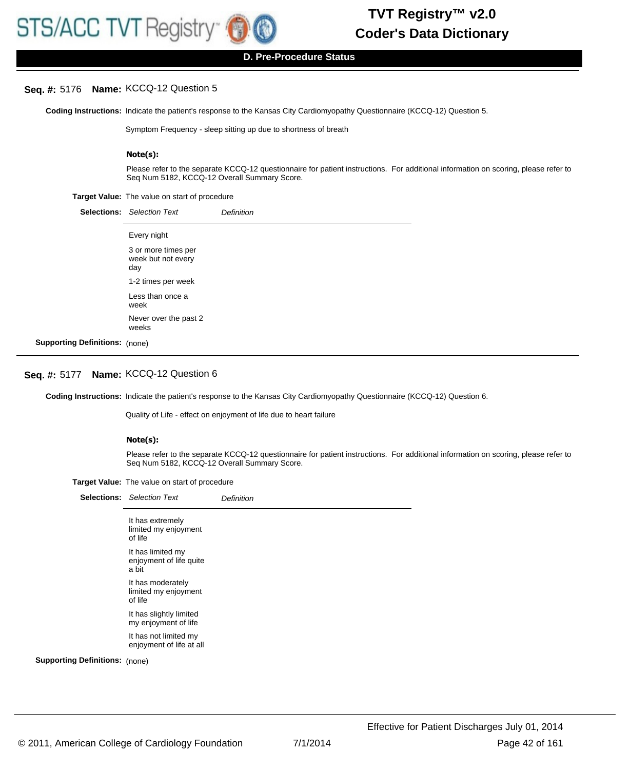

**D. Pre-Procedure Status**

### **Seq. #:** 5176 **Name:** KCCQ-12 Question 5

Coding Instructions: Indicate the patient's response to the Kansas City Cardiomyopathy Questionnaire (KCCQ-12) Question 5.

Symptom Frequency - sleep sitting up due to shortness of breath

#### **Note(s):**

Please refer to the separate KCCQ-12 questionnaire for patient instructions. For additional information on scoring, please refer to Seq Num 5182, KCCQ-12 Overall Summary Score.

#### **Target Value:** The value on start of procedure

|                                       | <b>Selections:</b> Selection Text                | <b>Definition</b> |
|---------------------------------------|--------------------------------------------------|-------------------|
|                                       | Every night                                      |                   |
|                                       | 3 or more times per<br>week but not every<br>day |                   |
|                                       | 1-2 times per week                               |                   |
|                                       | Less than once a<br>week                         |                   |
|                                       | Never over the past 2<br>weeks                   |                   |
| <b>Supporting Definitions: (none)</b> |                                                  |                   |

# **Seq. #:** 5177 **Name:** KCCQ-12 Question 6

Coding Instructions: Indicate the patient's response to the Kansas City Cardiomyopathy Questionnaire (KCCQ-12) Question 6.

Quality of Life - effect on enjoyment of life due to heart failure

#### **Note(s):**

Please refer to the separate KCCQ-12 questionnaire for patient instructions. For additional information on scoring, please refer to Seq Num 5182, KCCQ-12 Overall Summary Score.

|                                       | <b>Selections:</b> Selection Text                     | Definition |
|---------------------------------------|-------------------------------------------------------|------------|
|                                       | It has extremely<br>limited my enjoyment<br>of life   |            |
|                                       | It has limited my<br>enjoyment of life quite<br>a bit |            |
|                                       | It has moderately<br>limited my enjoyment<br>of life  |            |
|                                       | It has slightly limited<br>my enjoyment of life       |            |
|                                       | It has not limited my<br>enjoyment of life at all     |            |
| <b>Supporting Definitions: (none)</b> |                                                       |            |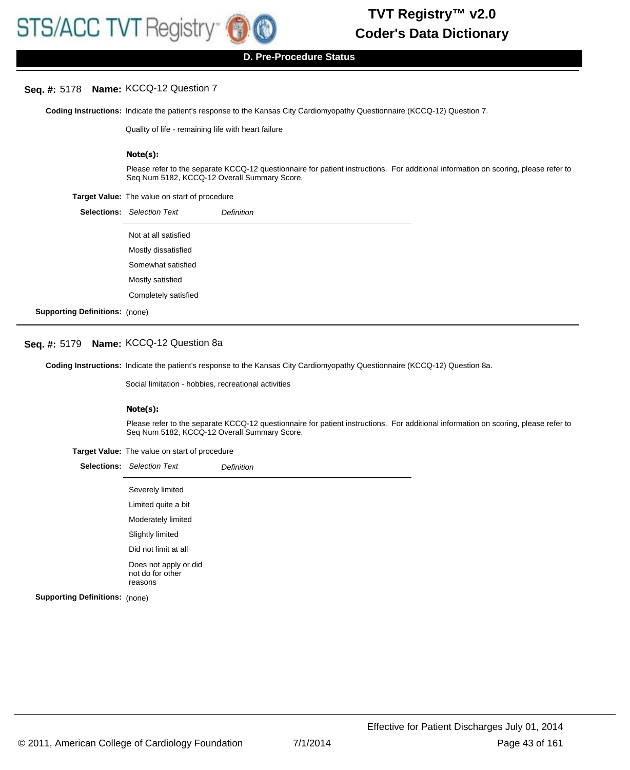#### **Seq. #:** 5178 **Name:** KCCQ-12 Question 7

Coding Instructions: Indicate the patient's response to the Kansas City Cardiomyopathy Questionnaire (KCCQ-12) Question 7.

Quality of life - remaining life with heart failure

#### **Note(s):**

Please refer to the separate KCCQ-12 questionnaire for patient instructions. For additional information on scoring, please refer to Seq Num 5182, KCCQ-12 Overall Summary Score.

**Target Value:** The value on start of procedure

|                                 | <b>Selections:</b> Selection Text | <b>Definition</b> |
|---------------------------------|-----------------------------------|-------------------|
|                                 | Not at all satisfied              |                   |
|                                 | Mostly dissatisfied               |                   |
|                                 | Somewhat satisfied                |                   |
|                                 | Mostly satisfied                  |                   |
|                                 | Completely satisfied              |                   |
| $\sim$ Definitional $(1, 1, 1)$ |                                   |                   |

**Supporting Definitions:** (none)

#### **Seq. #:** 5179 **Name:** KCCQ-12 Question 8a

Coding Instructions: Indicate the patient's response to the Kansas City Cardiomyopathy Questionnaire (KCCQ-12) Question 8a.

Social limitation - hobbies, recreational activities

#### **Note(s):**

Please refer to the separate KCCQ-12 questionnaire for patient instructions. For additional information on scoring, please refer to Seq Num 5182, KCCQ-12 Overall Summary Score.

|                                       | <b>Selections:</b> Selection Text                    | Definition |
|---------------------------------------|------------------------------------------------------|------------|
|                                       | Severely limited                                     |            |
|                                       | Limited quite a bit                                  |            |
|                                       | Moderately limited                                   |            |
|                                       | Slightly limited                                     |            |
|                                       | Did not limit at all                                 |            |
|                                       | Does not apply or did<br>not do for other<br>reasons |            |
| <b>Supporting Definitions: (none)</b> |                                                      |            |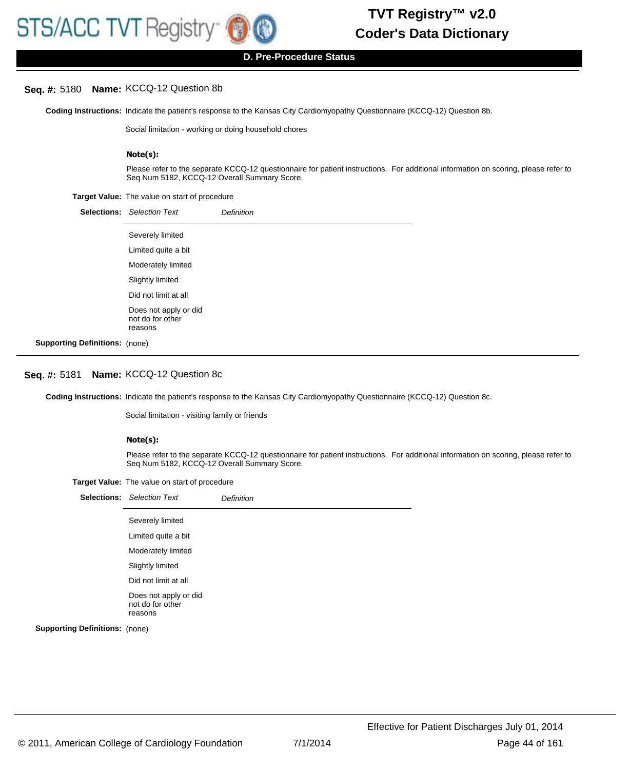#### **Seq. #:** 5180 **Name:** KCCQ-12 Question 8b

Coding Instructions: Indicate the patient's response to the Kansas City Cardiomyopathy Questionnaire (KCCQ-12) Question 8b.

Social limitation - working or doing household chores

#### **Note(s):**

Please refer to the separate KCCQ-12 questionnaire for patient instructions. For additional information on scoring, please refer to Seq Num 5182, KCCQ-12 Overall Summary Score.

#### **Target Value:** The value on start of procedure

|                                       | <b>Selections:</b> Selection Text                    | <b>Definition</b> |
|---------------------------------------|------------------------------------------------------|-------------------|
|                                       | Severely limited                                     |                   |
|                                       | Limited quite a bit                                  |                   |
|                                       | Moderately limited                                   |                   |
|                                       | Slightly limited                                     |                   |
|                                       | Did not limit at all                                 |                   |
|                                       | Does not apply or did<br>not do for other<br>reasons |                   |
| <b>Supporting Definitions: (none)</b> |                                                      |                   |

#### **Seq. #:** 5181 **Name:** KCCQ-12 Question 8c

Coding Instructions: Indicate the patient's response to the Kansas City Cardiomyopathy Questionnaire (KCCQ-12) Question 8c.

Social limitation - visiting family or friends

#### **Note(s):**

Please refer to the separate KCCQ-12 questionnaire for patient instructions. For additional information on scoring, please refer to Seq Num 5182, KCCQ-12 Overall Summary Score.

|  |  | Target Value: The value on start of procedure |
|--|--|-----------------------------------------------|
|--|--|-----------------------------------------------|

|                                       | <b>Selections:</b> Selection Text                    | <b>Definition</b> |
|---------------------------------------|------------------------------------------------------|-------------------|
|                                       | Severely limited                                     |                   |
|                                       | Limited quite a bit                                  |                   |
|                                       | Moderately limited                                   |                   |
|                                       | Slightly limited                                     |                   |
|                                       | Did not limit at all                                 |                   |
|                                       | Does not apply or did<br>not do for other<br>reasons |                   |
| <b>Supporting Definitions: (none)</b> |                                                      |                   |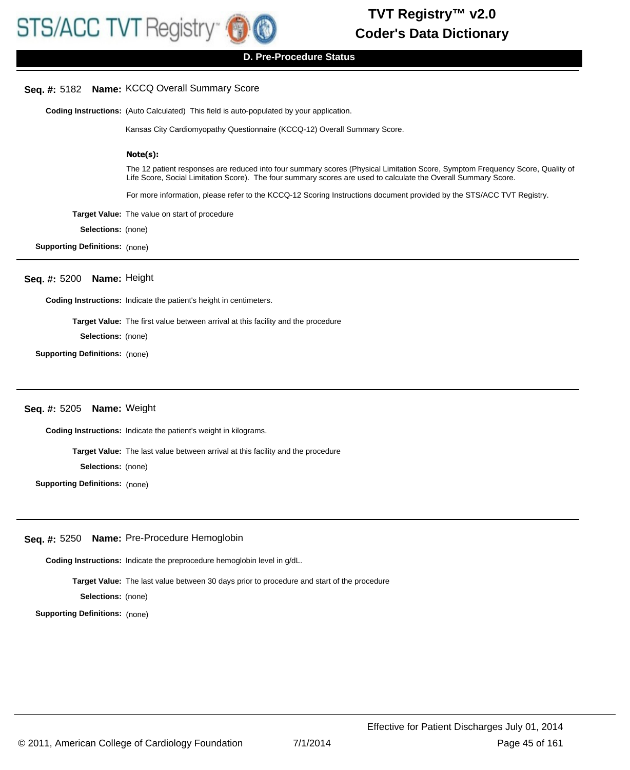# **Seq. #:** 5182 **Name:** KCCQ Overall Summary Score

**Coding Instructions:** (Auto Calculated) This field is auto-populated by your application.

Kansas City Cardiomyopathy Questionnaire (KCCQ-12) Overall Summary Score.

#### **Note(s):**

The 12 patient responses are reduced into four summary scores (Physical Limitation Score, Symptom Frequency Score, Quality of Life Score, Social Limitation Score). The four summary scores are used to calculate the Overall Summary Score.

For more information, please refer to the KCCQ-12 Scoring Instructions document provided by the STS/ACC TVT Registry.

**Target Value:** The value on start of procedure

**Selections:** (none)

**Supporting Definitions:** (none)

#### **Seq. #:** 5200 **Name:** Height

**Coding Instructions:** Indicate the patient's height in centimeters.

**Target Value:** The first value between arrival at this facility and the procedure

**Selections:** (none)

**Supporting Definitions:** (none)

# **Seq. #:** 5205 **Name:** Weight

**Coding Instructions:** Indicate the patient's weight in kilograms.

**Target Value:** The last value between arrival at this facility and the procedure

**Selections:** (none)

**Supporting Definitions:** (none)

#### **Seq. #:** 5250 **Name:** Pre-Procedure Hemoglobin

**Coding Instructions:** Indicate the preprocedure hemoglobin level in g/dL.

**Target Value:** The last value between 30 days prior to procedure and start of the procedure

**Selections:** (none)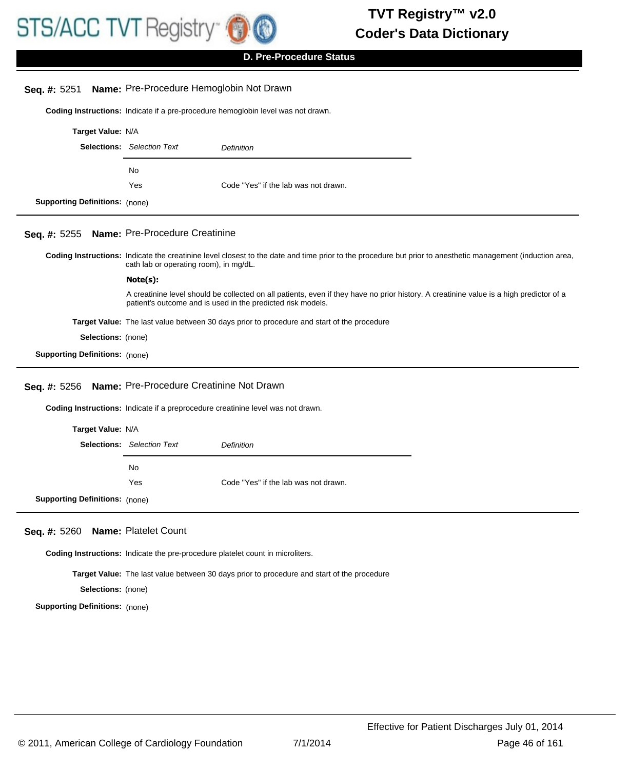

| Seq. #: 5251                          | Name: Pre-Procedure Hemoglobin Not Drawn                                                   |                                                                                                                                                                                                        |  |
|---------------------------------------|--------------------------------------------------------------------------------------------|--------------------------------------------------------------------------------------------------------------------------------------------------------------------------------------------------------|--|
|                                       |                                                                                            | Coding Instructions: Indicate if a pre-procedure hemoglobin level was not drawn.                                                                                                                       |  |
| Target Value: N/A                     |                                                                                            |                                                                                                                                                                                                        |  |
|                                       | <b>Selections:</b> Selection Text                                                          | Definition                                                                                                                                                                                             |  |
|                                       | No                                                                                         |                                                                                                                                                                                                        |  |
|                                       | Yes                                                                                        | Code "Yes" if the lab was not drawn.                                                                                                                                                                   |  |
| <b>Supporting Definitions: (none)</b> |                                                                                            |                                                                                                                                                                                                        |  |
| Seq. #: 5255                          | Name: Pre-Procedure Creatinine                                                             |                                                                                                                                                                                                        |  |
|                                       | cath lab or operating room), in mg/dL.                                                     | Coding Instructions: Indicate the creatinine level closest to the date and time prior to the procedure but prior to anesthetic management (induction area,                                             |  |
|                                       | Note(s):                                                                                   |                                                                                                                                                                                                        |  |
|                                       |                                                                                            | A creatinine level should be collected on all patients, even if they have no prior history. A creatinine value is a high predictor of a<br>patient's outcome and is used in the predicted risk models. |  |
|                                       |                                                                                            | <b>Target Value:</b> The last value between 30 days prior to procedure and start of the procedure                                                                                                      |  |
| Selections: (none)                    |                                                                                            |                                                                                                                                                                                                        |  |
| <b>Supporting Definitions: (none)</b> |                                                                                            |                                                                                                                                                                                                        |  |
| Seq. #: 5256                          | Name: Pre-Procedure Creatinine Not Drawn                                                   |                                                                                                                                                                                                        |  |
|                                       |                                                                                            | Coding Instructions: Indicate if a preprocedure creatinine level was not drawn.                                                                                                                        |  |
| Target Value: N/A                     |                                                                                            |                                                                                                                                                                                                        |  |
|                                       | <b>Selections:</b> Selection Text                                                          | Definition                                                                                                                                                                                             |  |
|                                       | No                                                                                         |                                                                                                                                                                                                        |  |
|                                       | Yes                                                                                        | Code "Yes" if the lab was not drawn.                                                                                                                                                                   |  |
| <b>Supporting Definitions: (none)</b> |                                                                                            |                                                                                                                                                                                                        |  |
| Seq. #: 5260                          | Name: Platelet Count                                                                       |                                                                                                                                                                                                        |  |
|                                       |                                                                                            | Coding Instructions: Indicate the pre-procedure platelet count in microliters.                                                                                                                         |  |
|                                       | Target Value: The last value between 30 days prior to procedure and start of the procedure |                                                                                                                                                                                                        |  |
| Selections: (none)                    |                                                                                            |                                                                                                                                                                                                        |  |
| <b>Supporting Definitions: (none)</b> |                                                                                            |                                                                                                                                                                                                        |  |
|                                       |                                                                                            |                                                                                                                                                                                                        |  |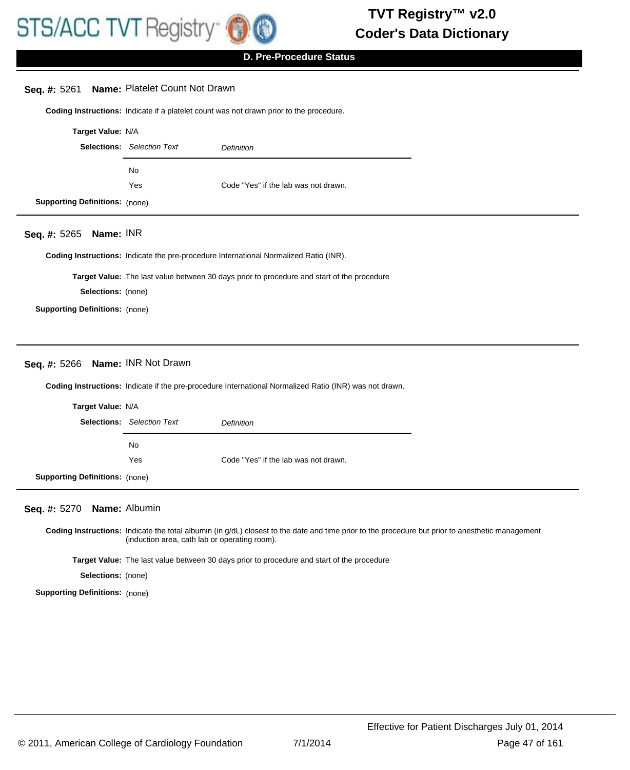

#### **Seq. #:** 5261 **Name:** Platelet Count Not Drawn

**Coding Instructions:** Indicate if a platelet count was not drawn prior to the procedure.

| Target Value: N/A                     |                                   |                                      |
|---------------------------------------|-----------------------------------|--------------------------------------|
|                                       | <b>Selections:</b> Selection Text | <b>Definition</b>                    |
|                                       | No                                |                                      |
|                                       | Yes                               | Code "Yes" if the lab was not drawn. |
| <b>Supporting Definitions: (none)</b> |                                   |                                      |

#### **Seq. #:** 5265 **Name:** INR

**Coding Instructions:** Indicate the pre-procedure International Normalized Ratio (INR).

**Target Value:** The last value between 30 days prior to procedure and start of the procedure

**Selections:** (none)

**Supporting Definitions:** (none)

# **Seq. #:** 5266 **Name:** INR Not Drawn

**Coding Instructions:** Indicate if the pre-procedure International Normalized Ratio (INR) was not drawn.

| Target Value: N/A          |                                   |                                      |
|----------------------------|-----------------------------------|--------------------------------------|
|                            | <b>Selections:</b> Selection Text | Definition                           |
|                            | No.                               |                                      |
|                            | Yes                               | Code "Yes" if the lab was not drawn. |
| orting Definitions: (none) |                                   |                                      |

#### **Seq. #:** 5270 **Name:** Albumin

**Supp** 

Coding Instructions: Indicate the total albumin (in g/dL) closest to the date and time prior to the procedure but prior to anesthetic management (induction area, cath lab or operating room).

**Target Value:** The last value between 30 days prior to procedure and start of the procedure

**Selections:** (none)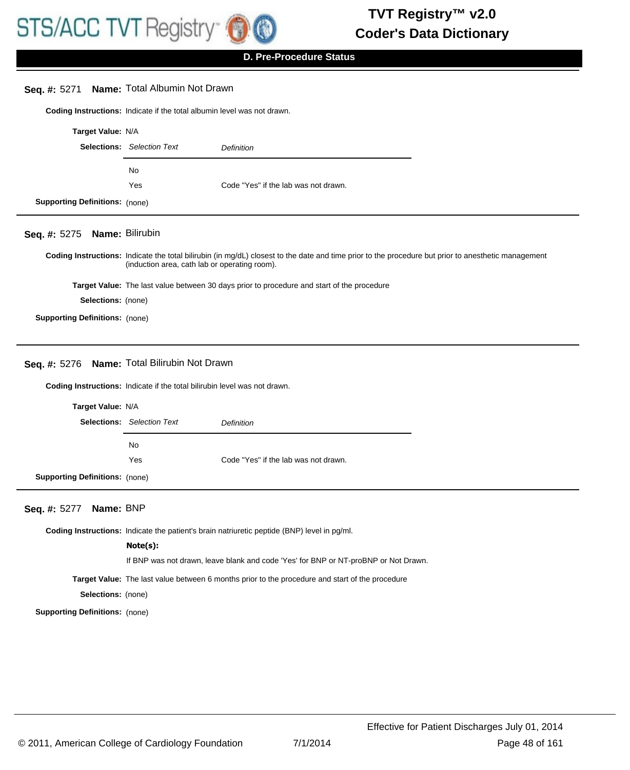

| <b>Name: Total Albumin Not Drawn</b><br>Seq. #: 5271   |                                                                                                                                                                                                      |                                      |  |
|--------------------------------------------------------|------------------------------------------------------------------------------------------------------------------------------------------------------------------------------------------------------|--------------------------------------|--|
|                                                        | Coding Instructions: Indicate if the total albumin level was not drawn.                                                                                                                              |                                      |  |
| Target Value: N/A                                      |                                                                                                                                                                                                      |                                      |  |
|                                                        | <b>Selections:</b> Selection Text                                                                                                                                                                    | <b>Definition</b>                    |  |
|                                                        | <b>No</b>                                                                                                                                                                                            |                                      |  |
|                                                        | Yes                                                                                                                                                                                                  | Code "Yes" if the lab was not drawn. |  |
| <b>Supporting Definitions: (none)</b>                  |                                                                                                                                                                                                      |                                      |  |
| Seq. #: 5275                                           | Name: Bilirubin                                                                                                                                                                                      |                                      |  |
|                                                        | Coding Instructions: Indicate the total bilirubin (in mg/dL) closest to the date and time prior to the procedure but prior to anesthetic management<br>(induction area, cath lab or operating room). |                                      |  |
|                                                        | <b>Target Value:</b> The last value between 30 days prior to procedure and start of the procedure                                                                                                    |                                      |  |
|                                                        | Selections: (none)                                                                                                                                                                                   |                                      |  |
| <b>Supporting Definitions: (none)</b>                  |                                                                                                                                                                                                      |                                      |  |
|                                                        |                                                                                                                                                                                                      |                                      |  |
| <b>Name: Total Bilirubin Not Drawn</b><br>Seq. #: 5276 |                                                                                                                                                                                                      |                                      |  |
|                                                        | Coding Instructions: Indicate if the total bilirubin level was not drawn.                                                                                                                            |                                      |  |
| Target Value: N/A                                      |                                                                                                                                                                                                      |                                      |  |
|                                                        | <b>Selections:</b> Selection Text                                                                                                                                                                    | <b>Definition</b>                    |  |
|                                                        |                                                                                                                                                                                                      |                                      |  |

**Supporting Definitions:** (none)

# **Seq. #:** 5277 **Name:** BNP

**Coding Instructions:** Indicate the patient's brain natriuretic peptide (BNP) level in pg/ml.

#### **Note(s):**

No

If BNP was not drawn, leave blank and code 'Yes' for BNP or NT-proBNP or Not Drawn.

**Target Value:** The last value between 6 months prior to the procedure and start of the procedure

Yes Code "Yes" if the lab was not drawn.

**Selections:** (none)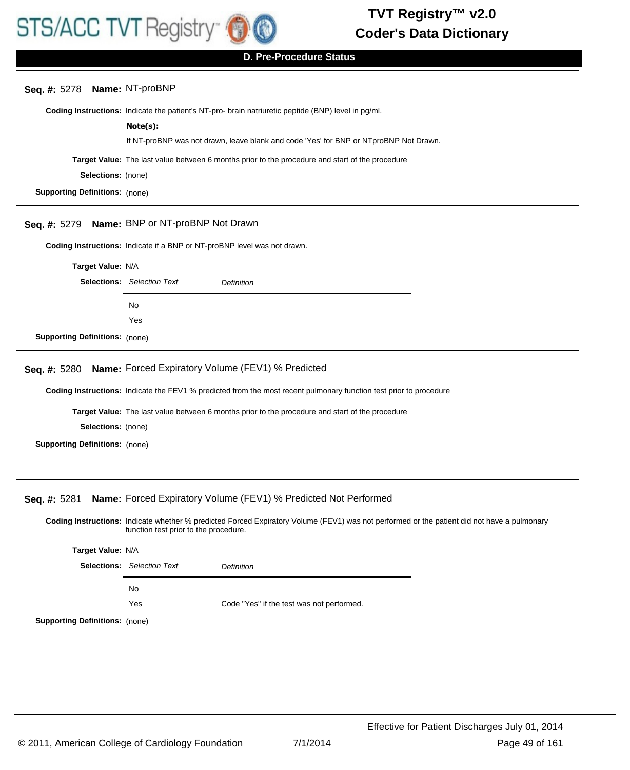

**D. Pre-Procedure Status**

# **Seq. #:** 5278 **Name:** NT-proBNP

**Coding Instructions:** Indicate the patient's NT-pro- brain natriuretic peptide (BNP) level in pg/ml.

# **Note(s):**

If NT-proBNP was not drawn, leave blank and code 'Yes' for BNP or NTproBNP Not Drawn.

**Target Value:** The last value between 6 months prior to the procedure and start of the procedure

**Selections:** (none)

**Supporting Definitions:** (none)

# **Seq. #:** 5279 **Name:** BNP or NT-proBNP Not Drawn

**Coding Instructions:** Indicate if a BNP or NT-proBNP level was not drawn.

**Target Value:** N/A Selections: Selection Text **Definition** No Yes **Supporting Definitions:** (none)

# **Seq. #:** 5280 **Name:** Forced Expiratory Volume (FEV1) % Predicted

**Coding Instructions:** Indicate the FEV1 % predicted from the most recent pulmonary function test prior to procedure

**Target Value:** The last value between 6 months prior to the procedure and start of the procedure

**Selections:** (none)

**Supporting Definitions:** (none)

### **Seq. #:** 5281 **Name:** Forced Expiratory Volume (FEV1) % Predicted Not Performed

Coding Instructions: Indicate whether % predicted Forced Expiratory Volume (FEV1) was not performed or the patient did not have a pulmonary function test prior to the procedure.

**Target Value:** N/A Selections: Selection Text **Definition** No Yes Code "Yes" if the test was not performed.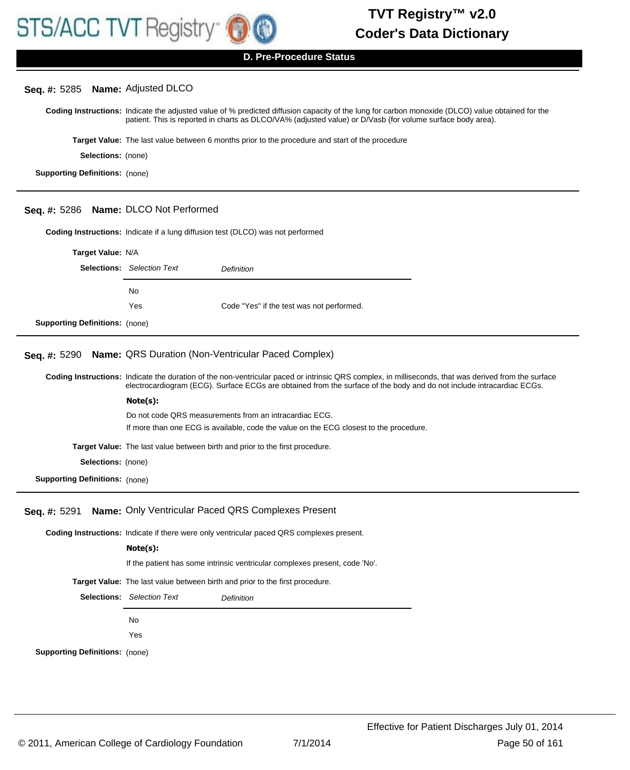

| Seq. #: 5285 Name: Adjusted DLCO      |                                                                                                                                                                                                                                                                               |  |  |
|---------------------------------------|-------------------------------------------------------------------------------------------------------------------------------------------------------------------------------------------------------------------------------------------------------------------------------|--|--|
|                                       | Coding Instructions: Indicate the adjusted value of % predicted diffusion capacity of the lung for carbon monoxide (DLCO) value obtained for the<br>patient. This is reported in charts as DLCO/VA% (adjusted value) or D/Vasb (for volume surface body area).                |  |  |
|                                       | Target Value: The last value between 6 months prior to the procedure and start of the procedure                                                                                                                                                                               |  |  |
| Selections: (none)                    |                                                                                                                                                                                                                                                                               |  |  |
| <b>Supporting Definitions: (none)</b> |                                                                                                                                                                                                                                                                               |  |  |
|                                       |                                                                                                                                                                                                                                                                               |  |  |
| Seq. #: 5286 Name: DLCO Not Performed |                                                                                                                                                                                                                                                                               |  |  |
|                                       | <b>Coding Instructions:</b> Indicate if a lung diffusion test (DLCO) was not performed                                                                                                                                                                                        |  |  |
| Target Value: N/A                     |                                                                                                                                                                                                                                                                               |  |  |
|                                       | <b>Selections:</b> Selection Text<br><b>Definition</b>                                                                                                                                                                                                                        |  |  |
|                                       |                                                                                                                                                                                                                                                                               |  |  |
|                                       | No                                                                                                                                                                                                                                                                            |  |  |
|                                       | Yes<br>Code "Yes" if the test was not performed.                                                                                                                                                                                                                              |  |  |
| <b>Supporting Definitions: (none)</b> |                                                                                                                                                                                                                                                                               |  |  |
| Seq. #: 5290                          | Name: QRS Duration (Non-Ventricular Paced Complex)                                                                                                                                                                                                                            |  |  |
|                                       | Coding Instructions: Indicate the duration of the non-ventricular paced or intrinsic QRS complex, in milliseconds, that was derived from the surface<br>electrocardiogram (ECG). Surface ECGs are obtained from the surface of the body and do not include intracardiac ECGs. |  |  |
|                                       | Note(s):                                                                                                                                                                                                                                                                      |  |  |
|                                       | Do not code QRS measurements from an intracardiac ECG.                                                                                                                                                                                                                        |  |  |
|                                       | If more than one ECG is available, code the value on the ECG closest to the procedure.                                                                                                                                                                                        |  |  |
|                                       | Target Value: The last value between birth and prior to the first procedure.                                                                                                                                                                                                  |  |  |
| Selections: (none)                    |                                                                                                                                                                                                                                                                               |  |  |
| <b>Supporting Definitions:</b> (none) |                                                                                                                                                                                                                                                                               |  |  |
|                                       | Seq. #: 5291 Name: Only Ventricular Paced QRS Complexes Present                                                                                                                                                                                                               |  |  |
|                                       | <b>Coding Instructions:</b> Indicate if there were only ventricular paced QRS complexes present.                                                                                                                                                                              |  |  |
|                                       | Note(s):                                                                                                                                                                                                                                                                      |  |  |
|                                       | If the patient has some intrinsic ventricular complexes present, code 'No'.                                                                                                                                                                                                   |  |  |
|                                       | Target Value: The last value between birth and prior to the first procedure.                                                                                                                                                                                                  |  |  |
|                                       | <b>Selections:</b> Selection Text<br><b>Definition</b>                                                                                                                                                                                                                        |  |  |
|                                       |                                                                                                                                                                                                                                                                               |  |  |
|                                       | No                                                                                                                                                                                                                                                                            |  |  |
|                                       | Yes                                                                                                                                                                                                                                                                           |  |  |
| <b>Supporting Definitions: (none)</b> |                                                                                                                                                                                                                                                                               |  |  |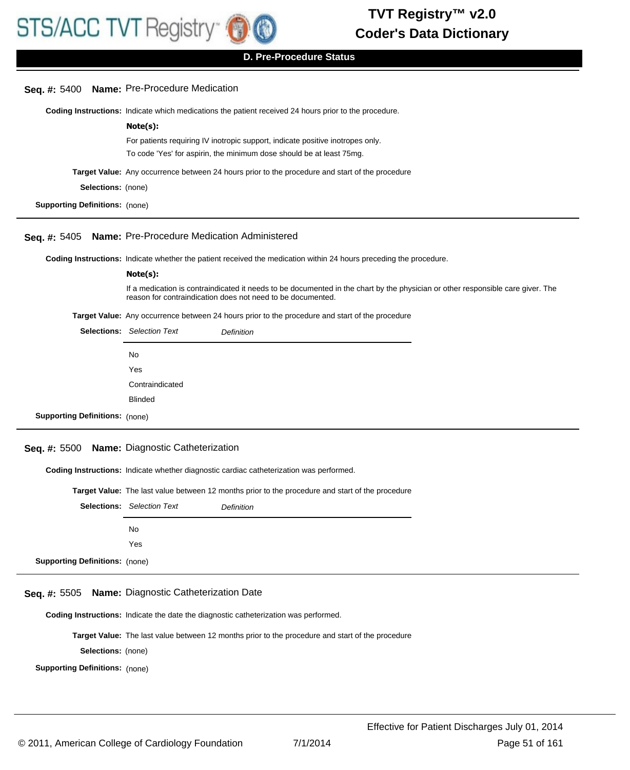

**D. Pre-Procedure Status**

| Seq. #: 5400 Name: Pre-Procedure Medication                                                                                                                                                    |
|------------------------------------------------------------------------------------------------------------------------------------------------------------------------------------------------|
| Coding Instructions: Indicate which medications the patient received 24 hours prior to the procedure.                                                                                          |
| Note(s):                                                                                                                                                                                       |
| For patients requiring IV inotropic support, indicate positive inotropes only.                                                                                                                 |
| To code 'Yes' for aspirin, the minimum dose should be at least 75mg.                                                                                                                           |
| Target Value: Any occurrence between 24 hours prior to the procedure and start of the procedure                                                                                                |
| Selections: (none)                                                                                                                                                                             |
| <b>Supporting Definitions:</b> (none)                                                                                                                                                          |
| Name: Pre-Procedure Medication Administered                                                                                                                                                    |
| Coding Instructions: Indicate whether the patient received the medication within 24 hours preceding the procedure.                                                                             |
| Note(s):                                                                                                                                                                                       |
| If a medication is contraindicated it needs to be documented in the chart by the physician or other responsible care giver. The<br>reason for contraindication does not need to be documented. |
| Target Value: Any occurrence between 24 hours prior to the procedure and start of the procedure                                                                                                |
| <b>Selections:</b> Selection Text<br><b>Definition</b>                                                                                                                                         |
| No                                                                                                                                                                                             |
| Yes                                                                                                                                                                                            |
| Contraindicated                                                                                                                                                                                |
| <b>Blinded</b>                                                                                                                                                                                 |
| <b>Supporting Definitions: (none)</b>                                                                                                                                                          |
| Seq. #: 5500 Name: Diagnostic Catheterization                                                                                                                                                  |
|                                                                                                                                                                                                |
| Coding Instructions: Indicate whether diagnostic cardiac catheterization was performed.                                                                                                        |
| Target Value: The last value between 12 months prior to the procedure and start of the procedure                                                                                               |
| <b>Selections:</b> Selection Text<br>Definition                                                                                                                                                |
| No                                                                                                                                                                                             |
| Yes                                                                                                                                                                                            |
| <b>Supporting Definitions: (none)</b>                                                                                                                                                          |
|                                                                                                                                                                                                |
| Name: Diagnostic Catheterization Date                                                                                                                                                          |
| Coding Instructions: Indicate the date the diagnostic catheterization was performed.                                                                                                           |
| Target Value: The last value between 12 months prior to the procedure and start of the procedure                                                                                               |
| Selections: (none)                                                                                                                                                                             |
| <b>Supporting Definitions:</b> (none)                                                                                                                                                          |
|                                                                                                                                                                                                |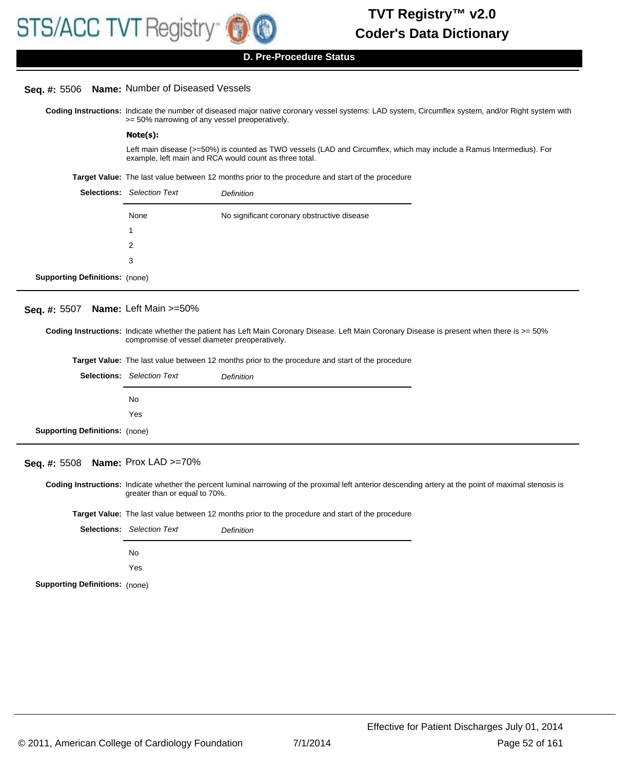#### **Seq. #:** 5506 **Name:** Number of Diseased Vessels

Coding Instructions: Indicate the number of diseased major native coronary vessel systems: LAD system, Circumflex system, and/or Right system with >= 50% narrowing of any vessel preoperatively.

#### **Note(s):**

Left main disease (>=50%) is counted as TWO vessels (LAD and Circumflex, which may include a Ramus Intermedius). For example, left main and RCA would count as three total.

**Target Value:** The last value between 12 months prior to the procedure and start of the procedure

|                                       | <b>Selections:</b> Selection Text | Definition                                  |
|---------------------------------------|-----------------------------------|---------------------------------------------|
|                                       | None                              | No significant coronary obstructive disease |
|                                       | 1                                 |                                             |
|                                       | 2                                 |                                             |
|                                       | 3                                 |                                             |
| <b>Supporting Definitions:</b> (none) |                                   |                                             |

#### **Seq. #:** 5507 **Name:** Left Main >=50%

Coding Instructions: Indicate whether the patient has Left Main Coronary Disease. Left Main Coronary Disease is present when there is >= 50% compromise of vessel diameter preoperatively.

|                            |                                                 | <b>Target Value:</b> The last value between 12 months prior to the procedure and start of the procedure |
|----------------------------|-------------------------------------------------|---------------------------------------------------------------------------------------------------------|
|                            | <b>Selections:</b> Selection Text<br>Definition |                                                                                                         |
|                            | No                                              |                                                                                                         |
|                            | Yes                                             |                                                                                                         |
| orting Definitions: (none) |                                                 |                                                                                                         |

# **Seq. #:** 5508 **Name:** Prox LAD >=70%

**Supp** 

Coding Instructions: Indicate whether the percent luminal narrowing of the proximal left anterior descending artery at the point of maximal stenosis is greater than or equal to 70%.

**Target Value:** The last value between 12 months prior to the procedure and start of the procedure

|                                       | <b>Selections:</b> Selection Text | Definition |
|---------------------------------------|-----------------------------------|------------|
|                                       | No.                               |            |
|                                       | Yes                               |            |
| <b>Supporting Definitions: (none)</b> |                                   |            |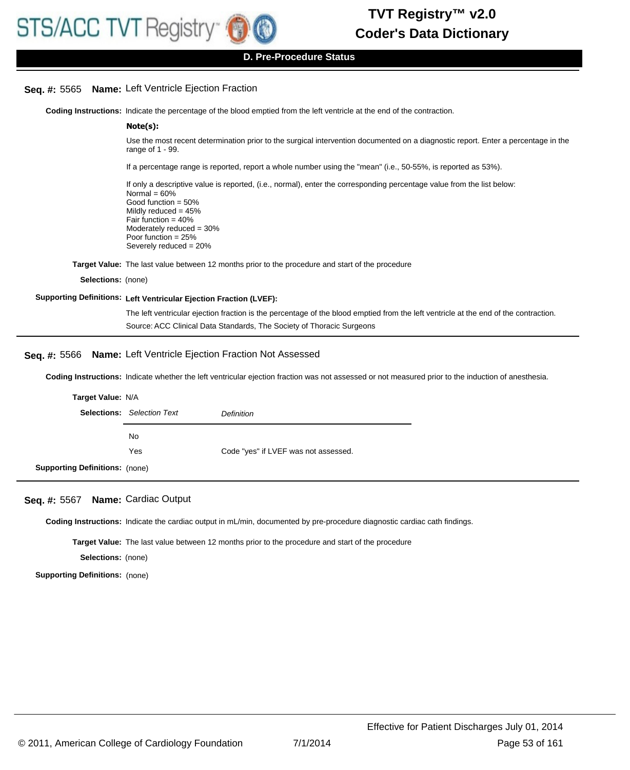#### **D. Pre-Procedure Status**

### **Seq. #:** 5565 **Name:** Left Ventricle Ejection Fraction

**Coding Instructions:** Indicate the percentage of the blood emptied from the left ventricle at the end of the contraction.

#### **Note(s):**

Use the most recent determination prior to the surgical intervention documented on a diagnostic report. Enter a percentage in the range of 1 - 99.

If a percentage range is reported, report a whole number using the "mean" (i.e., 50-55%, is reported as 53%).

If only a descriptive value is reported, (i.e., normal), enter the corresponding percentage value from the list below: Normal  $= 60%$ Good function = 50% Mildly reduced  $= 45%$ Fair function = 40% Moderately reduced = 30% Poor function = 25% Severely reduced = 20%

**Target Value:** The last value between 12 months prior to the procedure and start of the procedure

**Selections:** (none)

#### **Supporting Definitions: Left Ventricular Ejection Fraction (LVEF):**

The left ventricular ejection fraction is the percentage of the blood emptied from the left ventricle at the end of the contraction. Source: ACC Clinical Data Standards, The Society of Thoracic Surgeons

### **Seq. #:** 5566 **Name:** Left Ventricle Ejection Fraction Not Assessed

**Coding Instructions:** Indicate whether the left ventricular ejection fraction was not assessed or not measured prior to the induction of anesthesia.

| <b>Target Value: N/A</b>              |                                                 |                                      |
|---------------------------------------|-------------------------------------------------|--------------------------------------|
|                                       | <b>Selections:</b> Selection Text<br>Definition |                                      |
|                                       | No                                              |                                      |
|                                       | Yes                                             | Code "yes" if LVEF was not assessed. |
| <b>Supporting Definitions: (none)</b> |                                                 |                                      |

#### **Seq. #:** 5567 **Name:** Cardiac Output

**Coding Instructions:** Indicate the cardiac output in mL/min, documented by pre-procedure diagnostic cardiac cath findings.

**Target Value:** The last value between 12 months prior to the procedure and start of the procedure

**Selections:** (none)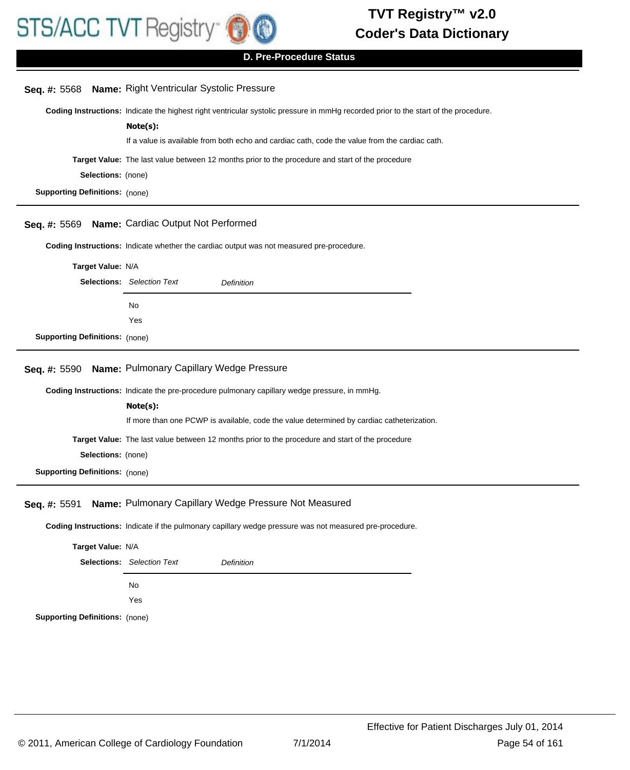

**D. Pre-Procedure Status**

|                                       | Seq. #: 5568 Name: Right Ventricular Systolic Pressure                                                                              |  |  |
|---------------------------------------|-------------------------------------------------------------------------------------------------------------------------------------|--|--|
|                                       | Coding Instructions: Indicate the highest right ventricular systolic pressure in mmHg recorded prior to the start of the procedure. |  |  |
|                                       | Note(s):                                                                                                                            |  |  |
|                                       | If a value is available from both echo and cardiac cath, code the value from the cardiac cath.                                      |  |  |
|                                       | Target Value: The last value between 12 months prior to the procedure and start of the procedure                                    |  |  |
| Selections: (none)                    |                                                                                                                                     |  |  |
| <b>Supporting Definitions:</b> (none) |                                                                                                                                     |  |  |
|                                       |                                                                                                                                     |  |  |
| Seq. #: 5569                          | Name: Cardiac Output Not Performed                                                                                                  |  |  |
|                                       | Coding Instructions: Indicate whether the cardiac output was not measured pre-procedure.                                            |  |  |
| Target Value: N/A                     |                                                                                                                                     |  |  |
|                                       | <b>Selections:</b> Selection Text<br>Definition                                                                                     |  |  |
|                                       |                                                                                                                                     |  |  |
|                                       | No                                                                                                                                  |  |  |
|                                       | Yes                                                                                                                                 |  |  |
| <b>Supporting Definitions: (none)</b> |                                                                                                                                     |  |  |
| Seq. #: 5590                          | Name: Pulmonary Capillary Wedge Pressure                                                                                            |  |  |
|                                       | Coding Instructions: Indicate the pre-procedure pulmonary capillary wedge pressure, in mmHg.                                        |  |  |
|                                       | Note(s):                                                                                                                            |  |  |
|                                       | If more than one PCWP is available, code the value determined by cardiac catheterization.                                           |  |  |
|                                       | Target Value: The last value between 12 months prior to the procedure and start of the procedure                                    |  |  |
|                                       |                                                                                                                                     |  |  |
| Selections: (none)                    |                                                                                                                                     |  |  |
| <b>Supporting Definitions: (none)</b> |                                                                                                                                     |  |  |
| Seq. #: 5591                          | Name: Pulmonary Capillary Wedge Pressure Not Measured                                                                               |  |  |
|                                       |                                                                                                                                     |  |  |
|                                       | Coding Instructions: Indicate if the pulmonary capillary wedge pressure was not measured pre-procedure.                             |  |  |
| Target Value: N/A                     |                                                                                                                                     |  |  |
|                                       | Selections: Selection Text<br>Definition                                                                                            |  |  |
|                                       | No                                                                                                                                  |  |  |
|                                       | Yes                                                                                                                                 |  |  |
|                                       |                                                                                                                                     |  |  |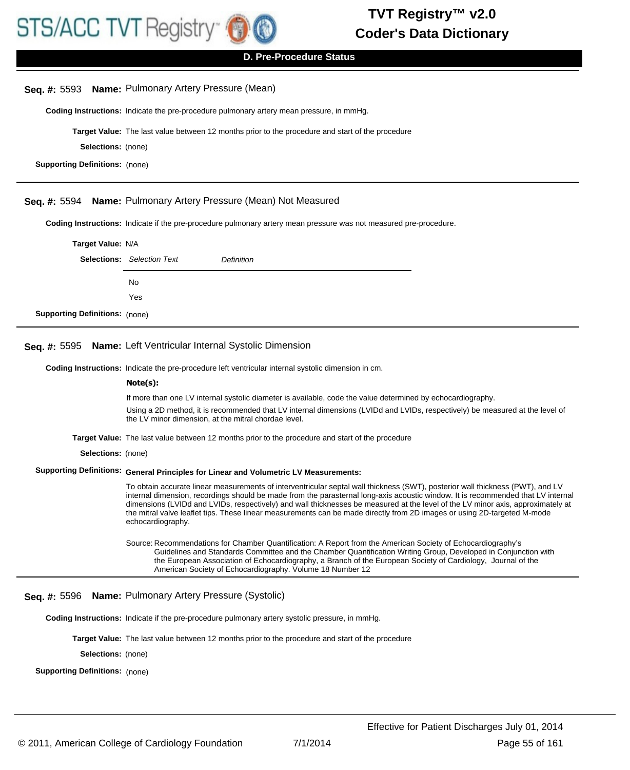

| Seq. $#: 5593$                        | <b>Name:</b> Pulmonary Artery Pressure (Mean)                                                                                                                                                                                                                                                                                                                                                                                                                                                                                                          |  |  |
|---------------------------------------|--------------------------------------------------------------------------------------------------------------------------------------------------------------------------------------------------------------------------------------------------------------------------------------------------------------------------------------------------------------------------------------------------------------------------------------------------------------------------------------------------------------------------------------------------------|--|--|
|                                       | Coding Instructions: Indicate the pre-procedure pulmonary artery mean pressure, in mmHg.                                                                                                                                                                                                                                                                                                                                                                                                                                                               |  |  |
|                                       | <b>Target Value:</b> The last value between 12 months prior to the procedure and start of the procedure                                                                                                                                                                                                                                                                                                                                                                                                                                                |  |  |
| <b>Selections:</b> (none)             |                                                                                                                                                                                                                                                                                                                                                                                                                                                                                                                                                        |  |  |
| <b>Supporting Definitions: (none)</b> |                                                                                                                                                                                                                                                                                                                                                                                                                                                                                                                                                        |  |  |
|                                       |                                                                                                                                                                                                                                                                                                                                                                                                                                                                                                                                                        |  |  |
| Seq. #: 5594                          | Name: Pulmonary Artery Pressure (Mean) Not Measured                                                                                                                                                                                                                                                                                                                                                                                                                                                                                                    |  |  |
|                                       | Coding Instructions: Indicate if the pre-procedure pulmonary artery mean pressure was not measured pre-procedure.                                                                                                                                                                                                                                                                                                                                                                                                                                      |  |  |
| Target Value: N/A                     |                                                                                                                                                                                                                                                                                                                                                                                                                                                                                                                                                        |  |  |
|                                       | <b>Selections:</b> Selection Text<br>Definition                                                                                                                                                                                                                                                                                                                                                                                                                                                                                                        |  |  |
|                                       | No                                                                                                                                                                                                                                                                                                                                                                                                                                                                                                                                                     |  |  |
|                                       | Yes                                                                                                                                                                                                                                                                                                                                                                                                                                                                                                                                                    |  |  |
| <b>Supporting Definitions: (none)</b> |                                                                                                                                                                                                                                                                                                                                                                                                                                                                                                                                                        |  |  |
| Seq. #: 5595                          | Name: Left Ventricular Internal Systolic Dimension                                                                                                                                                                                                                                                                                                                                                                                                                                                                                                     |  |  |
|                                       | Coding Instructions: Indicate the pre-procedure left ventricular internal systolic dimension in cm.                                                                                                                                                                                                                                                                                                                                                                                                                                                    |  |  |
|                                       | Note(s):                                                                                                                                                                                                                                                                                                                                                                                                                                                                                                                                               |  |  |
|                                       | If more than one LV internal systolic diameter is available, code the value determined by echocardiography.                                                                                                                                                                                                                                                                                                                                                                                                                                            |  |  |
|                                       | Using a 2D method, it is recommended that LV internal dimensions (LVIDd and LVIDs, respectively) be measured at the level of<br>the LV minor dimension, at the mitral chordae level.                                                                                                                                                                                                                                                                                                                                                                   |  |  |
|                                       | <b>Target Value:</b> The last value between 12 months prior to the procedure and start of the procedure                                                                                                                                                                                                                                                                                                                                                                                                                                                |  |  |
| Selections: (none)                    |                                                                                                                                                                                                                                                                                                                                                                                                                                                                                                                                                        |  |  |
|                                       | Supporting Definitions: General Principles for Linear and Volumetric LV Measurements:                                                                                                                                                                                                                                                                                                                                                                                                                                                                  |  |  |
|                                       | To obtain accurate linear measurements of interventricular septal wall thickness (SWT), posterior wall thickness (PWT), and LV<br>internal dimension, recordings should be made from the parasternal long-axis acoustic window. It is recommended that LV internal<br>dimensions (LVIDd and LVIDs, respectively) and wall thicknesses be measured at the level of the LV minor axis, approximately at<br>the mitral valve leaflet tips. These linear measurements can be made directly from 2D images or using 2D-targeted M-mode<br>echocardiography. |  |  |
|                                       | Source: Recommendations for Chamber Quantification: A Report from the American Society of Echocardiography's<br>Guidelines and Standards Committee and the Chamber Quantification Writing Group, Developed in Conjunction with<br>the European Association of Echocardiography, a Branch of the European Society of Cardiology, Journal of the<br>American Society of Echocardiography. Volume 18 Number 12                                                                                                                                            |  |  |
| Seq. #: 5596                          | Name: Pulmonary Artery Pressure (Systolic)                                                                                                                                                                                                                                                                                                                                                                                                                                                                                                             |  |  |
|                                       | <b>Coding Instructions:</b> Indicate if the pre-procedure pulmonary artery systolic pressure, in mmHg.                                                                                                                                                                                                                                                                                                                                                                                                                                                 |  |  |
|                                       | <b>Target Value:</b> The last value between 12 months prior to the procedure and start of the procedure                                                                                                                                                                                                                                                                                                                                                                                                                                                |  |  |

**Selections:** (none)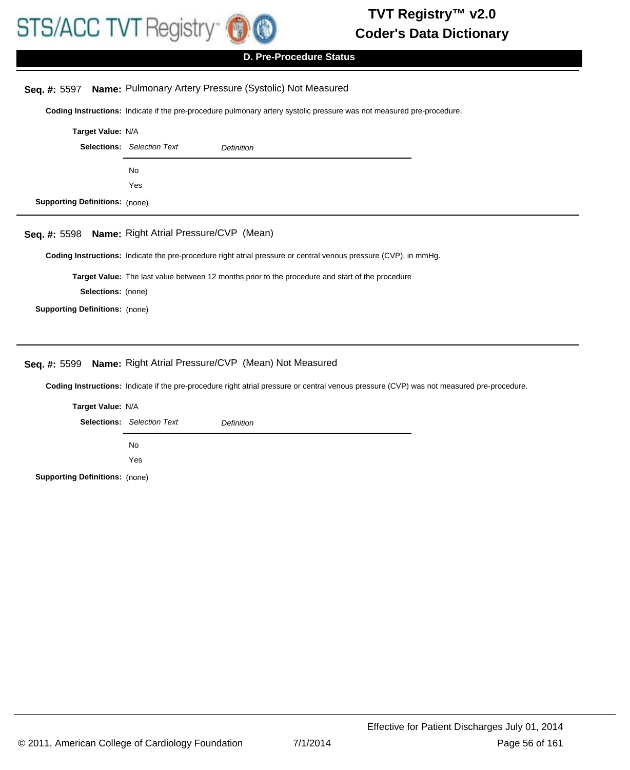

# **D. Pre-Procedure Status**

# **Seq. #:** 5597 **Name:** Pulmonary Artery Pressure (Systolic) Not Measured

**Coding Instructions:** Indicate if the pre-procedure pulmonary artery systolic pressure was not measured pre-procedure.

|                                       | Target Value: N/A                                      |  |  |
|---------------------------------------|--------------------------------------------------------|--|--|
|                                       | <b>Selections:</b> Selection Text<br><b>Definition</b> |  |  |
|                                       | <b>No</b>                                              |  |  |
|                                       | Yes                                                    |  |  |
| <b>Supporting Definitions:</b> (none) |                                                        |  |  |

#### **Seq. #:** 5598 **Name:** Right Atrial Pressure/CVP (Mean)

**Coding Instructions:** Indicate the pre-procedure right atrial pressure or central venous pressure (CVP), in mmHg.

**Target Value:** The last value between 12 months prior to the procedure and start of the procedure

**Selections:** (none)

**Supporting Definitions:** (none)

# **Seq. #:** 5599 **Name:** Right Atrial Pressure/CVP (Mean) Not Measured

**Coding Instructions:** Indicate if the pre-procedure right atrial pressure or central venous pressure (CVP) was not measured pre-procedure.

|                                       | Target Value: N/A                               |  |  |
|---------------------------------------|-------------------------------------------------|--|--|
|                                       | <b>Selections:</b> Selection Text<br>Definition |  |  |
|                                       | No.                                             |  |  |
|                                       | Yes                                             |  |  |
| <b>Supporting Definitions: (none)</b> |                                                 |  |  |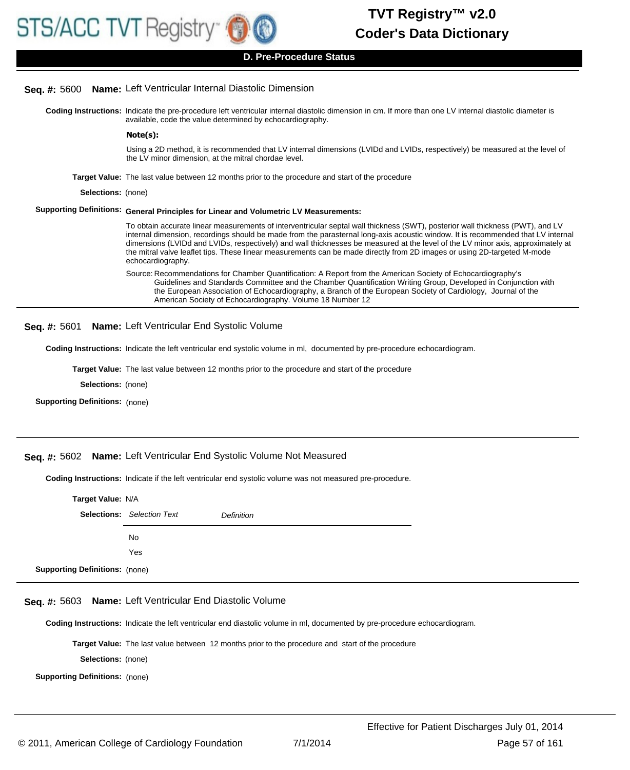#### **Seq. #:** 5600 **Name:** Left Ventricular Internal Diastolic Dimension

Coding Instructions: Indicate the pre-procedure left ventricular internal diastolic dimension in cm. If more than one LV internal diastolic diameter is available, code the value determined by echocardiography.

#### **Note(s):**

Using a 2D method, it is recommended that LV internal dimensions (LVIDd and LVIDs, respectively) be measured at the level of the LV minor dimension, at the mitral chordae level.

- **Target Value:** The last value between 12 months prior to the procedure and start of the procedure
	- **Selections:** (none)

#### **Supporting Definitions: General Principles for Linear and Volumetric LV Measurements:**

To obtain accurate linear measurements of interventricular septal wall thickness (SWT), posterior wall thickness (PWT), and LV internal dimension, recordings should be made from the parasternal long-axis acoustic window. It is recommended that LV internal dimensions (LVIDd and LVIDs, respectively) and wall thicknesses be measured at the level of the LV minor axis, approximately at the mitral valve leaflet tips. These linear measurements can be made directly from 2D images or using 2D-targeted M-mode echocardiography.

Source: Recommendations for Chamber Quantification: A Report from the American Society of Echocardiography's Guidelines and Standards Committee and the Chamber Quantification Writing Group, Developed in Conjunction with the European Association of Echocardiography, a Branch of the European Society of Cardiology, Journal of the American Society of Echocardiography. Volume 18 Number 12

**Seq. #:** 5601 **Name:** Left Ventricular End Systolic Volume

**Coding Instructions:** Indicate the left ventricular end systolic volume in ml, documented by pre-procedure echocardiogram.

**Target Value:** The last value between 12 months prior to the procedure and start of the procedure

**Selections:** (none)

**Supporting Definitions:** (none)

#### **Seq. #:** 5602 **Name:** Left Ventricular End Systolic Volume Not Measured

**Coding Instructions:** Indicate if the left ventricular end systolic volume was not measured pre-procedure.

| Target Value: N/A                     |                                   |                   |
|---------------------------------------|-----------------------------------|-------------------|
|                                       | <b>Selections:</b> Selection Text | <b>Definition</b> |
|                                       | No.                               |                   |
|                                       | Yes                               |                   |
| <b>Supporting Definitions: (none)</b> |                                   |                   |

#### **Seq. #:** 5603 **Name:** Left Ventricular End Diastolic Volume

**Coding Instructions:** Indicate the left ventricular end diastolic volume in ml, documented by pre-procedure echocardiogram.

**Target Value:** The last value between 12 months prior to the procedure and start of the procedure

**Selections:** (none)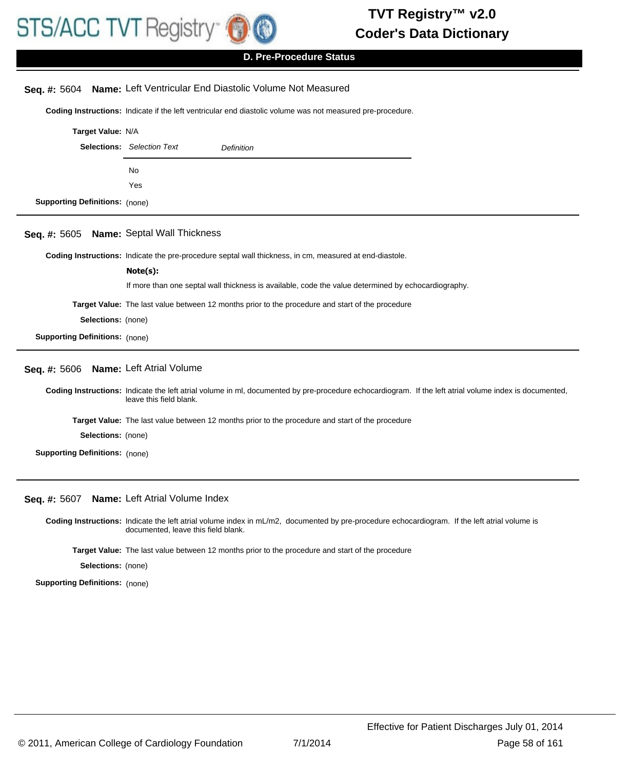

# **D. Pre-Procedure Status**

|                                       | Seq. #: 5604 Name: Left Ventricular End Diastolic Volume Not Measured                                                                                                             |  |  |
|---------------------------------------|-----------------------------------------------------------------------------------------------------------------------------------------------------------------------------------|--|--|
|                                       | Coding Instructions: Indicate if the left ventricular end diastolic volume was not measured pre-procedure.                                                                        |  |  |
| Target Value: N/A                     |                                                                                                                                                                                   |  |  |
|                                       | <b>Selections:</b> Selection Text<br><b>Definition</b>                                                                                                                            |  |  |
|                                       | No                                                                                                                                                                                |  |  |
|                                       | Yes                                                                                                                                                                               |  |  |
| <b>Supporting Definitions: (none)</b> |                                                                                                                                                                                   |  |  |
| Seq. #: 5605                          | <b>Name: Septal Wall Thickness</b>                                                                                                                                                |  |  |
|                                       | Coding Instructions: Indicate the pre-procedure septal wall thickness, in cm, measured at end-diastole.                                                                           |  |  |
|                                       | Note(s):                                                                                                                                                                          |  |  |
|                                       | If more than one septal wall thickness is available, code the value determined by echocardiography.                                                                               |  |  |
|                                       | Target Value: The last value between 12 months prior to the procedure and start of the procedure                                                                                  |  |  |
| Selections: (none)                    |                                                                                                                                                                                   |  |  |
| <b>Supporting Definitions: (none)</b> |                                                                                                                                                                                   |  |  |
| Seq. #: 5606                          | Name: Left Atrial Volume                                                                                                                                                          |  |  |
|                                       | Coding Instructions: Indicate the left atrial volume in ml, documented by pre-procedure echocardiogram. If the left atrial volume index is documented,<br>leave this field blank. |  |  |
|                                       | Target Value: The last value between 12 months prior to the procedure and start of the procedure                                                                                  |  |  |
| Selections: (none)                    |                                                                                                                                                                                   |  |  |
| <b>Supporting Definitions: (none)</b> |                                                                                                                                                                                   |  |  |
|                                       |                                                                                                                                                                                   |  |  |

### **Seq. #:** 5607 **Name:** Left Atrial Volume Index

Coding Instructions: Indicate the left atrial volume index in mL/m2, documented by pre-procedure echocardiogram. If the left atrial volume is documented, leave this field blank.

**Target Value:** The last value between 12 months prior to the procedure and start of the procedure

**Selections:** (none)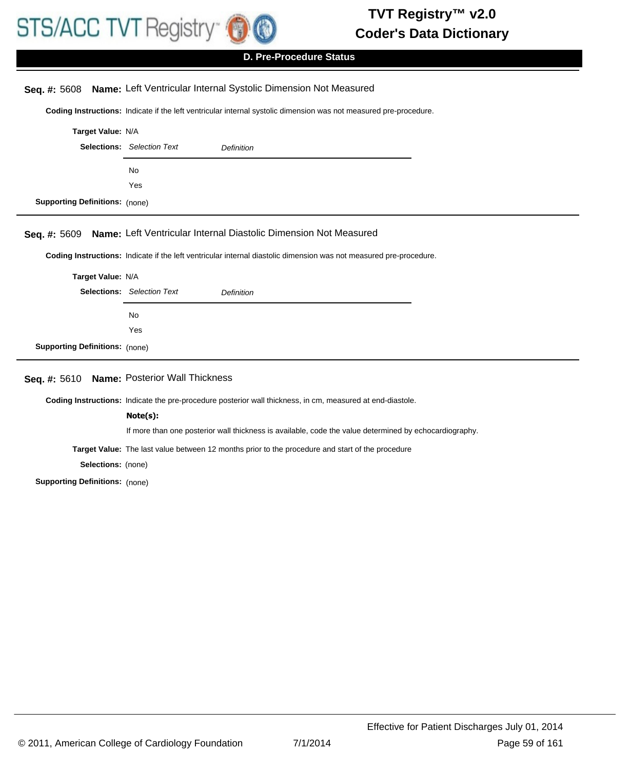

# **D. Pre-Procedure Status**

# **Seq. #:** 5608 **Name:** Left Ventricular Internal Systolic Dimension Not Measured

**Coding Instructions:** Indicate if the left ventricular internal systolic dimension was not measured pre-procedure.

| Target Value: N/A                     |                                       |                                                                                                                    |  |
|---------------------------------------|---------------------------------------|--------------------------------------------------------------------------------------------------------------------|--|
|                                       | <b>Selections:</b> Selection Text     | <b>Definition</b>                                                                                                  |  |
|                                       | No                                    |                                                                                                                    |  |
|                                       | Yes                                   |                                                                                                                    |  |
| <b>Supporting Definitions:</b> (none) |                                       |                                                                                                                    |  |
| Seq. #: 5609                          |                                       | Name: Left Ventricular Internal Diastolic Dimension Not Measured                                                   |  |
|                                       |                                       | Coding Instructions: Indicate if the left ventricular internal diastolic dimension was not measured pre-procedure. |  |
| Target Value: N/A                     |                                       |                                                                                                                    |  |
|                                       | <b>Selections:</b> Selection Text     | <b>Definition</b>                                                                                                  |  |
|                                       | No                                    |                                                                                                                    |  |
|                                       | Yes                                   |                                                                                                                    |  |
| <b>Supporting Definitions:</b> (none) |                                       |                                                                                                                    |  |
| Seq. #: 5610                          | <b>Name: Posterior Wall Thickness</b> |                                                                                                                    |  |
|                                       |                                       | Coding Instructions: Indicate the pre-procedure posterior wall thickness, in cm, measured at end-diastole.         |  |
|                                       | Note(s):                              |                                                                                                                    |  |
|                                       |                                       | If more than one posterior wall thickness is available, code the value determined by echocardiography.             |  |
|                                       |                                       | Target Value: The last value between 12 months prior to the procedure and start of the procedure                   |  |

**Selections:** (none)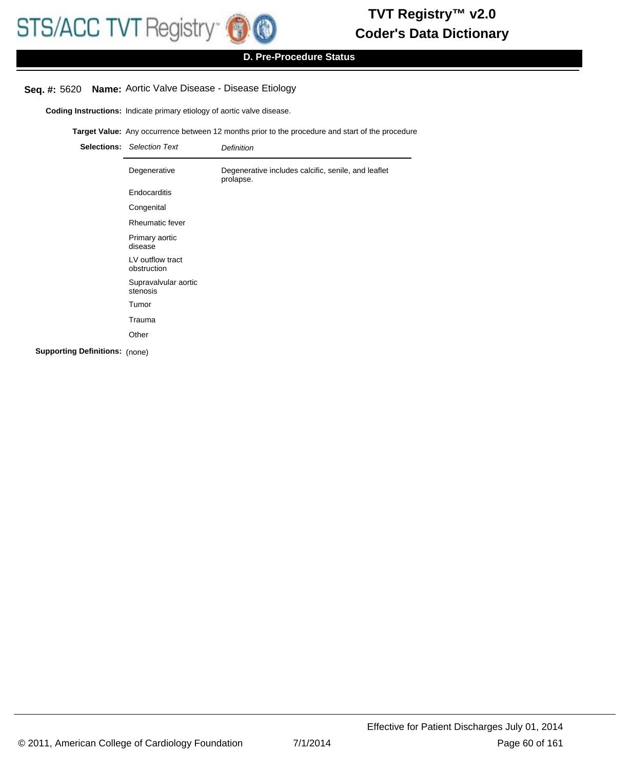# **D. Pre-Procedure Status**

# **Seq. #:** 5620 **Name:** Aortic Valve Disease - Disease Etiology

**Coding Instructions:** Indicate primary etiology of aortic valve disease.

**Target Value:** Any occurrence between 12 months prior to the procedure and start of the procedure

| <b>Selections:</b> Selection Text | <b>Definition</b>                                                |
|-----------------------------------|------------------------------------------------------------------|
| Degenerative                      | Degenerative includes calcific, senile, and leaflet<br>prolapse. |
| Endocarditis                      |                                                                  |
| Congenital                        |                                                                  |
| Rheumatic fever                   |                                                                  |
| Primary aortic<br>disease         |                                                                  |
| LV outflow tract<br>obstruction   |                                                                  |
| Supravalvular aortic<br>stenosis  |                                                                  |
| Tumor                             |                                                                  |
| Trauma                            |                                                                  |
| Other                             |                                                                  |
|                                   |                                                                  |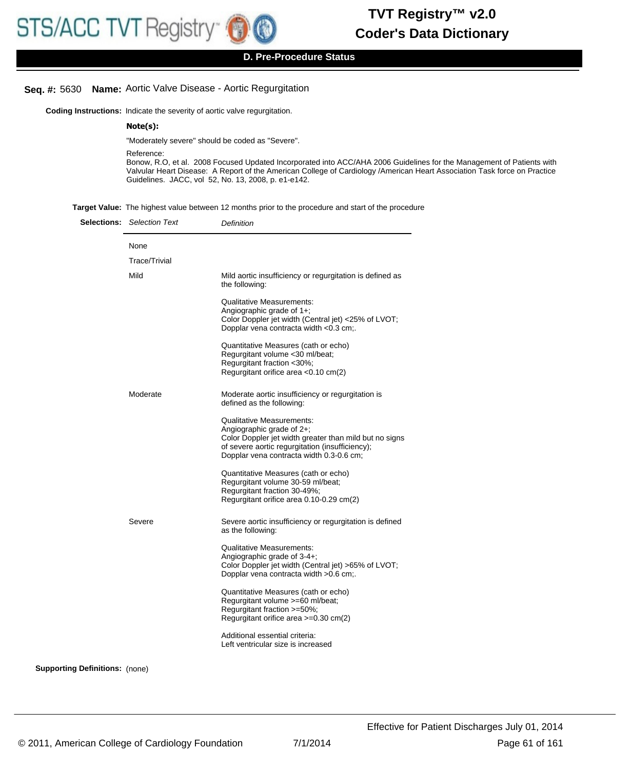# **Seq. #:** 5630 **Name:** Aortic Valve Disease - Aortic Regurgitation

**Coding Instructions:** Indicate the severity of aortic valve regurgitation.

#### **Note(s):**

"Moderately severe" should be coded as "Severe".

Reference:

Bonow, R.O, et al. 2008 Focused Updated Incorporated into ACC/AHA 2006 Guidelines for the Management of Patients with Valvular Heart Disease: A Report of the American College of Cardiology /American Heart Association Task force on Practice Guidelines. JACC, vol 52, No. 13, 2008, p. e1-e142.

**Target Value:** The highest value between 12 months prior to the procedure and start of the procedure

|  | <b>Selections:</b> Selection Text | Definition                                                                                                                                                                                                             |
|--|-----------------------------------|------------------------------------------------------------------------------------------------------------------------------------------------------------------------------------------------------------------------|
|  | None                              |                                                                                                                                                                                                                        |
|  | <b>Trace/Trivial</b>              |                                                                                                                                                                                                                        |
|  | Mild                              | Mild aortic insufficiency or regurgitation is defined as<br>the following:                                                                                                                                             |
|  |                                   | <b>Qualitative Measurements:</b><br>Angiographic grade of $1+$ ;<br>Color Doppler jet width (Central jet) <25% of LVOT;<br>Dopplar vena contracta width <0.3 cm;.                                                      |
|  |                                   | Quantitative Measures (cath or echo)<br>Regurgitant volume <30 ml/beat;<br>Regurgitant fraction <30%;<br>Regurgitant orifice area < 0.10 cm(2)                                                                         |
|  | Moderate                          | Moderate aortic insufficiency or regurgitation is<br>defined as the following:                                                                                                                                         |
|  |                                   | <b>Qualitative Measurements:</b><br>Angiographic grade of 2+;<br>Color Doppler jet width greater than mild but no signs<br>of severe aortic regurgitation (insufficiency);<br>Dopplar vena contracta width 0.3-0.6 cm; |
|  |                                   | Quantitative Measures (cath or echo)<br>Regurgitant volume 30-59 ml/beat;<br>Regurgitant fraction 30-49%;<br>Regurgitant orifice area 0.10-0.29 cm(2)                                                                  |
|  | Severe                            | Severe aortic insufficiency or regurgitation is defined<br>as the following:                                                                                                                                           |
|  |                                   | <b>Qualitative Measurements:</b><br>Angiographic grade of 3-4+;<br>Color Doppler jet width (Central jet) >65% of LVOT;<br>Dopplar vena contracta width > 0.6 cm;.                                                      |
|  |                                   | Quantitative Measures (cath or echo)<br>Regurgitant volume >=60 ml/beat;<br>Regurgitant fraction >=50%;<br>Regurgitant orifice area >=0.30 cm(2)                                                                       |
|  |                                   | Additional essential criteria:<br>Left ventricular size is increased                                                                                                                                                   |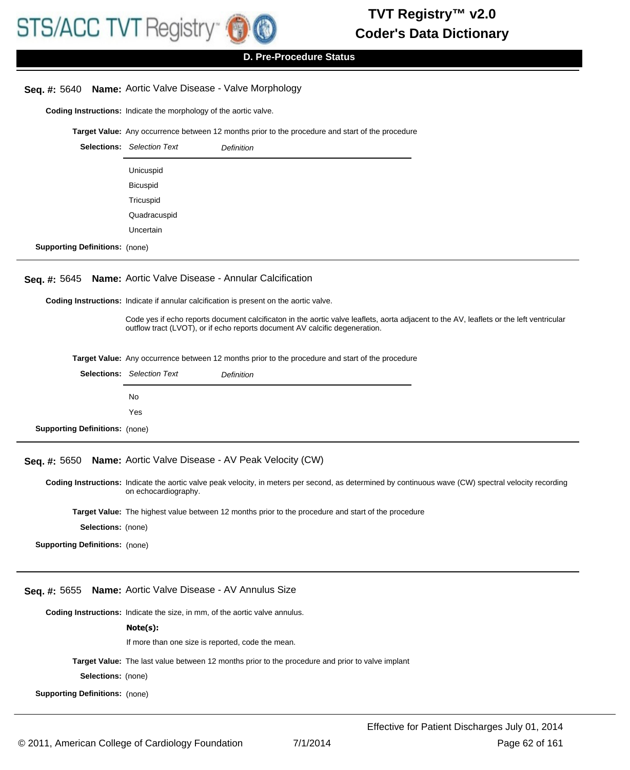# **D. Pre-Procedure Status**

# **Seq. #:** 5640 **Name:** Aortic Valve Disease - Valve Morphology

**Coding Instructions:** Indicate the morphology of the aortic valve.

**Target Value:** Any occurrence between 12 months prior to the procedure and start of the procedure

|                                       | <b>Selections:</b> Selection Text | <b>Definition</b> |
|---------------------------------------|-----------------------------------|-------------------|
|                                       | Unicuspid                         |                   |
|                                       | Bicuspid                          |                   |
|                                       | Tricuspid                         |                   |
|                                       | Quadracuspid                      |                   |
|                                       | Uncertain                         |                   |
| <b>Supporting Definitions: (none)</b> |                                   |                   |

#### **Seq. #:** 5645 **Name:** Aortic Valve Disease - Annular Calcification

**Coding Instructions:** Indicate if annular calcification is present on the aortic valve.

Code yes if echo reports document calcificaton in the aortic valve leaflets, aorta adjacent to the AV, leaflets or the left ventricular outflow tract (LVOT), or if echo reports document AV calcific degeneration.

|  | <b>Target Value:</b> Any occurrence between 12 months prior to the procedure and start of the procedure |
|--|---------------------------------------------------------------------------------------------------------|
|--|---------------------------------------------------------------------------------------------------------|

# **Seq. #:** 5650 **Name:** Aortic Valve Disease - AV Peak Velocity (CW)

Coding Instructions: Indicate the aortic valve peak velocity, in meters per second, as determined by continuous wave (CW) spectral velocity recording on echocardiography.

**Target Value:** The highest value between 12 months prior to the procedure and start of the procedure

**Selections:** (none)

**Supporting Definitions:** (none)

#### **Seq. #:** 5655 **Name:** Aortic Valve Disease - AV Annulus Size

**Coding Instructions:** Indicate the size, in mm, of the aortic valve annulus.

#### **Note(s):**

If more than one size is reported, code the mean.

**Target Value:** The last value between 12 months prior to the procedure and prior to valve implant

**Selections:** (none)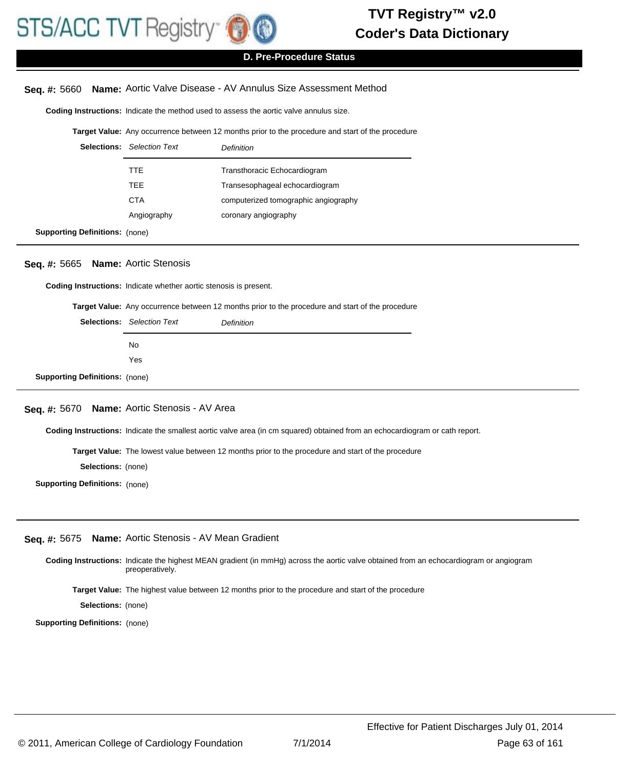

### **D. Pre-Procedure Status**

### **Seq. #:** 5660 **Name:** Aortic Valve Disease - AV Annulus Size Assessment Method

**Coding Instructions:** Indicate the method used to assess the aortic valve annulus size.

#### **Target Value:** Any occurrence between 12 months prior to the procedure and start of the procedure

| <b>Selections:</b> Selection Text | Definition                           |
|-----------------------------------|--------------------------------------|
| TTE                               | Transthoracic Echocardiogram         |
| TEE                               | Transesophageal echocardiogram       |
| <b>CTA</b>                        | computerized tomographic angiography |
| Angiography                       | coronary angiography                 |
|                                   |                                      |

**Supporting Definitions:** (none)

#### **Seq. #:** 5665 **Name:** Aortic Stenosis

**Coding Instructions:** Indicate whether aortic stenosis is present.

**Target Value:** Any occurrence between 12 months prior to the procedure and start of the procedure

|                                       | <b>Selections:</b> Selection Text | <b>Definition</b> |
|---------------------------------------|-----------------------------------|-------------------|
|                                       | No.                               |                   |
|                                       | Yes                               |                   |
| <b>Supporting Definitions: (none)</b> |                                   |                   |

# **Seq. #:** 5670 **Name:** Aortic Stenosis - AV Area

**Coding Instructions:** Indicate the smallest aortic valve area (in cm squared) obtained from an echocardiogram or cath report.

**Target Value:** The lowest value between 12 months prior to the procedure and start of the procedure

**Selections:** (none)

**Supporting Definitions:** (none)

#### **Seq. #:** 5675 **Name:** Aortic Stenosis - AV Mean Gradient

Coding Instructions: Indicate the highest MEAN gradient (in mmHg) across the aortic valve obtained from an echocardiogram or angiogram preoperatively. **Target Value:** The highest value between 12 months prior to the procedure and start of the procedure

**Selections:** (none)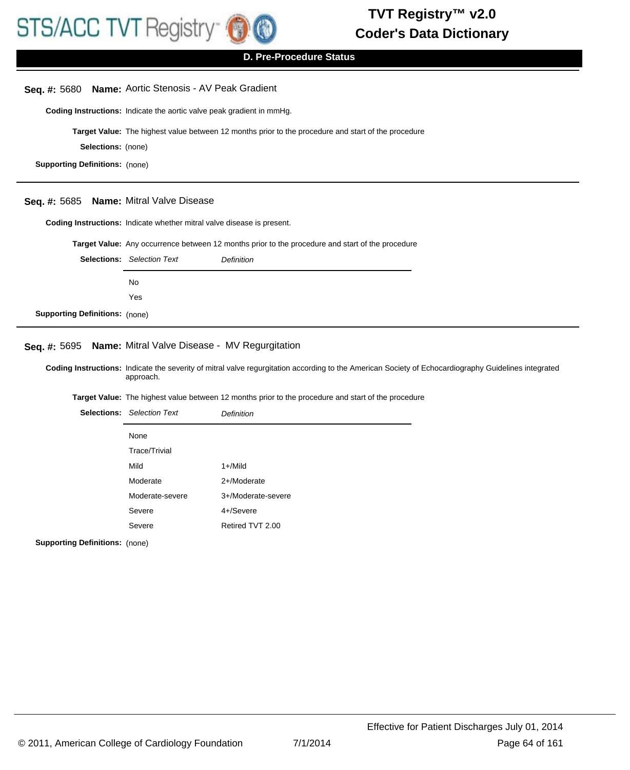

| Seq. #: 5680                                                                                                                                                      | Name: Aortic Stenosis - AV Peak Gradient                               |                                                                                                     |  |
|-------------------------------------------------------------------------------------------------------------------------------------------------------------------|------------------------------------------------------------------------|-----------------------------------------------------------------------------------------------------|--|
|                                                                                                                                                                   | Coding Instructions: Indicate the aortic valve peak gradient in mmHg.  |                                                                                                     |  |
|                                                                                                                                                                   |                                                                        | Target Value: The highest value between 12 months prior to the procedure and start of the procedure |  |
| Selections: (none)                                                                                                                                                |                                                                        |                                                                                                     |  |
| <b>Supporting Definitions: (none)</b>                                                                                                                             |                                                                        |                                                                                                     |  |
|                                                                                                                                                                   |                                                                        |                                                                                                     |  |
| Seq. #: 5685                                                                                                                                                      | Name: Mitral Valve Disease                                             |                                                                                                     |  |
|                                                                                                                                                                   | Coding Instructions: Indicate whether mitral valve disease is present. |                                                                                                     |  |
|                                                                                                                                                                   |                                                                        | Target Value: Any occurrence between 12 months prior to the procedure and start of the procedure    |  |
|                                                                                                                                                                   | <b>Selections:</b> Selection Text                                      | Definition                                                                                          |  |
|                                                                                                                                                                   | No                                                                     |                                                                                                     |  |
|                                                                                                                                                                   | Yes                                                                    |                                                                                                     |  |
| <b>Supporting Definitions: (none)</b>                                                                                                                             |                                                                        |                                                                                                     |  |
|                                                                                                                                                                   |                                                                        |                                                                                                     |  |
| Seq. #: 5695                                                                                                                                                      | Name: Mitral Valve Disease - MV Regurgitation                          |                                                                                                     |  |
| Coding Instructions: Indicate the severity of mitral valve regurgitation according to the American Society of Echocardiography Guidelines integrated<br>approach. |                                                                        |                                                                                                     |  |
|                                                                                                                                                                   |                                                                        | Target Value: The highest value between 12 months prior to the procedure and start of the procedure |  |
|                                                                                                                                                                   | <b>Selections:</b> Selection Text                                      | Definition                                                                                          |  |
|                                                                                                                                                                   | None                                                                   |                                                                                                     |  |
|                                                                                                                                                                   | Trace/Trivial                                                          |                                                                                                     |  |
|                                                                                                                                                                   | Mild                                                                   | $1 +$ /Mild                                                                                         |  |
|                                                                                                                                                                   | Moderate                                                               | 2+/Moderate                                                                                         |  |
|                                                                                                                                                                   | Moderate-severe                                                        | 3+/Moderate-severe                                                                                  |  |
|                                                                                                                                                                   | Severe                                                                 | 4+/Severe                                                                                           |  |
|                                                                                                                                                                   | Severe                                                                 | Retired TVT 2.00                                                                                    |  |
| <b>Supporting Definitions:</b> (none)                                                                                                                             |                                                                        |                                                                                                     |  |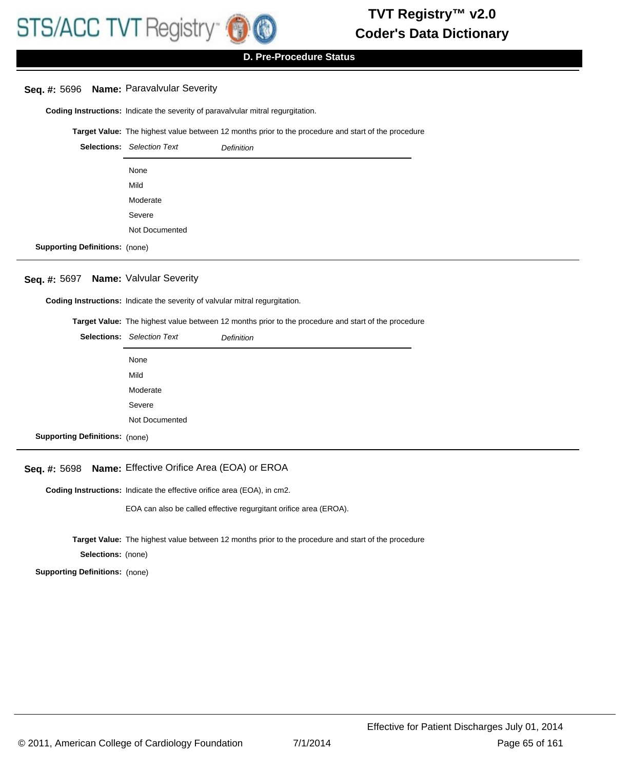# **Seq. #:** 5696 **Name:** Paravalvular Severity

**Coding Instructions:** Indicate the severity of paravalvular mitral regurgitation.

**Target Value:** The highest value between 12 months prior to the procedure and start of the procedure

|                                       | <b>Selections:</b> Selection Text | <b>Definition</b> |
|---------------------------------------|-----------------------------------|-------------------|
|                                       | None                              |                   |
|                                       | Mild                              |                   |
|                                       | Moderate                          |                   |
|                                       | Severe                            |                   |
|                                       | Not Documented                    |                   |
| <b>Supporting Definitions: (none)</b> |                                   |                   |

# **Seq. #:** 5697 **Name:** Valvular Severity

**Coding Instructions:** Indicate the severity of valvular mitral regurgitation.

**Target Value:** The highest value between 12 months prior to the procedure and start of the procedure

|                                       | <b>Selections:</b> Selection Text | <b>Definition</b> |
|---------------------------------------|-----------------------------------|-------------------|
|                                       | None                              |                   |
|                                       | Mild                              |                   |
|                                       | Moderate                          |                   |
|                                       | Severe                            |                   |
|                                       | Not Documented                    |                   |
| <b>Supporting Definitions: (none)</b> |                                   |                   |

# **Seq. #:** 5698 **Name:** Effective Orifice Area (EOA) or EROA

Coding Instructions: Indicate the effective orifice area (EOA), in cm2.

EOA can also be called effective regurgitant orifice area (EROA).

**Target Value:** The highest value between 12 months prior to the procedure and start of the procedure

**Selections:** (none)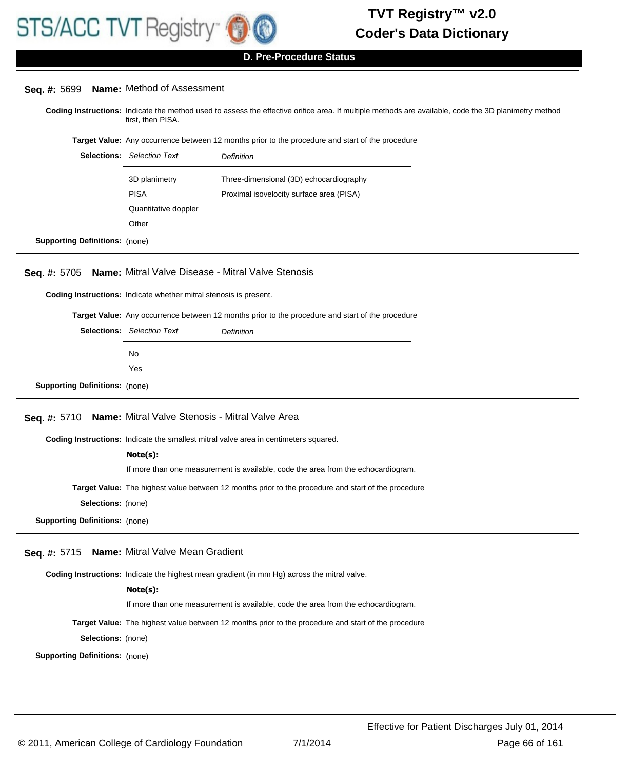

**D. Pre-Procedure Status**

| Seq. #: 5699 Name: Method of Assessment |  |  |  |
|-----------------------------------------|--|--|--|
|-----------------------------------------|--|--|--|

Coding Instructions: Indicate the method used to assess the effective orifice area. If multiple methods are available, code the 3D planimetry method first, then PISA.

**Target Value:** Any occurrence between 12 months prior to the procedure and start of the procedure

|                                       | <b>Selections:</b> Selection Text | Definition                               |
|---------------------------------------|-----------------------------------|------------------------------------------|
|                                       | 3D planimetry                     | Three-dimensional (3D) echocardiography  |
|                                       | <b>PISA</b>                       | Proximal isovelocity surface area (PISA) |
|                                       | Quantitative doppler              |                                          |
|                                       | Other                             |                                          |
| <b>Supporting Definitions: (none)</b> |                                   |                                          |

### **Seq. #:** 5705 **Name:** Mitral Valve Disease - Mitral Valve Stenosis

**Coding Instructions:** Indicate whether mitral stenosis is present.

**Target Value:** Any occurrence between 12 months prior to the procedure and start of the procedure

|                                       | <b>Selections:</b> Selection Text | <b>Definition</b> |
|---------------------------------------|-----------------------------------|-------------------|
|                                       | No.                               |                   |
|                                       | Yes                               |                   |
| <b>Supporting Definitions: (none)</b> |                                   |                   |

#### **Seq. #:** 5710 **Name:** Mitral Valve Stenosis - Mitral Valve Area

**Coding Instructions:** Indicate the smallest mitral valve area in centimeters squared.

#### **Note(s):**

If more than one measurement is available, code the area from the echocardiogram.

**Target Value:** The highest value between 12 months prior to the procedure and start of the procedure

**Selections:** (none)

**Supporting Definitions:** (none)

#### **Seq. #:** 5715 **Name:** Mitral Valve Mean Gradient

**Coding Instructions:** Indicate the highest mean gradient (in mm Hg) across the mitral valve.

#### **Note(s):**

If more than one measurement is available, code the area from the echocardiogram.

**Target Value:** The highest value between 12 months prior to the procedure and start of the procedure

**Selections:** (none)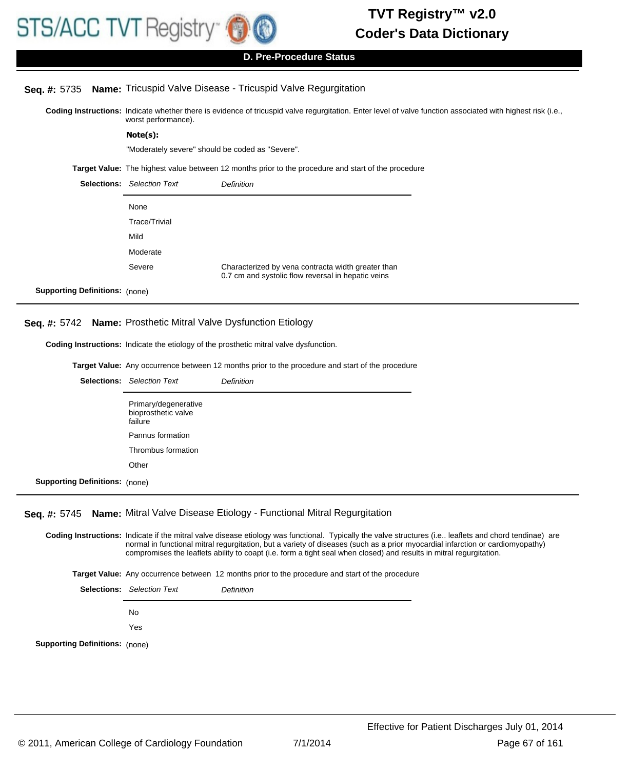

### **D. Pre-Procedure Status**

### **Seq. #:** 5735 **Name:** Tricuspid Valve Disease - Tricuspid Valve Regurgitation

Coding Instructions: Indicate whether there is evidence of tricuspid valve regurgitation. Enter level of valve function associated with highest risk (i.e., worst performance).

**Note(s):**

"Moderately severe" should be coded as "Severe".

**Target Value:** The highest value between 12 months prior to the procedure and start of the procedure

|                                       | <b>Selections:</b> Selection Text | <b>Definition</b>                                                                                        |
|---------------------------------------|-----------------------------------|----------------------------------------------------------------------------------------------------------|
|                                       | None                              |                                                                                                          |
|                                       | Trace/Trivial                     |                                                                                                          |
|                                       | Mild                              |                                                                                                          |
|                                       | Moderate                          |                                                                                                          |
|                                       | Severe                            | Characterized by vena contracta width greater than<br>0.7 cm and systolic flow reversal in hepatic veins |
| <b>Supporting Definitions:</b> (none) |                                   |                                                                                                          |

#### **Seq. #:** 5742 **Name:** Prosthetic Mitral Valve Dysfunction Etiology

**Coding Instructions:** Indicate the etiology of the prosthetic mitral valve dysfunction.

**Target Value:** Any occurrence between 12 months prior to the procedure and start of the procedure Selections: Selection Text **Definition** 

|                                       | Primary/degenerative<br>bioprosthetic valve<br>failure |
|---------------------------------------|--------------------------------------------------------|
|                                       | Pannus formation                                       |
|                                       | Thrombus formation                                     |
|                                       | Other                                                  |
| <b>Supporting Definitions: (none)</b> |                                                        |

# **Seq. #:** 5745 **Name:** Mitral Valve Disease Etiology - Functional Mitral Regurgitation

Coding Instructions: Indicate if the mitral valve disease etiology was functional. Typically the valve structures (i.e.. leaflets and chord tendinae) are normal in functional mitral regurgitation, but a variety of diseases (such as a prior myocardial infarction or cardiomyopathy) compromises the leaflets ability to coapt (i.e. form a tight seal when closed) and results in mitral regurgitation.

**Target Value:** Any occurrence between 12 months prior to the procedure and start of the procedure

Selections: Selection Text **Definition** No Yes **Supporting Definitions:** (none)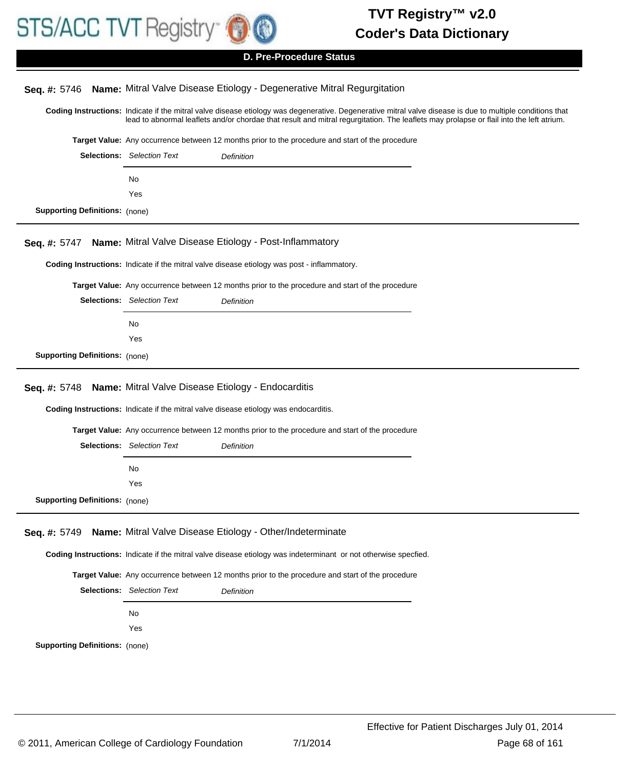

# Coding Instructions: Indicate if the mitral valve disease etiology was degenerative. Degenerative mitral valve disease is due to multiple conditions that lead to abnormal leaflets and/or chordae that result and mitral regurgitation. The leaflets may prolapse or flail into the left atrium. **Seq. #:** 5746 **Name:** Mitral Valve Disease Etiology - Degenerative Mitral Regurgitation **Target Value:** Any occurrence between 12 months prior to the procedure and start of the procedure Selections: Selection Text **Definition** No Yes **Supporting Definitions:** (none) **Coding Instructions:** Indicate if the mitral valve disease etiology was post - inflammatory. **Seq. #:** 5747 **Name:** Mitral Valve Disease Etiology - Post-Inflammatory **Target Value:** Any occurrence between 12 months prior to the procedure and start of the procedure Selections: Selection Text **Definition** No Yes **Supporting Definitions:** (none) **Coding Instructions:** Indicate if the mitral valve disease etiology was endocarditis. **Seq. #:** 5748 **Name:** Mitral Valve Disease Etiology - Endocarditis **Target Value:** Any occurrence between 12 months prior to the procedure and start of the procedure Selections: Selection Text **Definition** No Yes **Supporting Definitions:** (none) **Coding Instructions:** Indicate if the mitral valve disease etiology was indeterminant or not otherwise specfied. **Seq. #:** 5749 **Name:** Mitral Valve Disease Etiology - Other/Indeterminate **Target Value:** Any occurrence between 12 months prior to the procedure and start of the procedure Selections: Selection Text **Definition** No **D. Pre-Procedure Status**

Yes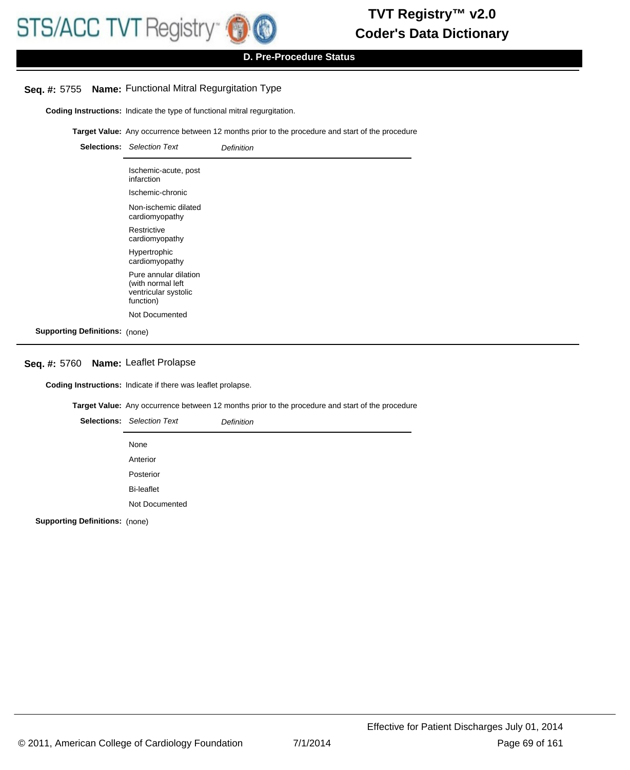

# **D. Pre-Procedure Status**

### **Seq. #:** 5755 **Name:** Functional Mitral Regurgitation Type

**Coding Instructions:** Indicate the type of functional mitral regurgitation.

**Target Value:** Any occurrence between 12 months prior to the procedure and start of the procedure

|                                       | <b>Selections:</b> Selection Text                                               | <b>Definition</b> |
|---------------------------------------|---------------------------------------------------------------------------------|-------------------|
|                                       | Ischemic-acute, post<br>infarction                                              |                   |
|                                       | Ischemic-chronic                                                                |                   |
|                                       | Non-ischemic dilated<br>cardiomyopathy                                          |                   |
|                                       | Restrictive<br>cardiomyopathy                                                   |                   |
|                                       | Hypertrophic<br>cardiomyopathy                                                  |                   |
|                                       | Pure annular dilation<br>(with normal left<br>ventricular systolic<br>function) |                   |
|                                       | Not Documented                                                                  |                   |
| <b>Supporting Definitions: (none)</b> |                                                                                 |                   |

# **Seq. #:** 5760 **Name:** Leaflet Prolapse

**Coding Instructions:** Indicate if there was leaflet prolapse.

**Target Value:** Any occurrence between 12 months prior to the procedure and start of the procedure

|         | <b>Selections:</b> Selection Text | <b>Definition</b> |
|---------|-----------------------------------|-------------------|
|         | None                              |                   |
|         | Anterior                          |                   |
|         | Posterior                         |                   |
|         | <b>Bi-leaflet</b>                 |                   |
|         | Not Documented                    |                   |
| _ _ _ _ |                                   |                   |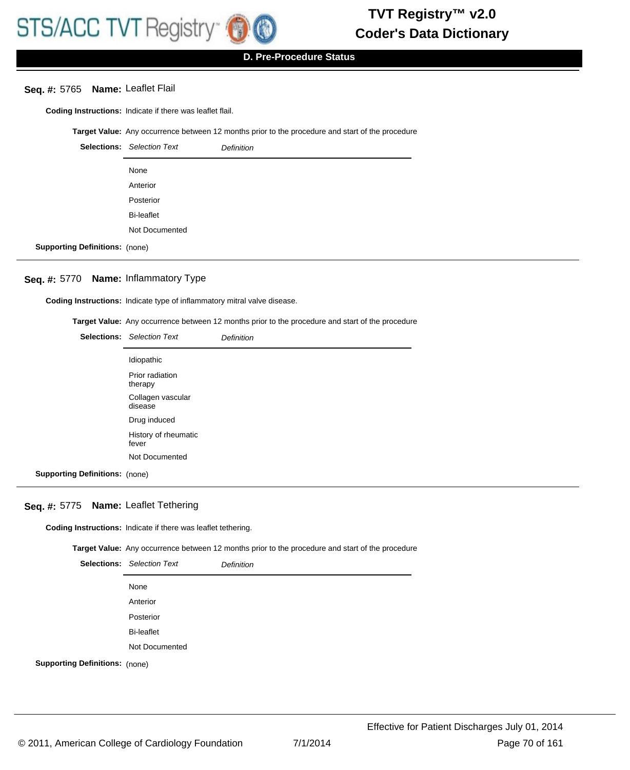#### **Seq. #:** 5765 **Name:** Leaflet Flail

**Coding Instructions:** Indicate if there was leaflet flail.

**Target Value:** Any occurrence between 12 months prior to the procedure and start of the procedure

|                                       | <b>Selections:</b> Selection Text | <b>Definition</b> |
|---------------------------------------|-----------------------------------|-------------------|
|                                       | None                              |                   |
|                                       | Anterior                          |                   |
|                                       | Posterior                         |                   |
|                                       | <b>Bi-leaflet</b>                 |                   |
|                                       | Not Documented                    |                   |
| <b>Supporting Definitions:</b> (none) |                                   |                   |

# **Seq. #:** 5770 **Name:** Inflammatory Type

**Coding Instructions:** Indicate type of inflammatory mitral valve disease.

**Target Value:** Any occurrence between 12 months prior to the procedure and start of the procedure

|                                       | <b>Selections:</b> Selection Text | <b>Definition</b> |
|---------------------------------------|-----------------------------------|-------------------|
|                                       | Idiopathic                        |                   |
|                                       | Prior radiation<br>therapy        |                   |
|                                       | Collagen vascular<br>disease      |                   |
|                                       | Drug induced                      |                   |
|                                       | History of rheumatic<br>fever     |                   |
|                                       | Not Documented                    |                   |
| <b>Supporting Definitions: (none)</b> |                                   |                   |

#### **Seq. #:** 5775 **Name:** Leaflet Tethering

**Coding Instructions:** Indicate if there was leaflet tethering.

**Target Value:** Any occurrence between 12 months prior to the procedure and start of the procedure

|                                       | <b>Selections:</b> Selection Text | <b>Definition</b> |
|---------------------------------------|-----------------------------------|-------------------|
|                                       | None                              |                   |
|                                       | Anterior                          |                   |
|                                       | Posterior                         |                   |
|                                       | <b>Bi-leaflet</b>                 |                   |
|                                       | Not Documented                    |                   |
| <b>Supporting Definitions: (none)</b> |                                   |                   |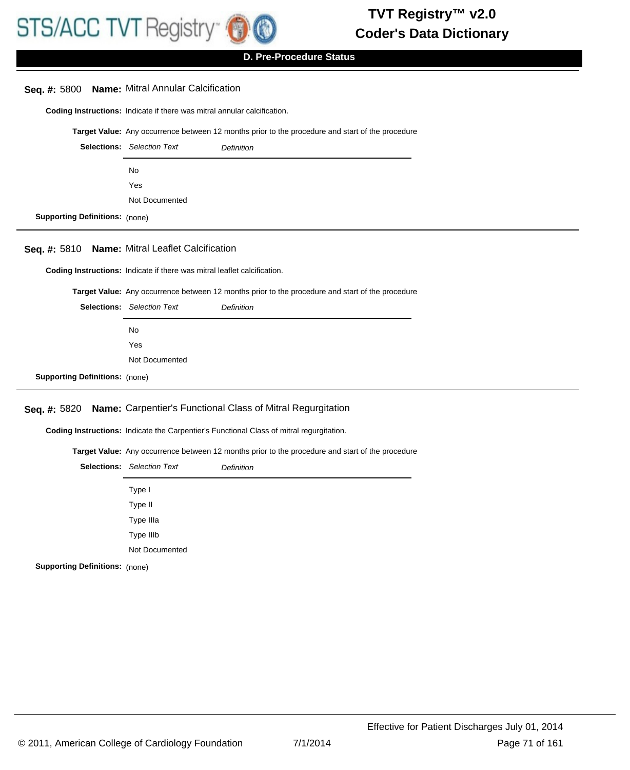

**Seq. #:** 5800 **Name:** Mitral Annular Calcification

# **Coder's Data Dictionary TVT Registry™ v2.0**

**D. Pre-Procedure Status**

# **Coding Instructions:** Indicate if there was mitral annular calcification. **Target Value:** Any occurrence between 12 months prior to the procedure and start of the procedure Selections: Selection Text **Definition** No Yes Not Documented **Supporting Definitions:** (none) **Seq. #:** 5810 **Name:** Mitral Leaflet Calcification

**Coding Instructions:** Indicate if there was mitral leaflet calcification.

**Target Value:** Any occurrence between 12 months prior to the procedure and start of the procedure

|                                       | <b>Selections:</b> Selection Text | <b>Definition</b> |
|---------------------------------------|-----------------------------------|-------------------|
|                                       | No                                |                   |
|                                       | Yes                               |                   |
|                                       | Not Documented                    |                   |
| <b>Supporting Definitions:</b> (none) |                                   |                   |

### **Seq. #:** 5820 **Name:** Carpentier's Functional Class of Mitral Regurgitation

**Coding Instructions:** Indicate the Carpentier's Functional Class of mitral regurgitation.

**Target Value:** Any occurrence between 12 months prior to the procedure and start of the procedure

|                               | <b>Selections:</b> Selection Text | <b>Definition</b> |
|-------------------------------|-----------------------------------|-------------------|
|                               | Type I                            |                   |
|                               | Type II                           |                   |
|                               | Type IIIa                         |                   |
|                               | Type IIIb                         |                   |
|                               | Not Documented                    |                   |
| $D_n$ finitianas ( $\ldots$ ) |                                   |                   |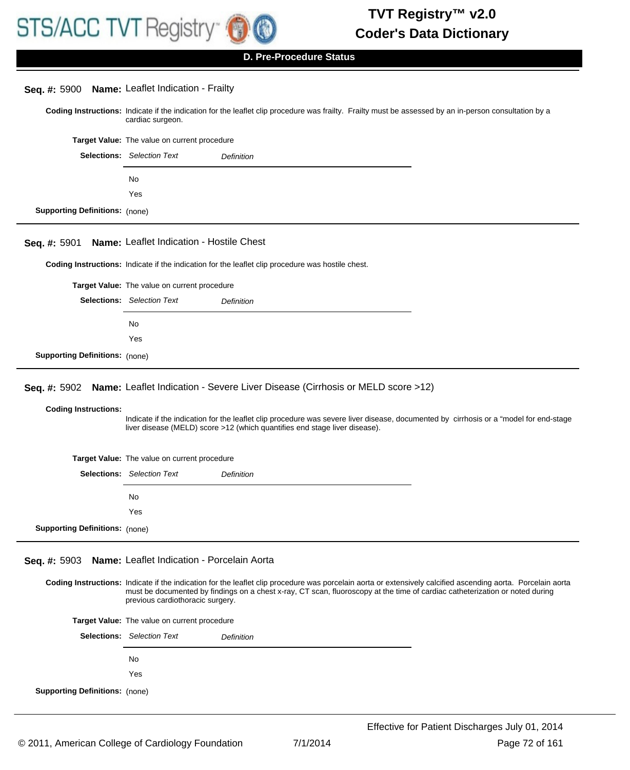

**D. Pre-Procedure Status**

| Seq. #: 5900 Name: Leaflet Indication - Frailty |                                              |                                                                                                                                                                                                                                                                                              |  |
|-------------------------------------------------|----------------------------------------------|----------------------------------------------------------------------------------------------------------------------------------------------------------------------------------------------------------------------------------------------------------------------------------------------|--|
|                                                 | cardiac surgeon.                             | Coding Instructions: Indicate if the indication for the leaflet clip procedure was frailty. Frailty must be assessed by an in-person consultation by a                                                                                                                                       |  |
|                                                 | Target Value: The value on current procedure |                                                                                                                                                                                                                                                                                              |  |
|                                                 | <b>Selections:</b> Selection Text            | <b>Definition</b>                                                                                                                                                                                                                                                                            |  |
|                                                 | No.                                          |                                                                                                                                                                                                                                                                                              |  |
|                                                 | Yes                                          |                                                                                                                                                                                                                                                                                              |  |
| <b>Supporting Definitions:</b> (none)           |                                              |                                                                                                                                                                                                                                                                                              |  |
| Seq. #: 5901                                    | Name: Leaflet Indication - Hostile Chest     |                                                                                                                                                                                                                                                                                              |  |
|                                                 |                                              | Coding Instructions: Indicate if the indication for the leaflet clip procedure was hostile chest.                                                                                                                                                                                            |  |
|                                                 | Target Value: The value on current procedure |                                                                                                                                                                                                                                                                                              |  |
|                                                 | <b>Selections:</b> Selection Text            | <b>Definition</b>                                                                                                                                                                                                                                                                            |  |
|                                                 | No.                                          |                                                                                                                                                                                                                                                                                              |  |
|                                                 | Yes                                          |                                                                                                                                                                                                                                                                                              |  |
| <b>Supporting Definitions: (none)</b>           |                                              |                                                                                                                                                                                                                                                                                              |  |
|                                                 |                                              |                                                                                                                                                                                                                                                                                              |  |
| <b>Seq. #: 5902</b>                             |                                              | Name: Leaflet Indication - Severe Liver Disease (Cirrhosis or MELD score >12)                                                                                                                                                                                                                |  |
| <b>Coding Instructions:</b>                     |                                              | Indicate if the indication for the leaflet clip procedure was severe liver disease, documented by cirrhosis or a "model for end-stage<br>liver disease (MELD) score >12 (which quantifies end stage liver disease).                                                                          |  |
|                                                 | Target Value: The value on current procedure |                                                                                                                                                                                                                                                                                              |  |
|                                                 | <b>Selections:</b> Selection Text            | Definition                                                                                                                                                                                                                                                                                   |  |
|                                                 | No.                                          |                                                                                                                                                                                                                                                                                              |  |
|                                                 | Yes                                          |                                                                                                                                                                                                                                                                                              |  |
| <b>Supporting Definitions: (none)</b>           |                                              |                                                                                                                                                                                                                                                                                              |  |
|                                                 |                                              |                                                                                                                                                                                                                                                                                              |  |
| Seq. #: 5903                                    | Name: Leaflet Indication - Porcelain Aorta   |                                                                                                                                                                                                                                                                                              |  |
|                                                 | previous cardiothoracic surgery.             | Coding Instructions: Indicate if the indication for the leaflet clip procedure was porcelain aorta or extensively calcified ascending aorta. Porcelain aorta<br>must be documented by findings on a chest x-ray, CT scan, fluoroscopy at the time of cardiac catheterization or noted during |  |
|                                                 | Target Value: The value on current procedure |                                                                                                                                                                                                                                                                                              |  |
|                                                 | <b>Selections:</b> Selection Text            | Definition                                                                                                                                                                                                                                                                                   |  |
|                                                 | No.                                          |                                                                                                                                                                                                                                                                                              |  |
|                                                 | Yes                                          |                                                                                                                                                                                                                                                                                              |  |
| <b>Supporting Definitions:</b> (none)           |                                              |                                                                                                                                                                                                                                                                                              |  |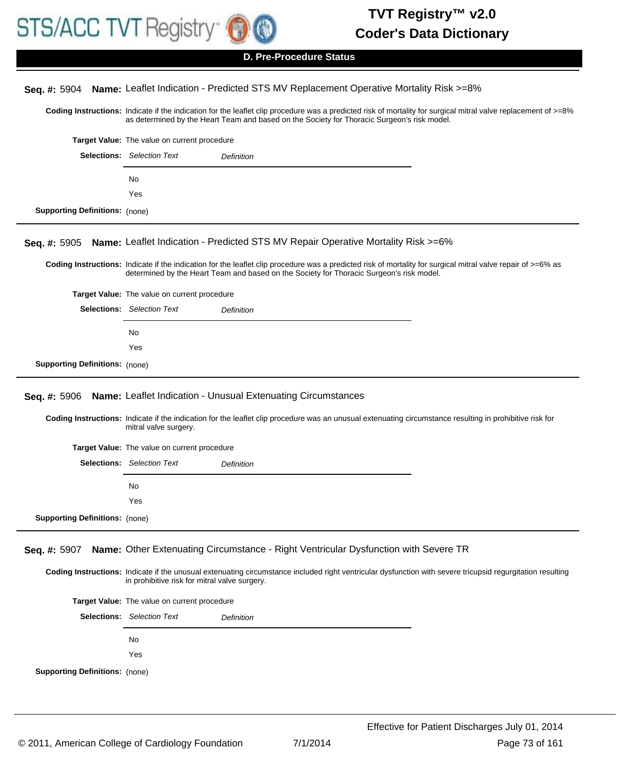

# Coding Instructions: Indicate if the indication for the leaflet clip procedure was a predicted risk of mortality for surgical mitral valve replacement of >=8% as determined by the Heart Team and based on the Society for Thoracic Surgeon's risk model. **Seq. #:** 5904 **Name:** Leaflet Indication - Predicted STS MV Replacement Operative Mortality Risk >=8% **Target Value:** The value on current procedure Selections: Selection Text **Definition** No Yes **Supporting Definitions:** (none) Coding Instructions: Indicate if the indication for the leaflet clip procedure was a predicted risk of mortality for surgical mitral valve repair of >=6% as determined by the Heart Team and based on the Society for Thoracic Surgeon's risk model. **Seq. #:** 5905 **Name:** Leaflet Indication - Predicted STS MV Repair Operative Mortality Risk >=6% **Target Value:** The value on current procedure Selections: Selection Text **Definition** No Yes **Supporting Definitions:** (none) Coding Instructions: Indicate if the indication for the leaflet clip procedure was an unusual extenuating circumstance resulting in prohibitive risk for mitral valve surgery. **Seq. #:** 5906 **Name:** Leaflet Indication - Unusual Extenuating Circumstances **Target Value:** The value on current procedure Selections: Selection Text **Definition** No Yes **Supporting Definitions:** (none) Coding Instructions: Indicate if the unusual extenuating circumstance included right ventricular dysfunction with severe tricupsid regurgitation resulting in prohibitive risk for mitral valve surgery. **Seq. #:** 5907 **Name:** Other Extenuating Circumstance - Right Ventricular Dysfunction with Severe TR **Target Value:** The value on current procedure Selections: Selection Text **Definition** No Yes **D. Pre-Procedure Status**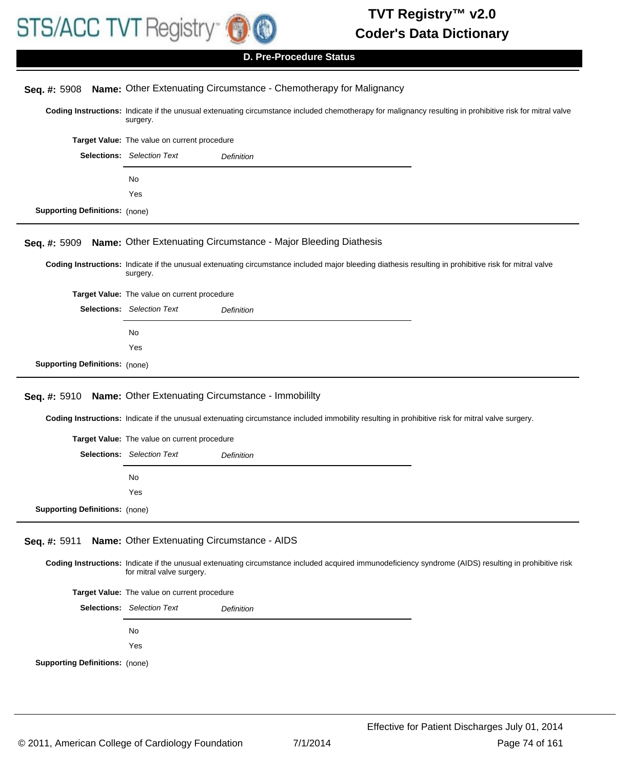

|                                       | <b>D. Pre-Procedure Status</b>                                                                                                                                                      |  |  |
|---------------------------------------|-------------------------------------------------------------------------------------------------------------------------------------------------------------------------------------|--|--|
|                                       |                                                                                                                                                                                     |  |  |
| Seq. #: 5908                          | Name: Other Extenuating Circumstance - Chemotherapy for Malignancy                                                                                                                  |  |  |
|                                       | Coding Instructions: Indicate if the unusual extenuating circumstance included chemotherapy for malignancy resulting in prohibitive risk for mitral valve<br>surgery.               |  |  |
|                                       | Target Value: The value on current procedure                                                                                                                                        |  |  |
|                                       | <b>Selections:</b> Selection Text<br><b>Definition</b>                                                                                                                              |  |  |
|                                       | No                                                                                                                                                                                  |  |  |
|                                       | Yes                                                                                                                                                                                 |  |  |
| <b>Supporting Definitions: (none)</b> |                                                                                                                                                                                     |  |  |
|                                       |                                                                                                                                                                                     |  |  |
| Seq. #: 5909                          | Name: Other Extenuating Circumstance - Major Bleeding Diathesis                                                                                                                     |  |  |
|                                       | Coding Instructions: Indicate if the unusual extenuating circumstance included major bleeding diathesis resulting in prohibitive risk for mitral valve<br>surgery.                  |  |  |
|                                       | Target Value: The value on current procedure                                                                                                                                        |  |  |
|                                       | <b>Selections:</b> Selection Text<br>Definition                                                                                                                                     |  |  |
|                                       | No                                                                                                                                                                                  |  |  |
|                                       | Yes                                                                                                                                                                                 |  |  |
| <b>Supporting Definitions: (none)</b> |                                                                                                                                                                                     |  |  |
|                                       |                                                                                                                                                                                     |  |  |
| Seq. #: 5910                          | Name: Other Extenuating Circumstance - Immobililty                                                                                                                                  |  |  |
|                                       | Coding Instructions: Indicate if the unusual extenuating circumstance included immobility resulting in prohibitive risk for mitral valve surgery.                                   |  |  |
|                                       | Target Value: The value on current procedure                                                                                                                                        |  |  |
|                                       | <b>Selections:</b> Selection Text<br>Definition                                                                                                                                     |  |  |
|                                       | No                                                                                                                                                                                  |  |  |
|                                       | Yes                                                                                                                                                                                 |  |  |
| <b>Supporting Definitions:</b> (none) |                                                                                                                                                                                     |  |  |
| Seq. #: 5911                          | Name: Other Extenuating Circumstance - AIDS                                                                                                                                         |  |  |
|                                       | Coding Instructions: Indicate if the unusual extenuating circumstance included acquired immunodeficiency syndrome (AIDS) resulting in prohibitive risk<br>for mitral valve surgery. |  |  |
|                                       | Target Value: The value on current procedure                                                                                                                                        |  |  |
|                                       | <b>Selections:</b> Selection Text<br><b>Definition</b>                                                                                                                              |  |  |
|                                       | No                                                                                                                                                                                  |  |  |
|                                       | Yes                                                                                                                                                                                 |  |  |
| <b>Supporting Definitions:</b> (none) |                                                                                                                                                                                     |  |  |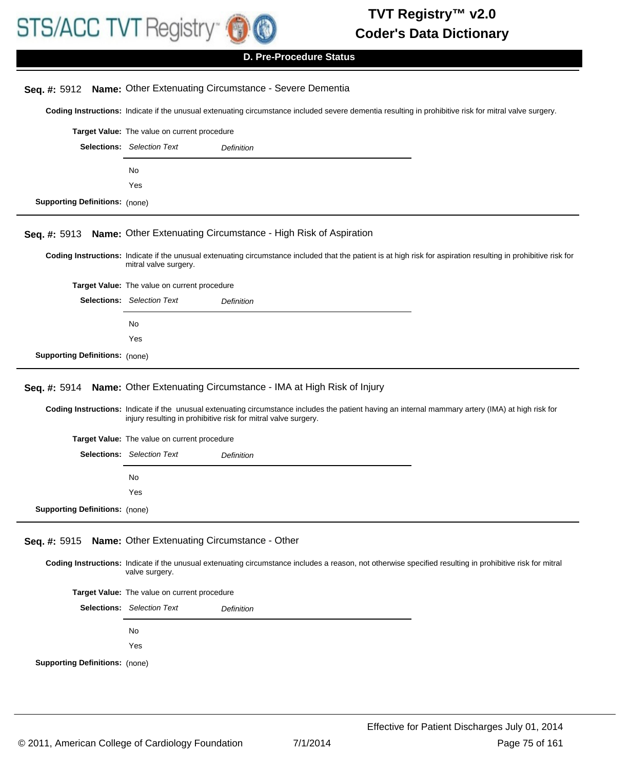

**D. Pre-Procedure Status**

| Seq. #: 5912                                                                                                                                           | Name: Other Extenuating Circumstance - Severe Dementia                                                                                                                                                                   |  |  |  |
|--------------------------------------------------------------------------------------------------------------------------------------------------------|--------------------------------------------------------------------------------------------------------------------------------------------------------------------------------------------------------------------------|--|--|--|
| Coding Instructions: Indicate if the unusual extenuating circumstance included severe dementia resulting in prohibitive risk for mitral valve surgery. |                                                                                                                                                                                                                          |  |  |  |
|                                                                                                                                                        | Target Value: The value on current procedure                                                                                                                                                                             |  |  |  |
|                                                                                                                                                        | <b>Selections:</b> Selection Text<br>Definition                                                                                                                                                                          |  |  |  |
|                                                                                                                                                        | No                                                                                                                                                                                                                       |  |  |  |
|                                                                                                                                                        | Yes                                                                                                                                                                                                                      |  |  |  |
| <b>Supporting Definitions:</b> (none)                                                                                                                  |                                                                                                                                                                                                                          |  |  |  |
|                                                                                                                                                        |                                                                                                                                                                                                                          |  |  |  |
| Seq. #: 5913                                                                                                                                           | Name: Other Extenuating Circumstance - High Risk of Aspiration                                                                                                                                                           |  |  |  |
|                                                                                                                                                        | Coding Instructions: Indicate if the unusual extenuating circumstance included that the patient is at high risk for aspiration resulting in prohibitive risk for<br>mitral valve surgery.                                |  |  |  |
|                                                                                                                                                        | Target Value: The value on current procedure                                                                                                                                                                             |  |  |  |
|                                                                                                                                                        | <b>Selections:</b> Selection Text<br>Definition                                                                                                                                                                          |  |  |  |
|                                                                                                                                                        | No.                                                                                                                                                                                                                      |  |  |  |
|                                                                                                                                                        | Yes                                                                                                                                                                                                                      |  |  |  |
| <b>Supporting Definitions: (none)</b>                                                                                                                  |                                                                                                                                                                                                                          |  |  |  |
| Seq. #: 5914                                                                                                                                           | Name: Other Extenuating Circumstance - IMA at High Risk of Injury<br>Coding Instructions: Indicate if the unusual extenuating circumstance includes the patient having an internal mammary artery (IMA) at high risk for |  |  |  |
|                                                                                                                                                        | injury resulting in prohibitive risk for mitral valve surgery.                                                                                                                                                           |  |  |  |
|                                                                                                                                                        | Target Value: The value on current procedure                                                                                                                                                                             |  |  |  |
|                                                                                                                                                        | <b>Selections:</b> Selection Text<br>Definition                                                                                                                                                                          |  |  |  |
|                                                                                                                                                        | No                                                                                                                                                                                                                       |  |  |  |
|                                                                                                                                                        | Yes                                                                                                                                                                                                                      |  |  |  |
| <b>Supporting Definitions: (none)</b>                                                                                                                  |                                                                                                                                                                                                                          |  |  |  |
| Seq. #: 5915                                                                                                                                           | Name: Other Extenuating Circumstance - Other                                                                                                                                                                             |  |  |  |
|                                                                                                                                                        | Coding Instructions: Indicate if the unusual extenuating circumstance includes a reason, not otherwise specified resulting in prohibitive risk for mitral<br>valve surgery.                                              |  |  |  |
|                                                                                                                                                        | Target Value: The value on current procedure                                                                                                                                                                             |  |  |  |
|                                                                                                                                                        | <b>Selections:</b> Selection Text<br>Definition                                                                                                                                                                          |  |  |  |
|                                                                                                                                                        | No                                                                                                                                                                                                                       |  |  |  |
|                                                                                                                                                        | Yes                                                                                                                                                                                                                      |  |  |  |
| <b>Supporting Definitions: (none)</b>                                                                                                                  |                                                                                                                                                                                                                          |  |  |  |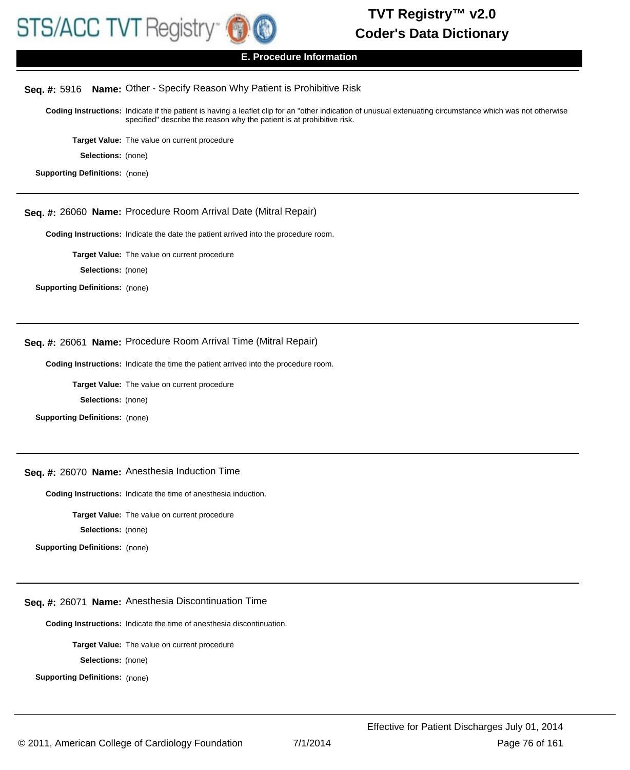

# **Seq. #:** 5916 **Name:** Other - Specify Reason Why Patient is Prohibitive Risk

Coding Instructions: Indicate if the patient is having a leaflet clip for an "other indication of unusual extenuating circumstance which was not otherwise specified" describe the reason why the patient is at prohibitive risk.

**Target Value:** The value on current procedure

**Selections:** (none)

**Supporting Definitions:** (none)

#### **Seq. #:** 26060 **Name:** Procedure Room Arrival Date (Mitral Repair)

**Coding Instructions:** Indicate the date the patient arrived into the procedure room.

**Target Value:** The value on current procedure

**Selections:** (none)

**Supporting Definitions:** (none)

### **Seq. #:** 26061 **Name:** Procedure Room Arrival Time (Mitral Repair)

**Coding Instructions:** Indicate the time the patient arrived into the procedure room.

**Target Value:** The value on current procedure

**Selections:** (none)

**Supporting Definitions:** (none)

#### **Seq. #:** 26070 **Name:** Anesthesia Induction Time

**Coding Instructions:** Indicate the time of anesthesia induction.

**Target Value:** The value on current procedure

**Selections:** (none)

**Supporting Definitions:** (none)

#### **Seq. #:** 26071 **Name:** Anesthesia Discontinuation Time

**Coding Instructions:** Indicate the time of anesthesia discontinuation.

**Target Value:** The value on current procedure

**Selections:** (none)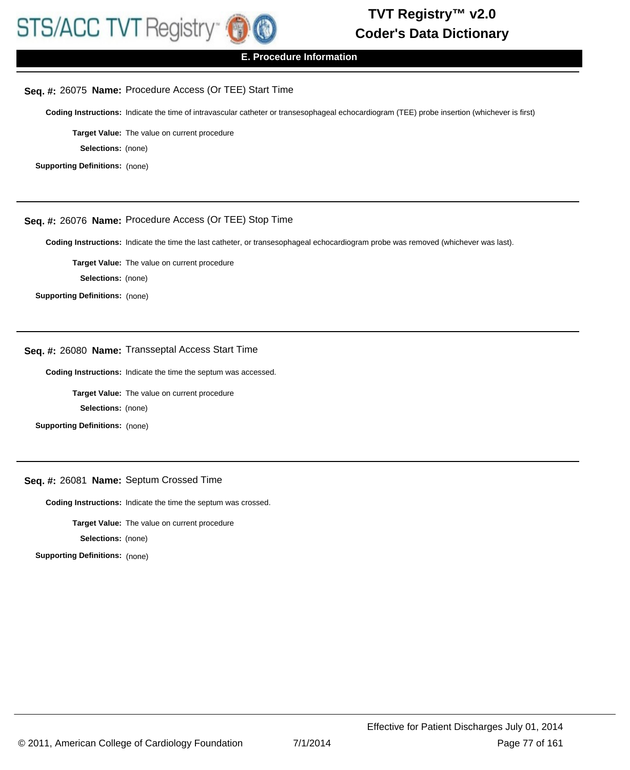

#### **E. Procedure Information**

#### **Seq. #:** 26075 **Name:** Procedure Access (Or TEE) Start Time

**Coding Instructions:** Indicate the time of intravascular catheter or transesophageal echocardiogram (TEE) probe insertion (whichever is first)

**Target Value:** The value on current procedure

**Selections:** (none)

**Supporting Definitions:** (none)

### **Seq. #:** 26076 **Name:** Procedure Access (Or TEE) Stop Time

**Coding Instructions:** Indicate the time the last catheter, or transesophageal echocardiogram probe was removed (whichever was last).

**Target Value:** The value on current procedure

**Selections:** (none)

**Supporting Definitions:** (none)

# **Seq. #:** 26080 **Name:** Transseptal Access Start Time

**Coding Instructions:** Indicate the time the septum was accessed.

**Target Value:** The value on current procedure

**Selections:** (none)

**Supporting Definitions:** (none)

#### **Seq. #:** 26081 **Name:** Septum Crossed Time

**Coding Instructions:** Indicate the time the septum was crossed.

**Target Value:** The value on current procedure

**Selections:** (none)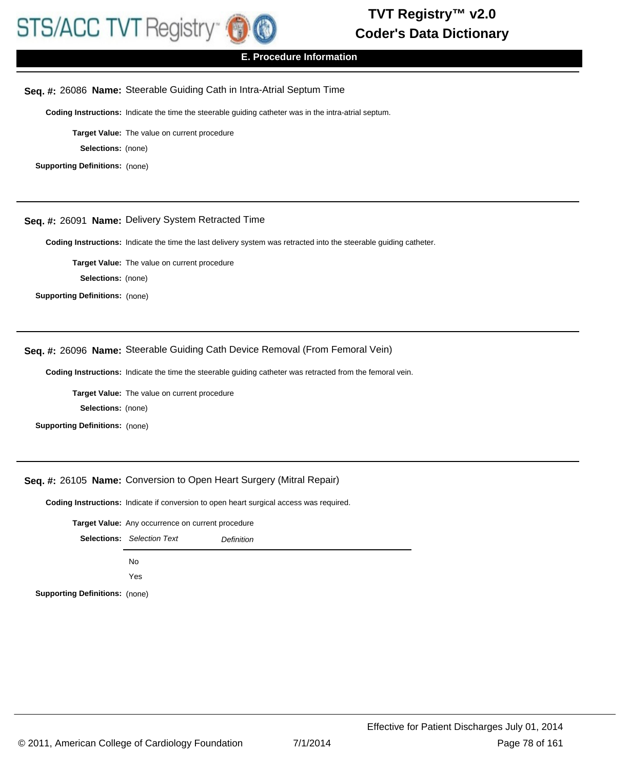

### **E. Procedure Information**

### **Seq. #:** 26086 **Name:** Steerable Guiding Cath in Intra-Atrial Septum Time

**Coding Instructions:** Indicate the time the steerable guiding catheter was in the intra-atrial septum.

**Target Value:** The value on current procedure

**Selections:** (none)

**Supporting Definitions:** (none)

#### **Seq. #:** 26091 **Name:** Delivery System Retracted Time

**Coding Instructions:** Indicate the time the last delivery system was retracted into the steerable guiding catheter.

**Target Value:** The value on current procedure

**Selections:** (none)

**Supporting Definitions:** (none)

### **Seq. #:** 26096 **Name:** Steerable Guiding Cath Device Removal (From Femoral Vein)

**Coding Instructions:** Indicate the time the steerable guiding catheter was retracted from the femoral vein.

**Target Value:** The value on current procedure

**Selections:** (none)

**Supporting Definitions:** (none)

#### **Seq. #:** 26105 **Name:** Conversion to Open Heart Surgery (Mitral Repair)

**Coding Instructions:** Indicate if conversion to open heart surgical access was required.

**Target Value:** Any occurrence on current procedure

|                                       | <b>Selections:</b> Selection Text | <b>Definition</b> |
|---------------------------------------|-----------------------------------|-------------------|
|                                       | No.                               |                   |
|                                       | Yes                               |                   |
| <b>Supporting Definitions:</b> (none) |                                   |                   |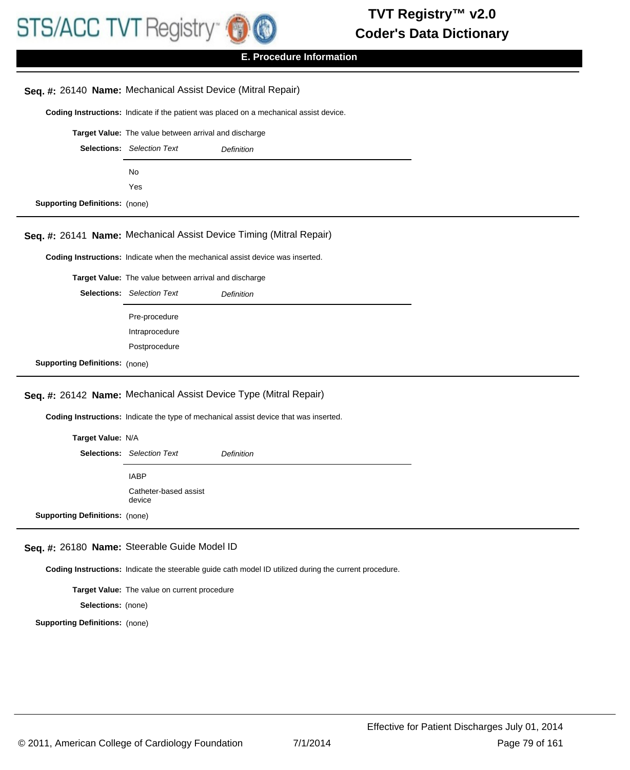

### **E. Procedure Information**

# **Coding Instructions:** Indicate if the patient was placed on a mechanical assist device. **Seq. #:** 26140 **Name:** Mechanical Assist Device (Mitral Repair) **Target Value:** The value between arrival and discharge Selections: Selection Text **Definition** No Yes **Supporting Definitions:** (none) **Coding Instructions:** Indicate when the mechanical assist device was inserted. **Seq. #:** 26141 **Name:** Mechanical Assist Device Timing (Mitral Repair) **Target Value:** The value between arrival and discharge Selections: Selection Text **Definition** Pre-procedure Intraprocedure Postprocedure **Supporting Definitions:** (none) **Coding Instructions:** Indicate the type of mechanical assist device that was inserted. **Seq. #:** 26142 **Name:** Mechanical Assist Device Type (Mitral Repair) **Target Value:** N/A Selections: Selection Text **Definition** IABP Catheter-based assist device **Supporting Definitions:** (none)

#### **Seq. #:** 26180 **Name:** Steerable Guide Model ID

**Coding Instructions:** Indicate the steerable guide cath model ID utilized during the current procedure.

**Target Value:** The value on current procedure

**Selections:** (none)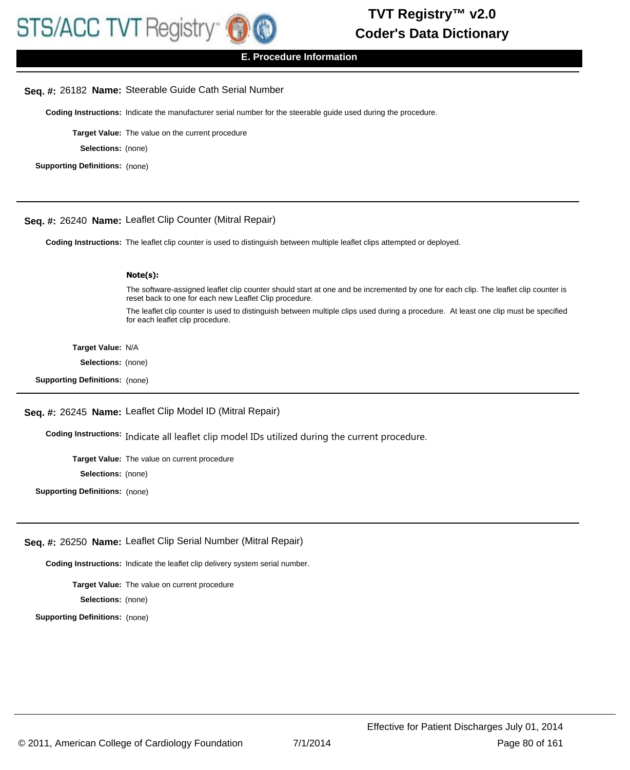

#### **E. Procedure Information**

### **Seq. #:** 26182 **Name:** Steerable Guide Cath Serial Number

**Coding Instructions:** Indicate the manufacturer serial number for the steerable guide used during the procedure.

**Target Value:** The value on the current procedure

**Selections:** (none)

**Supporting Definitions:** (none)

### **Seq. #:** 26240 **Name:** Leaflet Clip Counter (Mitral Repair)

**Coding Instructions:** The leaflet clip counter is used to distinguish between multiple leaflet clips attempted or deployed.

#### **Note(s):**

The software-assigned leaflet clip counter should start at one and be incremented by one for each clip. The leaflet clip counter is reset back to one for each new Leaflet Clip procedure.

The leaflet clip counter is used to distinguish between multiple clips used during a procedure. At least one clip must be specified for each leaflet clip procedure.

#### **Target Value:** N/A

**Selections:** (none)

**Supporting Definitions:** (none)

#### **Seq. #:** 26245 **Name:** Leaflet Clip Model ID (Mitral Repair)

Coding Instructions: Indicate all leaflet clip model IDs utilized during the current procedure.

**Target Value:** The value on current procedure

**Selections:** (none)

**Supporting Definitions:** (none)

#### **Seq. #:** 26250 **Name:** Leaflet Clip Serial Number (Mitral Repair)

**Coding Instructions:** Indicate the leaflet clip delivery system serial number.

**Target Value:** The value on current procedure **Selections:** (none)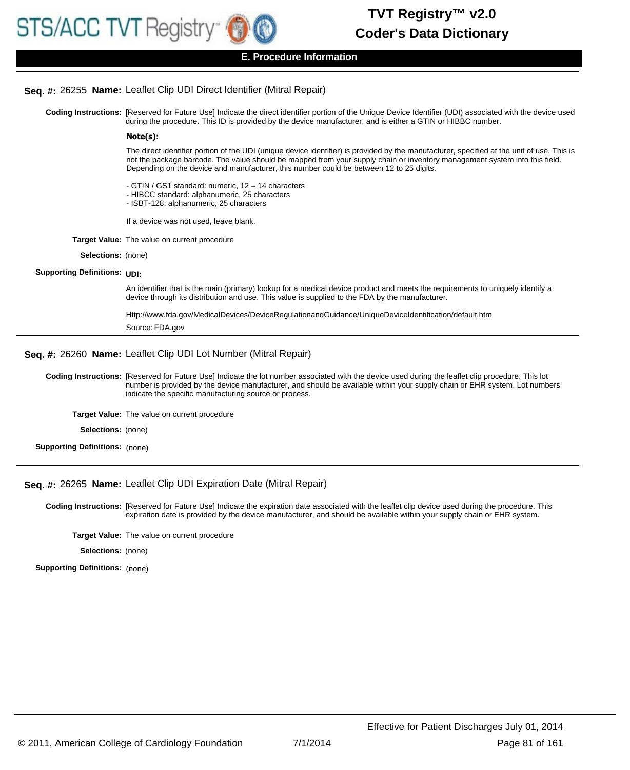### **Seq. #:** 26255 **Name:** Leaflet Clip UDI Direct Identifier (Mitral Repair)

Coding Instructions: [Reserved for Future Use] Indicate the direct identifier portion of the Unique Device Identifier (UDI) associated with the device used during the procedure. This ID is provided by the device manufacturer, and is either a GTIN or HIBBC number.

#### **Note(s):**

The direct identifier portion of the UDI (unique device identifier) is provided by the manufacturer, specified at the unit of use. This is not the package barcode. The value should be mapped from your supply chain or inventory management system into this field. Depending on the device and manufacturer, this number could be between 12 to 25 digits.

- GTIN / GS1 standard: numeric, 12 14 characters
- HIBCC standard: alphanumeric, 25 characters
- ISBT-128: alphanumeric, 25 characters
- If a device was not used, leave blank.
- **Target Value:** The value on current procedure
	- **Selections:** (none)

#### **Supporting Definitions:** UDI:

An identifier that is the main (primary) lookup for a medical device product and meets the requirements to uniquely identify a device through its distribution and use. This value is supplied to the FDA by the manufacturer.

| Http://www.fda.gov/MedicalDevices/DeviceRegulationandGuidance/UniqueDeviceIdentification/default.htm |
|------------------------------------------------------------------------------------------------------|
| Source: FDA.gov                                                                                      |

#### **Seq. #:** 26260 **Name:** Leaflet Clip UDI Lot Number (Mitral Repair)

Coding Instructions: [Reserved for Future Use] Indicate the lot number associated with the device used during the leaflet clip procedure. This lot number is provided by the device manufacturer, and should be available within your supply chain or EHR system. Lot numbers indicate the specific manufacturing source or process.

**Target Value:** The value on current procedure

- **Selections:** (none)
- **Supporting Definitions:** (none)

#### **Seq. #:** 26265 **Name:** Leaflet Clip UDI Expiration Date (Mitral Repair)

Coding Instructions: [Reserved for Future Use] Indicate the expiration date associated with the leaflet clip device used during the procedure. This expiration date is provided by the device manufacturer, and should be available within your supply chain or EHR system.

**Target Value:** The value on current procedure

**Selections:** (none)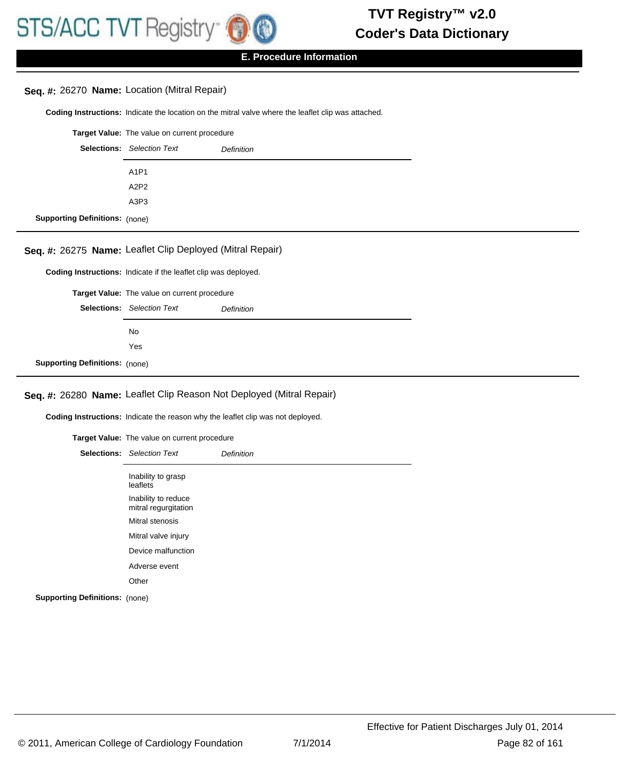# **Seq. #:** 26270 **Name:** Location (Mitral Repair)

**Coding Instructions:** Indicate the location on the mitral valve where the leaflet clip was attached.

|                                       | <b>Target Value:</b> The value on current procedure |                   |
|---------------------------------------|-----------------------------------------------------|-------------------|
|                                       | <b>Selections:</b> Selection Text                   | <b>Definition</b> |
|                                       | A1P1                                                |                   |
|                                       | A2P2                                                |                   |
|                                       | A3P3                                                |                   |
| <b>Supporting Definitions: (none)</b> |                                                     |                   |

# **Seq. #:** 26275 **Name:** Leaflet Clip Deployed (Mitral Repair)

**Coding Instructions:** Indicate if the leaflet clip was deployed.

**Target Value:** The value on current procedure

|                                       | <b>Selections:</b> Selection Text | <b>Definition</b> |
|---------------------------------------|-----------------------------------|-------------------|
|                                       | No.                               |                   |
|                                       | Yes                               |                   |
| <b>Supporting Definitions: (none)</b> |                                   |                   |

# **Seq. #:** 26280 **Name:** Leaflet Clip Reason Not Deployed (Mitral Repair)

**Coding Instructions:** Indicate the reason why the leaflet clip was not deployed.

|                                       | Target Value: The value on current procedure |            |
|---------------------------------------|----------------------------------------------|------------|
|                                       | <b>Selections:</b> Selection Text            | Definition |
|                                       | Inability to grasp<br>leaflets               |            |
|                                       | Inability to reduce<br>mitral regurgitation  |            |
|                                       | Mitral stenosis                              |            |
|                                       | Mitral valve injury                          |            |
|                                       | Device malfunction                           |            |
|                                       | Adverse event                                |            |
|                                       | Other                                        |            |
| <b>Supporting Definitions:</b> (none) |                                              |            |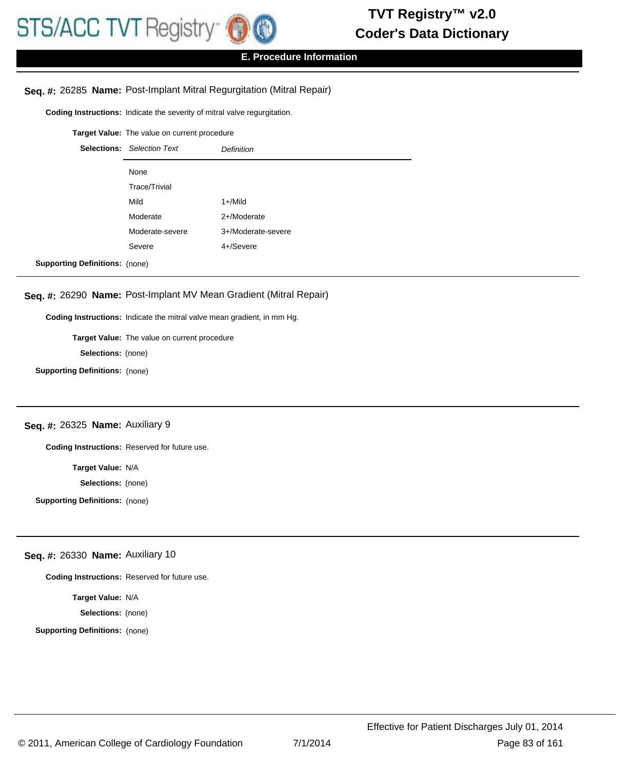# **Seq. #:** 26285 **Name:** Post-Implant Mitral Regurgitation (Mitral Repair)

**Coding Instructions:** Indicate the severity of mitral valve regurgitation.

**Target Value:** The value on current procedure

|                                       | <b>Selections:</b> Selection Text | <b>Definition</b>  |
|---------------------------------------|-----------------------------------|--------------------|
|                                       | None                              |                    |
|                                       | Trace/Trivial                     |                    |
|                                       | Mild                              | 1+/Mild            |
|                                       | Moderate                          | 2+/Moderate        |
|                                       | Moderate-severe                   | 3+/Moderate-severe |
|                                       | Severe                            | 4+/Severe          |
| <b>Supporting Definitions: (none)</b> |                                   |                    |

# **Seq. #:** 26290 **Name:** Post-Implant MV Mean Gradient (Mitral Repair)

**Coding Instructions:** Indicate the mitral valve mean gradient, in mm Hg.

**Target Value:** The value on current procedure

**Selections:** (none)

**Supporting Definitions:** (none)

#### **Seq. #:** 26325 **Name:** Auxiliary 9

**Coding Instructions:** Reserved for future use.

**Target Value:** N/A

**Selections:** (none)

**Supporting Definitions:** (none)

# **Seq. #:** 26330 **Name:** Auxiliary 10

**Coding Instructions:** Reserved for future use.

**Target Value:** N/A

**Selections:** (none)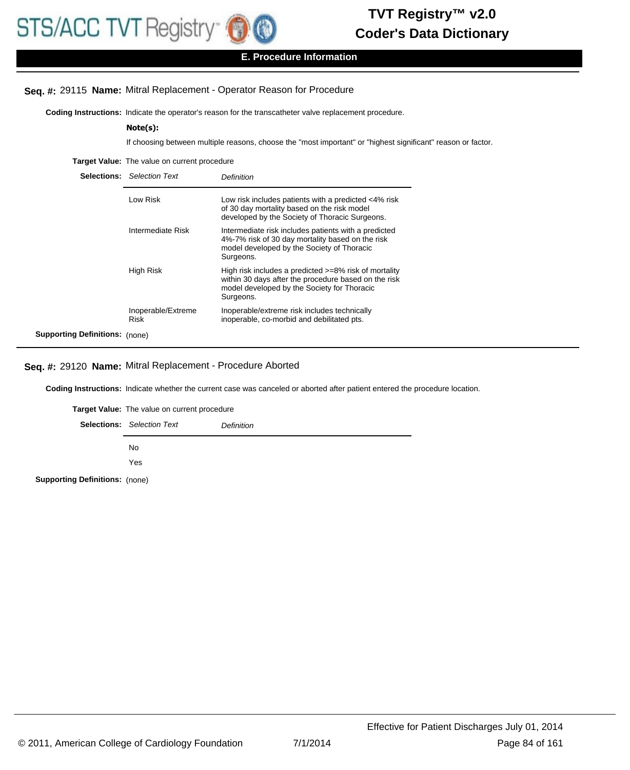

# **E. Procedure Information**

### **Seq. #:** 29115 **Name:** Mitral Replacement - Operator Reason for Procedure

**Coding Instructions:** Indicate the operator's reason for the transcatheter valve replacement procedure.

#### **Note(s):**

If choosing between multiple reasons, choose the "most important" or "highest significant" reason or factor.

**Target Value:** The value on current procedure

|                                       | <b>Selections:</b> Selection Text | Definition                                                                                                                                                                |
|---------------------------------------|-----------------------------------|---------------------------------------------------------------------------------------------------------------------------------------------------------------------------|
|                                       | Low Risk                          | Low risk includes patients with a predicted <4% risk<br>of 30 day mortality based on the risk model<br>developed by the Society of Thoracic Surgeons.                     |
|                                       | Intermediate Risk                 | Intermediate risk includes patients with a predicted<br>4%-7% risk of 30 day mortality based on the risk<br>model developed by the Society of Thoracic<br>Surgeons.       |
|                                       | High Risk                         | High risk includes a predicted >=8% risk of mortality<br>within 30 days after the procedure based on the risk<br>model developed by the Society for Thoracic<br>Surgeons. |
|                                       | Inoperable/Extreme<br><b>Risk</b> | Inoperable/extreme risk includes technically<br>inoperable, co-morbid and debilitated pts.                                                                                |
| <b>Supporting Definitions:</b> (none) |                                   |                                                                                                                                                                           |

#### **Seq. #:** 29120 **Name:** Mitral Replacement - Procedure Aborted

**Coding Instructions:** Indicate whether the current case was canceled or aborted after patient entered the procedure location.

**Target Value:** The value on current procedure Selections: Selection Text **Definition** No Yes **Supporting Definitions:** (none)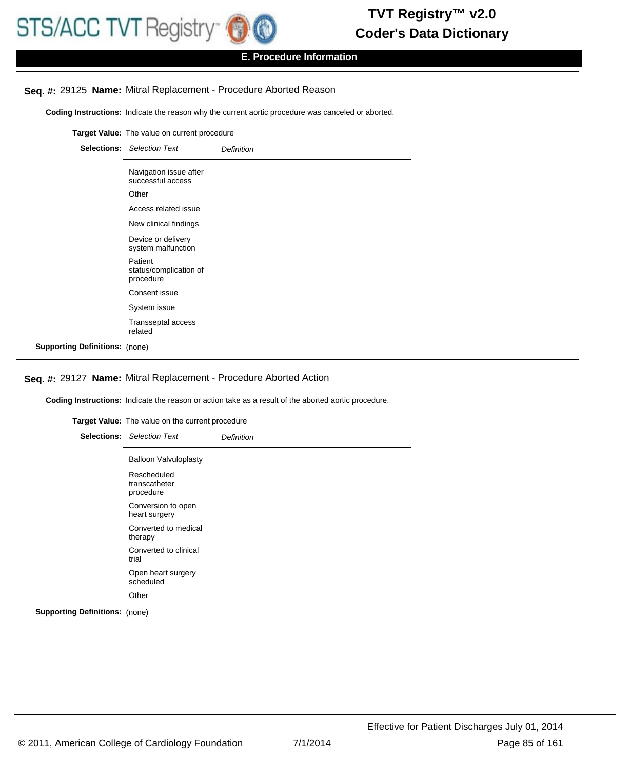

### **E. Procedure Information**

#### **Seq. #:** 29125 **Name:** Mitral Replacement - Procedure Aborted Reason

**Coding Instructions:** Indicate the reason why the current aortic procedure was canceled or aborted.

**Target Value:** The value on current procedure Selections: Selection Text **Definition** Navigation issue after successful access **Other** Access related issue New clinical findings Device or delivery system malfunction Patient status/complication of procedure Consent issue System issue Transseptal access related **Supporting Definitions:** (none)

#### **Seq. #:** 29127 **Name:** Mitral Replacement - Procedure Aborted Action

**Coding Instructions:** Indicate the reason or action take as a result of the aborted aortic procedure.

**Target Value:** The value on the current procedure Selections: Selection Text **Definition** Balloon Valvuloplasty Rescheduled transcatheter procedure Conversion to open heart surgery Converted to medical therapy Converted to clinical trial Open heart surgery scheduled **Other**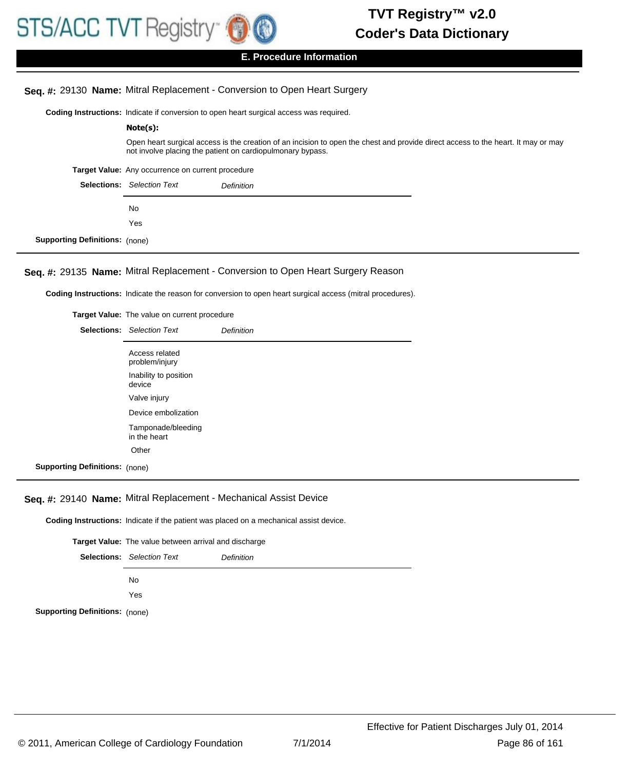# **Seq. #:** 29130 **Name:** Mitral Replacement - Conversion to Open Heart Surgery

**Coding Instructions:** Indicate if conversion to open heart surgical access was required.

| Note(s):                                                                                                                                                                                        |  |  |  |
|-------------------------------------------------------------------------------------------------------------------------------------------------------------------------------------------------|--|--|--|
| Open heart surgical access is the creation of an incision to open the chest and provide direct access to the heart. It may or may<br>not involve placing the patient on cardiopulmonary bypass. |  |  |  |
| Target Value: Any occurrence on current procedure                                                                                                                                               |  |  |  |
| <b>Selections:</b> Selection Text<br>Definition                                                                                                                                                 |  |  |  |
| No.                                                                                                                                                                                             |  |  |  |
| Yes                                                                                                                                                                                             |  |  |  |

**Supporting Definitions:** (none)

# **Seq. #:** 29135 **Name:** Mitral Replacement - Conversion to Open Heart Surgery Reason

**Coding Instructions:** Indicate the reason for conversion to open heart surgical access (mitral procedures).

|                                       | Target Value: The value on current procedure |            |
|---------------------------------------|----------------------------------------------|------------|
|                                       | <b>Selections:</b> Selection Text            | Definition |
|                                       | Access related<br>problem/injury             |            |
|                                       | Inability to position<br>device              |            |
|                                       | Valve injury                                 |            |
|                                       | Device embolization                          |            |
| Tamponade/bleeding<br>in the heart    |                                              |            |
|                                       | Other                                        |            |
| <b>Supporting Definitions: (none)</b> |                                              |            |

#### **Seq. #:** 29140 **Name:** Mitral Replacement - Mechanical Assist Device

**Coding Instructions:** Indicate if the patient was placed on a mechanical assist device.

|                                                        | <b>Target Value:</b> The value between arrival and discharge |  |
|--------------------------------------------------------|--------------------------------------------------------------|--|
| <b>Selections:</b> Selection Text<br><b>Definition</b> |                                                              |  |
|                                                        | No.                                                          |  |
| Yes                                                    |                                                              |  |
| <b>Supporting Definitions: (none)</b>                  |                                                              |  |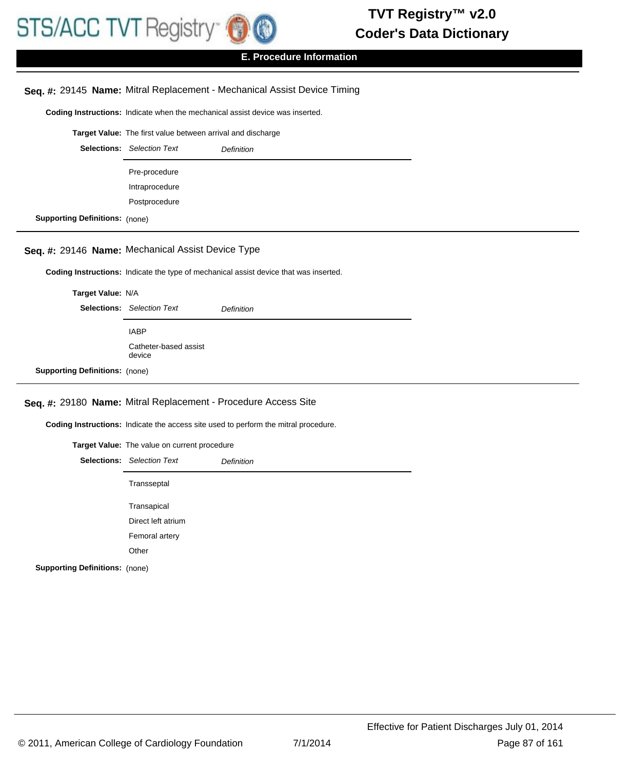

## **E. Procedure Information**

#### **Seq. #:** 29145 **Name:** Mitral Replacement - Mechanical Assist Device Timing

**Coding Instructions:** Indicate when the mechanical assist device was inserted.

**Target Value:** The first value between arrival and discharge

|                                       | <b>Selections:</b> Selection Text | <b>Definition</b> |
|---------------------------------------|-----------------------------------|-------------------|
|                                       | Pre-procedure                     |                   |
|                                       | Intraprocedure                    |                   |
|                                       | Postprocedure                     |                   |
| <b>Supporting Definitions:</b> (none) |                                   |                   |

### **Seq. #:** 29146 **Name:** Mechanical Assist Device Type

**Coding Instructions:** Indicate the type of mechanical assist device that was inserted.

| Target Value: N/A                     |                                   |                   |
|---------------------------------------|-----------------------------------|-------------------|
|                                       | <b>Selections:</b> Selection Text | <b>Definition</b> |
|                                       | <b>IABP</b>                       |                   |
|                                       | Catheter-based assist<br>device   |                   |
| <b>Supporting Definitions: (none)</b> |                                   |                   |

#### **Seq. #:** 29180 **Name:** Mitral Replacement - Procedure Access Site

**Coding Instructions:** Indicate the access site used to perform the mitral procedure.

|                                       | Target Value: The value on current procedure |                   |
|---------------------------------------|----------------------------------------------|-------------------|
|                                       | <b>Selections:</b> Selection Text            | <b>Definition</b> |
|                                       | Transseptal                                  |                   |
|                                       | Transapical                                  |                   |
|                                       | Direct left atrium                           |                   |
|                                       | Femoral artery                               |                   |
|                                       | Other                                        |                   |
| <b>Supporting Definitions: (none)</b> |                                              |                   |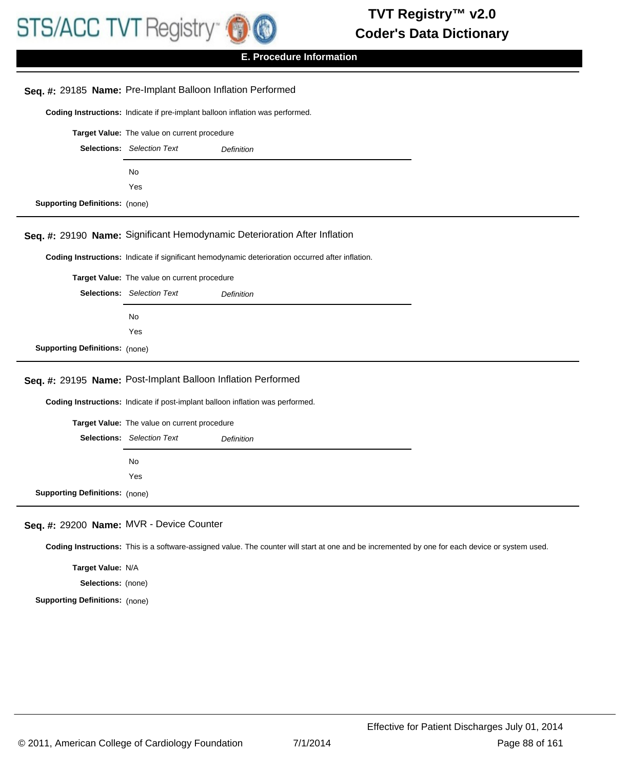

| Seq. #: 29185 Name: Pre-Implant Balloon Inflation Performed  |                                              |                                                                                                                                                 |  |
|--------------------------------------------------------------|----------------------------------------------|-------------------------------------------------------------------------------------------------------------------------------------------------|--|
|                                                              |                                              | Coding Instructions: Indicate if pre-implant balloon inflation was performed.                                                                   |  |
|                                                              | Target Value: The value on current procedure |                                                                                                                                                 |  |
|                                                              | <b>Selections:</b> Selection Text            | <b>Definition</b>                                                                                                                               |  |
|                                                              | No                                           |                                                                                                                                                 |  |
|                                                              | Yes                                          |                                                                                                                                                 |  |
| <b>Supporting Definitions: (none)</b>                        |                                              |                                                                                                                                                 |  |
|                                                              |                                              | Seq. #: 29190 Name: Significant Hemodynamic Deterioration After Inflation                                                                       |  |
|                                                              |                                              | Coding Instructions: Indicate if significant hemodynamic deterioration occurred after inflation.                                                |  |
|                                                              | Target Value: The value on current procedure |                                                                                                                                                 |  |
|                                                              | <b>Selections:</b> Selection Text            | <b>Definition</b>                                                                                                                               |  |
|                                                              | No                                           |                                                                                                                                                 |  |
|                                                              | Yes                                          |                                                                                                                                                 |  |
| <b>Supporting Definitions: (none)</b>                        |                                              |                                                                                                                                                 |  |
| Seq. #: 29195 Name: Post-Implant Balloon Inflation Performed |                                              |                                                                                                                                                 |  |
|                                                              |                                              | Coding Instructions: Indicate if post-implant balloon inflation was performed.                                                                  |  |
|                                                              | Target Value: The value on current procedure |                                                                                                                                                 |  |
|                                                              | <b>Selections:</b> Selection Text            | <b>Definition</b>                                                                                                                               |  |
|                                                              | No                                           |                                                                                                                                                 |  |
|                                                              | Yes                                          |                                                                                                                                                 |  |
| <b>Supporting Definitions: (none)</b>                        |                                              |                                                                                                                                                 |  |
| Seq. #: 29200 Name: MVR - Device Counter                     |                                              |                                                                                                                                                 |  |
|                                                              |                                              | Coding Instructions: This is a software-assigned value. The counter will start at one and be incremented by one for each device or system used. |  |

**Target Value:** N/A

**Selections:** (none)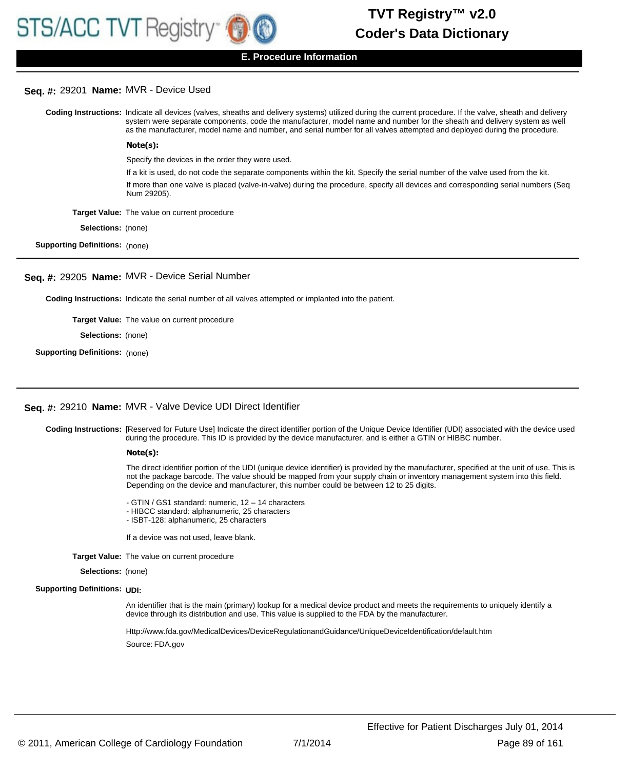

# **Seq. #:** 29201 **Name:** MVR - Device Used

Coding Instructions: Indicate all devices (valves, sheaths and delivery systems) utilized during the current procedure. If the valve, sheath and delivery system were separate components, code the manufacturer, model name and number for the sheath and delivery system as well as the manufacturer, model name and number, and serial number for all valves attempted and deployed during the procedure. Specify the devices in the order they were used. **Note(s):**

If a kit is used, do not code the separate components within the kit. Specify the serial number of the valve used from the kit.

If more than one valve is placed (valve-in-valve) during the procedure, specify all devices and corresponding serial numbers (Seq Num 29205).

**Target Value:** The value on current procedure

**Selections:** (none)

**Supporting Definitions:** (none)

#### **Seq. #:** 29205 **Name:** MVR - Device Serial Number

**Coding Instructions:** Indicate the serial number of all valves attempted or implanted into the patient.

**Target Value:** The value on current procedure

**Selections:** (none)

**Supporting Definitions:** (none)

# **Seq. #:** 29210 **Name:** MVR - Valve Device UDI Direct Identifier

Coding Instructions: [Reserved for Future Use] Indicate the direct identifier portion of the Unique Device Identifier (UDI) associated with the device used during the procedure. This ID is provided by the device manufacturer, and is either a GTIN or HIBBC number.

#### **Note(s):**

The direct identifier portion of the UDI (unique device identifier) is provided by the manufacturer, specified at the unit of use. This is not the package barcode. The value should be mapped from your supply chain or inventory management system into this field. Depending on the device and manufacturer, this number could be between 12 to 25 digits.

- GTIN / GS1 standard: numeric, 12 – 14 characters

- HIBCC standard: alphanumeric, 25 characters
- ISBT-128: alphanumeric, 25 characters

If a device was not used, leave blank.

**Target Value:** The value on current procedure

**Selections:** (none)

#### **Supporting Definitions:** UDI:

An identifier that is the main (primary) lookup for a medical device product and meets the requirements to uniquely identify a device through its distribution and use. This value is supplied to the FDA by the manufacturer.

Http://www.fda.gov/MedicalDevices/DeviceRegulationandGuidance/UniqueDeviceIdentification/default.htm Source: FDA.gov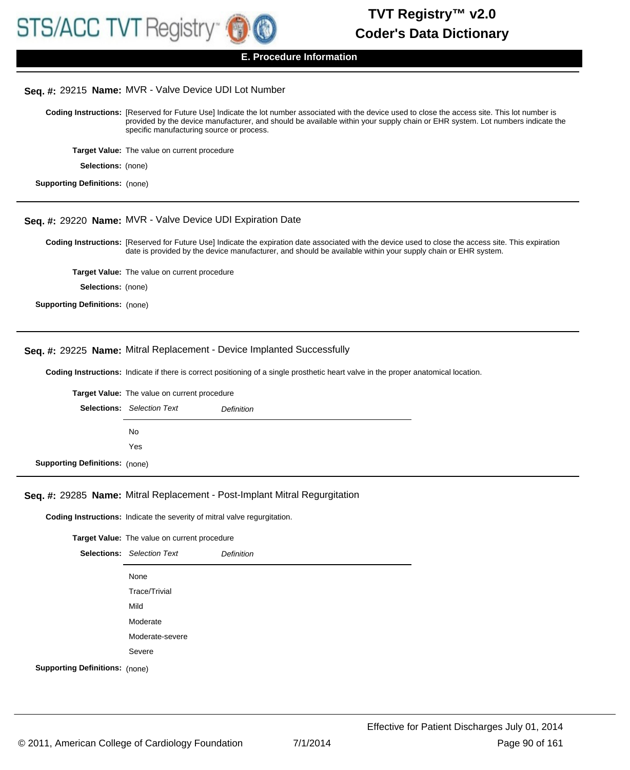

#### **Seq. #:** 29215 **Name:** MVR - Valve Device UDI Lot Number

Coding Instructions: [Reserved for Future Use] Indicate the lot number associated with the device used to close the access site. This lot number is provided by the device manufacturer, and should be available within your supply chain or EHR system. Lot numbers indicate the specific manufacturing source or process.

**Target Value:** The value on current procedure

**Selections:** (none)

```
Supporting Definitions: (none)
```
#### **Seq. #:** 29220 **Name:** MVR - Valve Device UDI Expiration Date

Coding Instructions: [Reserved for Future Use] Indicate the expiration date associated with the device used to close the access site. This expiration date is provided by the device manufacturer, and should be available within your supply chain or EHR system.

**Target Value:** The value on current procedure

**Selections:** (none)

#### **Seq. #:** 29225 **Name:** Mitral Replacement - Device Implanted Successfully

**Coding Instructions:** Indicate if there is correct positioning of a single prosthetic heart valve in the proper anatomical location.

|                                       | Target Value: The value on current procedure |            |
|---------------------------------------|----------------------------------------------|------------|
|                                       | <b>Selections:</b> Selection Text            | Definition |
|                                       | No.                                          |            |
|                                       | Yes                                          |            |
| <b>Supporting Definitions: (none)</b> |                                              |            |

#### **Seq. #:** 29285 **Name:** Mitral Replacement - Post-Implant Mitral Regurgitation

**Coding Instructions:** Indicate the severity of mitral valve regurgitation.

|                                       | Target Value: The value on current procedure |                   |
|---------------------------------------|----------------------------------------------|-------------------|
|                                       | <b>Selections:</b> Selection Text            | <b>Definition</b> |
|                                       | None                                         |                   |
|                                       | Trace/Trivial                                |                   |
|                                       | Mild                                         |                   |
|                                       | Moderate                                     |                   |
|                                       | Moderate-severe                              |                   |
|                                       | Severe                                       |                   |
| <b>Supporting Definitions:</b> (none) |                                              |                   |

**Supporting Definitions:** (none)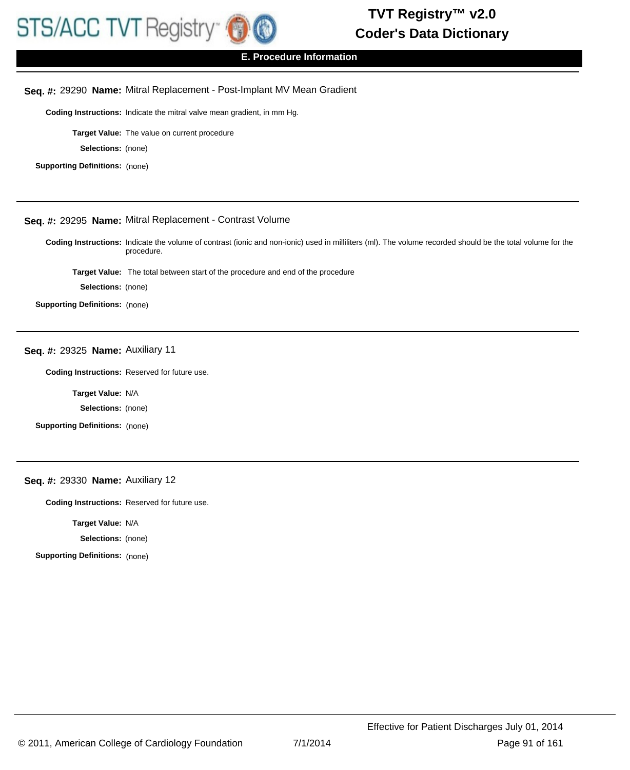

## **E. Procedure Information**

#### **Seq. #:** 29290 **Name:** Mitral Replacement - Post-Implant MV Mean Gradient

**Coding Instructions:** Indicate the mitral valve mean gradient, in mm Hg.

**Target Value:** The value on current procedure

**Selections:** (none)

**Supporting Definitions:** (none)

# **Seq. #:** 29295 **Name:** Mitral Replacement - Contrast Volume

Coding Instructions: Indicate the volume of contrast (ionic and non-ionic) used in milliliters (ml). The volume recorded should be the total volume for the procedure.

**Target Value:** The total between start of the procedure and end of the procedure

**Selections:** (none)

**Supporting Definitions:** (none)

#### **Seq. #:** 29325 **Name:** Auxiliary 11

**Coding Instructions:** Reserved for future use.

**Target Value:** N/A

**Selections:** (none)

**Supporting Definitions:** (none)

### **Seq. #:** 29330 **Name:** Auxiliary 12

**Coding Instructions:** Reserved for future use.

**Target Value:** N/A

**Selections:** (none)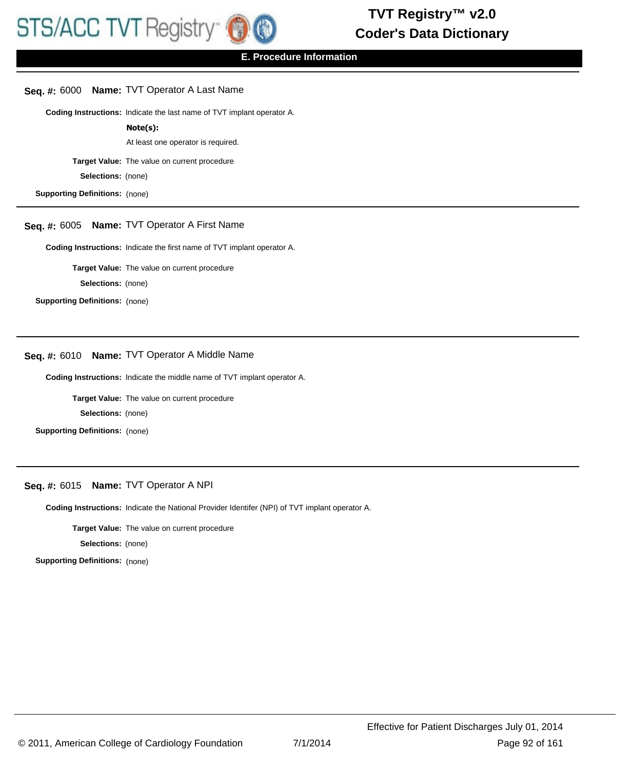#### **Seq. #:** 6000 **Name:** TVT Operator A Last Name

**Coding Instructions:** Indicate the last name of TVT implant operator A.

#### **Note(s):**

At least one operator is required.

**Target Value:** The value on current procedure

**Selections:** (none)

**Supporting Definitions:** (none)

# **Seq. #:** 6005 **Name:** TVT Operator A First Name

**Coding Instructions:** Indicate the first name of TVT implant operator A.

**Target Value:** The value on current procedure

**Selections:** (none)

**Supporting Definitions:** (none)

### **Seq. #:** 6010 **Name:** TVT Operator A Middle Name

**Coding Instructions:** Indicate the middle name of TVT implant operator A.

**Target Value:** The value on current procedure

**Selections:** (none)

**Supporting Definitions:** (none)

#### **Seq. #:** 6015 **Name:** TVT Operator A NPI

**Coding Instructions:** Indicate the National Provider Identifer (NPI) of TVT implant operator A.

**Target Value:** The value on current procedure

**Selections:** (none)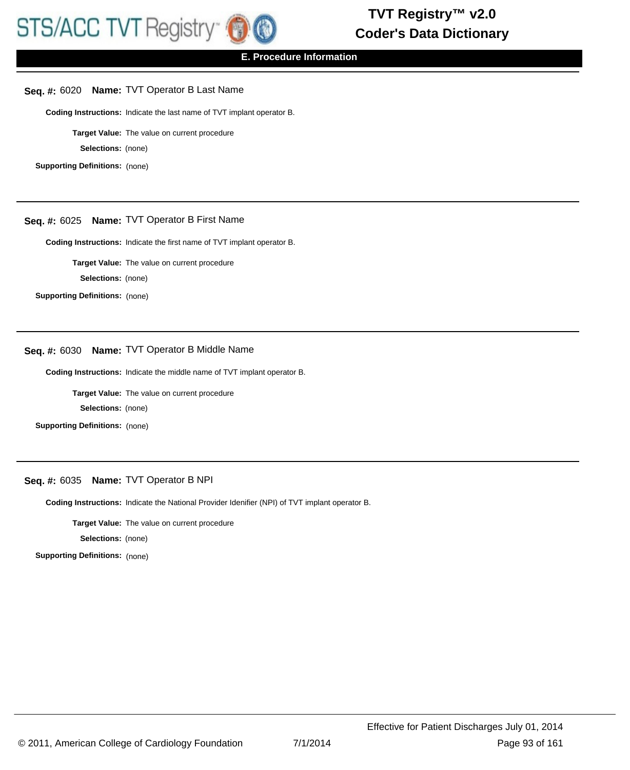

# **Seq. #:** 6020 **Name:** TVT Operator B Last Name

**Coding Instructions:** Indicate the last name of TVT implant operator B.

**Target Value:** The value on current procedure

**Selections:** (none)

**Supporting Definitions:** (none)

# **Seq. #:** 6025 **Name:** TVT Operator B First Name

**Coding Instructions:** Indicate the first name of TVT implant operator B.

**Target Value:** The value on current procedure

**Selections:** (none)

**Supporting Definitions:** (none)

# **Seq. #:** 6030 **Name:** TVT Operator B Middle Name

**Coding Instructions:** Indicate the middle name of TVT implant operator B.

**Target Value:** The value on current procedure

**Selections:** (none)

**Supporting Definitions:** (none)

# **Seq. #:** 6035 **Name:** TVT Operator B NPI

**Coding Instructions:** Indicate the National Provider Idenifier (NPI) of TVT implant operator B.

**Target Value:** The value on current procedure

**Selections:** (none)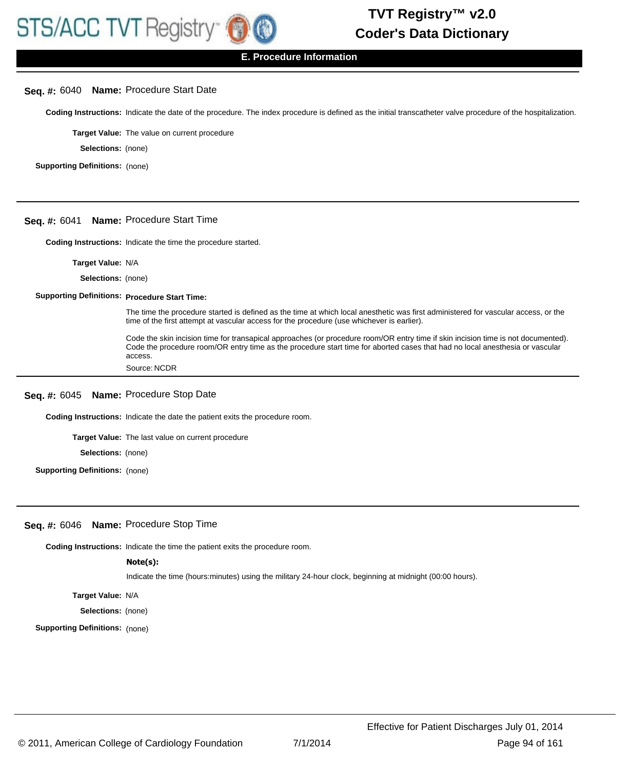# **Seq. #:** 6040 **Name:** Procedure Start Date

**Coding Instructions:** Indicate the date of the procedure. The index procedure is defined as the initial transcatheter valve procedure of the hospitalization.

**Target Value:** The value on current procedure

**Selections:** (none)

**Supporting Definitions:** (none)

#### **Seq. #:** 6041 **Name:** Procedure Start Time

**Coding Instructions:** Indicate the time the procedure started.

**Target Value:** N/A

**Selections:** (none)

#### **Supporting Definitions: Procedure Start Time:**

The time the procedure started is defined as the time at which local anesthetic was first administered for vascular access, or the time of the first attempt at vascular access for the procedure (use whichever is earlier).

Code the skin incision time for transapical approaches (or procedure room/OR entry time if skin incision time is not documented). Code the procedure room/OR entry time as the procedure start time for aborted cases that had no local anesthesia or vascular access.

Source: NCDR

#### **Seq. #:** 6045 **Name:** Procedure Stop Date

**Coding Instructions:** Indicate the date the patient exits the procedure room.

**Target Value:** The last value on current procedure

**Selections:** (none)

**Supporting Definitions:** (none)

#### **Seq. #:** 6046 **Name:** Procedure Stop Time

**Coding Instructions:** Indicate the time the patient exits the procedure room.

#### **Note(s):**

Indicate the time (hours:minutes) using the military 24-hour clock, beginning at midnight (00:00 hours).

**Target Value:** N/A

**Selections:** (none)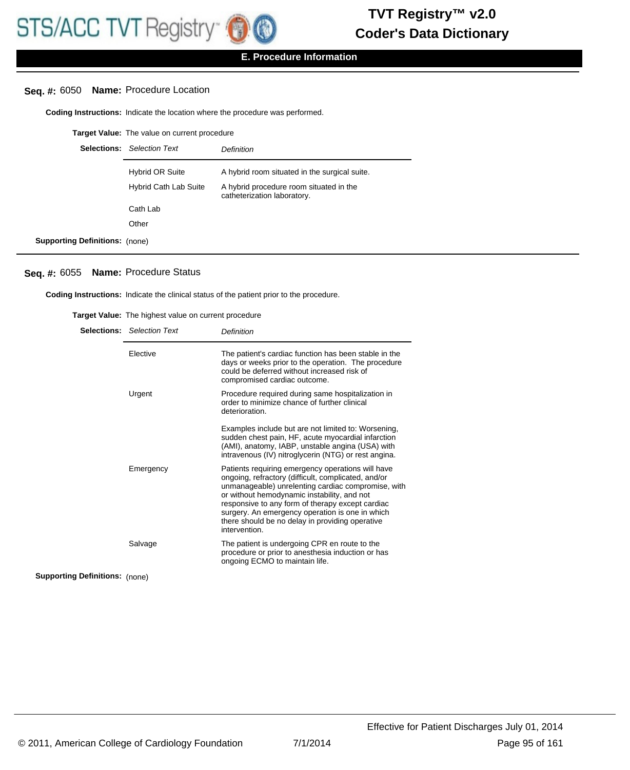# **Seq. #:** 6050 **Name:** Procedure Location

**Coding Instructions:** Indicate the location where the procedure was performed.

|                                       | Target Value: The value on current procedure |                                                                        |
|---------------------------------------|----------------------------------------------|------------------------------------------------------------------------|
|                                       | <b>Selections:</b> Selection Text            | Definition                                                             |
|                                       | Hybrid OR Suite                              | A hybrid room situated in the surgical suite.                          |
|                                       | <b>Hybrid Cath Lab Suite</b>                 | A hybrid procedure room situated in the<br>catheterization laboratory. |
|                                       | Cath Lab                                     |                                                                        |
|                                       | Other                                        |                                                                        |
| <b>Supporting Definitions:</b> (none) |                                              |                                                                        |

#### **Seq. #:** 6055 **Name:** Procedure Status

**Coding Instructions:** Indicate the clinical status of the patient prior to the procedure.

|                                       | <b>Selections:</b> Selection Text | Definition                                                                                                                                                                                                                                                                                                                                                                               |
|---------------------------------------|-----------------------------------|------------------------------------------------------------------------------------------------------------------------------------------------------------------------------------------------------------------------------------------------------------------------------------------------------------------------------------------------------------------------------------------|
|                                       | Elective                          | The patient's cardiac function has been stable in the<br>days or weeks prior to the operation. The procedure<br>could be deferred without increased risk of<br>compromised cardiac outcome.                                                                                                                                                                                              |
|                                       | Urgent                            | Procedure required during same hospitalization in<br>order to minimize chance of further clinical<br>deterioration.                                                                                                                                                                                                                                                                      |
|                                       |                                   | Examples include but are not limited to: Worsening,<br>sudden chest pain, HF, acute myocardial infarction<br>(AMI), anatomy, IABP, unstable angina (USA) with<br>intravenous (IV) nitroglycerin (NTG) or rest angina.                                                                                                                                                                    |
|                                       | Emergency                         | Patients requiring emergency operations will have<br>ongoing, refractory (difficult, complicated, and/or<br>unmanageable) unrelenting cardiac compromise, with<br>or without hemodynamic instability, and not<br>responsive to any form of therapy except cardiac<br>surgery. An emergency operation is one in which<br>there should be no delay in providing operative<br>intervention. |
|                                       | Salvage                           | The patient is undergoing CPR en route to the<br>procedure or prior to anesthesia induction or has<br>ongoing ECMO to maintain life.                                                                                                                                                                                                                                                     |
| <b>Supporting Definitions: (none)</b> |                                   |                                                                                                                                                                                                                                                                                                                                                                                          |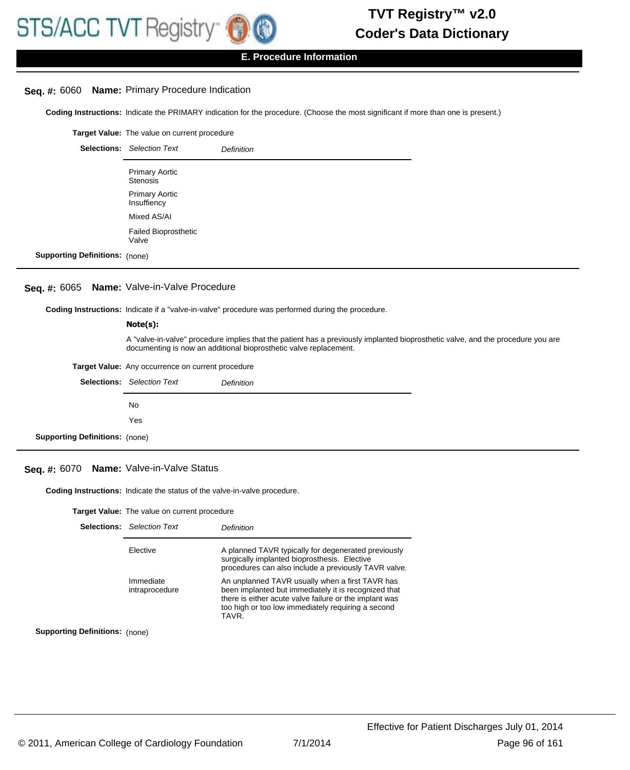

### **E. Procedure Information**

### **Seq. #:** 6060 **Name:** Primary Procedure Indication

**Coding Instructions:** Indicate the PRIMARY indication for the procedure. (Choose the most significant if more than one is present.)

|                                       | Target Value: The value on current procedure |                   |
|---------------------------------------|----------------------------------------------|-------------------|
|                                       | <b>Selections:</b> Selection Text            | <b>Definition</b> |
|                                       | <b>Primary Aortic</b><br><b>Stenosis</b>     |                   |
|                                       | <b>Primary Aortic</b><br>Insuffiency         |                   |
|                                       | Mixed AS/AI                                  |                   |
|                                       | <b>Failed Bioprosthetic</b><br>Valve         |                   |
| <b>Supporting Definitions: (none)</b> |                                              |                   |

### **Seq. #:** 6065 **Name:** Valve-in-Valve Procedure

**Coding Instructions:** Indicate if a "valve-in-valve" procedure was performed during the procedure.

#### **Note(s):**

A "valve-in-valve" procedure implies that the patient has a previously implanted bioprosthetic valve, and the procedure you are documenting is now an additional bioprosthetic valve replacement.

| Target Value: Any occurrence on current procedure |
|---------------------------------------------------|
|                                                   |

|                                       | <b>Selections:</b> Selection Text | <b>Definition</b> |
|---------------------------------------|-----------------------------------|-------------------|
|                                       | No.                               |                   |
|                                       | Yes                               |                   |
| <b>Supporting Definitions: (none)</b> |                                   |                   |

#### **Seq. #:** 6070 **Name:** Valve-in-Valve Status

**Coding Instructions:** Indicate the status of the valve-in-valve procedure.

| <b>Target Value:</b> The value on current procedure |  |
|-----------------------------------------------------|--|
|-----------------------------------------------------|--|

|                                       | <b>Selections:</b> Selection Text | Definition                                                                                                                                                                                                                       |
|---------------------------------------|-----------------------------------|----------------------------------------------------------------------------------------------------------------------------------------------------------------------------------------------------------------------------------|
|                                       | Elective                          | A planned TAVR typically for degenerated previously<br>surgically implanted bioprosthesis. Elective<br>procedures can also include a previously TAVR valve.                                                                      |
|                                       | Immediate<br>intraprocedure       | An unplanned TAVR usually when a first TAVR has<br>been implanted but immediately it is recognized that<br>there is either acute valve failure or the implant was<br>too high or too low immediately requiring a second<br>TAVR. |
| <b>Supporting Definitions:</b> (none) |                                   |                                                                                                                                                                                                                                  |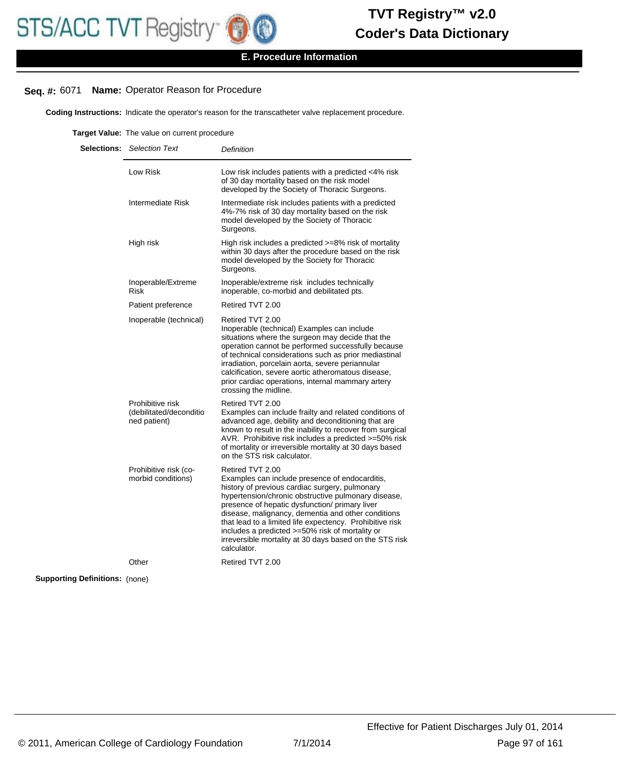# **Seq. #:** 6071 **Name:** Operator Reason for Procedure

**Coding Instructions:** Indicate the operator's reason for the transcatheter valve replacement procedure.

**Target Value:** The value on current procedure

|                                       | <b>Selections:</b> Selection Text                           | Definition                                                                                                                                                                                                                                                                                                                                                                                                                                                                   |
|---------------------------------------|-------------------------------------------------------------|------------------------------------------------------------------------------------------------------------------------------------------------------------------------------------------------------------------------------------------------------------------------------------------------------------------------------------------------------------------------------------------------------------------------------------------------------------------------------|
|                                       | Low Risk                                                    | Low risk includes patients with a predicted <4% risk<br>of 30 day mortality based on the risk model<br>developed by the Society of Thoracic Surgeons.                                                                                                                                                                                                                                                                                                                        |
|                                       | Intermediate Risk                                           | Intermediate risk includes patients with a predicted<br>4%-7% risk of 30 day mortality based on the risk<br>model developed by the Society of Thoracic<br>Surgeons.                                                                                                                                                                                                                                                                                                          |
|                                       | High risk                                                   | High risk includes a predicted >=8% risk of mortality<br>within 30 days after the procedure based on the risk<br>model developed by the Society for Thoracic<br>Surgeons.                                                                                                                                                                                                                                                                                                    |
|                                       | Inoperable/Extreme<br><b>Risk</b>                           | Inoperable/extreme risk includes technically<br>inoperable, co-morbid and debilitated pts.                                                                                                                                                                                                                                                                                                                                                                                   |
|                                       | Patient preference                                          | Retired TVT 2.00                                                                                                                                                                                                                                                                                                                                                                                                                                                             |
|                                       | Inoperable (technical)                                      | Retired TVT 2.00<br>Inoperable (technical) Examples can include<br>situations where the surgeon may decide that the<br>operation cannot be performed successfully because<br>of technical considerations such as prior mediastinal<br>irradiation, porcelain aorta, severe periannular<br>calcification, severe aortic atheromatous disease,<br>prior cardiac operations, internal mammary artery<br>crossing the midline.                                                   |
|                                       | Prohibitive risk<br>(debilitated/deconditio<br>ned patient) | Retired TVT 2.00<br>Examples can include frailty and related conditions of<br>advanced age, debility and deconditioning that are<br>known to result in the inability to recover from surgical<br>AVR. Prohibitive risk includes a predicted >=50% risk<br>of mortality or irreversible mortality at 30 days based<br>on the STS risk calculator.                                                                                                                             |
|                                       | Prohibitive risk (co-<br>morbid conditions)                 | Retired TVT 2.00<br>Examples can include presence of endocarditis,<br>history of previous cardiac surgery, pulmonary<br>hypertension/chronic obstructive pulmonary disease,<br>presence of hepatic dysfunction/ primary liver<br>disease, malignancy, dementia and other conditions<br>that lead to a limited life expectency. Prohibitive risk<br>includes a predicted >=50% risk of mortality or<br>irreversible mortality at 30 days based on the STS risk<br>calculator. |
|                                       | Other                                                       | Retired TVT 2.00                                                                                                                                                                                                                                                                                                                                                                                                                                                             |
| <b>Supporting Definitions: (none)</b> |                                                             |                                                                                                                                                                                                                                                                                                                                                                                                                                                                              |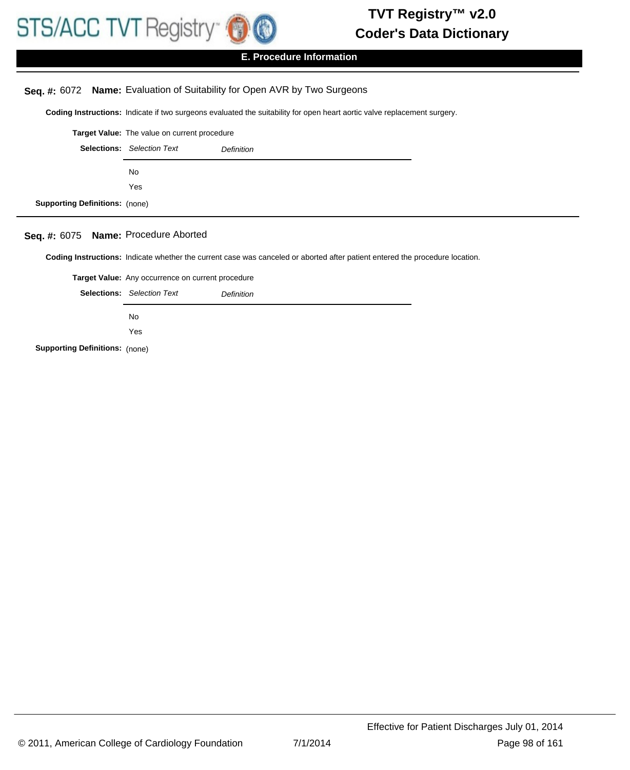

# **E. Procedure Information**

# **Seq. #:** 6072 **Name:** Evaluation of Suitability for Open AVR by Two Surgeons

**Coding Instructions:** Indicate if two surgeons evaluated the suitability for open heart aortic valve replacement surgery.

|                                       | Target Value: The value on current procedure |                   |
|---------------------------------------|----------------------------------------------|-------------------|
|                                       | <b>Selections:</b> Selection Text            | <b>Definition</b> |
|                                       | No.                                          |                   |
|                                       | Yes                                          |                   |
| <b>Supporting Definitions: (none)</b> |                                              |                   |

# **Seq. #:** 6075 **Name:** Procedure Aborted

**Coding Instructions:** Indicate whether the current case was canceled or aborted after patient entered the procedure location.

|                                       | Target Value: Any occurrence on current procedure |            |
|---------------------------------------|---------------------------------------------------|------------|
|                                       | <b>Selections:</b> Selection Text                 | Definition |
|                                       | No.                                               |            |
|                                       | Yes                                               |            |
| <b>Supporting Definitions: (none)</b> |                                                   |            |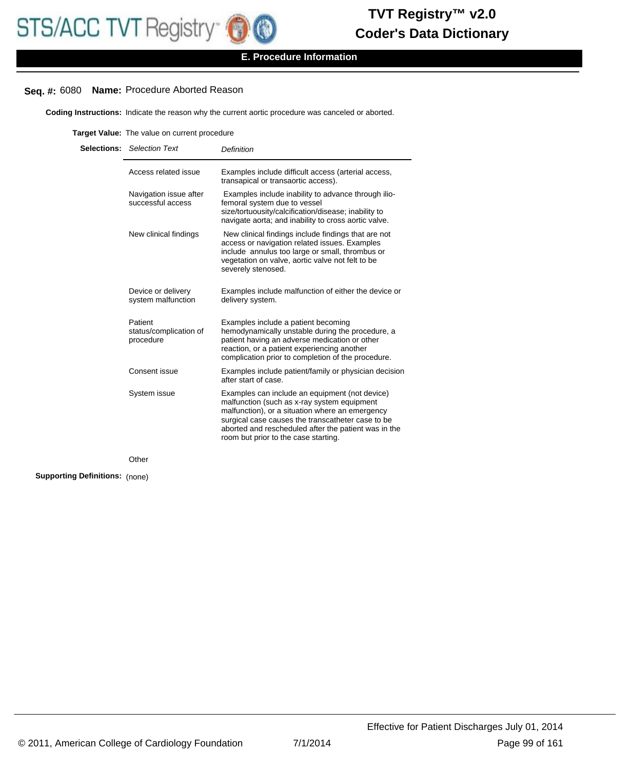

# **Seq. #:** 6080 **Name:** Procedure Aborted Reason

**Coding Instructions:** Indicate the reason why the current aortic procedure was canceled or aborted.

**Target Value:** The value on current procedure

| <b>Selections:</b> Selection Text              | <b>Definition</b>                                                                                                                                                                                                                                                                                     |
|------------------------------------------------|-------------------------------------------------------------------------------------------------------------------------------------------------------------------------------------------------------------------------------------------------------------------------------------------------------|
| Access related issue                           | Examples include difficult access (arterial access,<br>transapical or transaortic access).                                                                                                                                                                                                            |
| Navigation issue after<br>successful access    | Examples include inability to advance through ilio-<br>femoral system due to vessel<br>size/tortuousity/calcification/disease; inability to<br>navigate aorta; and inability to cross aortic valve.                                                                                                   |
| New clinical findings                          | New clinical findings include findings that are not<br>access or navigation related issues. Examples<br>include annulus too large or small, thrombus or<br>vegetation on valve, aortic valve not felt to be<br>severely stenosed.                                                                     |
| Device or delivery<br>system malfunction       | Examples include malfunction of either the device or<br>delivery system.                                                                                                                                                                                                                              |
| Patient<br>status/complication of<br>procedure | Examples include a patient becoming<br>hemodynamically unstable during the procedure, a<br>patient having an adverse medication or other<br>reaction, or a patient experiencing another<br>complication prior to completion of the procedure.                                                         |
| Consent issue                                  | Examples include patient/family or physician decision<br>after start of case.                                                                                                                                                                                                                         |
| System issue                                   | Examples can include an equipment (not device)<br>malfunction (such as x-ray system equipment<br>malfunction), or a situation where an emergency<br>surgical case causes the transcatheter case to be<br>aborted and rescheduled after the patient was in the<br>room but prior to the case starting. |
| Other                                          |                                                                                                                                                                                                                                                                                                       |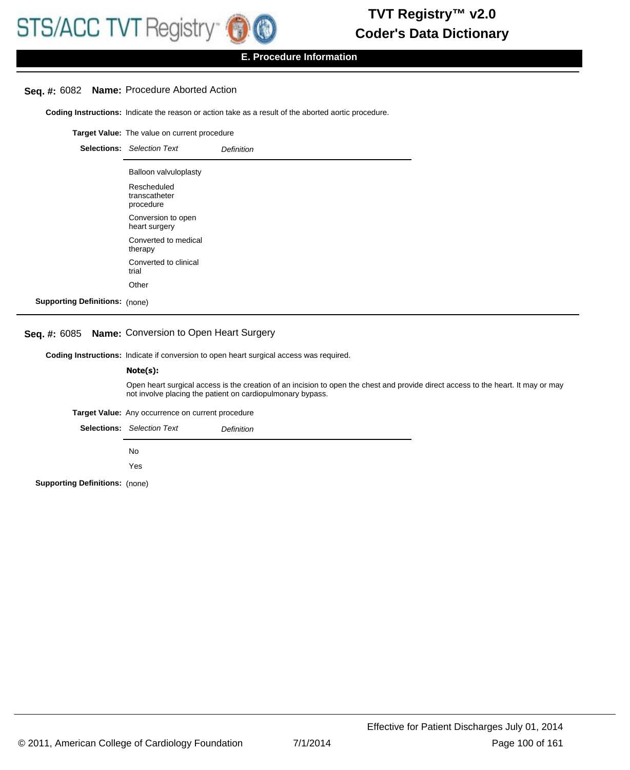

# **Seq. #:** 6082 **Name:** Procedure Aborted Action

**Coding Instructions:** Indicate the reason or action take as a result of the aborted aortic procedure.

**Target Value:** The value on current procedure

|                                       | <b>Selections:</b> Selection Text         | <b>Definition</b> |
|---------------------------------------|-------------------------------------------|-------------------|
|                                       | Balloon valvuloplasty                     |                   |
|                                       | Rescheduled<br>transcatheter<br>procedure |                   |
|                                       | Conversion to open<br>heart surgery       |                   |
|                                       | Converted to medical<br>therapy           |                   |
|                                       | Converted to clinical<br>trial            |                   |
|                                       | Other                                     |                   |
| <b>Supporting Definitions:</b> (none) |                                           |                   |

# **Seq. #:** 6085 **Name:** Conversion to Open Heart Surgery

**Coding Instructions:** Indicate if conversion to open heart surgical access was required.

#### **Note(s):**

Open heart surgical access is the creation of an incision to open the chest and provide direct access to the heart. It may or may not involve placing the patient on cardiopulmonary bypass.

**Target Value:** Any occurrence on current procedure

Selections: Selection Text **Definition** 

No

Yes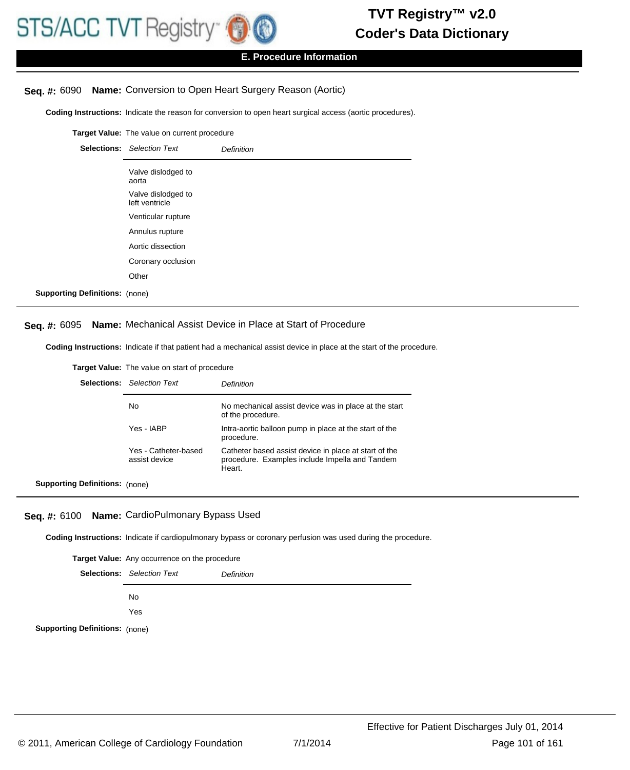

# **Seq. #:** 6090 **Name:** Conversion to Open Heart Surgery Reason (Aortic)

**Coding Instructions:** Indicate the reason for conversion to open heart surgical access (aortic procedures).

**Target Value:** The value on current procedure Selections: Selection Text **Definition** Valve dislodged to aorta Valve dislodged to left ventricle Venticular rupture Annulus rupture Aortic dissection Coronary occlusion **Other Supporting Definitions:** (none)

#### **Seq. #:** 6095 **Name:** Mechanical Assist Device in Place at Start of Procedure

**Coding Instructions:** Indicate if that patient had a mechanical assist device in place at the start of the procedure.

**Target Value:** The value on start of procedure

|                                       | <b>Selections:</b> Selection Text     | Definition                                                                                                        |
|---------------------------------------|---------------------------------------|-------------------------------------------------------------------------------------------------------------------|
|                                       | No.                                   | No mechanical assist device was in place at the start<br>of the procedure.                                        |
|                                       | Yes - IABP                            | Intra-aortic balloon pump in place at the start of the<br>procedure.                                              |
|                                       | Yes - Catheter-based<br>assist device | Catheter based assist device in place at start of the<br>procedure. Examples include Impella and Tandem<br>Heart. |
| <b>Supporting Definitions:</b> (none) |                                       |                                                                                                                   |

**Seq. #:** 6100 **Name:** CardioPulmonary Bypass Used

**Coding Instructions:** Indicate if cardiopulmonary bypass or coronary perfusion was used during the procedure.

**Target Value:** Any occurrence on the procedure Selections: Selection Text **Definition** No Yes **Supporting Definitions:** (none)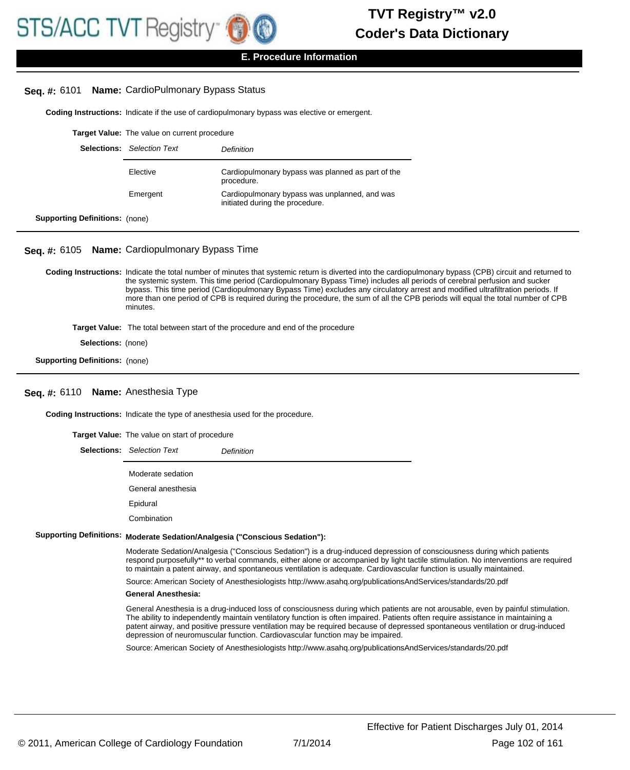

#### **E. Procedure Information**

#### **Seq. #:** 6101 **Name:** CardioPulmonary Bypass Status

**Coding Instructions:** Indicate if the use of cardiopulmonary bypass was elective or emergent.

|                                       | <b>Target Value:</b> The value on current procedure |                                                                                  |  |
|---------------------------------------|-----------------------------------------------------|----------------------------------------------------------------------------------|--|
| <b>Selections:</b>                    | <b>Selection Text</b>                               | Definition                                                                       |  |
|                                       | Elective                                            | Cardiopulmonary bypass was planned as part of the<br>procedure.                  |  |
|                                       | Emergent                                            | Cardiopulmonary bypass was unplanned, and was<br>initiated during the procedure. |  |
| <b>Supporting Definitions:</b> (none) |                                                     |                                                                                  |  |

**Seq. #:** 6105 **Name:** Cardiopulmonary Bypass Time

Coding Instructions: Indicate the total number of minutes that systemic return is diverted into the cardiopulmonary bypass (CPB) circuit and returned to the systemic system. This time period (Cardiopulmonary Bypass Time) includes all periods of cerebral perfusion and sucker bypass. This time period (Cardiopulmonary Bypass Time) excludes any circulatory arrest and modified ultrafiltration periods. If more than one period of CPB is required during the procedure, the sum of all the CPB periods will equal the total number of CPB minutes.

**Target Value:** The total between start of the procedure and end of the procedure

**Selections:** (none)

**Supporting Definitions:** (none)

#### **Seq. #:** 6110 **Name:** Anesthesia Type

**Coding Instructions:** Indicate the type of anesthesia used for the procedure.

**Target Value:** The value on start of procedure

Selections: Selection Text **Definition** 

Moderate sedation

General anesthesia

Epidural

Combination

#### **Supporting Definitions: Moderate Sedation/Analgesia ("Conscious Sedation"):**

Moderate Sedation/Analgesia ("Conscious Sedation") is a drug-induced depression of consciousness during which patients respond purposefully\*\* to verbal commands, either alone or accompanied by light tactile stimulation. No interventions are required to maintain a patent airway, and spontaneous ventilation is adequate. Cardiovascular function is usually maintained.

Source: American Society of Anesthesiologists http://www.asahq.org/publicationsAndServices/standards/20.pdf

#### **General Anesthesia:**

General Anesthesia is a drug-induced loss of consciousness during which patients are not arousable, even by painful stimulation. The ability to independently maintain ventilatory function is often impaired. Patients often require assistance in maintaining a patent airway, and positive pressure ventilation may be required because of depressed spontaneous ventilation or drug-induced depression of neuromuscular function. Cardiovascular function may be impaired.

Source: American Society of Anesthesiologists http://www.asahq.org/publicationsAndServices/standards/20.pdf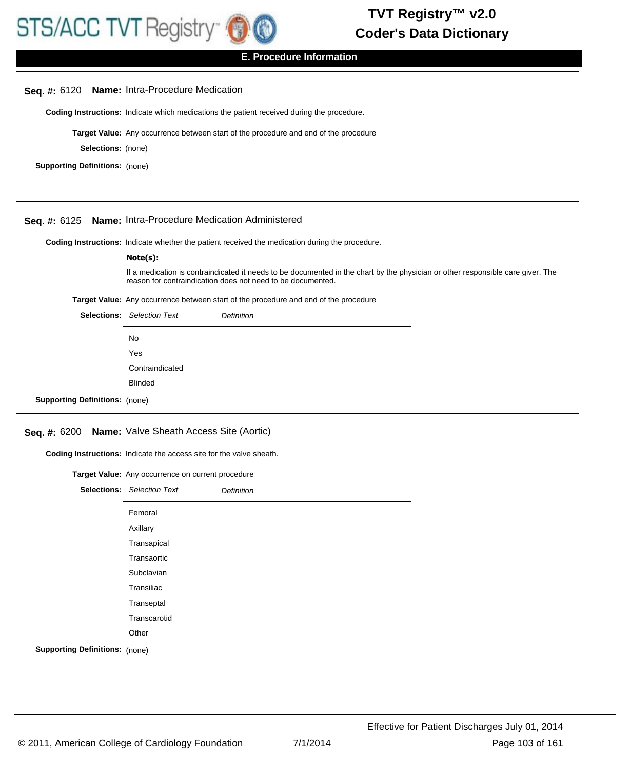

#### **E. Procedure Information**

# **Seq. #:** 6120 **Name:** Intra-Procedure Medication

**Coding Instructions:** Indicate which medications the patient received during the procedure.

**Target Value:** Any occurrence between start of the procedure and end of the procedure

**Selections:** (none)

**Supporting Definitions:** (none)

**Supporting Definitions:** (none)

### **Seq. #:** 6125 **Name:** Intra-Procedure Medication Administered

**Coding Instructions:** Indicate whether the patient received the medication during the procedure.

|                                                                                                                                                                                                | Note(s):                          |                                                                                             |  |
|------------------------------------------------------------------------------------------------------------------------------------------------------------------------------------------------|-----------------------------------|---------------------------------------------------------------------------------------------|--|
| If a medication is contraindicated it needs to be documented in the chart by the physician or other responsible care giver. The<br>reason for contraindication does not need to be documented. |                                   |                                                                                             |  |
|                                                                                                                                                                                                |                                   | <b>Target Value:</b> Any occurrence between start of the procedure and end of the procedure |  |
|                                                                                                                                                                                                | <b>Selections:</b> Selection Text | <b>Definition</b>                                                                           |  |
|                                                                                                                                                                                                | No.                               |                                                                                             |  |
|                                                                                                                                                                                                | Yes                               |                                                                                             |  |
|                                                                                                                                                                                                | Contraindicated                   |                                                                                             |  |
|                                                                                                                                                                                                | <b>Blinded</b>                    |                                                                                             |  |

# **Seq. #:** 6200 **Name:** Valve Sheath Access Site (Aortic)

**Coding Instructions:** Indicate the access site for the valve sheath.

| Target Value: Any occurrence on current procedure |                                   |                   |
|---------------------------------------------------|-----------------------------------|-------------------|
|                                                   | <b>Selections:</b> Selection Text | <b>Definition</b> |
|                                                   | Femoral                           |                   |
|                                                   | Axillary                          |                   |
|                                                   | Transapical                       |                   |
|                                                   | Transaortic                       |                   |
|                                                   | Subclavian                        |                   |
|                                                   | Transiliac                        |                   |
|                                                   | Transeptal                        |                   |
|                                                   | Transcarotid                      |                   |
|                                                   | Other                             |                   |
| <b>Supporting Definitions: (none)</b>             |                                   |                   |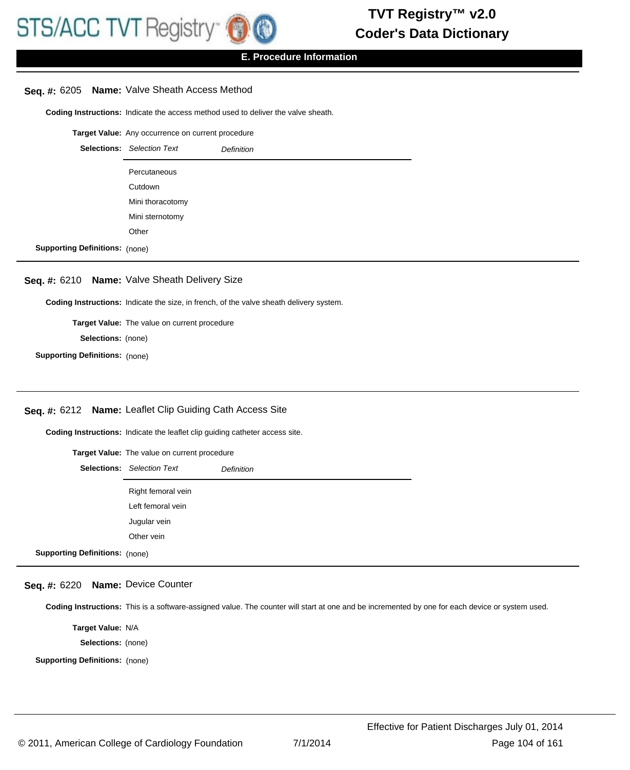

# **Seq. #:** 6205 **Name:** Valve Sheath Access Method

**Coding Instructions:** Indicate the access method used to deliver the valve sheath.

**Target Value:** Any occurrence on current procedure

|                                       | <b>Selections:</b> Selection Text | <b>Definition</b> |
|---------------------------------------|-----------------------------------|-------------------|
|                                       | Percutaneous                      |                   |
|                                       | Cutdown                           |                   |
|                                       | Mini thoracotomy                  |                   |
|                                       | Mini sternotomy                   |                   |
|                                       | Other                             |                   |
| <b>Supporting Definitions: (none)</b> |                                   |                   |

# **Seq. #:** 6210 **Name:** Valve Sheath Delivery Size

**Coding Instructions:** Indicate the size, in french, of the valve sheath delivery system.

**Target Value:** The value on current procedure **Selections:** (none)

**Supporting Definitions:** (none)

# **Seq. #:** 6212 **Name:** Leaflet Clip Guiding Cath Access Site

**Coding Instructions:** Indicate the leaflet clip guiding catheter access site.

| <b>Target Value:</b> The value on current procedure |                                   |                   |
|-----------------------------------------------------|-----------------------------------|-------------------|
|                                                     | <b>Selections:</b> Selection Text | <b>Definition</b> |
|                                                     | Right femoral vein                |                   |
|                                                     | Left femoral vein                 |                   |
|                                                     | Jugular vein                      |                   |
|                                                     | Other vein                        |                   |
| <b>Supporting Definitions: (none)</b>               |                                   |                   |

# **Seq. #:** 6220 **Name:** Device Counter

**Coding Instructions:** This is a software-assigned value. The counter will start at one and be incremented by one for each device or system used.

**Target Value:** N/A

**Selections:** (none)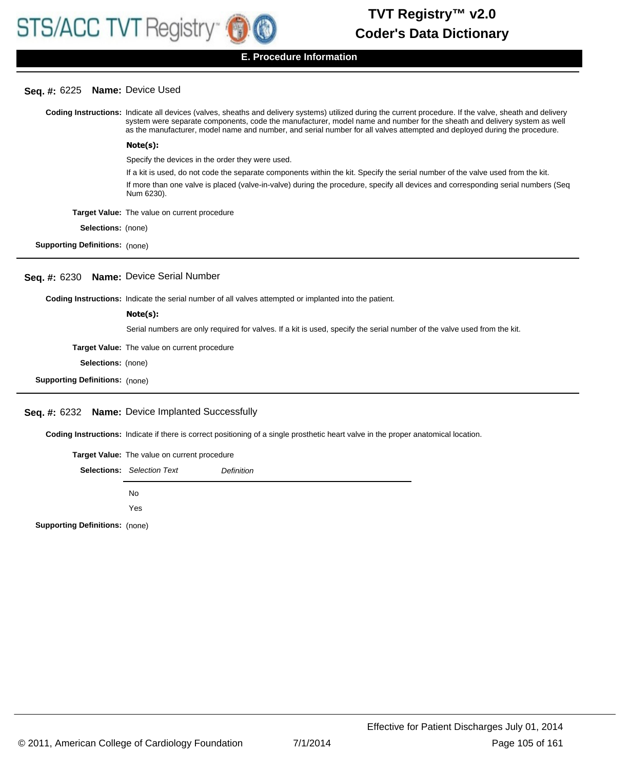# **Seq. #:** 6225 **Name:** Device Used

|                                         | Coding Instructions: Indicate all devices (valves, sheaths and delivery systems) utilized during the current procedure. If the valve, sheath and delivery<br>system were separate components, code the manufacturer, model name and number for the sheath and delivery system as well<br>as the manufacturer, model name and number, and serial number for all valves attempted and deployed during the procedure. |  |
|-----------------------------------------|--------------------------------------------------------------------------------------------------------------------------------------------------------------------------------------------------------------------------------------------------------------------------------------------------------------------------------------------------------------------------------------------------------------------|--|
|                                         | Note(s):                                                                                                                                                                                                                                                                                                                                                                                                           |  |
|                                         | Specify the devices in the order they were used.                                                                                                                                                                                                                                                                                                                                                                   |  |
|                                         | If a kit is used, do not code the separate components within the kit. Specify the serial number of the valve used from the kit.                                                                                                                                                                                                                                                                                    |  |
|                                         | If more than one valve is placed (valve-in-valve) during the procedure, specify all devices and corresponding serial numbers (Seq<br>Num 6230).                                                                                                                                                                                                                                                                    |  |
|                                         | Target Value: The value on current procedure                                                                                                                                                                                                                                                                                                                                                                       |  |
| <b>Selections:</b> (none)               |                                                                                                                                                                                                                                                                                                                                                                                                                    |  |
| <b>Supporting Definitions:</b> (none)   |                                                                                                                                                                                                                                                                                                                                                                                                                    |  |
| Seq. #: 6230 Name: Device Serial Number |                                                                                                                                                                                                                                                                                                                                                                                                                    |  |
|                                         | Coding Instructions: Indicate the serial number of all valves attempted or implanted into the patient.                                                                                                                                                                                                                                                                                                             |  |
|                                         | Note(s):                                                                                                                                                                                                                                                                                                                                                                                                           |  |
|                                         | Serial numbers are only required for valves. If a kit is used, specify the serial number of the valve used from the kit.                                                                                                                                                                                                                                                                                           |  |
|                                         | <b>Target Value:</b> The value on current procedure                                                                                                                                                                                                                                                                                                                                                                |  |
| <b>Selections:</b> (none)               |                                                                                                                                                                                                                                                                                                                                                                                                                    |  |
| <b>Supporting Definitions: (none)</b>   |                                                                                                                                                                                                                                                                                                                                                                                                                    |  |
|                                         |                                                                                                                                                                                                                                                                                                                                                                                                                    |  |

# **Seq. #:** 6232 **Name:** Device Implanted Successfully

**Coding Instructions:** Indicate if there is correct positioning of a single prosthetic heart valve in the proper anatomical location.

| Target Value: The value on current procedure |                                   |            |
|----------------------------------------------|-----------------------------------|------------|
|                                              | <b>Selections:</b> Selection Text | Definition |
|                                              | No.<br>Yes                        |            |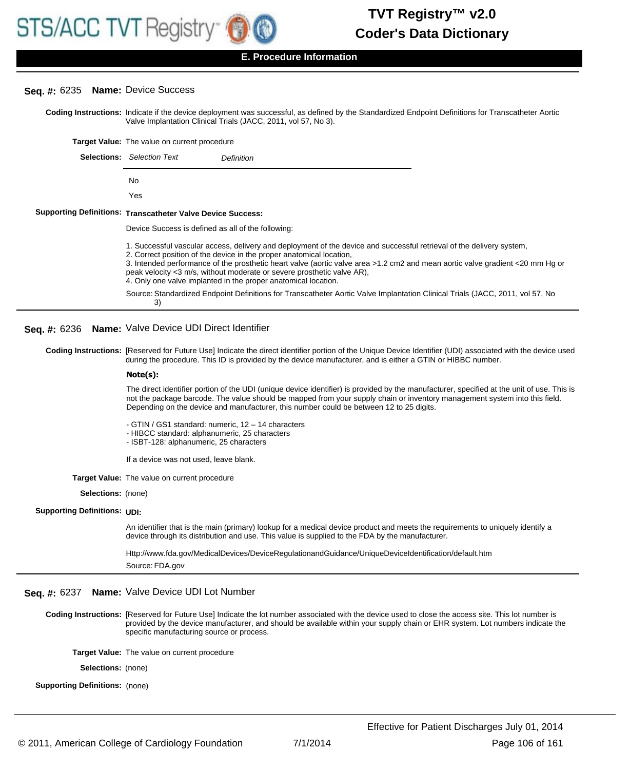

# **Seq. #:** 6235 **Name:** Device Success

**Sup** 

Coding Instructions: Indicate if the device deployment was successful, as defined by the Standardized Endpoint Definitions for Transcatheter Aortic Valve Implantation Clinical Trials (JACC, 2011, vol 57, No 3).

**Target Value:** The value on current procedure

| Selections: | <b>Selection Text</b>                                    | Definition                                                                                                                                                                                                                                                                                                                                                                                                                          |
|-------------|----------------------------------------------------------|-------------------------------------------------------------------------------------------------------------------------------------------------------------------------------------------------------------------------------------------------------------------------------------------------------------------------------------------------------------------------------------------------------------------------------------|
|             | No                                                       |                                                                                                                                                                                                                                                                                                                                                                                                                                     |
|             | Yes                                                      |                                                                                                                                                                                                                                                                                                                                                                                                                                     |
|             | porting Definitions: Transcatheter Valve Device Success: |                                                                                                                                                                                                                                                                                                                                                                                                                                     |
|             |                                                          | Device Success is defined as all of the following:                                                                                                                                                                                                                                                                                                                                                                                  |
|             |                                                          | 1. Successful vascular access, delivery and deployment of the device and successful retrieval of the delivery system,<br>2. Correct position of the device in the proper anatomical location,<br>3. Intended performance of the prosthetic heart valve (aortic valve area >1.2 cm2 and mean aortic valve gradient <20<br>$\mathsf{p}_1$ neak valocity $\mathsf{p}_2$ m/s, without moderate or severe prosthetic valve $\mathsf{AP}$ |

ilve gradient <20 mm Hg or 3 m/s, without moderate or severe prosthetic valve AR), 4. Only one valve implanted in the proper anatomical location. Source: Standardized Endpoint Definitions for Transcatheter Aortic Valve Implantation Clinical Trials (JACC, 2011, vol 57, No 3)

**Seq. #:** 6236 **Name:** Valve Device UDI Direct Identifier

Coding Instructions: [Reserved for Future Use] Indicate the direct identifier portion of the Unique Device Identifier (UDI) associated with the device used during the procedure. This ID is provided by the device manufacturer, and is either a GTIN or HIBBC number.

#### **Note(s):**

The direct identifier portion of the UDI (unique device identifier) is provided by the manufacturer, specified at the unit of use. This is not the package barcode. The value should be mapped from your supply chain or inventory management system into this field. Depending on the device and manufacturer, this number could be between 12 to 25 digits.

- GTIN / GS1 standard: numeric, 12 – 14 characters

- HIBCC standard: alphanumeric, 25 characters

- ISBT-128: alphanumeric, 25 characters

- If a device was not used, leave blank.
- **Target Value:** The value on current procedure

**Selections:** (none)

#### **Supporting Definitions:** UDI:

An identifier that is the main (primary) lookup for a medical device product and meets the requirements to uniquely identify a device through its distribution and use. This value is supplied to the FDA by the manufacturer.

Http://www.fda.gov/MedicalDevices/DeviceRegulationandGuidance/UniqueDeviceIdentification/default.htm Source: FDA.gov

#### **Seq. #:** 6237 **Name:** Valve Device UDI Lot Number

Coding Instructions: [Reserved for Future Use] Indicate the lot number associated with the device used to close the access site. This lot number is provided by the device manufacturer, and should be available within your supply chain or EHR system. Lot numbers indicate the specific manufacturing source or process.

**Target Value:** The value on current procedure

**Selections:** (none)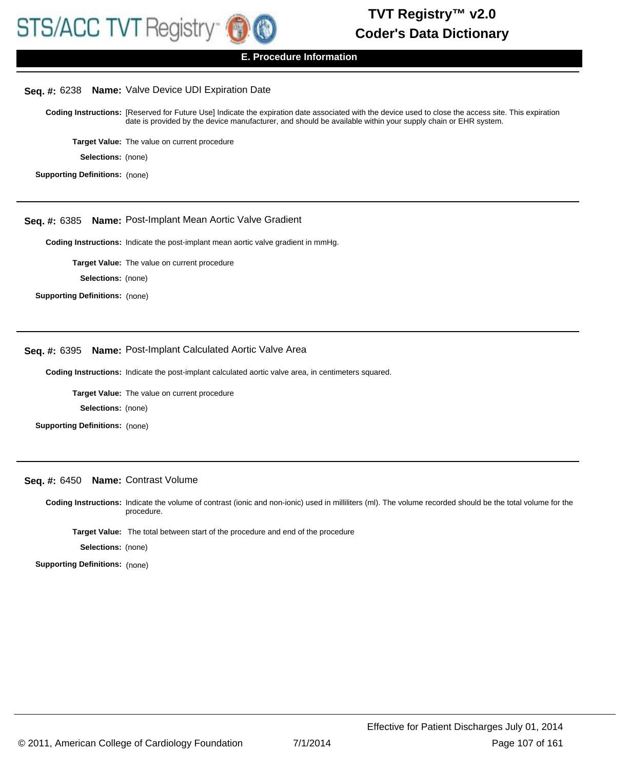

#### **Seq. #:** 6238 **Name:** Valve Device UDI Expiration Date

Coding Instructions: [Reserved for Future Use] Indicate the expiration date associated with the device used to close the access site. This expiration date is provided by the device manufacturer, and should be available within your supply chain or EHR system.

**Target Value:** The value on current procedure

**Selections:** (none)

**Supporting Definitions:** (none)

#### **Seq. #:** 6385 **Name:** Post-Implant Mean Aortic Valve Gradient

**Coding Instructions:** Indicate the post-implant mean aortic valve gradient in mmHg.

**Target Value:** The value on current procedure

**Selections:** (none)

**Supporting Definitions:** (none)

#### **Seq. #:** 6395 **Name:** Post-Implant Calculated Aortic Valve Area

**Coding Instructions:** Indicate the post-implant calculated aortic valve area, in centimeters squared.

**Target Value:** The value on current procedure

**Selections:** (none)

**Supporting Definitions:** (none)

# **Seq. #:** 6450 **Name:** Contrast Volume

Coding Instructions: Indicate the volume of contrast (ionic and non-ionic) used in milliliters (ml). The volume recorded should be the total volume for the procedure.

**Target Value:** The total between start of the procedure and end of the procedure

**Selections:** (none)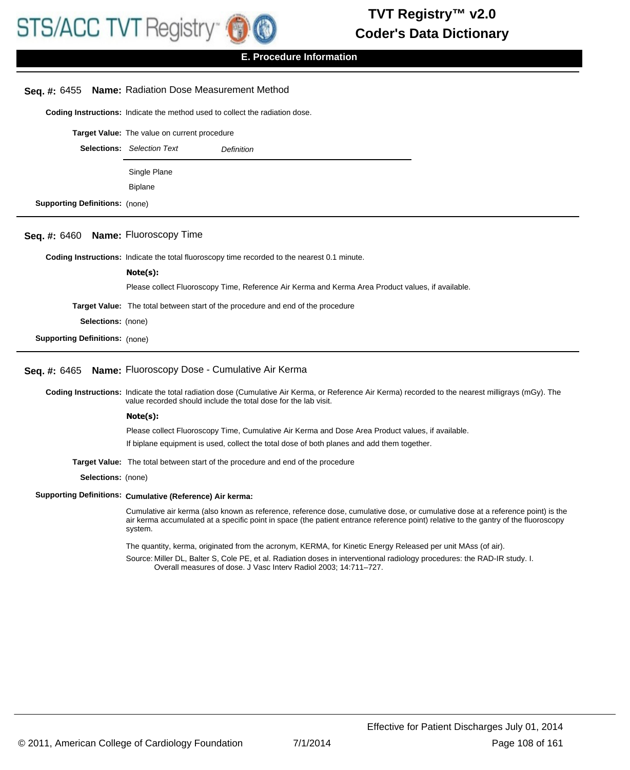

|                                       | Seq. #: 6455 Name: Radiation Dose Measurement Method                                                                                                                                                                                                                              |
|---------------------------------------|-----------------------------------------------------------------------------------------------------------------------------------------------------------------------------------------------------------------------------------------------------------------------------------|
|                                       | Coding Instructions: Indicate the method used to collect the radiation dose.                                                                                                                                                                                                      |
|                                       | Target Value: The value on current procedure                                                                                                                                                                                                                                      |
|                                       | <b>Selections:</b> Selection Text<br><b>Definition</b>                                                                                                                                                                                                                            |
|                                       |                                                                                                                                                                                                                                                                                   |
|                                       | Single Plane                                                                                                                                                                                                                                                                      |
|                                       | <b>Biplane</b>                                                                                                                                                                                                                                                                    |
| <b>Supporting Definitions:</b> (none) |                                                                                                                                                                                                                                                                                   |
| Seq. $#: 6460$                        | <b>Name: Fluoroscopy Time</b>                                                                                                                                                                                                                                                     |
|                                       | <b>Coding Instructions:</b> Indicate the total fluoroscopy time recorded to the nearest 0.1 minute.                                                                                                                                                                               |
|                                       | Note(s):                                                                                                                                                                                                                                                                          |
|                                       | Please collect Fluoroscopy Time, Reference Air Kerma and Kerma Area Product values, if available.                                                                                                                                                                                 |
|                                       | Target Value: The total between start of the procedure and end of the procedure                                                                                                                                                                                                   |
| Selections: (none)                    |                                                                                                                                                                                                                                                                                   |
| <b>Supporting Definitions: (none)</b> |                                                                                                                                                                                                                                                                                   |
| <b>Seq. #: 6465</b>                   | Name: Fluoroscopy Dose - Cumulative Air Kerma                                                                                                                                                                                                                                     |
|                                       | Coding Instructions: Indicate the total radiation dose (Cumulative Air Kerma, or Reference Air Kerma) recorded to the nearest milligrays (mGy). The<br>value recorded should include the total dose for the lab visit.                                                            |
|                                       | Note(s):                                                                                                                                                                                                                                                                          |
|                                       | Please collect Fluoroscopy Time, Cumulative Air Kerma and Dose Area Product values, if available.                                                                                                                                                                                 |
|                                       | If biplane equipment is used, collect the total dose of both planes and add them together.                                                                                                                                                                                        |
|                                       | Target Value: The total between start of the procedure and end of the procedure                                                                                                                                                                                                   |
| Selections: (none)                    |                                                                                                                                                                                                                                                                                   |
|                                       | Supporting Definitions: Cumulative (Reference) Air kerma:                                                                                                                                                                                                                         |
|                                       | Cumulative air kerma (also known as reference, reference dose, cumulative dose, or cumulative dose at a reference point) is the<br>air kerma accumulated at a specific point in space (the patient entrance reference point) relative to the gantry of the fluoroscopy<br>system. |
|                                       | The quantity, kerma, originated from the acronym, KERMA, for Kinetic Energy Released per unit MAss (of air).                                                                                                                                                                      |
|                                       | Source: Miller DL, Balter S, Cole PE, et al. Radiation doses in interventional radiology procedures: the RAD-IR study. I.<br>Overall measures of dose. J Vasc Interv Radiol 2003; 14:711-727.                                                                                     |
|                                       |                                                                                                                                                                                                                                                                                   |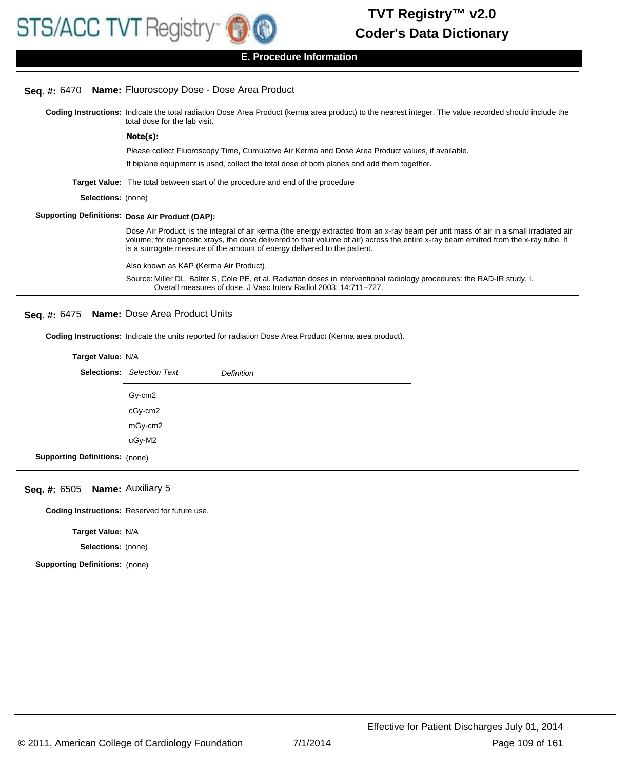### **E. Procedure Information**

## **Seq. #:** 6470 **Name:** Fluoroscopy Dose - Dose Area Product

Coding Instructions: Indicate the total radiation Dose Area Product (kerma area product) to the nearest integer. The value recorded should include the total dose for the lab visit.

#### **Note(s):**

Please collect Fluoroscopy Time, Cumulative Air Kerma and Dose Area Product values, if available.

If biplane equipment is used, collect the total dose of both planes and add them together.

**Target Value:** The total between start of the procedure and end of the procedure

**Selections:** (none)

#### **Supporting Definitions: Dose Air Product (DAP):**

Dose Air Product, is the integral of air kerma (the energy extracted from an x-ray beam per unit mass of air in a small irradiated air volume; for diagnostic xrays, the dose delivered to that volume of air) across the entire x-ray beam emitted from the x-ray tube. It is a surrogate measure of the amount of energy delivered to the patient.

Also known as KAP (Kerma Air Product).

Source: Miller DL, Balter S, Cole PE, et al. Radiation doses in interventional radiology procedures: the RAD-IR study. I. Overall measures of dose. J Vasc Interv Radiol 2003; 14:711–727.

#### **Seq. #:** 6475 **Name:** Dose Area Product Units

**Coding Instructions:** Indicate the units reported for radiation Dose Area Product (Kerma area product).

#### **Target Value:** N/A

|                                       | <b>Selections:</b> Selection Text | <b>Definition</b> |
|---------------------------------------|-----------------------------------|-------------------|
|                                       | Gy-cm2                            |                   |
|                                       | cGy-cm2                           |                   |
|                                       | mGy-cm2                           |                   |
|                                       | uGy-M2                            |                   |
| <b>Supporting Definitions:</b> (none) |                                   |                   |

#### **Seq. #:** 6505 **Name:** Auxiliary 5

**Coding Instructions:** Reserved for future use.

**Target Value:** N/A

**Selections:** (none)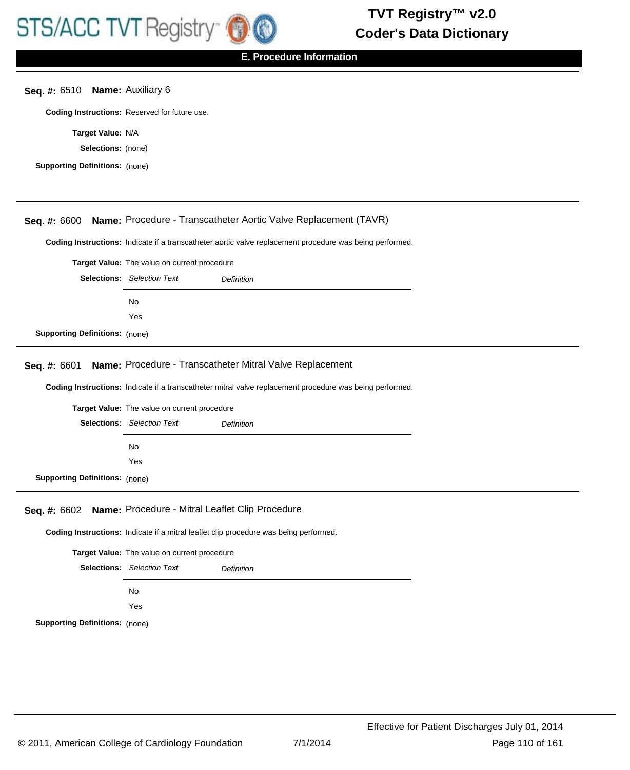**E. Procedure Information**

## **Seq. #:** 6510 **Name:** Auxiliary 6

**Coding Instructions:** Reserved for future use.

**Target Value:** N/A

**Selections:** (none)

| Seq. #: 6600                          | Name: Procedure - Transcatheter Aortic Valve Replacement (TAVR)                                          |  |  |  |
|---------------------------------------|----------------------------------------------------------------------------------------------------------|--|--|--|
|                                       |                                                                                                          |  |  |  |
|                                       | Coding Instructions: Indicate if a transcatheter aortic valve replacement procedure was being performed. |  |  |  |
|                                       | Target Value: The value on current procedure                                                             |  |  |  |
|                                       | <b>Selections:</b> Selection Text<br>Definition                                                          |  |  |  |
|                                       | No                                                                                                       |  |  |  |
|                                       | Yes                                                                                                      |  |  |  |
| <b>Supporting Definitions: (none)</b> |                                                                                                          |  |  |  |
|                                       |                                                                                                          |  |  |  |
| Seq. #: 6601                          | Name: Procedure - Transcatheter Mitral Valve Replacement                                                 |  |  |  |
|                                       |                                                                                                          |  |  |  |
|                                       | Coding Instructions: Indicate if a transcatheter mitral valve replacement procedure was being performed. |  |  |  |
|                                       | Target Value: The value on current procedure                                                             |  |  |  |
|                                       | <b>Selections:</b> Selection Text<br>Definition                                                          |  |  |  |
|                                       | No                                                                                                       |  |  |  |
|                                       | Yes                                                                                                      |  |  |  |
| <b>Supporting Definitions: (none)</b> |                                                                                                          |  |  |  |
|                                       |                                                                                                          |  |  |  |
| <b>Seq. #: 6602</b>                   | Name: Procedure - Mitral Leaflet Clip Procedure                                                          |  |  |  |
|                                       | Coding Instructions: Indicate if a mitral leaflet clip procedure was being performed.                    |  |  |  |
|                                       |                                                                                                          |  |  |  |
|                                       | Target Value: The value on current procedure                                                             |  |  |  |
|                                       | <b>Selections:</b> Selection Text<br><b>Definition</b>                                                   |  |  |  |
|                                       | No                                                                                                       |  |  |  |
|                                       | Yes                                                                                                      |  |  |  |
| <b>Supporting Definitions: (none)</b> |                                                                                                          |  |  |  |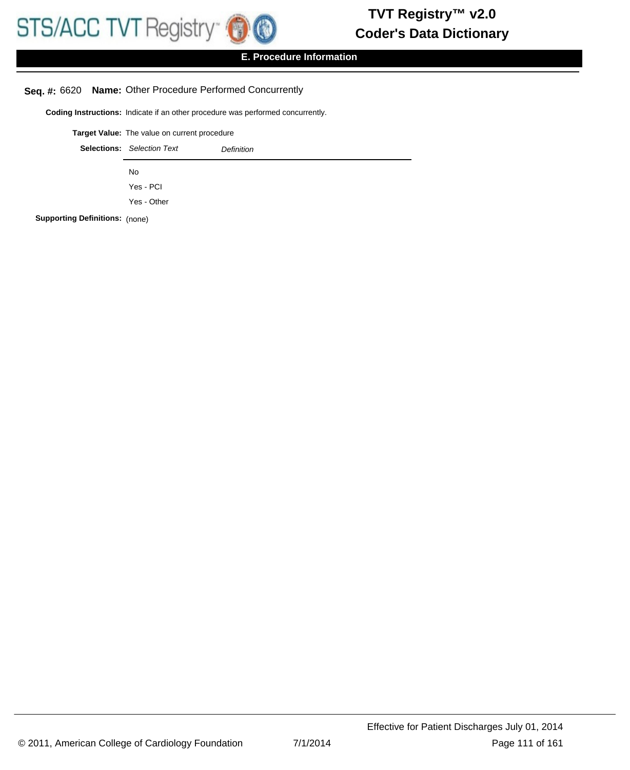

# **E. Procedure Information**

## **Seq. #:** 6620 **Name:** Other Procedure Performed Concurrently

**Coding Instructions:** Indicate if an other procedure was performed concurrently.

| Target Value: The value on current procedure                                                                       |                                   |                   |  |
|--------------------------------------------------------------------------------------------------------------------|-----------------------------------|-------------------|--|
|                                                                                                                    | <b>Selections:</b> Selection Text | <b>Definition</b> |  |
|                                                                                                                    | No                                |                   |  |
|                                                                                                                    | Yes - PCI                         |                   |  |
|                                                                                                                    | Yes - Other                       |                   |  |
| $\mathbf{L}_{\mathbf{a}}$ as $\mathbf{D}_{\mathbf{a}}$ . $\mathbf{L}_{\mathbf{a}}$ is the sequence of $\mathbf{A}$ |                                   |                   |  |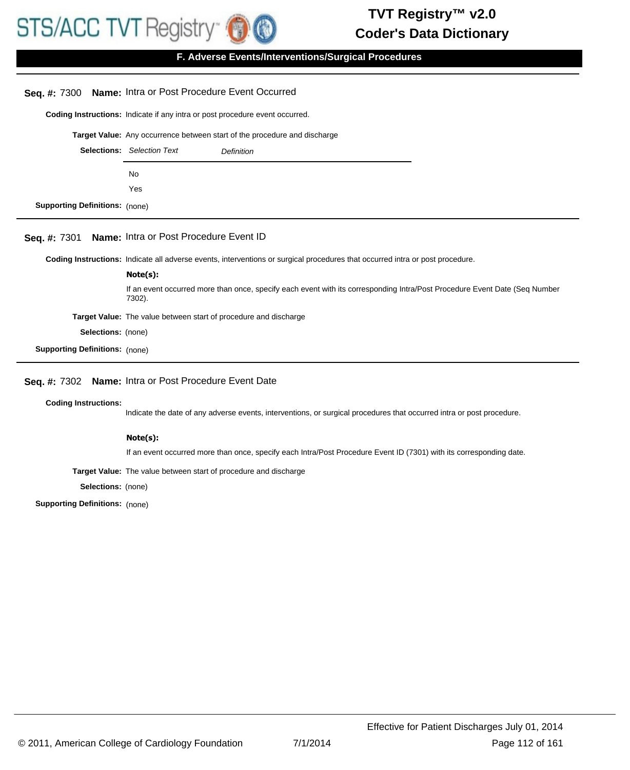**F. Adverse Events/Interventions/Surgical Procedures**

# **Seq. #:** 7300 **Name:** Intra or Post Procedure Event Occurred

**Coding Instructions:** Indicate if any intra or post procedure event occurred.

**Target Value:** Any occurrence between start of the procedure and discharge

|                     | <b>Selections:</b> Selection Text | <b>Definition</b> |
|---------------------|-----------------------------------|-------------------|
|                     | No                                |                   |
|                     | Yes                               |                   |
| Definitions: (none) |                                   |                   |

#### **Seq. #:** 7301 **Name:** Intra or Post Procedure Event ID

**Coding Instructions:** Indicate all adverse events, interventions or surgical procedures that occurred intra or post procedure.

|                                       | Note(s):                                                                                                                             |
|---------------------------------------|--------------------------------------------------------------------------------------------------------------------------------------|
|                                       | If an event occurred more than once, specify each event with its corresponding Intra/Post Procedure Event Date (Seq Number<br>7302). |
|                                       | <b>Target Value:</b> The value between start of procedure and discharge                                                              |
| <b>Selections:</b> (none)             |                                                                                                                                      |
| <b>Supporting Definitions: (none)</b> |                                                                                                                                      |

## **Seq. #:** 7302 **Name:** Intra or Post Procedure Event Date

#### **Coding Instructions:**

**Supporting** 

Indicate the date of any adverse events, interventions, or surgical procedures that occurred intra or post procedure.

#### **Note(s):**

If an event occurred more than once, specify each Intra/Post Procedure Event ID (7301) with its corresponding date.

**Target Value:** The value between start of procedure and discharge

**Selections:** (none)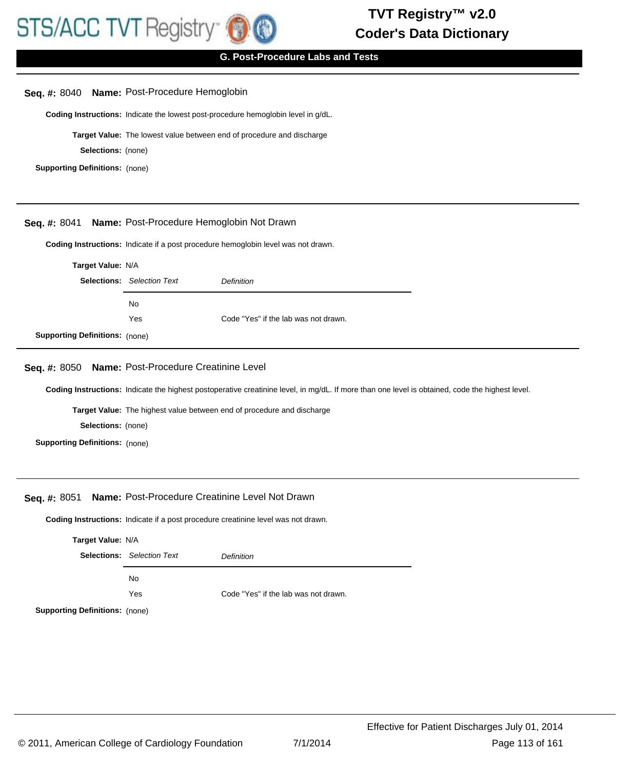

## **G. Post-Procedure Labs and Tests**

### **Seq. #:** 8040 **Name:** Post-Procedure Hemoglobin

**Coding Instructions:** Indicate the lowest post-procedure hemoglobin level in g/dL.

**Target Value:** The lowest value between end of procedure and discharge

**Selections:** (none)

**Supporting Definitions:** (none)

#### **Seq. #:** 8041 **Name:** Post-Procedure Hemoglobin Not Drawn

**Coding Instructions:** Indicate if a post procedure hemoglobin level was not drawn.

| Target Value: N/A                     |                                                 |                                      |
|---------------------------------------|-------------------------------------------------|--------------------------------------|
|                                       | <b>Selections:</b> Selection Text<br>Definition |                                      |
|                                       | No                                              |                                      |
|                                       | Yes                                             | Code "Yes" if the lab was not drawn. |
| <b>Supporting Definitions: (none)</b> |                                                 |                                      |

## **Seq. #:** 8050 **Name:** Post-Procedure Creatinine Level

**Coding Instructions:** Indicate the highest postoperative creatinine level, in mg/dL. If more than one level is obtained, code the highest level.

**Target Value:** The highest value between end of procedure and discharge

**Selections:** (none)

**Supporting Definitions:** (none)

#### **Seq. #:** 8051 **Name:** Post-Procedure Creatinine Level Not Drawn

**Coding Instructions:** Indicate if a post procedure creatinine level was not drawn.

| Target Value: N/A                                                                 |                                   |                                      |  |  |
|-----------------------------------------------------------------------------------|-----------------------------------|--------------------------------------|--|--|
|                                                                                   | <b>Selections:</b> Selection Text | Definition                           |  |  |
|                                                                                   | No.                               |                                      |  |  |
|                                                                                   | Yes                               | Code "Yes" if the lab was not drawn. |  |  |
| $\mathbf{f}$ and $\mathbf{f}$ are contributed as a set of the set of $\mathbf{f}$ |                                   |                                      |  |  |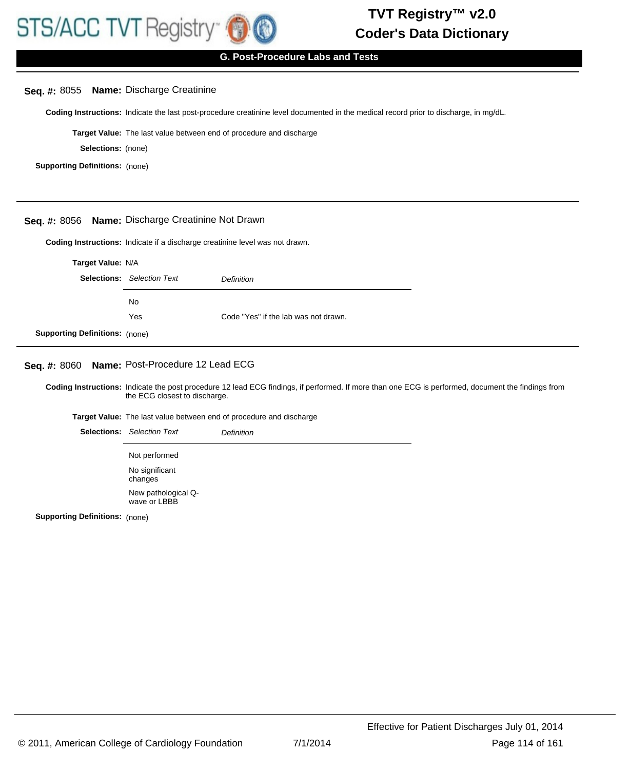## **G. Post-Procedure Labs and Tests**

## **Seq. #:** 8055 **Name:** Discharge Creatinine

**Coding Instructions:** Indicate the last post-procedure creatinine level documented in the medical record prior to discharge, in mg/dL.

**Target Value:** The last value between end of procedure and discharge

**Selections:** (none)

**Supporting Definitions:** (none)

#### **Seq. #:** 8056 **Name:** Discharge Creatinine Not Drawn

**Coding Instructions:** Indicate if a discharge creatinine level was not drawn.

| Target Value: N/A                     |     |                                      |  |
|---------------------------------------|-----|--------------------------------------|--|
| <b>Selections:</b> Selection Text     |     | Definition                           |  |
|                                       | No. |                                      |  |
|                                       | Yes | Code "Yes" if the lab was not drawn. |  |
| <b>Supporting Definitions:</b> (none) |     |                                      |  |

## **Seq. #:** 8060 **Name:** Post-Procedure 12 Lead ECG

Coding Instructions: Indicate the post procedure 12 lead ECG findings, if performed. If more than one ECG is performed, document the findings from the ECG closest to discharge.

**Target Value:** The last value between end of procedure and discharge

Selections: Selection Text **Definition** Not performed No significant changes New pathological Qwave or LBBB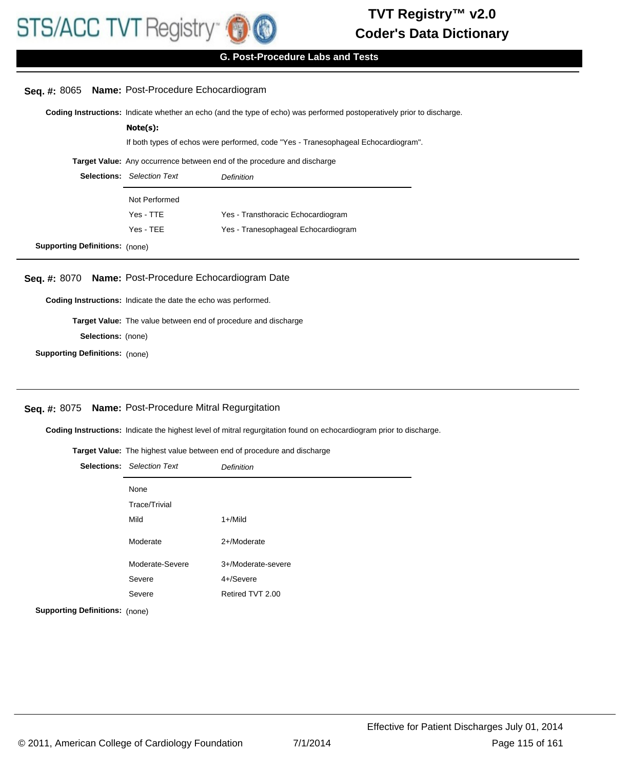

## **G. Post-Procedure Labs and Tests**

#### **Seq. #:** 8065 **Name:** Post-Procedure Echocardiogram

**Coding Instructions:** Indicate whether an echo (and the type of echo) was performed postoperatively prior to discharge.

|                                       | Note(s):                                                                           |                                     |  |  |
|---------------------------------------|------------------------------------------------------------------------------------|-------------------------------------|--|--|
|                                       | If both types of echos were performed, code "Yes - Tranesophageal Echocardiogram". |                                     |  |  |
|                                       | <b>Target Value:</b> Any occurrence between end of the procedure and discharge     |                                     |  |  |
|                                       | <b>Selections:</b> Selection Text<br><b>Definition</b>                             |                                     |  |  |
|                                       | Not Performed                                                                      |                                     |  |  |
|                                       | Yes - TTE                                                                          | Yes - Transthoracic Echocardiogram  |  |  |
|                                       | Yes - TEE                                                                          | Yes - Tranesophageal Echocardiogram |  |  |
| <b>Supporting Definitions:</b> (none) |                                                                                    |                                     |  |  |

#### **Seq. #:** 8070 **Name:** Post-Procedure Echocardiogram Date

**Coding Instructions:** Indicate the date the echo was performed.

**Target Value:** The value between end of procedure and discharge

**Selections:** (none)

**Supporting Definitions:** (none)

## **Seq. #:** 8075 **Name:** Post-Procedure Mitral Regurgitation

**Coding Instructions:** Indicate the highest level of mitral regurgitation found on echocardiogram prior to discharge.

#### **Target Value:** The highest value between end of procedure and discharge

| <b>Selections:</b> Selection Text | <b>Definition</b>  |
|-----------------------------------|--------------------|
| None                              |                    |
| <b>Trace/Trivial</b>              |                    |
| Mild                              | $1 +$ /Mild        |
| Moderate                          | 2+/Moderate        |
| Moderate-Severe                   | 3+/Moderate-severe |
| Severe                            | 4+/Severe          |
| Severe                            | Retired TVT 2.00   |
|                                   |                    |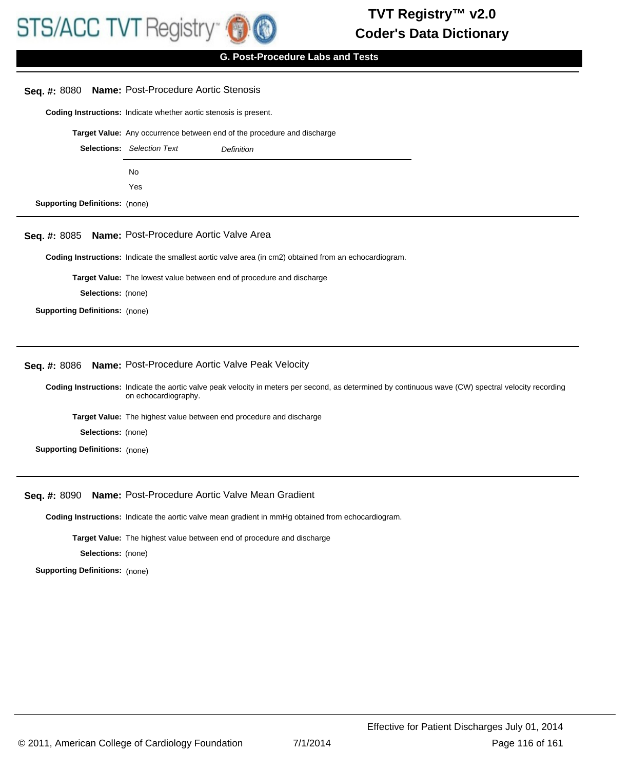

**G. Post-Procedure Labs and Tests**

|                                       | Seq. #: 8080 Name: Post-Procedure Aortic Stenosis                                                                                                                            |
|---------------------------------------|------------------------------------------------------------------------------------------------------------------------------------------------------------------------------|
|                                       | Coding Instructions: Indicate whether aortic stenosis is present.                                                                                                            |
|                                       | Target Value: Any occurrence between end of the procedure and discharge                                                                                                      |
|                                       | <b>Selections:</b> Selection Text<br><b>Definition</b>                                                                                                                       |
|                                       | No                                                                                                                                                                           |
|                                       | Yes                                                                                                                                                                          |
| <b>Supporting Definitions: (none)</b> |                                                                                                                                                                              |
|                                       | Seq. #: 8085 Name: Post-Procedure Aortic Valve Area                                                                                                                          |
|                                       | Coding Instructions: Indicate the smallest aortic valve area (in cm2) obtained from an echocardiogram.                                                                       |
|                                       | Target Value: The lowest value between end of procedure and discharge                                                                                                        |
| Selections: (none)                    |                                                                                                                                                                              |
| <b>Supporting Definitions: (none)</b> |                                                                                                                                                                              |
|                                       |                                                                                                                                                                              |
|                                       | Seq. #: 8086 Name: Post-Procedure Aortic Valve Peak Velocity                                                                                                                 |
|                                       | Coding Instructions: Indicate the aortic valve peak velocity in meters per second, as determined by continuous wave (CW) spectral velocity recording<br>on echocardiography. |
|                                       | Target Value: The highest value between end procedure and discharge                                                                                                          |
| <b>Selections:</b> (none)             |                                                                                                                                                                              |
| <b>Supporting Definitions: (none)</b> |                                                                                                                                                                              |

**Seq. #:** 8090 **Name:** Post-Procedure Aortic Valve Mean Gradient

**Coding Instructions:** Indicate the aortic valve mean gradient in mmHg obtained from echocardiogram.

**Target Value:** The highest value between end of procedure and discharge

**Selections:** (none)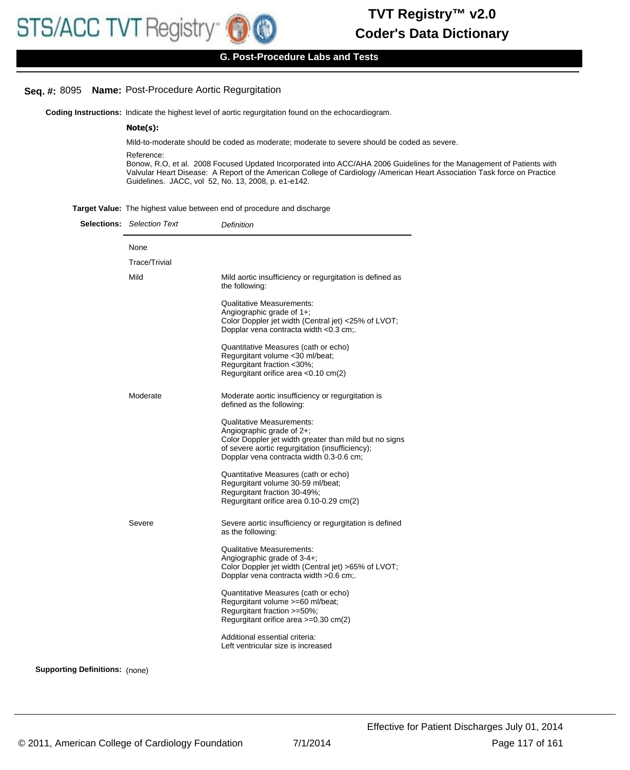## **G. Post-Procedure Labs and Tests**

# **Seq. #:** 8095 **Name:** Post-Procedure Aortic Regurgitation

**Coding Instructions:** Indicate the highest level of aortic regurgitation found on the echocardiogram.

#### **Note(s):**

Mild-to-moderate should be coded as moderate; moderate to severe should be coded as severe.

Reference:

Bonow, R.O, et al. 2008 Focused Updated Incorporated into ACC/AHA 2006 Guidelines for the Management of Patients with Valvular Heart Disease: A Report of the American College of Cardiology /American Heart Association Task force on Practice Guidelines. JACC, vol 52, No. 13, 2008, p. e1-e142.

| Target Value: The highest value between end of procedure and discharge |  |  |
|------------------------------------------------------------------------|--|--|
|                                                                        |  |  |

|                                       | <b>Selections:</b> Selection Text | Definition                                                                                                                                                                                                                |
|---------------------------------------|-----------------------------------|---------------------------------------------------------------------------------------------------------------------------------------------------------------------------------------------------------------------------|
|                                       | None                              |                                                                                                                                                                                                                           |
|                                       | <b>Trace/Trivial</b>              |                                                                                                                                                                                                                           |
|                                       | Mild                              | Mild aortic insufficiency or regurgitation is defined as<br>the following:                                                                                                                                                |
|                                       |                                   | <b>Qualitative Measurements:</b><br>Angiographic grade of $1+$ ;<br>Color Doppler jet width (Central jet) <25% of LVOT;<br>Dopplar vena contracta width <0.3 cm;.                                                         |
|                                       |                                   | Quantitative Measures (cath or echo)<br>Regurgitant volume < 30 ml/beat;<br>Regurgitant fraction <30%;<br>Regurgitant orifice area < 0.10 cm(2)                                                                           |
|                                       | Moderate                          | Moderate aortic insufficiency or regurgitation is<br>defined as the following:                                                                                                                                            |
|                                       |                                   | <b>Qualitative Measurements:</b><br>Angiographic grade of $2+$ ;<br>Color Doppler jet width greater than mild but no signs<br>of severe aortic regurgitation (insufficiency);<br>Dopplar vena contracta width 0.3-0.6 cm; |
|                                       |                                   | Quantitative Measures (cath or echo)<br>Regurgitant volume 30-59 ml/beat;<br>Regurgitant fraction 30-49%;<br>Regurgitant orifice area 0.10-0.29 cm(2)                                                                     |
|                                       | Severe                            | Severe aortic insufficiency or regurgitation is defined<br>as the following:                                                                                                                                              |
|                                       |                                   | <b>Qualitative Measurements:</b><br>Angiographic grade of 3-4+;<br>Color Doppler jet width (Central jet) >65% of LVOT;<br>Dopplar vena contracta width > 0.6 cm;.                                                         |
|                                       |                                   | Quantitative Measures (cath or echo)<br>Regurgitant volume >=60 ml/beat;<br>Regurgitant fraction >=50%;<br>Regurgitant orifice area $>=0.30$ cm(2)                                                                        |
|                                       |                                   | Additional essential criteria:<br>Left ventricular size is increased                                                                                                                                                      |
| <b>Supporting Definitions: (none)</b> |                                   |                                                                                                                                                                                                                           |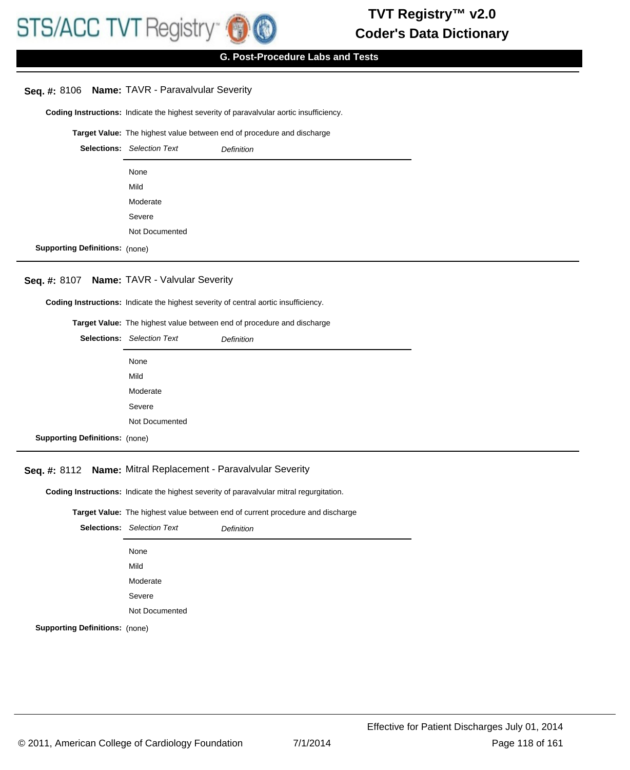# **G. Post-Procedure Labs and Tests**

### **Seq. #:** 8106 **Name:** TAVR - Paravalvular Severity

**Coding Instructions:** Indicate the highest severity of paravalvular aortic insufficiency.

#### **Target Value:** The highest value between end of procedure and discharge

|                                       | <b>Selections:</b> Selection Text | <b>Definition</b> |
|---------------------------------------|-----------------------------------|-------------------|
|                                       | None                              |                   |
|                                       | Mild                              |                   |
|                                       | Moderate                          |                   |
|                                       | Severe                            |                   |
|                                       | Not Documented                    |                   |
| <b>Supporting Definitions: (none)</b> |                                   |                   |

#### **Seq. #:** 8107 **Name:** TAVR - Valvular Severity

**Coding Instructions:** Indicate the highest severity of central aortic insufficiency.

#### **Target Value:** The highest value between end of procedure and discharge

|                                       | <b>Selections:</b> Selection Text | <b>Definition</b> |
|---------------------------------------|-----------------------------------|-------------------|
|                                       | None                              |                   |
|                                       | Mild                              |                   |
|                                       | Moderate                          |                   |
|                                       | Severe                            |                   |
|                                       | Not Documented                    |                   |
| <b>Supporting Definitions:</b> (none) |                                   |                   |

## **Seq. #:** 8112 **Name:** Mitral Replacement - Paravalvular Severity

**Coding Instructions:** Indicate the highest severity of paravalvular mitral regurgitation.

#### **Target Value:** The highest value between end of current procedure and discharge

|                                       | <b>Selections:</b> Selection Text | <b>Definition</b> |
|---------------------------------------|-----------------------------------|-------------------|
|                                       | None                              |                   |
|                                       | Mild                              |                   |
|                                       | Moderate                          |                   |
|                                       | Severe                            |                   |
|                                       | Not Documented                    |                   |
| <b>Supporting Definitions:</b> (none) |                                   |                   |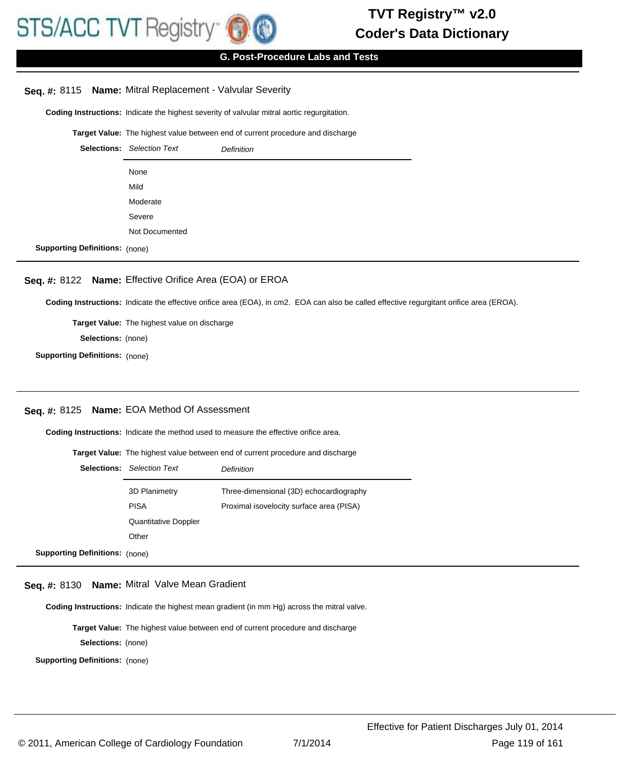## **G. Post-Procedure Labs and Tests**

# **Seq. #:** 8115 **Name:** Mitral Replacement - Valvular Severity

**Coding Instructions:** Indicate the highest severity of valvular mitral aortic regurgitation.

**Target Value:** The highest value between end of current procedure and discharge

|                                       | <b>Selections:</b> Selection Text | <b>Definition</b> |
|---------------------------------------|-----------------------------------|-------------------|
|                                       | None                              |                   |
|                                       | Mild                              |                   |
|                                       | Moderate                          |                   |
|                                       | Severe                            |                   |
|                                       | Not Documented                    |                   |
| <b>Supporting Definitions: (none)</b> |                                   |                   |

# **Seq. #:** 8122 **Name:** Effective Orifice Area (EOA) or EROA

**Coding Instructions:** Indicate the effective orifice area (EOA), in cm2. EOA can also be called effective regurgitant orifice area (EROA).

**Target Value:** The highest value on discharge **Selections:** (none)

**Supporting Definitions:** (none)

# **Seq. #:** 8125 **Name:** EOA Method Of Assessment

**Coding Instructions:** Indicate the method used to measure the effective orifice area.

**Target Value:** The highest value between end of current procedure and discharge

|                                       | <b>Selections:</b> Selection Text | Definition                               |
|---------------------------------------|-----------------------------------|------------------------------------------|
|                                       | 3D Planimetry                     | Three-dimensional (3D) echocardiography  |
|                                       | <b>PISA</b>                       | Proximal isovelocity surface area (PISA) |
|                                       | <b>Quantitative Doppler</b>       |                                          |
|                                       | Other                             |                                          |
| <b>Supporting Definitions:</b> (none) |                                   |                                          |

## **Seq. #:** 8130 **Name:** Mitral Valve Mean Gradient

**Coding Instructions:** Indicate the highest mean gradient (in mm Hg) across the mitral valve.

**Target Value:** The highest value between end of current procedure and discharge

**Selections:** (none)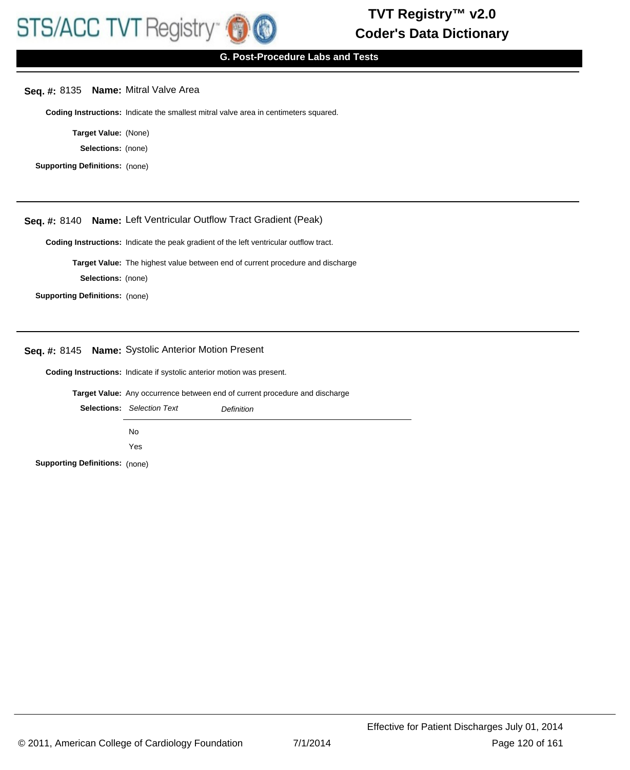## **G. Post-Procedure Labs and Tests**

## **Seq. #:** 8135 **Name:** Mitral Valve Area

**Coding Instructions:** Indicate the smallest mitral valve area in centimeters squared.

**Target Value:** (None)

**Selections:** (none)

**Supporting Definitions:** (none)

## **Seq. #:** 8140 **Name:** Left Ventricular Outflow Tract Gradient (Peak)

**Coding Instructions:** Indicate the peak gradient of the left ventricular outflow tract.

**Target Value:** The highest value between end of current procedure and discharge

**Selections:** (none)

**Supporting Definitions:** (none)

#### **Seq. #:** 8145 **Name:** Systolic Anterior Motion Present

**Coding Instructions:** Indicate if systolic anterior motion was present.

**Target Value:** Any occurrence between end of current procedure and discharge

|                                       | <b>Selections:</b> Selection Text | Definition |
|---------------------------------------|-----------------------------------|------------|
|                                       | No.                               |            |
|                                       | Yes                               |            |
| <b>Supporting Definitions: (none)</b> |                                   |            |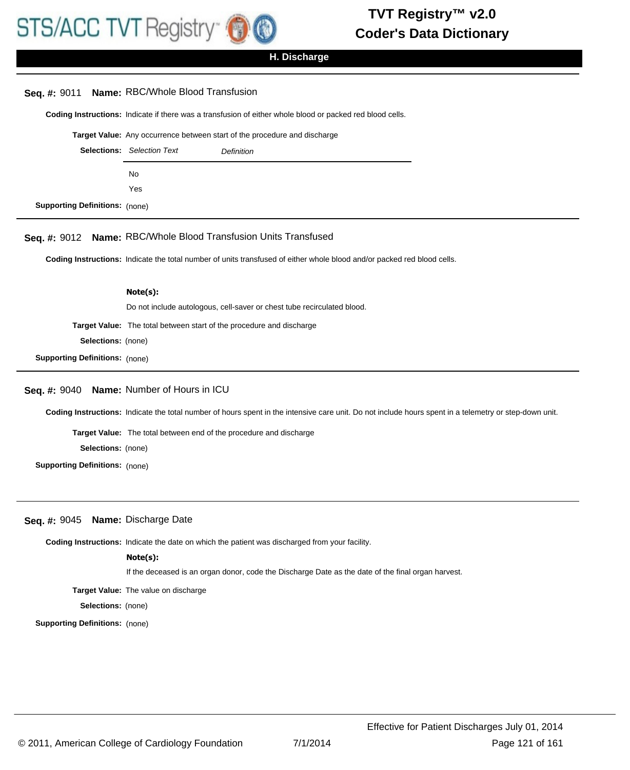

**H. Discharge**

## **Seq. #:** 9011 **Name:** RBC/Whole Blood Transfusion

**Coding Instructions:** Indicate if there was a transfusion of either whole blood or packed red blood cells.

**Target Value:** Any occurrence between start of the procedure and discharge

|                                       | <b>Selections:</b> Selection Text | <b>Definition</b> |
|---------------------------------------|-----------------------------------|-------------------|
|                                       | No.                               |                   |
|                                       | Yes                               |                   |
| <b>Supporting Definitions: (none)</b> |                                   |                   |

**Seq. #:** 9012 **Name:** RBC/Whole Blood Transfusion Units Transfused

**Coding Instructions:** Indicate the total number of units transfused of either whole blood and/or packed red blood cells.

#### **Note(s):**

Do not include autologous, cell-saver or chest tube recirculated blood.

**Target Value:** The total between start of the procedure and discharge

**Selections:** (none)

**Supporting Definitions:** (none)

#### **Seq. #:** 9040 **Name:** Number of Hours in ICU

**Coding Instructions:** Indicate the total number of hours spent in the intensive care unit. Do not include hours spent in a telemetry or step-down unit.

**Target Value:** The total between end of the procedure and discharge

**Selections:** (none)

**Supporting Definitions:** (none)

#### **Seq. #:** 9045 **Name:** Discharge Date

**Coding Instructions:** Indicate the date on which the patient was discharged from your facility.

**Note(s):**

If the deceased is an organ donor, code the Discharge Date as the date of the final organ harvest.

**Target Value:** The value on discharge

**Selections:** (none)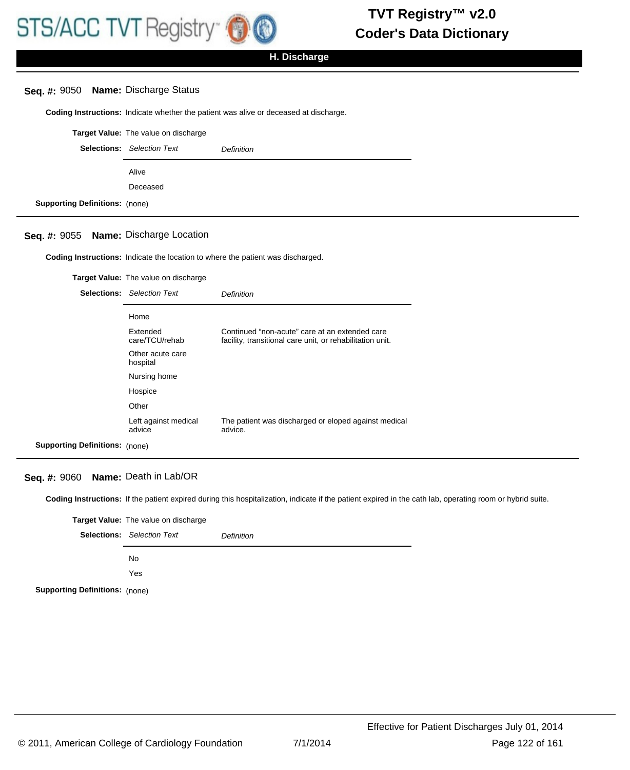## **H. Discharge**

### **Seq. #:** 9050 **Name:** Discharge Status

**Coding Instructions:** Indicate whether the patient was alive or deceased at discharge.

|                                       | Target Value: The value on discharge |                   |
|---------------------------------------|--------------------------------------|-------------------|
|                                       | <b>Selections:</b> Selection Text    | <b>Definition</b> |
|                                       | Alive                                |                   |
|                                       | Deceased                             |                   |
| <b>Supporting Definitions: (none)</b> |                                      |                   |

#### **Seq. #:** 9055 **Name:** Discharge Location

**Coding Instructions:** Indicate the location to where the patient was discharged.

**Target Value:** The value on discharge Selections: Selection Text **Definition** Home Extended care/TCU/rehab Continued "non-acute" care at an extended care facility, transitional care unit, or rehabilitation unit. Other acute care hospital Nursing home Hospice **Other** Left against medical advice The patient was discharged or eloped against medical advice. **Supporting Definitions:** (none)

#### **Seq. #:** 9060 **Name:** Death in Lab/OR

**Coding Instructions:** If the patient expired during this hospitalization, indicate if the patient expired in the cath lab, operating room or hybrid suite.

|                                       | <b>Target Value:</b> The value on discharge |            |
|---------------------------------------|---------------------------------------------|------------|
|                                       | <b>Selections:</b> Selection Text           | Definition |
|                                       | No.                                         |            |
|                                       | Yes                                         |            |
| <b>Supporting Definitions: (none)</b> |                                             |            |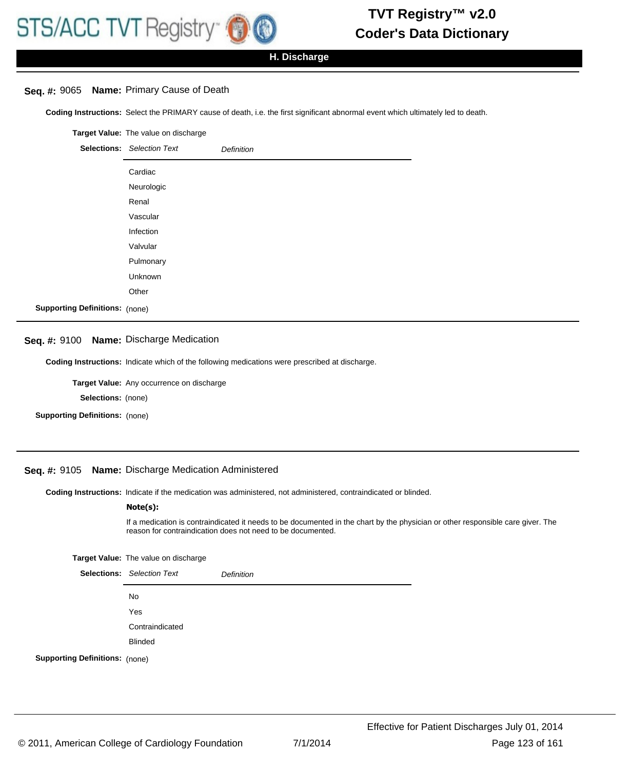## **H. Discharge**

## **Seq. #:** 9065 **Name:** Primary Cause of Death

**Coding Instructions:** Select the PRIMARY cause of death, i.e. the first significant abnormal event which ultimately led to death.

|                                       | Target Value: The value on discharge |                   |
|---------------------------------------|--------------------------------------|-------------------|
|                                       | <b>Selections:</b> Selection Text    | <b>Definition</b> |
|                                       | Cardiac                              |                   |
|                                       | Neurologic                           |                   |
|                                       | Renal                                |                   |
|                                       | Vascular                             |                   |
|                                       | Infection                            |                   |
|                                       | Valvular                             |                   |
|                                       | Pulmonary                            |                   |
|                                       | Unknown                              |                   |
|                                       | Other                                |                   |
| <b>Supporting Definitions: (none)</b> |                                      |                   |

#### **Seq. #:** 9100 **Name:** Discharge Medication

**Coding Instructions:** Indicate which of the following medications were prescribed at discharge.

**Target Value:** Any occurrence on discharge

**Selections:** (none)

**Supporting Definitions:** (none)

## **Seq. #:** 9105 **Name:** Discharge Medication Administered

**Coding Instructions:** Indicate if the medication was administered, not administered, contraindicated or blinded.

#### **Note(s):**

If a medication is contraindicated it needs to be documented in the chart by the physician or other responsible care giver. The reason for contraindication does not need to be documented.

**Target Value:** The value on discharge

|                                       | <b>Selections:</b> Selection Text | <b>Definition</b> |
|---------------------------------------|-----------------------------------|-------------------|
|                                       | No                                |                   |
|                                       | Yes                               |                   |
|                                       | Contraindicated                   |                   |
|                                       | <b>Blinded</b>                    |                   |
| <b>Supporting Definitions:</b> (none) |                                   |                   |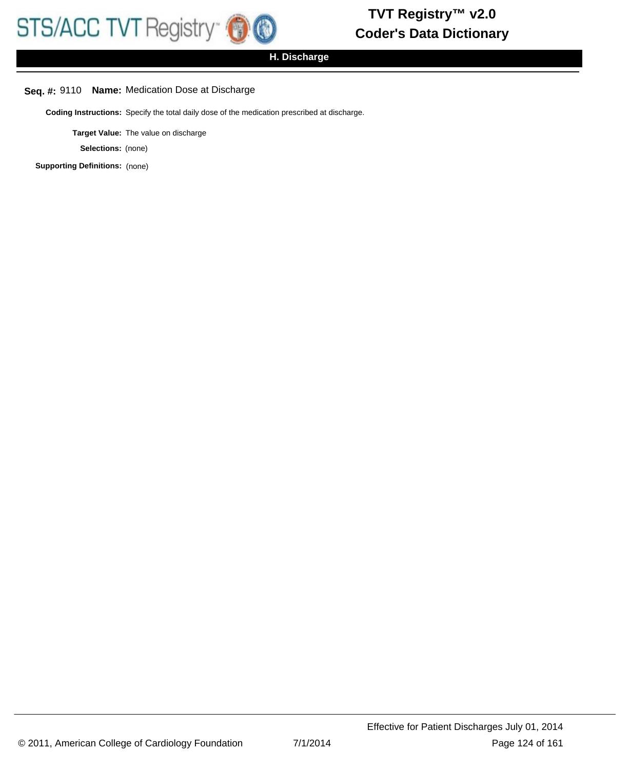**H. Discharge**

# **Seq. #:** 9110 **Name:** Medication Dose at Discharge

**Coding Instructions:** Specify the total daily dose of the medication prescribed at discharge.

**Target Value:** The value on discharge

**Selections:** (none)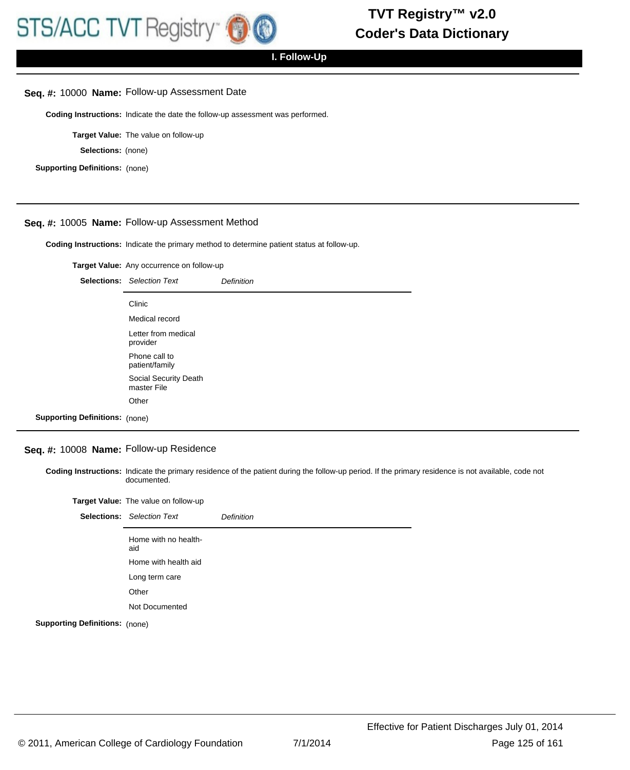#### **Seq. #:** 10000 **Name:** Follow-up Assessment Date

**Coding Instructions:** Indicate the date the follow-up assessment was performed.

**Target Value:** The value on follow-up

**Selections:** (none)

**Supporting Definitions:** (none)

## **Seq. #:** 10005 **Name:** Follow-up Assessment Method

**Coding Instructions:** Indicate the primary method to determine patient status at follow-up.

**Target Value:** Any occurrence on follow-up

|                                       | <b>Selections:</b> Selection Text    | Definition |
|---------------------------------------|--------------------------------------|------------|
|                                       | Clinic                               |            |
|                                       | Medical record                       |            |
|                                       | Letter from medical<br>provider      |            |
|                                       | Phone call to<br>patient/family      |            |
|                                       | Social Security Death<br>master File |            |
|                                       | Other                                |            |
| <b>Supporting Definitions: (none)</b> |                                      |            |

## **Seq. #:** 10008 **Name:** Follow-up Residence

Coding Instructions: Indicate the primary residence of the patient during the follow-up period. If the primary residence is not available, code not documented.

| Target Value: The value on follow-up |
|--------------------------------------|
|                                      |

|                                       | <b>Selections:</b> Selection Text | <b>Definition</b> |
|---------------------------------------|-----------------------------------|-------------------|
|                                       | Home with no health-<br>aid       |                   |
|                                       | Home with health aid              |                   |
|                                       | Long term care                    |                   |
|                                       | Other                             |                   |
|                                       | Not Documented                    |                   |
| <b>Supporting Definitions: (none)</b> |                                   |                   |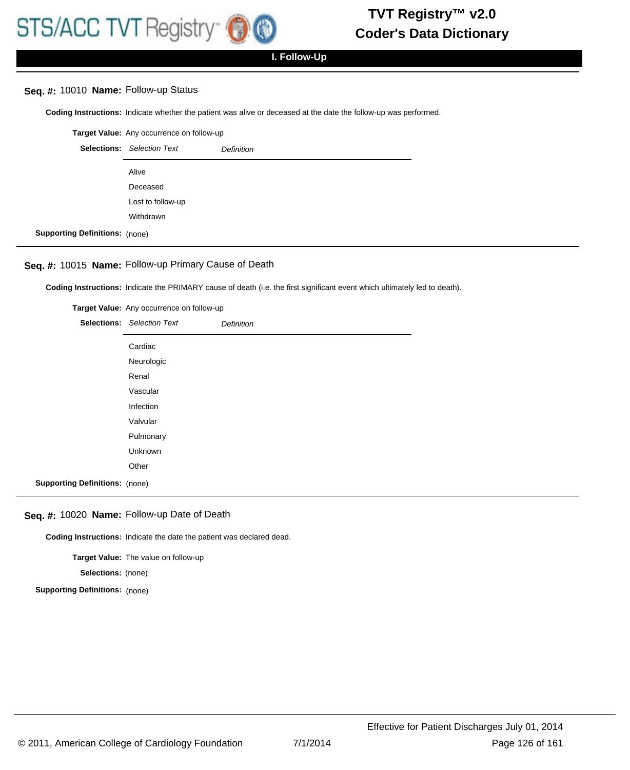## **Seq. #:** 10010 **Name:** Follow-up Status

**Coding Instructions:** Indicate whether the patient was alive or deceased at the date the follow-up was performed.

| Target Value: Any occurrence on follow-up |                                   |                   |
|-------------------------------------------|-----------------------------------|-------------------|
|                                           | <b>Selections:</b> Selection Text | <b>Definition</b> |
|                                           | Alive                             |                   |
|                                           | Deceased                          |                   |
|                                           | Lost to follow-up                 |                   |
|                                           | Withdrawn                         |                   |
| <b>Supporting Definitions:</b> (none)     |                                   |                   |

# **Seq. #:** 10015 **Name:** Follow-up Primary Cause of Death

**Coding Instructions:** Indicate the PRIMARY cause of death (i.e. the first significant event which ultimately led to death).

|                                       | Target Value: Any occurrence on follow-up |                   |
|---------------------------------------|-------------------------------------------|-------------------|
|                                       | <b>Selections:</b> Selection Text         | <b>Definition</b> |
|                                       | Cardiac                                   |                   |
|                                       | Neurologic                                |                   |
|                                       | Renal                                     |                   |
|                                       | Vascular                                  |                   |
|                                       | Infection                                 |                   |
|                                       | Valvular                                  |                   |
|                                       | Pulmonary                                 |                   |
|                                       | Unknown                                   |                   |
|                                       | Other                                     |                   |
| <b>Supporting Definitions: (none)</b> |                                           |                   |

#### **Seq. #:** 10020 **Name:** Follow-up Date of Death

**Coding Instructions:** Indicate the date the patient was declared dead.

**Target Value:** The value on follow-up

**Selections:** (none)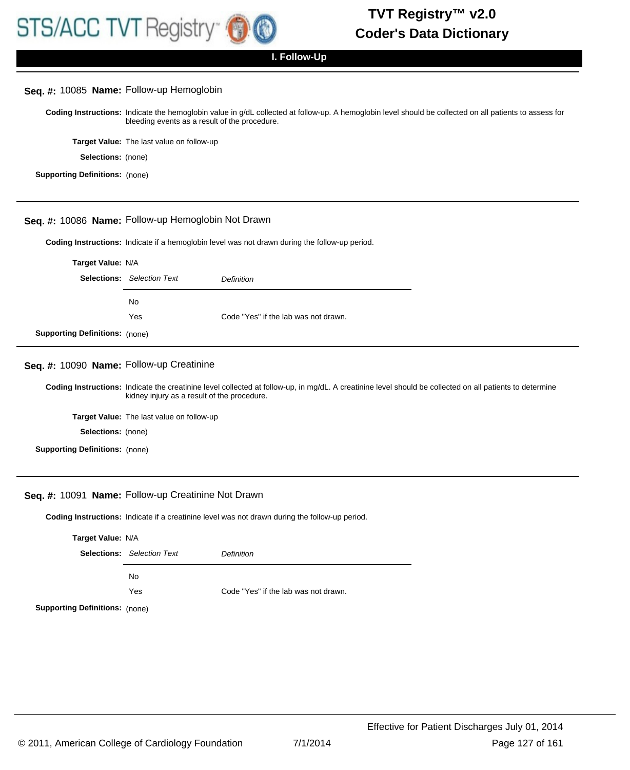

#### **Seq. #:** 10085 **Name:** Follow-up Hemoglobin

Coding Instructions: Indicate the hemoglobin value in g/dL collected at follow-up. A hemoglobin level should be collected on all patients to assess for bleeding events as a result of the procedure.

**Target Value:** The last value on follow-up

**Selections:** (none)

**Supporting Definitions:** (none)

#### **Seq. #:** 10086 **Name:** Follow-up Hemoglobin Not Drawn

**Coding Instructions:** Indicate if a hemoglobin level was not drawn during the follow-up period.

| Target Value: N/A                     |                                   |                                      |
|---------------------------------------|-----------------------------------|--------------------------------------|
|                                       | <b>Selections:</b> Selection Text | <b>Definition</b>                    |
|                                       | No.                               |                                      |
|                                       | Yes                               | Code "Yes" if the lab was not drawn. |
| <b>Supporting Definitions: (none)</b> |                                   |                                      |

## **Seq. #:** 10090 **Name:** Follow-up Creatinine

Coding Instructions: Indicate the creatinine level collected at follow-up, in mg/dL. A creatinine level should be collected on all patients to determine kidney injury as a result of the procedure.

**Target Value:** The last value on follow-up

**Selections:** (none)

**Supporting Definitions:** (none)

#### **Seq. #:** 10091 **Name:** Follow-up Creatinine Not Drawn

**Coding Instructions:** Indicate if a creatinine level was not drawn during the follow-up period.

| Target Value: N/A                     |                                   |                                      |
|---------------------------------------|-----------------------------------|--------------------------------------|
|                                       | <b>Selections:</b> Selection Text | Definition                           |
|                                       | No.                               |                                      |
|                                       | Yes                               | Code "Yes" if the lab was not drawn. |
| <b>Supporting Definitions:</b> (none) |                                   |                                      |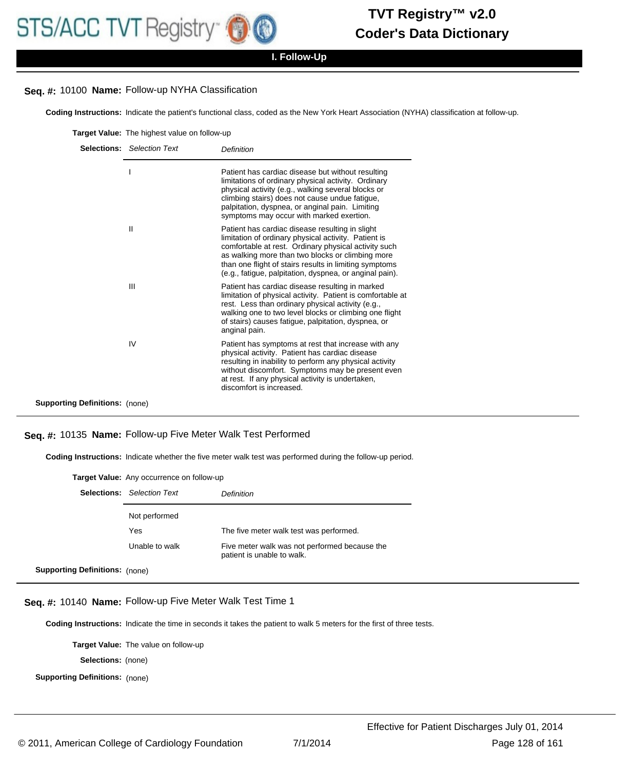## **Seq. #:** 10100 **Name:** Follow-up NYHA Classification

**Coding Instructions:** Indicate the patient's functional class, coded as the New York Heart Association (NYHA) classification at follow-up.

|                                       | <b>Selections:</b> Selection Text | Definition                                                                                                                                                                                                                                                                                                                               |
|---------------------------------------|-----------------------------------|------------------------------------------------------------------------------------------------------------------------------------------------------------------------------------------------------------------------------------------------------------------------------------------------------------------------------------------|
|                                       |                                   | Patient has cardiac disease but without resulting<br>limitations of ordinary physical activity. Ordinary<br>physical activity (e.g., walking several blocks or<br>climbing stairs) does not cause undue fatigue,<br>palpitation, dyspnea, or anginal pain. Limiting<br>symptoms may occur with marked exertion.                          |
|                                       | $\mathsf{II}$                     | Patient has cardiac disease resulting in slight<br>limitation of ordinary physical activity. Patient is<br>comfortable at rest. Ordinary physical activity such<br>as walking more than two blocks or climbing more<br>than one flight of stairs results in limiting symptoms<br>(e.g., fatigue, palpitation, dyspnea, or anginal pain). |
|                                       | Ш                                 | Patient has cardiac disease resulting in marked<br>limitation of physical activity. Patient is comfortable at<br>rest. Less than ordinary physical activity (e.g.,<br>walking one to two level blocks or climbing one flight<br>of stairs) causes fatigue, palpitation, dyspnea, or<br>anginal pain.                                     |
|                                       | IV                                | Patient has symptoms at rest that increase with any<br>physical activity. Patient has cardiac disease<br>resulting in inability to perform any physical activity<br>without discomfort. Symptoms may be present even<br>at rest. If any physical activity is undertaken,<br>discomfort is increased.                                     |
| <b>Supporting Definitions:</b> (none) |                                   |                                                                                                                                                                                                                                                                                                                                          |

### **Seq. #:** 10135 **Name:** Follow-up Five Meter Walk Test Performed

**Coding Instructions:** Indicate whether the five meter walk test was performed during the follow-up period.

| Target Value: Any occurrence on follow-up |                                   |                                                                             |
|-------------------------------------------|-----------------------------------|-----------------------------------------------------------------------------|
|                                           | <b>Selections:</b> Selection Text | Definition                                                                  |
|                                           | Not performed                     |                                                                             |
|                                           | Yes                               | The five meter walk test was performed.                                     |
|                                           | Unable to walk                    | Five meter walk was not performed because the<br>patient is unable to walk. |
| <b>Supporting Definitions:</b> (none)     |                                   |                                                                             |

#### **Seq. #:** 10140 **Name:** Follow-up Five Meter Walk Test Time 1

**Coding Instructions:** Indicate the time in seconds it takes the patient to walk 5 meters for the first of three tests.

**Target Value:** The value on follow-up

**Selections:** (none)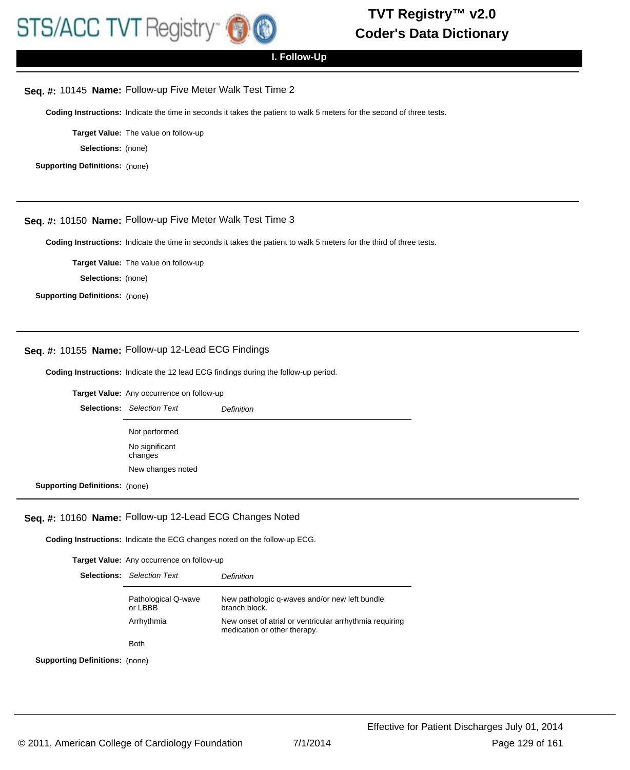

## **I. Follow-Up**

#### **Seq. #:** 10145 **Name:** Follow-up Five Meter Walk Test Time 2

**Coding Instructions:** Indicate the time in seconds it takes the patient to walk 5 meters for the second of three tests.

**Target Value:** The value on follow-up

**Selections:** (none)

**Supporting Definitions:** (none)

## **Seq. #:** 10150 **Name:** Follow-up Five Meter Walk Test Time 3

**Coding Instructions:** Indicate the time in seconds it takes the patient to walk 5 meters for the third of three tests.

**Target Value:** The value on follow-up

**Selections:** (none)

**Supporting Definitions:** (none)

#### **Seq. #:** 10155 **Name:** Follow-up 12-Lead ECG Findings

**Coding Instructions:** Indicate the 12 lead ECG findings during the follow-up period.

**Target Value:** Any occurrence on follow-up

|                                       | <b>Selections:</b> Selection Text | <b>Definition</b> |
|---------------------------------------|-----------------------------------|-------------------|
|                                       | Not performed                     |                   |
|                                       | No significant<br>changes         |                   |
|                                       | New changes noted                 |                   |
| <b>Supporting Definitions: (none)</b> |                                   |                   |

**Seq. #:** 10160 **Name:** Follow-up 12-Lead ECG Changes Noted

**Coding Instructions:** Indicate the ECG changes noted on the follow-up ECG.

**Target Value:** Any occurrence on follow-up

|                            | <b>Selections:</b> Selection Text | Definition                                                                              |
|----------------------------|-----------------------------------|-----------------------------------------------------------------------------------------|
|                            | Pathological Q-wave<br>or LBBB    | New pathologic q-waves and/or new left bundle<br>branch block.                          |
|                            | Arrhythmia                        | New onset of atrial or ventricular arrhythmia requiring<br>medication or other therapy. |
|                            | <b>Both</b>                       |                                                                                         |
| <b>Definitions:</b> (none) |                                   |                                                                                         |

**Supporting**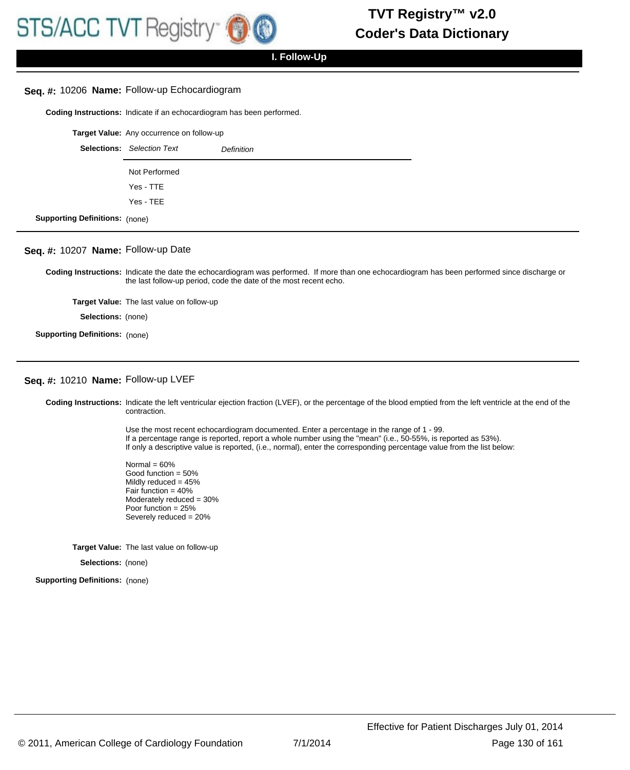## **Seq. #:** 10206 **Name:** Follow-up Echocardiogram

**Coding Instructions:** Indicate if an echocardiogram has been performed.

|                                       | Target Value: Any occurrence on follow-up |                   |
|---------------------------------------|-------------------------------------------|-------------------|
|                                       | <b>Selections:</b> Selection Text         | <b>Definition</b> |
|                                       | Not Performed                             |                   |
|                                       | Yes - TTE                                 |                   |
|                                       | Yes - TEE                                 |                   |
| <b>Supporting Definitions: (none)</b> |                                           |                   |

# **Seq. #:** 10207 **Name:** Follow-up Date

Coding Instructions: Indicate the date the echocardiogram was performed. If more than one echocardiogram has been performed since discharge or the last follow-up period, code the date of the most recent echo.

**Target Value:** The last value on follow-up

**Selections:** (none)

**Supporting Definitions:** (none)

#### **Seq. #:** 10210 **Name:** Follow-up LVEF

Coding Instructions: Indicate the left ventricular ejection fraction (LVEF), or the percentage of the blood emptied from the left ventricle at the end of the contraction.

> Use the most recent echocardiogram documented. Enter a percentage in the range of 1 - 99. If a percentage range is reported, report a whole number using the "mean" (i.e., 50-55%, is reported as 53%). If only a descriptive value is reported, (i.e., normal), enter the corresponding percentage value from the list below:

Normal  $= 60%$ Good function = 50% Mildly reduced = 45% Fair function =  $40\%$ Moderately reduced = 30% Poor function = 25% Severely reduced = 20%

**Target Value:** The last value on follow-up

**Selections:** (none)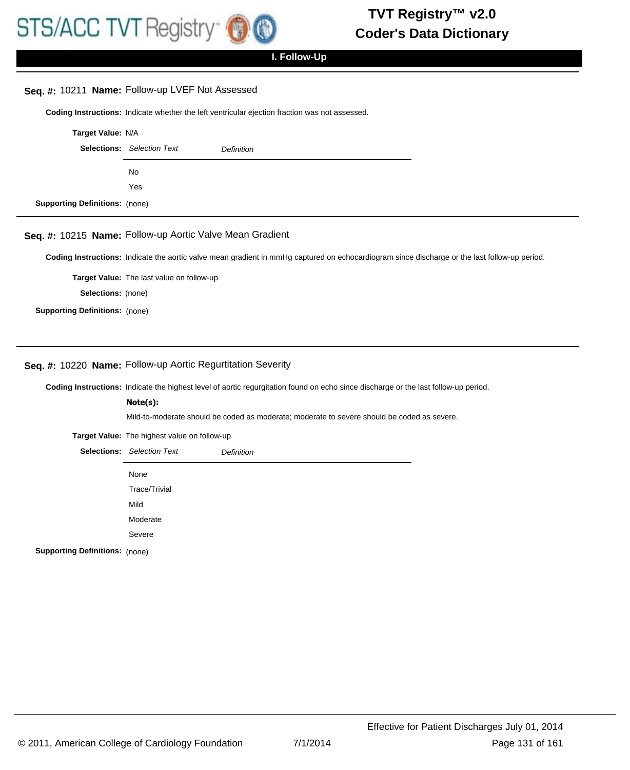## **Seq. #:** 10211 **Name:** Follow-up LVEF Not Assessed

**Coding Instructions:** Indicate whether the left ventricular ejection fraction was not assessed.

|                                       | Target Value: N/A                 |                   |
|---------------------------------------|-----------------------------------|-------------------|
|                                       | <b>Selections:</b> Selection Text | <b>Definition</b> |
|                                       | No                                |                   |
|                                       | Yes                               |                   |
| <b>Supporting Definitions:</b> (none) |                                   |                   |

## **Seq. #:** 10215 **Name:** Follow-up Aortic Valve Mean Gradient

**Coding Instructions:** Indicate the aortic valve mean gradient in mmHg captured on echocardiogram since discharge or the last follow-up period.

**Target Value:** The last value on follow-up

**Selections:** (none)

**Supporting Definitions:** (none)

## **Seq. #:** 10220 **Name:** Follow-up Aortic Regurtitation Severity

**Coding Instructions:** Indicate the highest level of aortic regurgitation found on echo since discharge or the last follow-up period.

#### **Note(s):**

Mild-to-moderate should be coded as moderate; moderate to severe should be coded as severe.

**Target Value:** The highest value on follow-up

|                                       | <b>Selections:</b> Selection Text | <b>Definition</b> |
|---------------------------------------|-----------------------------------|-------------------|
|                                       | None                              |                   |
|                                       | Trace/Trivial                     |                   |
|                                       | Mild                              |                   |
|                                       | Moderate                          |                   |
|                                       | Severe                            |                   |
| <b>Supporting Definitions:</b> (none) |                                   |                   |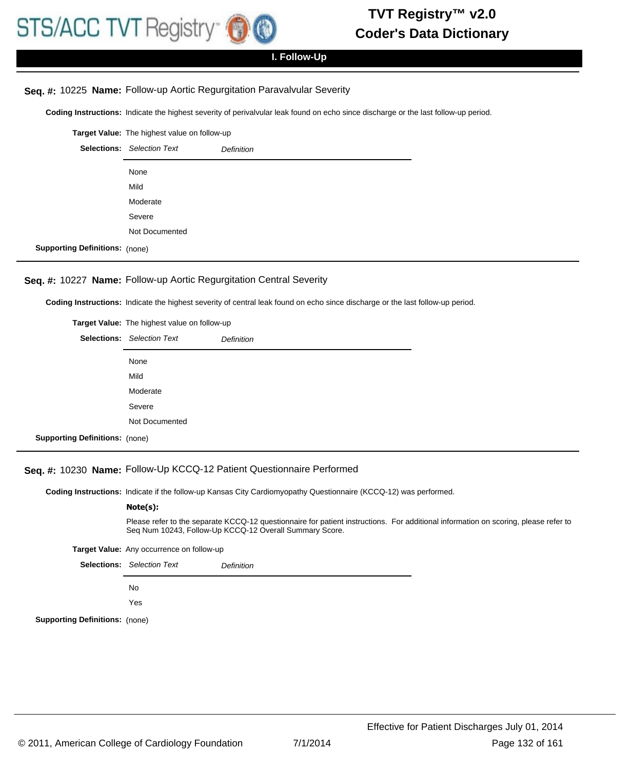

# **I. Follow-Up**

## **Seq. #:** 10225 **Name:** Follow-up Aortic Regurgitation Paravalvular Severity

**Coding Instructions:** Indicate the highest severity of perivalvular leak found on echo since discharge or the last follow-up period.

|                                       | Target Value: The highest value on follow-up |                   |
|---------------------------------------|----------------------------------------------|-------------------|
|                                       | <b>Selections:</b> Selection Text            | <b>Definition</b> |
|                                       | None                                         |                   |
|                                       | Mild                                         |                   |
|                                       | Moderate                                     |                   |
|                                       | Severe                                       |                   |
|                                       | Not Documented                               |                   |
| <b>Supporting Definitions:</b> (none) |                                              |                   |

#### **Seq. #:** 10227 **Name:** Follow-up Aortic Regurgitation Central Severity

**Coding Instructions:** Indicate the highest severity of central leak found on echo since discharge or the last follow-up period.

|                                       | <b>Target Value:</b> The highest value on follow-up |                   |
|---------------------------------------|-----------------------------------------------------|-------------------|
|                                       | <b>Selections:</b> Selection Text                   | <b>Definition</b> |
|                                       | None                                                |                   |
|                                       | Mild                                                |                   |
|                                       | Moderate                                            |                   |
|                                       | Severe                                              |                   |
|                                       | Not Documented                                      |                   |
| <b>Supporting Definitions: (none)</b> |                                                     |                   |

## **Seq. #:** 10230 **Name:** Follow-Up KCCQ-12 Patient Questionnaire Performed

**Coding Instructions:** Indicate if the follow-up Kansas City Cardiomyopathy Questionnaire (KCCQ-12) was performed.

#### **Note(s):**

Please refer to the separate KCCQ-12 questionnaire for patient instructions. For additional information on scoring, please refer to Seq Num 10243, Follow-Up KCCQ-12 Overall Summary Score.

**Target Value:** Any occurrence on follow-up

|                                       | <b>Selections:</b> Selection Text | <b>Definition</b> |
|---------------------------------------|-----------------------------------|-------------------|
|                                       | No.                               |                   |
|                                       | Yes                               |                   |
| <b>Supporting Definitions: (none)</b> |                                   |                   |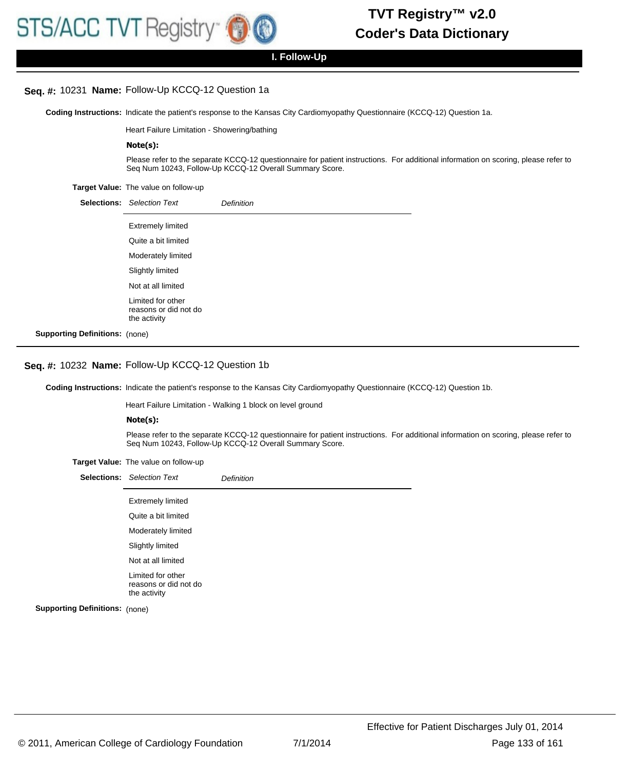#### **Seq. #:** 10231 **Name:** Follow-Up KCCQ-12 Question 1a

Coding Instructions: Indicate the patient's response to the Kansas City Cardiomyopathy Questionnaire (KCCQ-12) Question 1a.

Heart Failure Limitation - Showering/bathing

#### **Note(s):**

Please refer to the separate KCCQ-12 questionnaire for patient instructions. For additional information on scoring, please refer to Seq Num 10243, Follow-Up KCCQ-12 Overall Summary Score.

**Target Value:** The value on follow-up

|                                       | <b>Selections:</b> Selection Text                          | <b>Definition</b> |
|---------------------------------------|------------------------------------------------------------|-------------------|
|                                       | <b>Extremely limited</b>                                   |                   |
|                                       | Quite a bit limited                                        |                   |
|                                       | Moderately limited                                         |                   |
|                                       | Slightly limited                                           |                   |
|                                       | Not at all limited                                         |                   |
|                                       | Limited for other<br>reasons or did not do<br>the activity |                   |
| <b>Supporting Definitions:</b> (none) |                                                            |                   |

#### **Seq. #:** 10232 **Name:** Follow-Up KCCQ-12 Question 1b

Coding Instructions: Indicate the patient's response to the Kansas City Cardiomyopathy Questionnaire (KCCQ-12) Question 1b.

Heart Failure Limitation - Walking 1 block on level ground

#### **Note(s):**

Please refer to the separate KCCQ-12 questionnaire for patient instructions. For additional information on scoring, please refer to Seq Num 10243, Follow-Up KCCQ-12 Overall Summary Score.

|  | Target Value: The value on follow-up |  |
|--|--------------------------------------|--|
|--|--------------------------------------|--|

|                       | <b>Selections:</b> Selection Text                          | <b>Definition</b> |
|-----------------------|------------------------------------------------------------|-------------------|
|                       | <b>Extremely limited</b>                                   |                   |
|                       | Quite a bit limited                                        |                   |
|                       | Moderately limited                                         |                   |
|                       | Slightly limited                                           |                   |
|                       | Not at all limited                                         |                   |
|                       | Limited for other<br>reasons or did not do<br>the activity |                   |
| a Definitione: (popo) |                                                            |                   |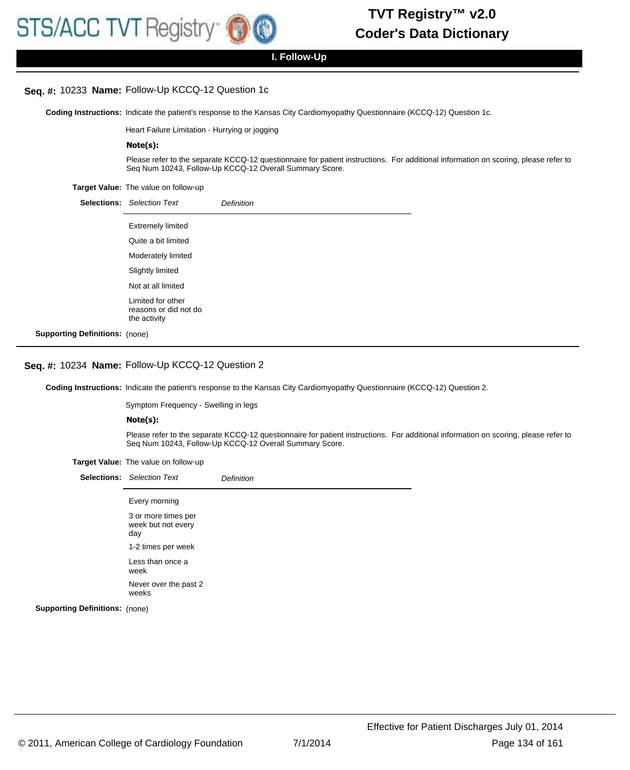#### **Seq. #:** 10233 **Name:** Follow-Up KCCQ-12 Question 1c

Coding Instructions: Indicate the patient's response to the Kansas City Cardiomyopathy Questionnaire (KCCQ-12) Question 1c.

Heart Failure Limitation - Hurrying or jogging

#### **Note(s):**

Please refer to the separate KCCQ-12 questionnaire for patient instructions. For additional information on scoring, please refer to Seq Num 10243, Follow-Up KCCQ-12 Overall Summary Score.

**Target Value:** The value on follow-up

|                                       | <b>Selections:</b> Selection Text                          | <b>Definition</b> |
|---------------------------------------|------------------------------------------------------------|-------------------|
|                                       | <b>Extremely limited</b>                                   |                   |
|                                       | Quite a bit limited                                        |                   |
|                                       | Moderately limited                                         |                   |
|                                       | Slightly limited                                           |                   |
|                                       | Not at all limited                                         |                   |
|                                       | Limited for other<br>reasons or did not do<br>the activity |                   |
| <b>Supporting Definitions:</b> (none) |                                                            |                   |

#### **Seq. #:** 10234 **Name:** Follow-Up KCCQ-12 Question 2

Coding Instructions: Indicate the patient's response to the Kansas City Cardiomyopathy Questionnaire (KCCQ-12) Question 2.

Symptom Frequency - Swelling in legs

#### **Note(s):**

Please refer to the separate KCCQ-12 questionnaire for patient instructions. For additional information on scoring, please refer to Seq Num 10243, Follow-Up KCCQ-12 Overall Summary Score.

**Target Value:** The value on follow-up

|                                       | <b>Selections:</b> Selection Text                | <b>Definition</b> |
|---------------------------------------|--------------------------------------------------|-------------------|
|                                       | Every morning                                    |                   |
|                                       | 3 or more times per<br>week but not every<br>day |                   |
|                                       | 1-2 times per week                               |                   |
|                                       | Less than once a<br>week                         |                   |
|                                       | Never over the past 2<br>weeks                   |                   |
| <b>Supporting Definitions: (none)</b> |                                                  |                   |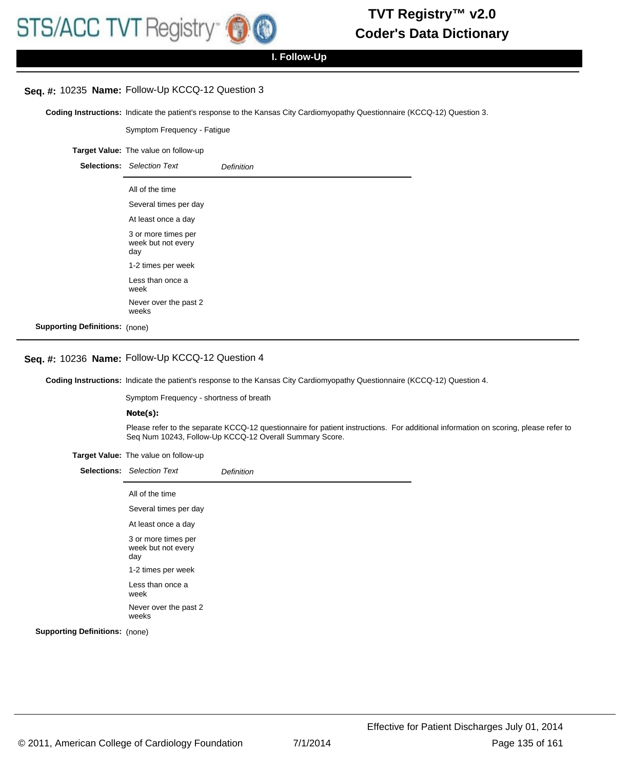**I. Follow-Up**

# **Seq. #:** 10235 **Name:** Follow-Up KCCQ-12 Question 3

Coding Instructions: Indicate the patient's response to the Kansas City Cardiomyopathy Questionnaire (KCCQ-12) Question 3.

Symptom Frequency - Fatigue **Target Value:** The value on follow-up Selections: Selection Text **Definition** All of the time Several times per day At least once a day 3 or more times per week but not every day 1-2 times per week Less than once a week Never over the past 2 weeks **Supporting Definitions:** (none)

## **Seq. #:** 10236 **Name:** Follow-Up KCCQ-12 Question 4

Coding Instructions: Indicate the patient's response to the Kansas City Cardiomyopathy Questionnaire (KCCQ-12) Question 4.

Symptom Frequency - shortness of breath

#### **Note(s):**

Please refer to the separate KCCQ-12 questionnaire for patient instructions. For additional information on scoring, please refer to Seq Num 10243, Follow-Up KCCQ-12 Overall Summary Score.

|  | Target Value: The value on follow-up |  |
|--|--------------------------------------|--|
|  |                                      |  |

|                                       | <b>Selections:</b> Selection Text                | Definition |
|---------------------------------------|--------------------------------------------------|------------|
|                                       | All of the time                                  |            |
|                                       | Several times per day                            |            |
|                                       | At least once a day                              |            |
|                                       | 3 or more times per<br>week but not every<br>day |            |
|                                       | 1-2 times per week                               |            |
|                                       | Less than once a<br>week                         |            |
|                                       | Never over the past 2<br>weeks                   |            |
| <b>Supporting Definitions: (none)</b> |                                                  |            |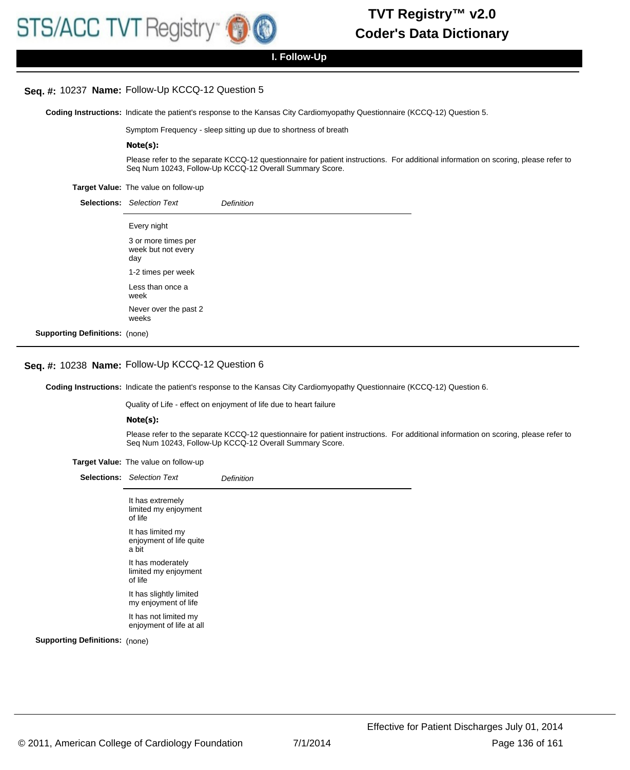**I. Follow-Up**

# **Seq. #:** 10237 **Name:** Follow-Up KCCQ-12 Question 5

Coding Instructions: Indicate the patient's response to the Kansas City Cardiomyopathy Questionnaire (KCCQ-12) Question 5.

Symptom Frequency - sleep sitting up due to shortness of breath

#### **Note(s):**

Please refer to the separate KCCQ-12 questionnaire for patient instructions. For additional information on scoring, please refer to Seq Num 10243, Follow-Up KCCQ-12 Overall Summary Score.

**Target Value:** The value on follow-up

|                     | <b>Selections:</b> Selection Text                | Definition |
|---------------------|--------------------------------------------------|------------|
|                     | Every night                                      |            |
|                     | 3 or more times per<br>week but not every<br>day |            |
|                     | 1-2 times per week                               |            |
|                     | Less than once a<br>week                         |            |
|                     | Never over the past 2<br>weeks                   |            |
| Definitions: (none) |                                                  |            |

#### **Seq. #:** 10238 **Name:** Follow-Up KCCQ-12 Question 6

**Supporting** 

Coding Instructions: Indicate the patient's response to the Kansas City Cardiomyopathy Questionnaire (KCCQ-12) Question 6.

Quality of Life - effect on enjoyment of life due to heart failure

#### **Note(s):**

Please refer to the separate KCCQ-12 questionnaire for patient instructions. For additional information on scoring, please refer to Seq Num 10243, Follow-Up KCCQ-12 Overall Summary Score.

**Target Value:** The value on follow-up

|                                       | <b>Selections:</b> Selection Text                     | <b>Definition</b> |
|---------------------------------------|-------------------------------------------------------|-------------------|
|                                       | It has extremely<br>limited my enjoyment<br>of life   |                   |
|                                       | It has limited my<br>enjoyment of life quite<br>a bit |                   |
|                                       | It has moderately<br>limited my enjoyment<br>of life  |                   |
|                                       | It has slightly limited<br>my enjoyment of life       |                   |
|                                       | It has not limited my<br>enjoyment of life at all     |                   |
| <b>Supporting Definitions: (none)</b> |                                                       |                   |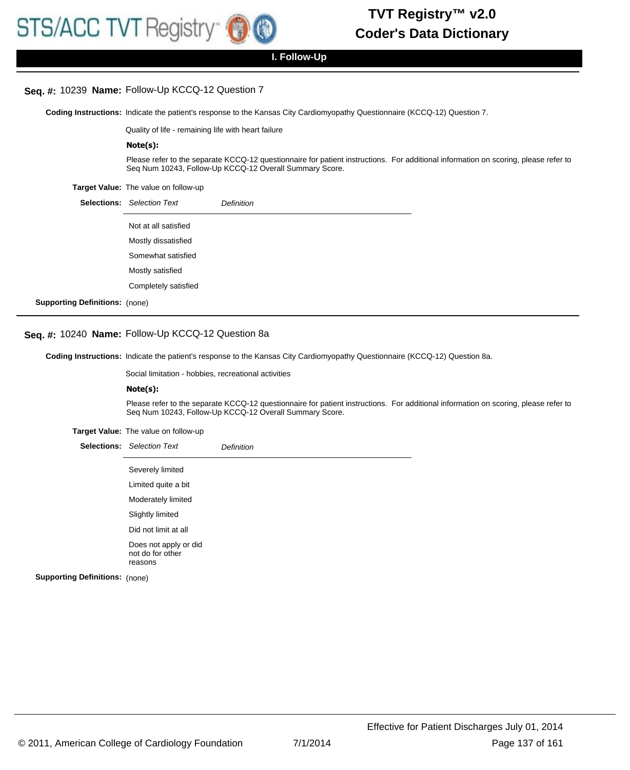### **Seq. #:** 10239 **Name:** Follow-Up KCCQ-12 Question 7

Coding Instructions: Indicate the patient's response to the Kansas City Cardiomyopathy Questionnaire (KCCQ-12) Question 7.

Quality of life - remaining life with heart failure

#### **Note(s):**

Please refer to the separate KCCQ-12 questionnaire for patient instructions. For additional information on scoring, please refer to Seq Num 10243, Follow-Up KCCQ-12 Overall Summary Score.

**Target Value:** The value on follow-up

|                                       | <b>Selections:</b> Selection Text | <b>Definition</b> |
|---------------------------------------|-----------------------------------|-------------------|
|                                       | Not at all satisfied              |                   |
|                                       | Mostly dissatisfied               |                   |
|                                       | Somewhat satisfied                |                   |
|                                       | Mostly satisfied                  |                   |
|                                       | Completely satisfied              |                   |
| <b>Supporting Definitions: (none)</b> |                                   |                   |

# **Seq. #:** 10240 **Name:** Follow-Up KCCQ-12 Question 8a

Coding Instructions: Indicate the patient's response to the Kansas City Cardiomyopathy Questionnaire (KCCQ-12) Question 8a.

Social limitation - hobbies, recreational activities

#### **Note(s):**

Please refer to the separate KCCQ-12 questionnaire for patient instructions. For additional information on scoring, please refer to Seq Num 10243, Follow-Up KCCQ-12 Overall Summary Score.

#### **Target Value:** The value on follow-up

|                     | <b>Selections:</b> Selection Text                    | Definition |
|---------------------|------------------------------------------------------|------------|
|                     | Severely limited                                     |            |
|                     | Limited quite a bit                                  |            |
|                     | Moderately limited                                   |            |
|                     | Slightly limited                                     |            |
|                     | Did not limit at all                                 |            |
|                     | Does not apply or did<br>not do for other<br>reasons |            |
| Definitions: (none) |                                                      |            |

**Supporting**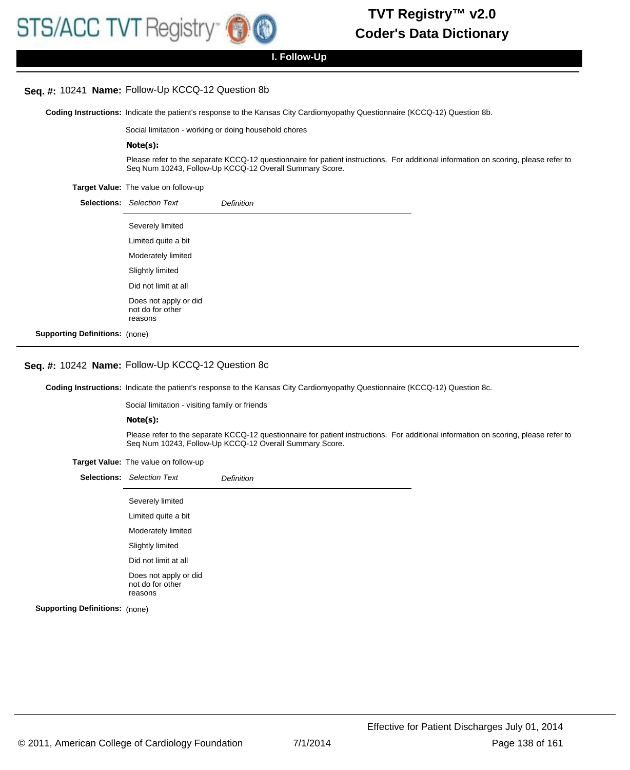#### **Seq. #:** 10241 **Name:** Follow-Up KCCQ-12 Question 8b

Coding Instructions: Indicate the patient's response to the Kansas City Cardiomyopathy Questionnaire (KCCQ-12) Question 8b.

Social limitation - working or doing household chores

#### **Note(s):**

Please refer to the separate KCCQ-12 questionnaire for patient instructions. For additional information on scoring, please refer to Seq Num 10243, Follow-Up KCCQ-12 Overall Summary Score.

**Target Value:** The value on follow-up

|                                       | <b>Selections:</b> Selection Text                    | Definition |
|---------------------------------------|------------------------------------------------------|------------|
|                                       | Severely limited                                     |            |
|                                       | Limited quite a bit                                  |            |
|                                       | Moderately limited                                   |            |
|                                       | Slightly limited                                     |            |
|                                       | Did not limit at all                                 |            |
|                                       | Does not apply or did<br>not do for other<br>reasons |            |
| <b>Supporting Definitions:</b> (none) |                                                      |            |

## **Seq. #:** 10242 **Name:** Follow-Up KCCQ-12 Question 8c

Coding Instructions: Indicate the patient's response to the Kansas City Cardiomyopathy Questionnaire (KCCQ-12) Question 8c.

Social limitation - visiting family or friends

#### **Note(s):**

Please refer to the separate KCCQ-12 questionnaire for patient instructions. For additional information on scoring, please refer to Seq Num 10243, Follow-Up KCCQ-12 Overall Summary Score.

|                                       | <b>Selections:</b> Selection Text                    | <b>Definition</b> |
|---------------------------------------|------------------------------------------------------|-------------------|
|                                       | Severely limited                                     |                   |
|                                       | Limited quite a bit                                  |                   |
|                                       | Moderately limited                                   |                   |
|                                       | Slightly limited                                     |                   |
|                                       | Did not limit at all                                 |                   |
|                                       | Does not apply or did<br>not do for other<br>reasons |                   |
| <b>Supporting Definitions: (none)</b> |                                                      |                   |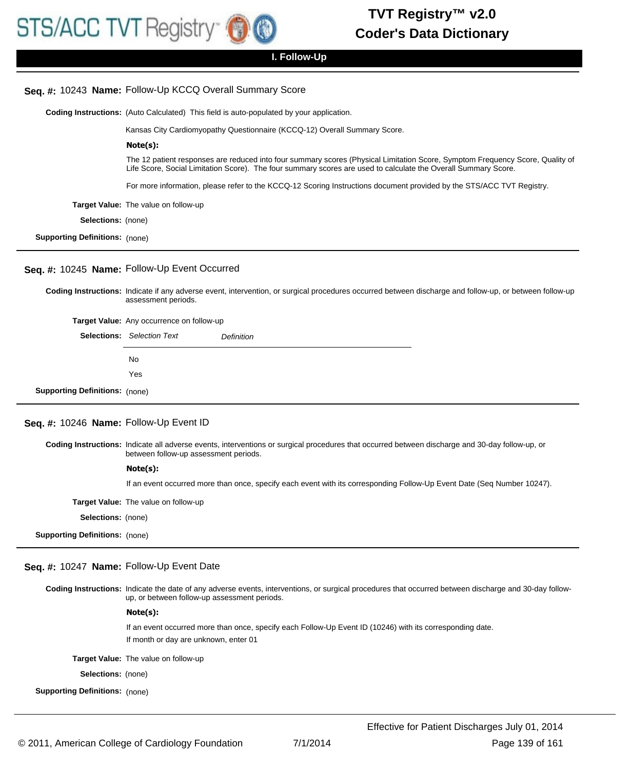## **Seq. #:** 10243 **Name:** Follow-Up KCCQ Overall Summary Score

**Coding Instructions:** (Auto Calculated) This field is auto-populated by your application.

Kansas City Cardiomyopathy Questionnaire (KCCQ-12) Overall Summary Score.

The 12 patient responses are reduced into four summary scores (Physical Limitation Score, Symptom Frequency Score, Quality of Life Score, Social Limitation Score). The four summary scores are used to calculate the Overall Summary Score.

For more information, please refer to the KCCQ-12 Scoring Instructions document provided by the STS/ACC TVT Registry.

**Target Value:** The value on follow-up

**Note(s):**

**Selections:** (none)

**Supporting Definitions:** (none)

#### **Seq. #:** 10245 **Name:** Follow-Up Event Occurred

Coding Instructions: Indicate if any adverse event, intervention, or surgical procedures occurred between discharge and follow-up, or between follow-up assessment periods.

**Target Value:** Any occurrence on follow-up

|                                       | <b>Selections:</b> Selection Text | <b>Definition</b> |
|---------------------------------------|-----------------------------------|-------------------|
|                                       | No.                               |                   |
|                                       | Yes                               |                   |
| <b>Supporting Definitions:</b> (none) |                                   |                   |

#### **Seq. #:** 10246 **Name:** Follow-Up Event ID

Coding Instructions: Indicate all adverse events, interventions or surgical procedures that occurred between discharge and 30-day follow-up, or between follow-up assessment periods.

#### **Note(s):**

If an event occurred more than once, specify each event with its corresponding Follow-Up Event Date (Seq Number 10247).

| <b>Target Value:</b> The value on follow-up |
|---------------------------------------------|
|                                             |

**Selections:** (none)

**Supporting Definitions:** (none)

#### **Seq. #:** 10247 **Name:** Follow-Up Event Date

Coding Instructions: Indicate the date of any adverse events, interventions, or surgical procedures that occurred between discharge and 30-day followup, or between follow-up assessment periods.

#### **Note(s):**

If an event occurred more than once, specify each Follow-Up Event ID (10246) with its corresponding date. If month or day are unknown, enter 01

**Target Value:** The value on follow-up

**Selections:** (none)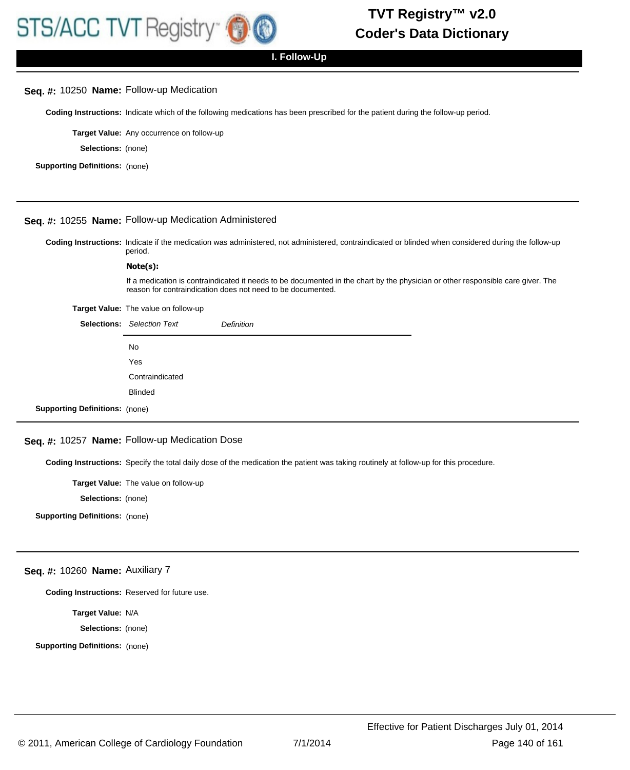### **Seq. #:** 10250 **Name:** Follow-up Medication

**Coding Instructions:** Indicate which of the following medications has been prescribed for the patient during the follow-up period.

**Target Value:** Any occurrence on follow-up

**Selections:** (none)

**Supporting Definitions:** (none)

#### **Seq. #:** 10255 **Name:** Follow-up Medication Administered

Coding Instructions: Indicate if the medication was administered, not administered, contraindicated or blinded when considered during the follow-up period.

#### **Note(s):**

If a medication is contraindicated it needs to be documented in the chart by the physician or other responsible care giver. The reason for contraindication does not need to be documented.

#### **Target Value:** The value on follow-up

|                                       | <b>Selections:</b> Selection Text | <b>Definition</b> |
|---------------------------------------|-----------------------------------|-------------------|
|                                       | No                                |                   |
|                                       | Yes                               |                   |
|                                       | Contraindicated                   |                   |
|                                       | <b>Blinded</b>                    |                   |
| <b>Supporting Definitions:</b> (none) |                                   |                   |

## **Seq. #:** 10257 **Name:** Follow-up Medication Dose

**Coding Instructions:** Specify the total daily dose of the medication the patient was taking routinely at follow-up for this procedure.

**Target Value:** The value on follow-up

**Selections:** (none)

**Supporting Definitions:** (none)

#### **Seq. #:** 10260 **Name:** Auxiliary 7

**Coding Instructions:** Reserved for future use.

**Target Value:** N/A

**Selections:** (none)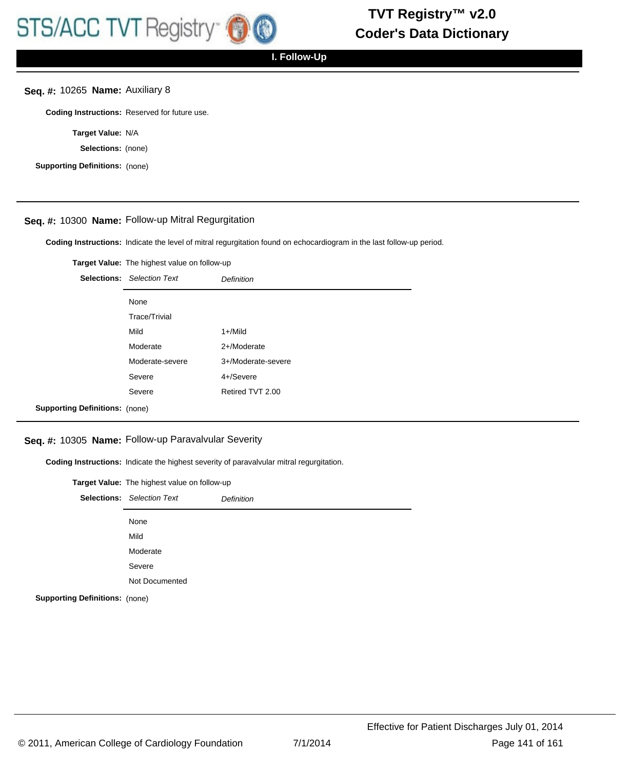## **Seq. #:** 10265 **Name:** Auxiliary 8

**Coding Instructions:** Reserved for future use.

**Target Value:** N/A

**Selections:** (none)

**Supporting Definitions:** (none)

## **Seq. #:** 10300 **Name:** Follow-up Mitral Regurgitation

**Coding Instructions:** Indicate the level of mitral regurgitation found on echocardiogram in the last follow-up period.

|                                       | Target Value: The highest value on follow-up |                    |
|---------------------------------------|----------------------------------------------|--------------------|
|                                       | <b>Selections:</b> Selection Text            | Definition         |
|                                       | None                                         |                    |
|                                       | <b>Trace/Trivial</b>                         |                    |
|                                       | Mild                                         | $1 +$ /Mild        |
|                                       | Moderate                                     | 2+/Moderate        |
|                                       | Moderate-severe                              | 3+/Moderate-severe |
|                                       | Severe                                       | 4+/Severe          |
|                                       | Severe                                       | Retired TVT 2.00   |
| <b>Supporting Definitions:</b> (none) |                                              |                    |

#### **Seq. #:** 10305 **Name:** Follow-up Paravalvular Severity

**Coding Instructions:** Indicate the highest severity of paravalvular mitral regurgitation.

|                                       | Target Value: The highest value on follow-up |                   |  |
|---------------------------------------|----------------------------------------------|-------------------|--|
|                                       | <b>Selections:</b> Selection Text            | <b>Definition</b> |  |
|                                       | None                                         |                   |  |
|                                       | Mild                                         |                   |  |
|                                       | Moderate                                     |                   |  |
|                                       | Severe                                       |                   |  |
|                                       | Not Documented                               |                   |  |
| <b>Supporting Definitions: (none)</b> |                                              |                   |  |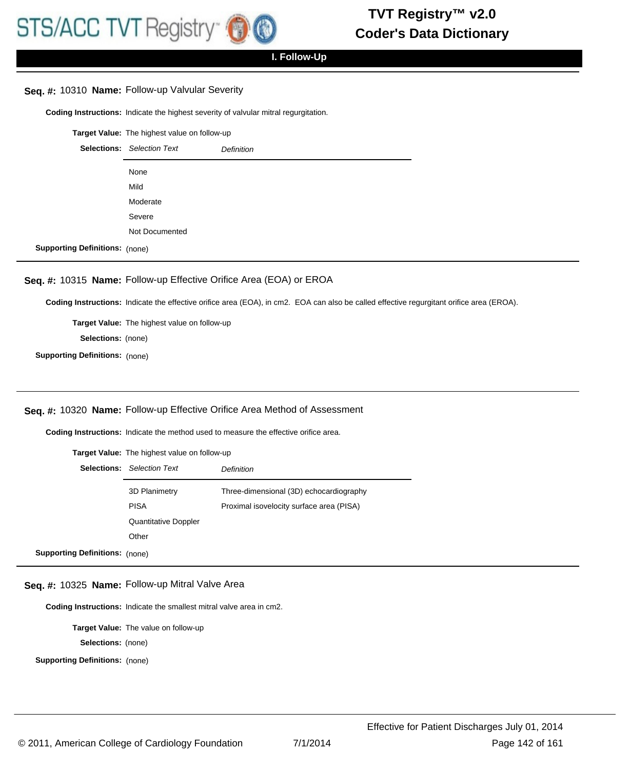## **Seq. #:** 10310 **Name:** Follow-up Valvular Severity

**Coding Instructions:** Indicate the highest severity of valvular mitral regurgitation.

**Target Value:** The highest value on follow-up Selections: Selection Text **Definition** None Mild Moderate Severe Not Documented **Supporting Definitions:** (none)

### **Seq. #:** 10315 **Name:** Follow-up Effective Orifice Area (EOA) or EROA

**Coding Instructions:** Indicate the effective orifice area (EOA), in cm2. EOA can also be called effective regurgitant orifice area (EROA).

**Target Value:** The highest value on follow-up **Selections:** (none)

**Supporting Definitions:** (none)

#### **Seq. #:** 10320 **Name:** Follow-up Effective Orifice Area Method of Assessment

**Coding Instructions:** Indicate the method used to measure the effective orifice area.

|                                       | <b>Target Value:</b> The highest value on follow-up |                                          |  |
|---------------------------------------|-----------------------------------------------------|------------------------------------------|--|
|                                       | <b>Selections:</b> Selection Text                   | Definition                               |  |
|                                       | 3D Planimetry                                       | Three-dimensional (3D) echocardiography  |  |
|                                       | <b>PISA</b>                                         | Proximal isovelocity surface area (PISA) |  |
|                                       | <b>Quantitative Doppler</b>                         |                                          |  |
|                                       | Other                                               |                                          |  |
| <b>Supporting Definitions:</b> (none) |                                                     |                                          |  |

## **Seq. #:** 10325 **Name:** Follow-up Mitral Valve Area

**Coding Instructions:** Indicate the smallest mitral valve area in cm2.

**Target Value:** The value on follow-up

**Selections:** (none)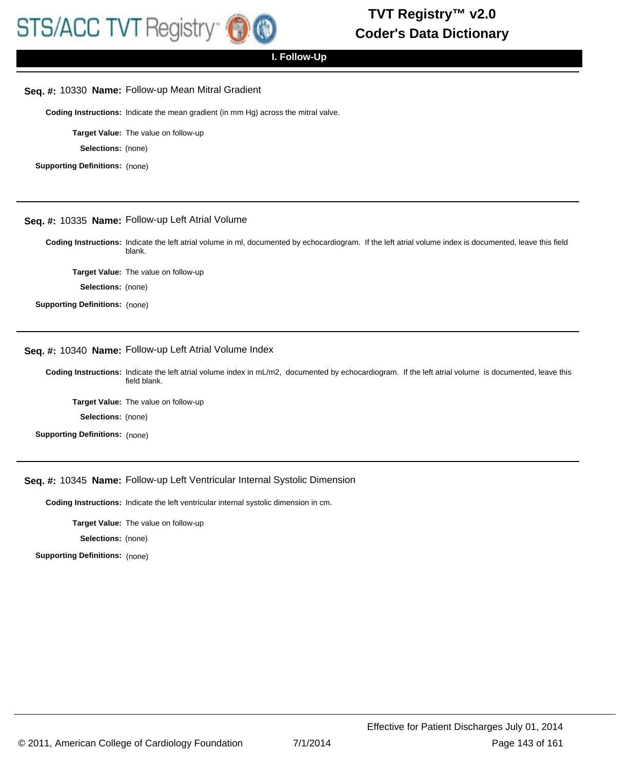

#### **Seq. #:** 10330 **Name:** Follow-up Mean Mitral Gradient

**Coding Instructions:** Indicate the mean gradient (in mm Hg) across the mitral valve.

**Target Value:** The value on follow-up

**Selections:** (none)

**Supporting Definitions:** (none)

## **Seq. #:** 10335 **Name:** Follow-up Left Atrial Volume

Coding Instructions: Indicate the left atrial volume in ml, documented by echocardiogram. If the left atrial volume index is documented, leave this field blank.

**Target Value:** The value on follow-up

**Selections:** (none)

**Supporting Definitions:** (none)

## **Seq. #:** 10340 **Name:** Follow-up Left Atrial Volume Index

Coding Instructions: Indicate the left atrial volume index in mL/m2, documented by echocardiogram. If the left atrial volume is documented, leave this field blank.

**Target Value:** The value on follow-up

**Selections:** (none)

**Supporting Definitions:** (none)

#### **Seq. #:** 10345 **Name:** Follow-up Left Ventricular Internal Systolic Dimension

**Coding Instructions:** Indicate the left ventricular internal systolic dimension in cm.

**Target Value:** The value on follow-up

**Selections:** (none)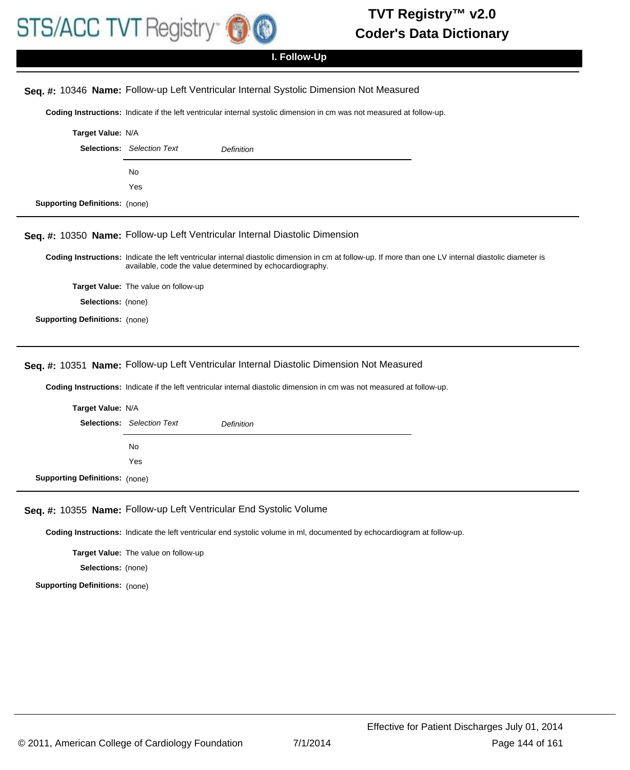

## **I. Follow-Up**

## **Seq. #:** 10346 **Name:** Follow-up Left Ventricular Internal Systolic Dimension Not Measured

**Coding Instructions:** Indicate if the left ventricular internal systolic dimension in cm was not measured at follow-up.

|                                       | <b>Target Value: N/A</b>          |                   |  |
|---------------------------------------|-----------------------------------|-------------------|--|
|                                       | <b>Selections:</b> Selection Text | <b>Definition</b> |  |
|                                       | No.                               |                   |  |
|                                       | Yes                               |                   |  |
| <b>Supporting Definitions:</b> (none) |                                   |                   |  |

#### **Seq. #:** 10350 **Name:** Follow-up Left Ventricular Internal Diastolic Dimension

Coding Instructions: Indicate the left ventricular internal diastolic dimension in cm at follow-up. If more than one LV internal diastolic diameter is available, code the value determined by echocardiography.

**Target Value:** The value on follow-up

**Selections:** (none)

**Supporting Definitions:** (none)

## **Seq. #:** 10351 **Name:** Follow-up Left Ventricular Internal Diastolic Dimension Not Measured

**Coding Instructions:** Indicate if the left ventricular internal diastolic dimension in cm was not measured at follow-up.

|                                       | Target Value: N/A                 |                   |  |
|---------------------------------------|-----------------------------------|-------------------|--|
|                                       | <b>Selections:</b> Selection Text | <b>Definition</b> |  |
|                                       | No.                               |                   |  |
|                                       | Yes                               |                   |  |
| <b>Supporting Definitions:</b> (none) |                                   |                   |  |

#### **Seq. #:** 10355 **Name:** Follow-up Left Ventricular End Systolic Volume

**Coding Instructions:** Indicate the left ventricular end systolic volume in ml, documented by echocardiogram at follow-up.

**Target Value:** The value on follow-up

**Selections:** (none)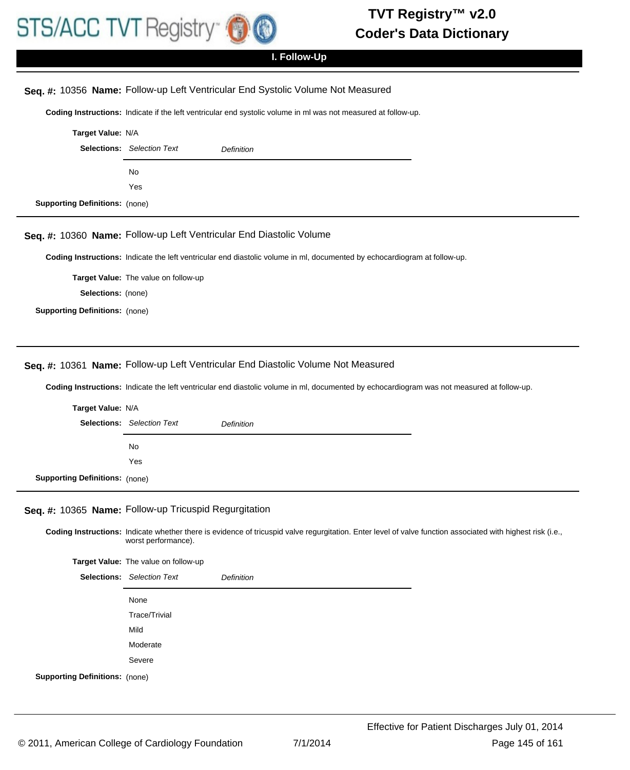

# **I. Follow-Up**

## **Seq. #:** 10356 **Name:** Follow-up Left Ventricular End Systolic Volume Not Measured

**Coding Instructions:** Indicate if the left ventricular end systolic volume in ml was not measured at follow-up.

|                           | Target Value: N/A                 |            |  |
|---------------------------|-----------------------------------|------------|--|
|                           | <b>Selections:</b> Selection Text | Definition |  |
|                           | No                                |            |  |
|                           | Yes                               |            |  |
| rting Definitions: (none) |                                   |            |  |

#### **Seq. #:** 10360 **Name:** Follow-up Left Ventricular End Diastolic Volume

**Coding Instructions:** Indicate the left ventricular end diastolic volume in ml, documented by echocardiogram at follow-up.

**Target Value:** The value on follow-up

**Selections:** (none)

**Supporting Definitions:** (none)

**Suppo** 

### **Seq. #:** 10361 **Name:** Follow-up Left Ventricular End Diastolic Volume Not Measured

**Coding Instructions:** Indicate the left ventricular end diastolic volume in ml, documented by echocardiogram was not measured at follow-up.

| Target Value: N/A                     |                                   |                   |  |
|---------------------------------------|-----------------------------------|-------------------|--|
|                                       | <b>Selections:</b> Selection Text | <b>Definition</b> |  |
|                                       | No                                |                   |  |
|                                       | Yes                               |                   |  |
| <b>Supporting Definitions:</b> (none) |                                   |                   |  |

### **Seq. #:** 10365 **Name:** Follow-up Tricuspid Regurgitation

Coding Instructions: Indicate whether there is evidence of tricuspid valve regurgitation. Enter level of valve function associated with highest risk (i.e., worst performance).

**Target Value:** The value on follow-up

|                                       | <b>Selections:</b> Selection Text | <b>Definition</b> |
|---------------------------------------|-----------------------------------|-------------------|
|                                       | None                              |                   |
|                                       | Trace/Trivial                     |                   |
|                                       | Mild                              |                   |
|                                       | Moderate                          |                   |
|                                       | Severe                            |                   |
| <b>Supporting Definitions:</b> (none) |                                   |                   |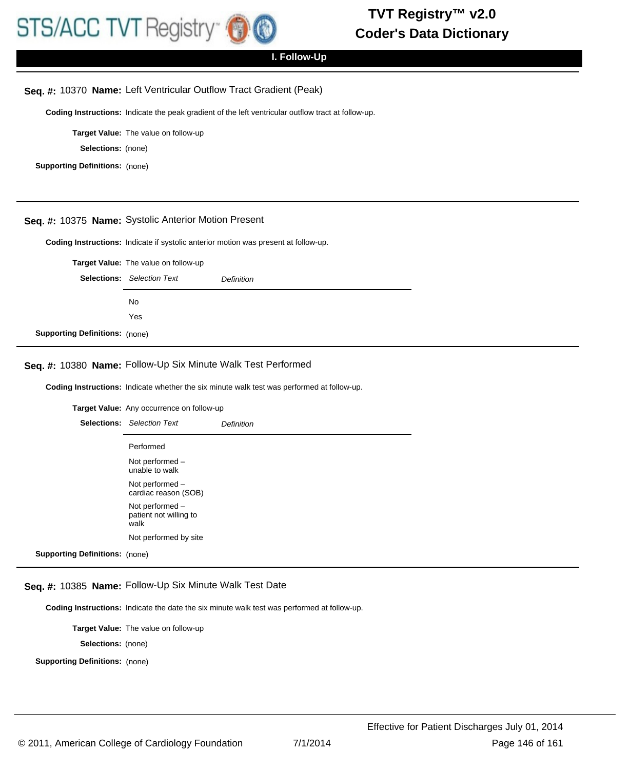

# **I. Follow-Up**

#### **Seq. #:** 10370 **Name:** Left Ventricular Outflow Tract Gradient (Peak)

**Coding Instructions:** Indicate the peak gradient of the left ventricular outflow tract at follow-up.

**Target Value:** The value on follow-up

**Selections:** (none)

**Supporting Definitions:** (none)

### **Seq. #:** 10375 **Name:** Systolic Anterior Motion Present

**Coding Instructions:** Indicate if systolic anterior motion was present at follow-up.

|                                       | Target Value: The value on follow-up |            |
|---------------------------------------|--------------------------------------|------------|
| <b>Selections:</b> Selection Text     |                                      | Definition |
|                                       | No.                                  |            |
|                                       | Yes                                  |            |
| <b>Supporting Definitions: (none)</b> |                                      |            |

# **Seq. #:** 10380 **Name:** Follow-Up Six Minute Walk Test Performed

**Coding Instructions:** Indicate whether the six minute walk test was performed at follow-up.

**Target Value:** Any occurrence on follow-up

|                                       | <b>Selections:</b> Selection Text                 | Definition |
|---------------------------------------|---------------------------------------------------|------------|
|                                       | Performed                                         |            |
|                                       | Not performed -<br>unable to walk                 |            |
|                                       | Not performed -<br>cardiac reason (SOB)           |            |
|                                       | Not performed -<br>patient not willing to<br>walk |            |
|                                       | Not performed by site                             |            |
| <b>Supporting Definitions: (none)</b> |                                                   |            |

#### **Seq. #:** 10385 **Name:** Follow-Up Six Minute Walk Test Date

**Coding Instructions:** Indicate the date the six minute walk test was performed at follow-up.

**Target Value:** The value on follow-up

**Selections:** (none)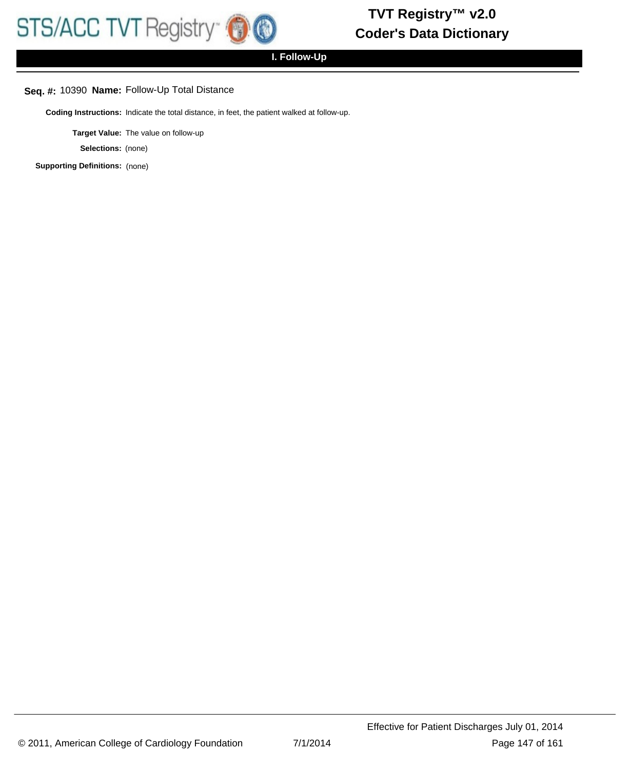# **I. Follow-Up**

# **Seq. #:** 10390 **Name:** Follow-Up Total Distance

**Coding Instructions:** Indicate the total distance, in feet, the patient walked at follow-up.

**Target Value:** The value on follow-up

**Selections:** (none)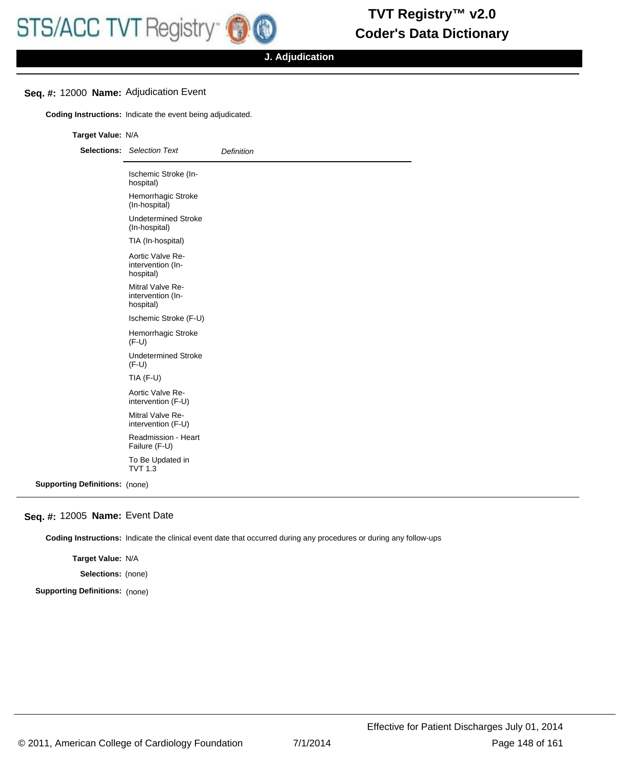# **Seq. #:** 12000 **Name:** Adjudication Event

**Coding Instructions:** Indicate the event being adjudicated.

#### **Target Value:** N/A

| <b>Selections:</b> Selection Text                  | <b>Definition</b> |
|----------------------------------------------------|-------------------|
| Ischemic Stroke (In-<br>hospital)                  |                   |
| Hemorrhagic Stroke<br>(In-hospital)                |                   |
| <b>Undetermined Stroke</b><br>(In-hospital)        |                   |
| TIA (In-hospital)                                  |                   |
| Aortic Valve Re-<br>intervention (In-<br>hospital) |                   |
| Mitral Valve Re-<br>intervention (In-<br>hospital) |                   |
| Ischemic Stroke (F-U)                              |                   |
| Hemorrhagic Stroke<br>$(F-U)$                      |                   |
| <b>Undetermined Stroke</b><br>$(F-U)$              |                   |
| TIA $(F-U)$                                        |                   |
| Aortic Valve Re-<br>intervention (F-U)             |                   |
| Mitral Valve Re-<br>intervention (F-U)             |                   |
| Readmission - Heart<br>Failure (F-U)               |                   |
| To Be Updated in<br><b>TVT 1.3</b>                 |                   |

**Supporting Definitions:** (none)

#### **Seq. #:** 12005 **Name:** Event Date

**Coding Instructions:** Indicate the clinical event date that occurred during any procedures or during any follow-ups

**Target Value:** N/A

**Selections:** (none)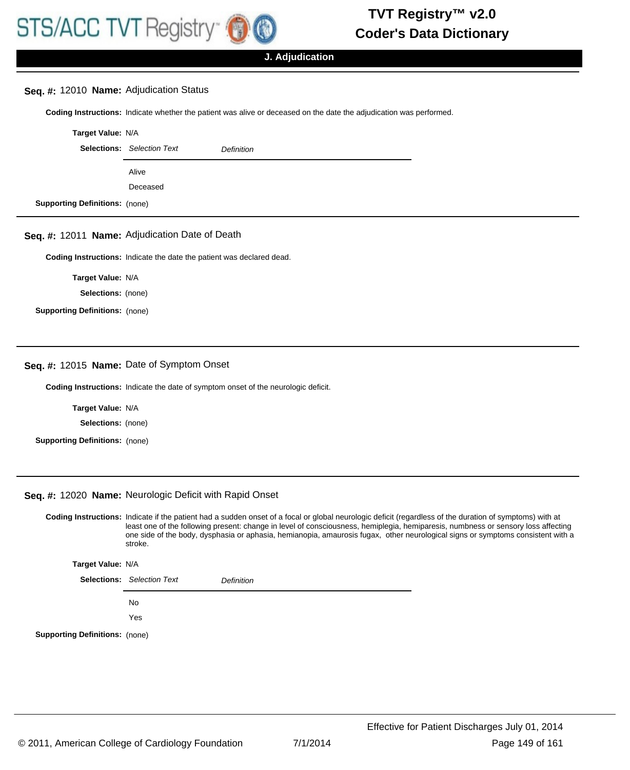### **Seq. #:** 12010 **Name:** Adjudication Status

**Coding Instructions:** Indicate whether the patient was alive or deceased on the date the adjudication was performed.

|                                       | Target Value: N/A                 |                   |  |
|---------------------------------------|-----------------------------------|-------------------|--|
|                                       | <b>Selections:</b> Selection Text | <b>Definition</b> |  |
|                                       | Alive                             |                   |  |
|                                       | Deceased                          |                   |  |
| <b>Supporting Definitions: (none)</b> |                                   |                   |  |

### **Seq. #:** 12011 **Name:** Adjudication Date of Death

**Coding Instructions:** Indicate the date the patient was declared dead.

**Target Value:** N/A

**Selections:** (none)

**Supporting Definitions:** (none)

#### **Seq. #:** 12015 **Name:** Date of Symptom Onset

**Coding Instructions:** Indicate the date of symptom onset of the neurologic deficit.

**Target Value:** N/A

**Selections:** (none)

**Supporting Definitions:** (none)

#### **Seq. #:** 12020 **Name:** Neurologic Deficit with Rapid Onset

Coding Instructions: Indicate if the patient had a sudden onset of a focal or global neurologic deficit (regardless of the duration of symptoms) with at least one of the following present: change in level of consciousness, hemiplegia, hemiparesis, numbness or sensory loss affecting one side of the body, dysphasia or aphasia, hemianopia, amaurosis fugax, other neurological signs or symptoms consistent with a stroke.

**Target Value:** N/A

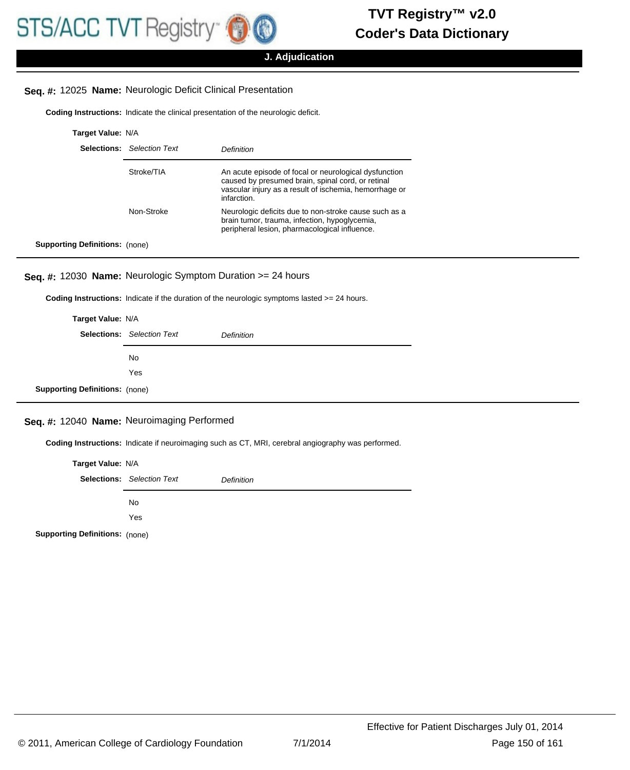# **Seq. #:** 12025 **Name:** Neurologic Deficit Clinical Presentation

**Coding Instructions:** Indicate the clinical presentation of the neurologic deficit.

| Target Value: N/A                     |                                   |                                                                                                                                                                                     |
|---------------------------------------|-----------------------------------|-------------------------------------------------------------------------------------------------------------------------------------------------------------------------------------|
|                                       | <b>Selections:</b> Selection Text | Definition                                                                                                                                                                          |
|                                       | Stroke/TIA                        | An acute episode of focal or neurological dysfunction<br>caused by presumed brain, spinal cord, or retinal<br>vascular injury as a result of ischemia, hemorrhage or<br>infarction. |
|                                       | Non-Stroke                        | Neurologic deficits due to non-stroke cause such as a<br>brain tumor, trauma, infection, hypoglycemia,<br>peripheral lesion, pharmacological influence.                             |
| <b>Supporting Definitions:</b> (none) |                                   |                                                                                                                                                                                     |

# **Seq. #:** 12030 **Name:** Neurologic Symptom Duration >= 24 hours

**Coding Instructions:** Indicate if the duration of the neurologic symptoms lasted >= 24 hours.

|                                       | Target Value: N/A                 |            |  |
|---------------------------------------|-----------------------------------|------------|--|
|                                       | <b>Selections:</b> Selection Text | Definition |  |
|                                       | No.                               |            |  |
|                                       | Yes                               |            |  |
| <b>Supporting Definitions: (none)</b> |                                   |            |  |

# **Seq. #:** 12040 **Name:** Neuroimaging Performed

**Coding Instructions:** Indicate if neuroimaging such as CT, MRI, cerebral angiography was performed.

| Target Value: N/A |                                   |                   |
|-------------------|-----------------------------------|-------------------|
|                   | <b>Selections:</b> Selection Text | <b>Definition</b> |
|                   | No                                |                   |
|                   | Yes                               |                   |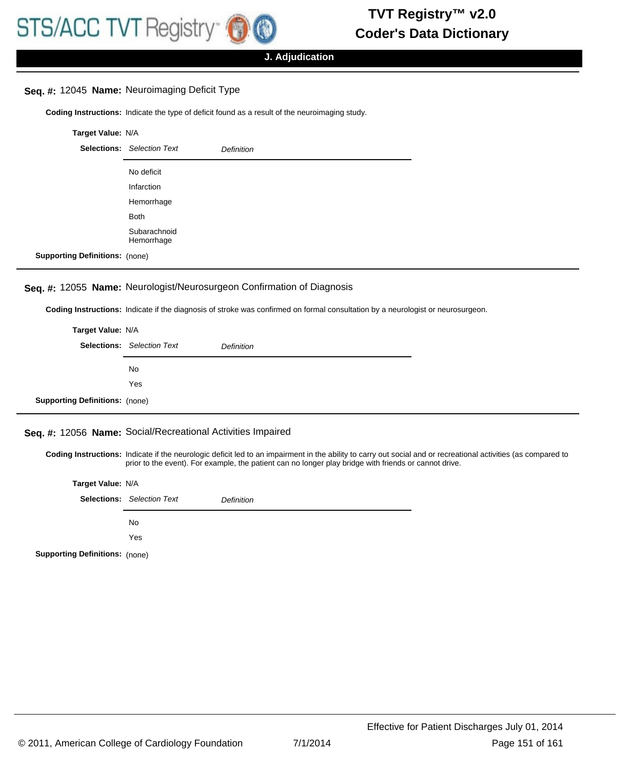# **Seq. #:** 12045 **Name:** Neuroimaging Deficit Type

**Coding Instructions:** Indicate the type of deficit found as a result of the neuroimaging study.

| Target Value: N/A                     |                                   |                   |
|---------------------------------------|-----------------------------------|-------------------|
|                                       | <b>Selections:</b> Selection Text | <b>Definition</b> |
|                                       | No deficit                        |                   |
|                                       | Infarction                        |                   |
|                                       | Hemorrhage                        |                   |
|                                       | <b>Both</b>                       |                   |
|                                       | Subarachnoid<br>Hemorrhage        |                   |
| <b>Supporting Definitions: (none)</b> |                                   |                   |

# **Seq. #:** 12055 **Name:** Neurologist/Neurosurgeon Confirmation of Diagnosis

**Coding Instructions:** Indicate if the diagnosis of stroke was confirmed on formal consultation by a neurologist or neurosurgeon.

|                                       | Target Value: N/A                 |                   |  |
|---------------------------------------|-----------------------------------|-------------------|--|
|                                       | <b>Selections:</b> Selection Text | <b>Definition</b> |  |
|                                       | No                                |                   |  |
|                                       | Yes                               |                   |  |
| <b>Supporting Definitions:</b> (none) |                                   |                   |  |

### **Seq. #:** 12056 **Name:** Social/Recreational Activities Impaired

Coding Instructions: Indicate if the neurologic deficit led to an impairment in the ability to carry out social and or recreational activities (as compared to prior to the event). For example, the patient can no longer play bridge with friends or cannot drive.

|                                       | Target Value: N/A                 |            |  |
|---------------------------------------|-----------------------------------|------------|--|
|                                       | <b>Selections:</b> Selection Text | Definition |  |
|                                       | <b>No</b>                         |            |  |
|                                       | Yes                               |            |  |
| <b>Supporting Definitions:</b> (none) |                                   |            |  |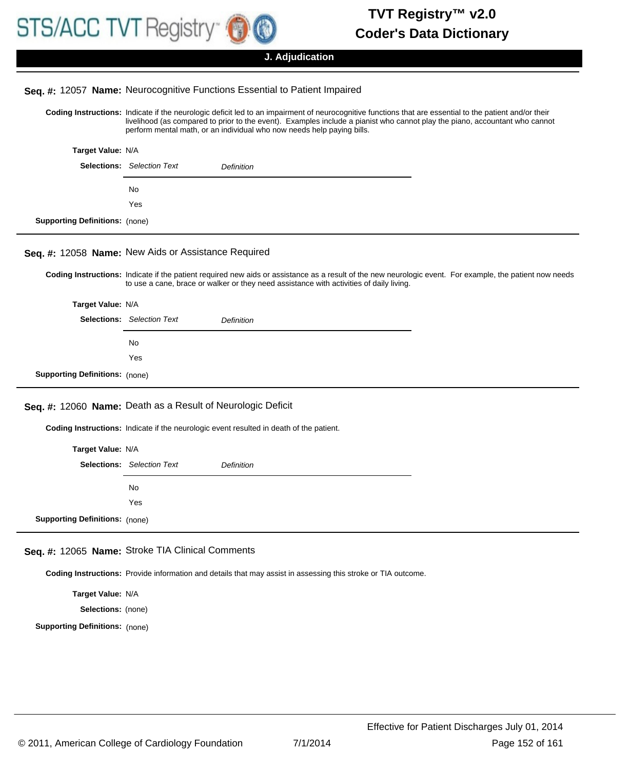

**Target Value:** N/A

#### **J. Adjudication**

#### **Seq. #:** 12057 **Name:** Neurocognitive Functions Essential to Patient Impaired

Coding Instructions: Indicate if the neurologic deficit led to an impairment of neurocognitive functions that are essential to the patient and/or their livelihood (as compared to prior to the event). Examples include a pianist who cannot play the piano, accountant who cannot perform mental math, or an individual who now needs help paying bills.

|                                       | rarget value: N/A                 |                   |
|---------------------------------------|-----------------------------------|-------------------|
|                                       | <b>Selections:</b> Selection Text | <b>Definition</b> |
|                                       | No                                |                   |
|                                       | Yes                               |                   |
| <b>Supporting Definitions: (none)</b> |                                   |                   |

# **Seq. #:** 12058 **Name:** New Aids or Assistance Required

Coding Instructions: Indicate if the patient required new aids or assistance as a result of the new neurologic event. For example, the patient now needs to use a cane, brace or walker or they need assistance with activities of daily living.

|                                       | Target Value: N/A                 |                   |  |
|---------------------------------------|-----------------------------------|-------------------|--|
|                                       | <b>Selections:</b> Selection Text | <b>Definition</b> |  |
|                                       | No                                |                   |  |
|                                       | Yes                               |                   |  |
| <b>Supporting Definitions: (none)</b> |                                   |                   |  |

#### **Seq. #:** 12060 **Name:** Death as a Result of Neurologic Deficit

**Coding Instructions:** Indicate if the neurologic event resulted in death of the patient.

|                                       | Target Value: N/A                 |            |
|---------------------------------------|-----------------------------------|------------|
|                                       | <b>Selections:</b> Selection Text | Definition |
|                                       | <b>No</b>                         |            |
|                                       | Yes                               |            |
| <b>Supporting Definitions:</b> (none) |                                   |            |

## **Seq. #:** 12065 **Name:** Stroke TIA Clinical Comments

**Coding Instructions:** Provide information and details that may assist in assessing this stroke or TIA outcome.

**Target Value:** N/A **Selections:** (none) **Supporting Definitions:** (none)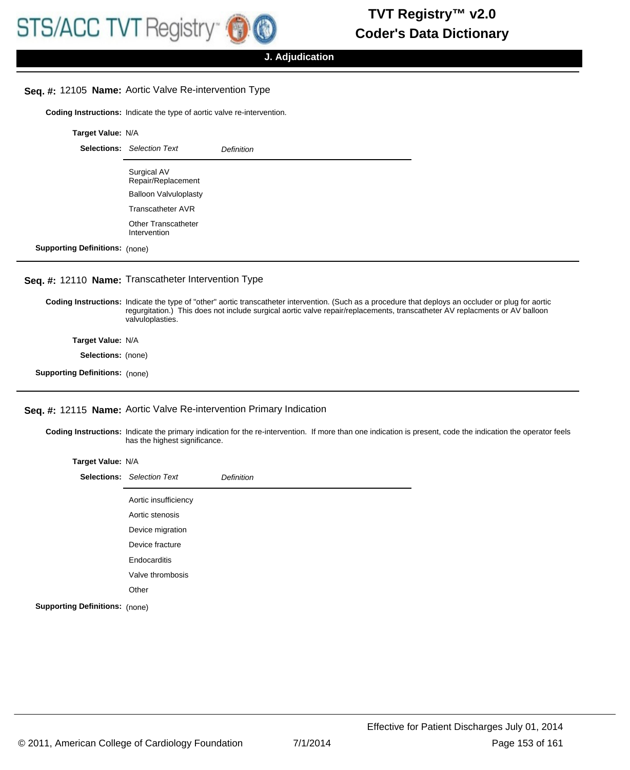# **Seq. #:** 12105 **Name:** Aortic Valve Re-intervention Type

**Coding Instructions:** Indicate the type of aortic valve re-intervention.

|                                       | Target Value: N/A                          |            |  |
|---------------------------------------|--------------------------------------------|------------|--|
|                                       | <b>Selections:</b> Selection Text          | Definition |  |
|                                       | Surgical AV<br>Repair/Replacement          |            |  |
|                                       | <b>Balloon Valvuloplasty</b>               |            |  |
|                                       | Transcatheter AVR                          |            |  |
|                                       | <b>Other Transcatheter</b><br>Intervention |            |  |
| <b>Supporting Definitions: (none)</b> |                                            |            |  |

#### **Seq. #:** 12110 **Name:** Transcatheter Intervention Type

Coding Instructions: Indicate the type of "other" aortic transcatheter intervention. (Such as a procedure that deploys an occluder or plug for aortic regurgitation.) This does not include surgical aortic valve repair/replacements, transcatheter AV replacments or AV balloon valvuloplasties.

**Target Value:** N/A

**Selections:** (none)

**Supporting Definitions:** (none)

#### **Seq. #:** 12115 **Name:** Aortic Valve Re-intervention Primary Indication

Coding Instructions: Indicate the primary indication for the re-intervention. If more than one indication is present, code the indication the operator feels has the highest significance.

| Target Value: N/A                     |                                   |            |
|---------------------------------------|-----------------------------------|------------|
|                                       | <b>Selections:</b> Selection Text | Definition |
|                                       | Aortic insufficiency              |            |
|                                       | Aortic stenosis                   |            |
|                                       | Device migration                  |            |
|                                       | Device fracture                   |            |
|                                       | Endocarditis                      |            |
|                                       | Valve thrombosis                  |            |
|                                       | Other                             |            |
| <b>Supporting Definitions:</b> (none) |                                   |            |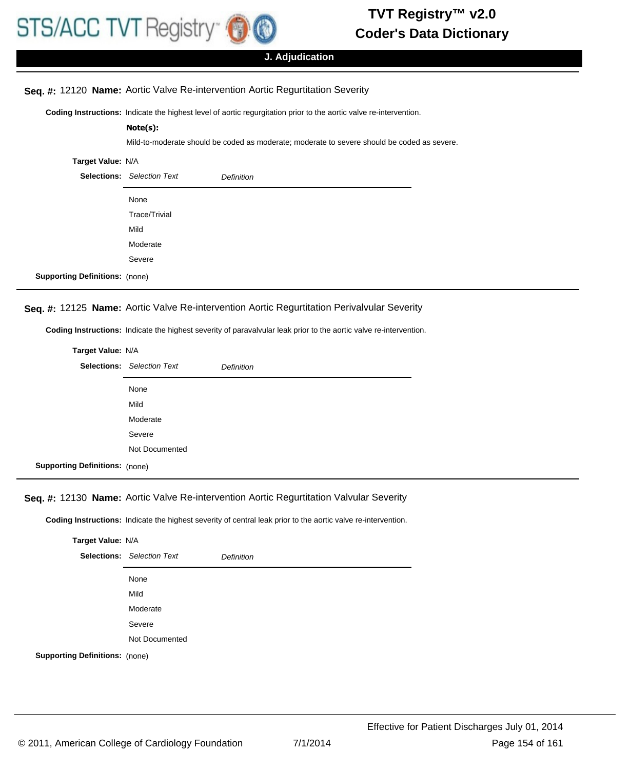

**Note(s):**

# **Coder's Data Dictionary TVT Registry™ v2.0**

# **J. Adjudication**

Mild-to-moderate should be coded as moderate; moderate to severe should be coded as severe.

### **Seq. #:** 12120 **Name:** Aortic Valve Re-intervention Aortic Regurtitation Severity

**Coding Instructions:** Indicate the highest level of aortic regurgitation prior to the aortic valve re-intervention.

# **Target Value:** N/A

|                                       | <b>Selections:</b> Selection Text | <b>Definition</b> |
|---------------------------------------|-----------------------------------|-------------------|
|                                       | None                              |                   |
|                                       | Trace/Trivial                     |                   |
|                                       | Mild                              |                   |
|                                       | Moderate                          |                   |
|                                       | Severe                            |                   |
| <b>Supporting Definitions: (none)</b> |                                   |                   |

#### **Seq. #:** 12125 **Name:** Aortic Valve Re-intervention Aortic Regurtitation Perivalvular Severity

**Coding Instructions:** Indicate the highest severity of paravalvular leak prior to the aortic valve re-intervention.

| Target Value: N/A                     |                                   |                   |
|---------------------------------------|-----------------------------------|-------------------|
|                                       | <b>Selections:</b> Selection Text | <b>Definition</b> |
|                                       | None                              |                   |
|                                       | Mild                              |                   |
|                                       | Moderate                          |                   |
|                                       | Severe                            |                   |
|                                       | Not Documented                    |                   |
| <b>Supporting Definitions: (none)</b> |                                   |                   |

# **Seq. #:** 12130 **Name:** Aortic Valve Re-intervention Aortic Regurtitation Valvular Severity

**Coding Instructions:** Indicate the highest severity of central leak prior to the aortic valve re-intervention.

|                                       | Target Value: N/A                 |                   |  |
|---------------------------------------|-----------------------------------|-------------------|--|
|                                       | <b>Selections:</b> Selection Text | <b>Definition</b> |  |
|                                       | None                              |                   |  |
|                                       | Mild                              |                   |  |
|                                       | Moderate                          |                   |  |
|                                       | Severe                            |                   |  |
|                                       | Not Documented                    |                   |  |
| <b>Supporting Definitions: (none)</b> |                                   |                   |  |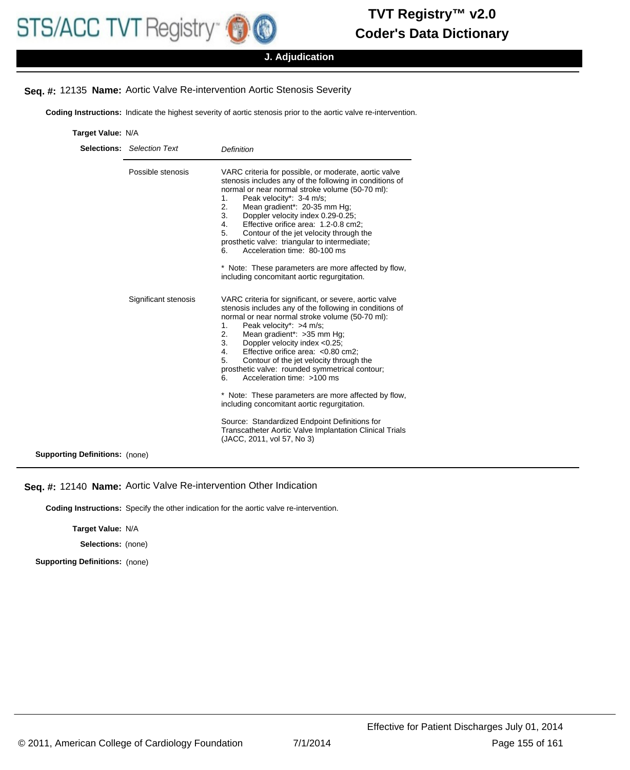

## **J. Adjudication**

# **Seq. #:** 12135 **Name:** Aortic Valve Re-intervention Aortic Stenosis Severity

**Coding Instructions:** Indicate the highest severity of aortic stenosis prior to the aortic valve re-intervention.

| Target Value: N/A |  |
|-------------------|--|

|                                       | <b>Selections:</b> Selection Text | <b>Definition</b>                                                                                                                                                                                                                                                                                                                                                                                                                                                                                                                                                                  |
|---------------------------------------|-----------------------------------|------------------------------------------------------------------------------------------------------------------------------------------------------------------------------------------------------------------------------------------------------------------------------------------------------------------------------------------------------------------------------------------------------------------------------------------------------------------------------------------------------------------------------------------------------------------------------------|
|                                       | Possible stenosis                 | VARC criteria for possible, or moderate, aortic valve<br>stenosis includes any of the following in conditions of<br>normal or near normal stroke volume (50-70 ml):<br>Peak velocity*: 3-4 m/s;<br>1.<br>Mean gradient*: 20-35 mm Hg;<br>2.<br>Doppler velocity index 0.29-0.25;<br>3.<br>Effective orifice area: 1.2-0.8 cm2:<br>4.<br>Contour of the jet velocity through the<br>5.<br>prosthetic valve: triangular to intermediate;<br>Acceleration time: 80-100 ms<br>6.<br>* Note: These parameters are more affected by flow,<br>including concomitant aortic regurgitation. |
|                                       | Significant stenosis              | VARC criteria for significant, or severe, aortic valve<br>stenosis includes any of the following in conditions of<br>normal or near normal stroke volume (50-70 ml):<br>Peak velocity*: >4 m/s;<br>1.<br>Mean gradient*: > 35 mm Hg;<br>2.<br>Doppler velocity index <0.25;<br>3.<br>Effective orifice area: < 0.80 cm2:<br>4.<br>5.<br>Contour of the jet velocity through the<br>prosthetic valve: rounded symmetrical contour;<br>Acceleration time: >100 ms<br>6.                                                                                                              |
|                                       |                                   | * Note: These parameters are more affected by flow,<br>including concomitant aortic regurgitation.                                                                                                                                                                                                                                                                                                                                                                                                                                                                                 |
|                                       |                                   | Source: Standardized Endpoint Definitions for<br><b>Transcatheter Aortic Valve Implantation Clinical Trials</b><br>(JACC, 2011, vol 57, No 3)                                                                                                                                                                                                                                                                                                                                                                                                                                      |
| <b>Supporting Definitions: (none)</b> |                                   |                                                                                                                                                                                                                                                                                                                                                                                                                                                                                                                                                                                    |

# **Seq. #:** 12140 **Name:** Aortic Valve Re-intervention Other Indication

**Coding Instructions:** Specify the other indication for the aortic valve re-intervention.

**Target Value:** N/A

**Selections:** (none)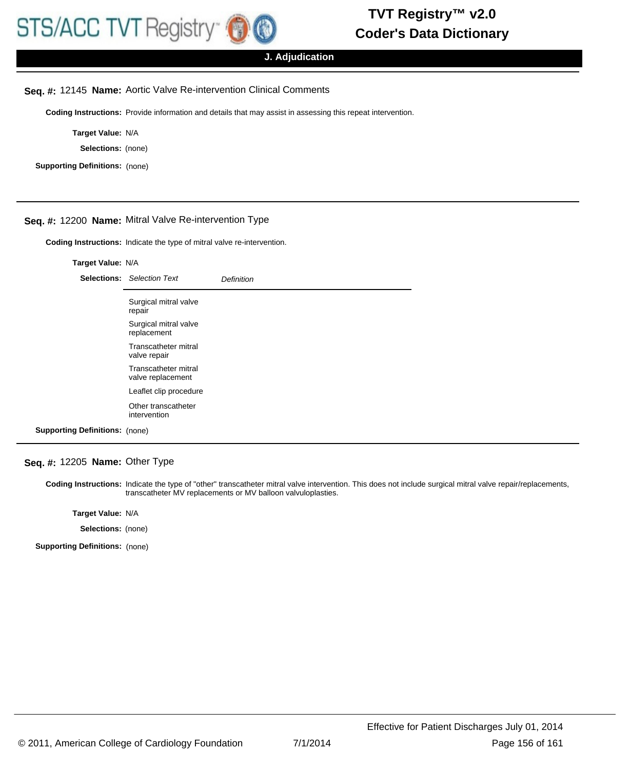

# **J. Adjudication**

#### **Seq. #:** 12145 **Name:** Aortic Valve Re-intervention Clinical Comments

**Coding Instructions:** Provide information and details that may assist in assessing this repeat intervention.

**Target Value:** N/A

**Selections:** (none)

**Supporting Definitions:** (none)

# **Seq. #:** 12200 **Name:** Mitral Valve Re-intervention Type

**Coding Instructions:** Indicate the type of mitral valve re-intervention.

#### **Target Value:** N/A

|                                       | <b>Selections:</b> Selection Text         | Definition |
|---------------------------------------|-------------------------------------------|------------|
|                                       | Surgical mitral valve<br>repair           |            |
|                                       | Surgical mitral valve<br>replacement      |            |
|                                       | Transcatheter mitral<br>valve repair      |            |
|                                       | Transcatheter mitral<br>valve replacement |            |
|                                       | Leaflet clip procedure                    |            |
|                                       | Other transcatheter<br>intervention       |            |
| <b>Supporting Definitions: (none)</b> |                                           |            |

#### **Seq. #:** 12205 **Name:** Other Type

Coding Instructions: Indicate the type of "other" transcatheter mitral valve intervention. This does not include surgical mitral valve repair/replacements, transcatheter MV replacements or MV balloon valvuloplasties.

**Target Value:** N/A

**Selections:** (none)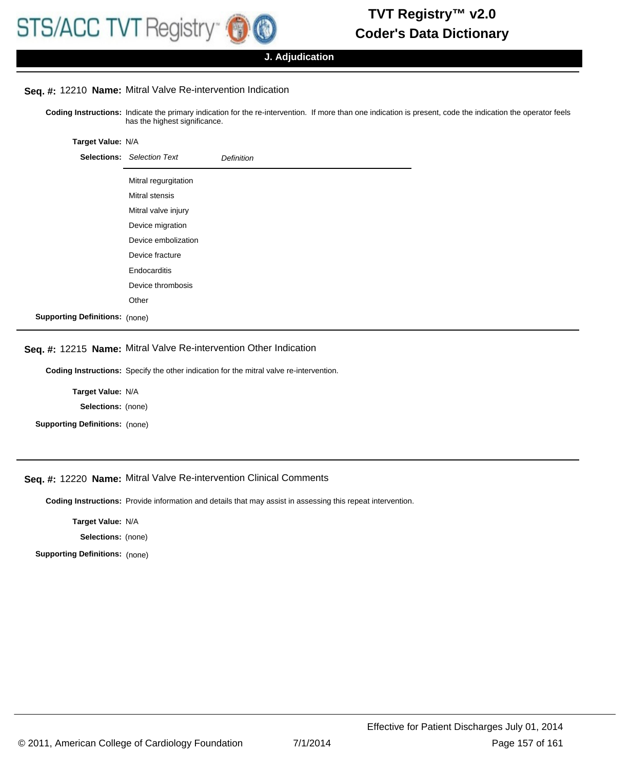

**J. Adjudication**

# **Seq. #:** 12210 **Name:** Mitral Valve Re-intervention Indication

Coding Instructions: Indicate the primary indication for the re-intervention. If more than one indication is present, code the indication the operator feels has the highest significance.

#### **Target Value:** N/A

|                                       | <b>Selections:</b> Selection Text | <b>Definition</b> |
|---------------------------------------|-----------------------------------|-------------------|
|                                       | Mitral regurgitation              |                   |
|                                       | <b>Mitral stensis</b>             |                   |
|                                       | Mitral valve injury               |                   |
|                                       | Device migration                  |                   |
|                                       | Device embolization               |                   |
|                                       | Device fracture                   |                   |
|                                       | Endocarditis                      |                   |
|                                       | Device thrombosis                 |                   |
|                                       | Other                             |                   |
| <b>Supporting Definitions: (none)</b> |                                   |                   |

## **Seq. #:** 12215 **Name:** Mitral Valve Re-intervention Other Indication

**Coding Instructions:** Specify the other indication for the mitral valve re-intervention.

**Target Value:** N/A

**Selections:** (none)

**Supporting Definitions:** (none)

# **Seq. #:** 12220 **Name:** Mitral Valve Re-intervention Clinical Comments

**Coding Instructions:** Provide information and details that may assist in assessing this repeat intervention.

**Target Value:** N/A

**Selections:** (none)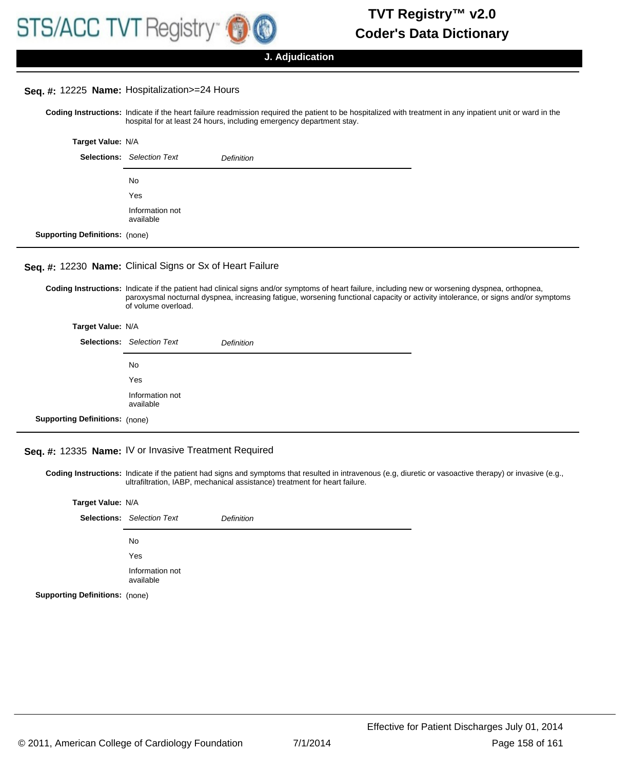

#### **Seq. #:** 12225 **Name:** Hospitalization>=24 Hours

Coding Instructions: Indicate if the heart failure readmission required the patient to be hospitalized with treatment in any inpatient unit or ward in the hospital for at least 24 hours, including emergency department stay.

| Target Value: N/A                     |                                   |                   |
|---------------------------------------|-----------------------------------|-------------------|
|                                       | <b>Selections:</b> Selection Text | <b>Definition</b> |
|                                       | No.                               |                   |
|                                       | Yes                               |                   |
|                                       | Information not<br>available      |                   |
| <b>Supporting Definitions: (none)</b> |                                   |                   |

# **Seq. #:** 12230 **Name:** Clinical Signs or Sx of Heart Failure

Coding Instructions: Indicate if the patient had clinical signs and/or symptoms of heart failure, including new or worsening dyspnea, orthopnea, paroxysmal nocturnal dyspnea, increasing fatigue, worsening functional capacity or activity intolerance, or signs and/or symptoms of volume overload.

| Target Value: N/A                     |                                   |                   |
|---------------------------------------|-----------------------------------|-------------------|
|                                       | <b>Selections:</b> Selection Text | <b>Definition</b> |
|                                       | No.                               |                   |
|                                       | Yes                               |                   |
|                                       | Information not<br>available      |                   |
| <b>Supporting Definitions: (none)</b> |                                   |                   |

# **Seq. #:** 12335 **Name:** IV or Invasive Treatment Required

Coding Instructions: Indicate if the patient had signs and symptoms that resulted in intravenous (e.g, diuretic or vasoactive therapy) or invasive (e.g., ultrafiltration, IABP, mechanical assistance) treatment for heart failure.

| Target Value: N/A                     |                                   |                   |
|---------------------------------------|-----------------------------------|-------------------|
|                                       | <b>Selections:</b> Selection Text | <b>Definition</b> |
|                                       | No                                |                   |
|                                       | Yes                               |                   |
|                                       | Information not<br>available      |                   |
| <b>Supporting Definitions: (none)</b> |                                   |                   |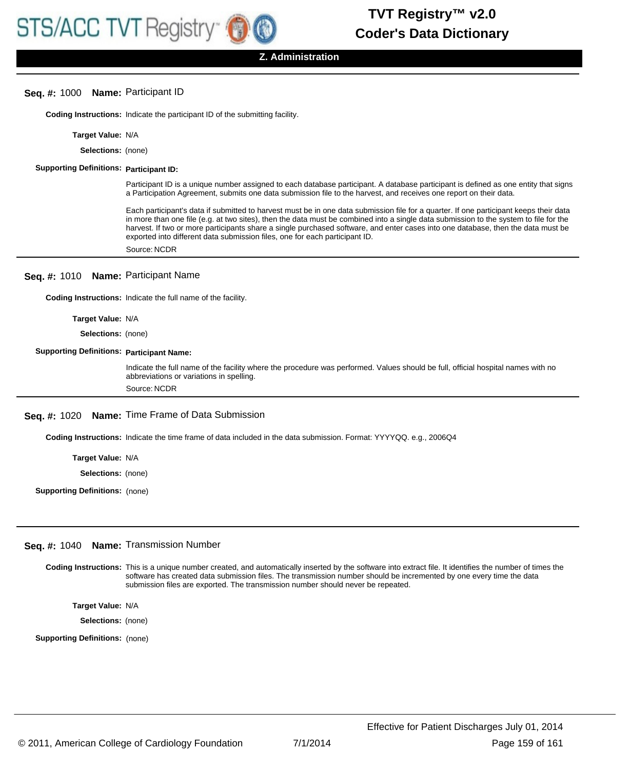**Z. Administration**

## **Seq. #:** 1000 **Name:** Participant ID

**Coding Instructions:** Indicate the participant ID of the submitting facility.

**Target Value:** N/A

**Selections:** (none)

#### **Supporting Definitions: Participant ID:**

Participant ID is a unique number assigned to each database participant. A database participant is defined as one entity that signs a Participation Agreement, submits one data submission file to the harvest, and receives one report on their data.

Each participant's data if submitted to harvest must be in one data submission file for a quarter. If one participant keeps their data in more than one file (e.g. at two sites), then the data must be combined into a single data submission to the system to file for the harvest. If two or more participants share a single purchased software, and enter cases into one database, then the data must be exported into different data submission files, one for each participant ID.

Source: NCDR

#### **Seq. #:** 1010 **Name:** Participant Name

**Coding Instructions:** Indicate the full name of the facility.

#### **Target Value:** N/A

**Selections:** (none)

#### **Supporting Definitions: Participant Name:**

Indicate the full name of the facility where the procedure was performed. Values should be full, official hospital names with no abbreviations or variations in spelling. Source: NCDR

### **Seq. #:** 1020 **Name:** Time Frame of Data Submission

**Coding Instructions:** Indicate the time frame of data included in the data submission. Format: YYYYQQ. e.g., 2006Q4

**Target Value:** N/A

**Selections:** (none)

**Supporting Definitions:** (none)

#### **Seq. #:** 1040 **Name:** Transmission Number

Coding Instructions: This is a unique number created, and automatically inserted by the software into extract file. It identifies the number of times the software has created data submission files. The transmission number should be incremented by one every time the data submission files are exported. The transmission number should never be repeated.

**Target Value:** N/A

**Selections:** (none)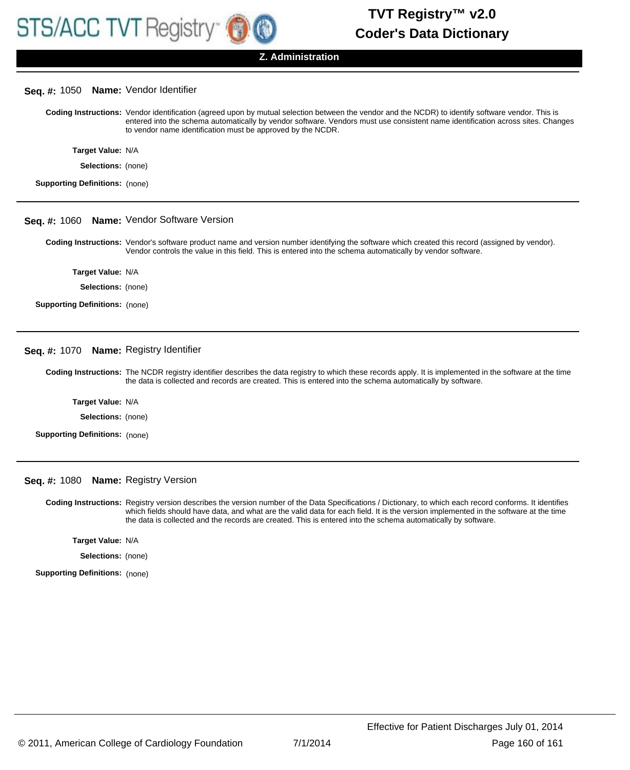

#### **Z. Administration**

## **Seq. #:** 1050 **Name:** Vendor Identifier

Coding Instructions: Vendor identification (agreed upon by mutual selection between the vendor and the NCDR) to identify software vendor. This is entered into the schema automatically by vendor software. Vendors must use consistent name identification across sites. Changes to vendor name identification must be approved by the NCDR.

| Target Value: N/A  |  |
|--------------------|--|
| Selections: (none) |  |

**Supporting Definitions:** (none)

#### **Seq. #:** 1060 **Name:** Vendor Software Version

Coding Instructions: Vendor's software product name and version number identifying the software which created this record (assigned by vendor). Vendor controls the value in this field. This is entered into the schema automatically by vendor software.

**Target Value:** N/A

**Selections:** (none)

**Supporting Definitions:** (none)

#### **Seq. #:** 1070 **Name:** Registry Identifier

Coding Instructions: The NCDR registry identifier describes the data registry to which these records apply. It is implemented in the software at the time the data is collected and records are created. This is entered into the schema automatically by software.

**Target Value:** N/A

**Selections:** (none)

**Supporting Definitions:** (none)

#### **Seq. #:** 1080 **Name:** Registry Version

Coding Instructions: Registry version describes the version number of the Data Specifications / Dictionary, to which each record conforms. It identifies which fields should have data, and what are the valid data for each field. It is the version implemented in the software at the time the data is collected and the records are created. This is entered into the schema automatically by software.

**Target Value:** N/A

**Selections:** (none)